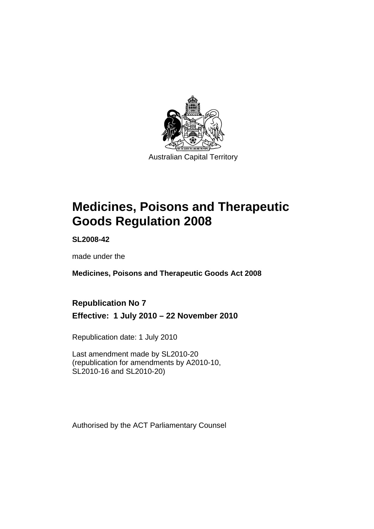

# **[Medicines, Poisons and Therapeutic](#page-24-0)  [Goods Regulation 2008](#page-24-0)**

**SL2008-42** 

made under the

**[Medicines, Poisons and Therapeutic Goods Act 2008](#page-24-0)** 

# **Republication No 7 Effective: 1 July 2010 – 22 November 2010**

Republication date: 1 July 2010

Last amendment made by SL2010-20 (republication for amendments by A2010-10, SL2010-16 and SL2010-20)

Authorised by the ACT Parliamentary Counsel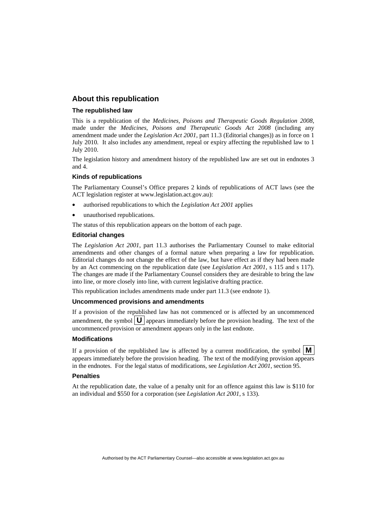#### **About this republication**

#### **The republished law**

This is a republication of the *Medicines, Poisons and Therapeutic Goods Regulation 2008*, made under the *[Medicines, Poisons and Therapeutic Goods Act 2008](#page-24-0)* (including any amendment made under the *Legislation Act 2001*, part 11.3 (Editorial changes)) as in force on 1 July 2010*.* It also includes any amendment, repeal or expiry affecting the republished law to 1 July 2010.

The legislation history and amendment history of the republished law are set out in endnotes 3 and 4.

#### **Kinds of republications**

The Parliamentary Counsel's Office prepares 2 kinds of republications of ACT laws (see the ACT legislation register at www.legislation.act.gov.au):

- authorised republications to which the *Legislation Act 2001* applies
- unauthorised republications.

The status of this republication appears on the bottom of each page.

#### **Editorial changes**

The *Legislation Act 2001*, part 11.3 authorises the Parliamentary Counsel to make editorial amendments and other changes of a formal nature when preparing a law for republication. Editorial changes do not change the effect of the law, but have effect as if they had been made by an Act commencing on the republication date (see *Legislation Act 2001*, s 115 and s 117). The changes are made if the Parliamentary Counsel considers they are desirable to bring the law into line, or more closely into line, with current legislative drafting practice.

This republication includes amendments made under part 11.3 (see endnote 1).

#### **Uncommenced provisions and amendments**

If a provision of the republished law has not commenced or is affected by an uncommenced amendment, the symbol  $\mathbf{U}$  appears immediately before the provision heading. The text of the uncommenced provision or amendment appears only in the last endnote.

#### **Modifications**

If a provision of the republished law is affected by a current modification, the symbol  $\vert \mathbf{M} \vert$ appears immediately before the provision heading. The text of the modifying provision appears in the endnotes. For the legal status of modifications, see *Legislation Act 2001*, section 95.

#### **Penalties**

At the republication date, the value of a penalty unit for an offence against this law is \$110 for an individual and \$550 for a corporation (see *Legislation Act 2001*, s 133).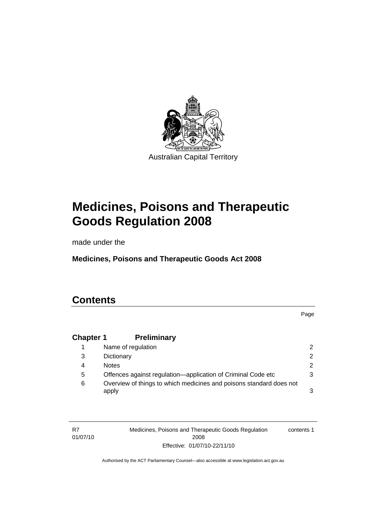

# **[Medicines, Poisons and Therapeutic](#page-24-0)  [Goods Regulation 2008](#page-24-0)**

made under the

**[Medicines, Poisons and Therapeutic Goods Act 2008](#page-24-0)** 

# **Contents**

Page

# **Chapter 1 Preliminary**

|   | Name of regulation                                                           | 2 |
|---|------------------------------------------------------------------------------|---|
| 3 | Dictionary                                                                   | 2 |
| 4 | <b>Notes</b>                                                                 | 2 |
| 5 | Offences against regulation—application of Criminal Code etc                 | 3 |
| 6 | Overview of things to which medicines and poisons standard does not<br>apply | 3 |

R7 01/07/10 Medicines, Poisons and Therapeutic Goods Regulation 2008 Effective: 01/07/10-22/11/10 contents 1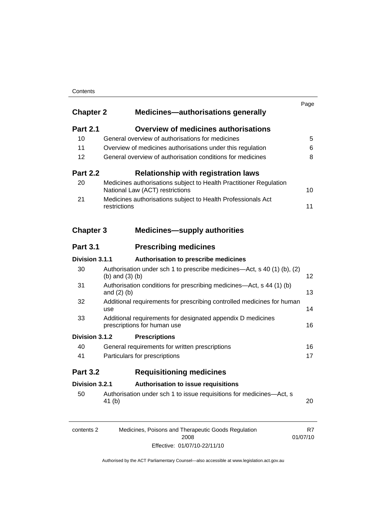#### **Contents**

| <b>Chapter 2</b> | <b>Medicines—authorisations generally</b>                                                             | Page |
|------------------|-------------------------------------------------------------------------------------------------------|------|
| <b>Part 2.1</b>  | <b>Overview of medicines authorisations</b>                                                           |      |
| 10               | General overview of authorisations for medicines                                                      | 5    |
| 11               | Overview of medicines authorisations under this regulation                                            | 6    |
| 12               | General overview of authorisation conditions for medicines                                            | 8    |
| <b>Part 2.2</b>  | <b>Relationship with registration laws</b>                                                            |      |
| 20               | Medicines authorisations subject to Health Practitioner Regulation<br>National Law (ACT) restrictions | 10   |
| 21               | Medicines authorisations subject to Health Professionals Act<br>restrictions                          | 11   |
| <b>Chapter 3</b> | <b>Medicines-supply authorities</b>                                                                   |      |
| <b>Part 3.1</b>  | <b>Prescribing medicines</b>                                                                          |      |
| Division 3.1.1   | Authorisation to prescribe medicines                                                                  |      |
| 30               | Authorisation under sch 1 to prescribe medicines—Act, s 40 (1) (b), (2)<br>(b) and $(3)$ (b)          | 12   |
| 31               | Authorisation conditions for prescribing medicines-Act, s 44 (1) (b)<br>and $(2)$ $(b)$               | 13   |
| 32               | Additional requirements for prescribing controlled medicines for human<br>use                         | 14   |
| 33               | Additional requirements for designated appendix D medicines<br>prescriptions for human use            | 16   |
| Division 3.1.2   | <b>Prescriptions</b>                                                                                  |      |
| 40               | General requirements for written prescriptions                                                        | 16   |
| 41               | Particulars for prescriptions                                                                         | 17   |
| <b>Part 3.2</b>  | <b>Requisitioning medicines</b>                                                                       |      |
|                  |                                                                                                       |      |
| Division 3.2.1   | <b>Authorisation to issue requisitions</b>                                                            |      |

| contents 2 | Medicines, Poisons and Therapeutic Goods Regulation | R7       |
|------------|-----------------------------------------------------|----------|
|            | 2008                                                | 01/07/10 |
|            | Effective: 01/07/10-22/11/10                        |          |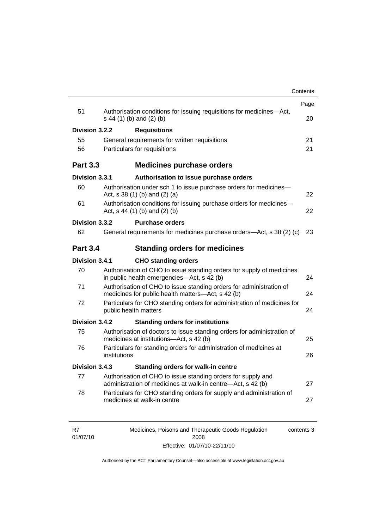|                 |              |                                                                                                                          | Contents |
|-----------------|--------------|--------------------------------------------------------------------------------------------------------------------------|----------|
| 51              |              | Authorisation conditions for issuing requisitions for medicines-Act,                                                     | Page     |
|                 |              | s 44 (1) (b) and (2) (b)                                                                                                 | 20       |
| Division 3.2.2  |              | <b>Requisitions</b>                                                                                                      |          |
| 55              |              | General requirements for written requisitions                                                                            | 21       |
| 56              |              | Particulars for requisitions                                                                                             | 21       |
| <b>Part 3.3</b> |              | <b>Medicines purchase orders</b>                                                                                         |          |
| Division 3.3.1  |              | Authorisation to issue purchase orders                                                                                   |          |
| 60              |              | Authorisation under sch 1 to issue purchase orders for medicines-<br>Act, $s$ 38 (1) (b) and (2) (a)                     | 22       |
| 61              |              | Authorisation conditions for issuing purchase orders for medicines-<br>Act, $s$ 44 (1) (b) and (2) (b)                   | 22       |
| Division 3.3.2  |              | <b>Purchase orders</b>                                                                                                   |          |
| 62              |              | General requirements for medicines purchase orders—Act, s 38 (2) (c)                                                     | 23       |
| <b>Part 3.4</b> |              | <b>Standing orders for medicines</b>                                                                                     |          |
| Division 3.4.1  |              | <b>CHO standing orders</b>                                                                                               |          |
| 70              |              | Authorisation of CHO to issue standing orders for supply of medicines<br>in public health emergencies—Act, s 42 (b)      | 24       |
| 71              |              | Authorisation of CHO to issue standing orders for administration of<br>medicines for public health matters-Act, s 42 (b) | 24       |
| 72              |              | Particulars for CHO standing orders for administration of medicines for<br>public health matters                         | 24       |
| Division 3.4.2  |              | <b>Standing orders for institutions</b>                                                                                  |          |
| 75              |              | Authorisation of doctors to issue standing orders for administration of<br>medicines at institutions-Act, s 42 (b)       | 25       |
| 76              | institutions | Particulars for standing orders for administration of medicines at                                                       | 26       |
| Division 3.4.3  |              | Standing orders for walk-in centre                                                                                       |          |
|                 |              | Authorisation of CHO to issue standing orders for supply and                                                             |          |
| 77              |              | administration of medicines at walk-in centre-Act, s 42 (b)                                                              | 27       |

| R7       | Medicines, Poisons and Therapeutic Goods Regulation | contents 3 |
|----------|-----------------------------------------------------|------------|
| 01/07/10 | 2008                                                |            |
|          | Effective: 01/07/10-22/11/10                        |            |

R7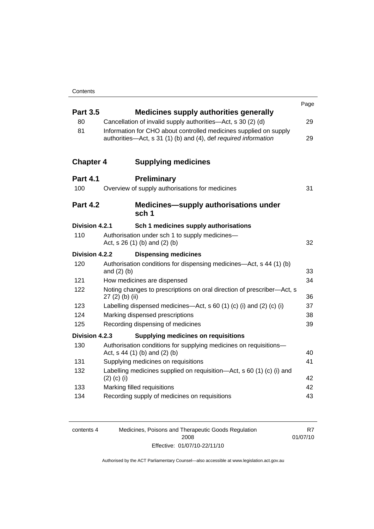|                  |                                                                                                                                      | Page |
|------------------|--------------------------------------------------------------------------------------------------------------------------------------|------|
| <b>Part 3.5</b>  | <b>Medicines supply authorities generally</b>                                                                                        |      |
| 80               | Cancellation of invalid supply authorities—Act, s 30 (2) (d)                                                                         | 29   |
| 81               | Information for CHO about controlled medicines supplied on supply<br>authorities-Act, s 31 (1) (b) and (4), def required information | 29   |
| <b>Chapter 4</b> | <b>Supplying medicines</b>                                                                                                           |      |
| <b>Part 4.1</b>  | <b>Preliminary</b>                                                                                                                   |      |
| 100              | Overview of supply authorisations for medicines                                                                                      | 31   |
| <b>Part 4.2</b>  | <b>Medicines—supply authorisations under</b><br>sch <sub>1</sub>                                                                     |      |
| Division 4.2.1   | Sch 1 medicines supply authorisations                                                                                                |      |
| 110              | Authorisation under sch 1 to supply medicines-                                                                                       |      |
|                  | Act, $s$ 26 (1) (b) and (2) (b)                                                                                                      | 32   |
| Division 4.2.2   | <b>Dispensing medicines</b>                                                                                                          |      |
| 120              | Authorisation conditions for dispensing medicines—Act, s 44 (1) (b)<br>and $(2)$ $(b)$                                               | 33   |
| 121              | How medicines are dispensed                                                                                                          | 34   |
| 122              | Noting changes to prescriptions on oral direction of prescriber-Act, s<br>27 (2) (b) (ii)                                            | 36   |
| 123              | Labelling dispensed medicines—Act, s 60 (1) (c) (i) and (2) (c) (i)                                                                  | 37   |
| 124              | Marking dispensed prescriptions                                                                                                      | 38   |
| 125              | Recording dispensing of medicines                                                                                                    | 39   |
| Division 4.2.3   | <b>Supplying medicines on requisitions</b>                                                                                           |      |
| 130              | Authorisation conditions for supplying medicines on requisitions-<br>Act, s 44 (1) (b) and (2) (b)                                   | 40   |
| 131              | Supplying medicines on requisitions                                                                                                  | 41   |
| 132              | Labelling medicines supplied on requisition—Act, s 60 (1) (c) (i) and<br>$(2)$ (c) (i)                                               | 42   |
| 133              | Marking filled requisitions                                                                                                          | 42   |
| 134              | Recording supply of medicines on requisitions                                                                                        | 43   |
|                  |                                                                                                                                      |      |

| contents 4 | Medicines, Poisons and Therapeutic Goods Regulation | R7       |
|------------|-----------------------------------------------------|----------|
|            | 2008                                                | 01/07/10 |
|            | Effective: 01/07/10-22/11/10                        |          |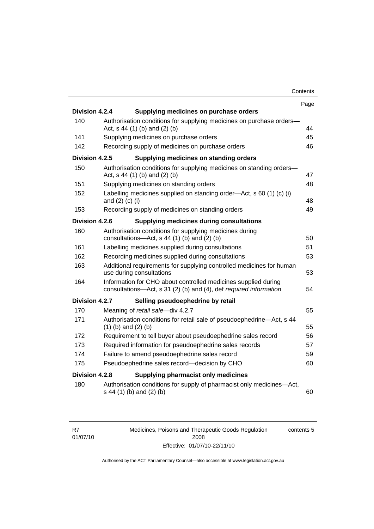| Contents |
|----------|
|----------|

|                |                                                                                                                                     | Page |
|----------------|-------------------------------------------------------------------------------------------------------------------------------------|------|
| Division 4.2.4 | Supplying medicines on purchase orders                                                                                              |      |
| 140            | Authorisation conditions for supplying medicines on purchase orders-<br>Act, s 44 (1) (b) and (2) (b)                               | 44   |
| 141            | Supplying medicines on purchase orders                                                                                              | 45   |
| 142            | Recording supply of medicines on purchase orders                                                                                    | 46   |
| Division 4.2.5 | Supplying medicines on standing orders                                                                                              |      |
| 150            | Authorisation conditions for supplying medicines on standing orders-<br>Act, s 44 (1) (b) and (2) (b)                               | 47   |
| 151            | Supplying medicines on standing orders                                                                                              | 48   |
| 152            | Labelling medicines supplied on standing order-Act, s 60 (1) (c) (i)<br>and $(2)$ $(c)$ $(i)$                                       | 48   |
| 153            | Recording supply of medicines on standing orders                                                                                    | 49   |
| Division 4.2.6 | <b>Supplying medicines during consultations</b>                                                                                     |      |
| 160            | Authorisation conditions for supplying medicines during<br>consultations- $-\text{Act}$ , s 44 (1) (b) and (2) (b)                  | 50   |
| 161            | Labelling medicines supplied during consultations                                                                                   | 51   |
| 162            | Recording medicines supplied during consultations                                                                                   | 53   |
| 163            | Additional requirements for supplying controlled medicines for human<br>use during consultations                                    | 53   |
| 164            | Information for CHO about controlled medicines supplied during<br>consultations-Act, s 31 (2) (b) and (4), def required information | 54   |
| Division 4.2.7 | Selling pseudoephedrine by retail                                                                                                   |      |
| 170            | Meaning of retail sale-div 4.2.7                                                                                                    | 55   |
| 171            | Authorisation conditions for retail sale of pseudoephedrine-Act, s 44<br>$(1)$ (b) and $(2)$ (b)                                    | 55   |
| 172            | Requirement to tell buyer about pseudoephedrine sales record                                                                        | 56   |
| 173            | Required information for pseudoephedrine sales records                                                                              | 57   |
| 174            | Failure to amend pseudoephedrine sales record                                                                                       | 59   |
| 175            | Pseudoephedrine sales record-decision by CHO                                                                                        | 60   |
| Division 4.2.8 | Supplying pharmacist only medicines                                                                                                 |      |
| 180            | Authorisation conditions for supply of pharmacist only medicines—Act,<br>s 44 (1) (b) and (2) (b)                                   | 60   |

Medicines, Poisons and Therapeutic Goods Regulation 2008 Effective: 01/07/10-22/11/10 contents 5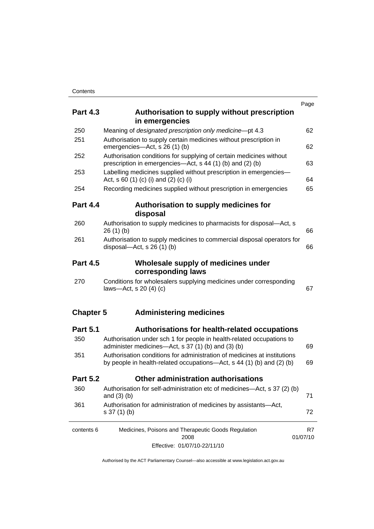|                  |                                                                                                                                                   | Page           |
|------------------|---------------------------------------------------------------------------------------------------------------------------------------------------|----------------|
| <b>Part 4.3</b>  | Authorisation to supply without prescription<br>in emergencies                                                                                    |                |
| 250              | Meaning of designated prescription only medicine-pt 4.3                                                                                           | 62             |
| 251              | Authorisation to supply certain medicines without prescription in<br>emergencies-Act, s 26 (1) (b)                                                | 62             |
| 252              | Authorisation conditions for supplying of certain medicines without<br>prescription in emergencies—Act, s 44 (1) (b) and (2) (b)                  | 63             |
| 253              | Labelling medicines supplied without prescription in emergencies-<br>Act, s 60 (1) (c) (i) and (2) (c) (i)                                        | 64             |
| 254              | Recording medicines supplied without prescription in emergencies                                                                                  | 65             |
| <b>Part 4.4</b>  | Authorisation to supply medicines for<br>disposal                                                                                                 |                |
| 260              | Authorisation to supply medicines to pharmacists for disposal-Act, s<br>26(1)(b)                                                                  | 66             |
| 261              | Authorisation to supply medicines to commercial disposal operators for<br>disposal—Act, s $26(1)(b)$                                              | 66             |
| <b>Part 4.5</b>  | Wholesale supply of medicines under<br>corresponding laws                                                                                         |                |
| 270              | Conditions for wholesalers supplying medicines under corresponding<br>laws-Act, s $20(4)(c)$                                                      | 67             |
| <b>Chapter 5</b> | <b>Administering medicines</b>                                                                                                                    |                |
| <b>Part 5.1</b>  | <b>Authorisations for health-related occupations</b>                                                                                              |                |
| 350              | Authorisation under sch 1 for people in health-related occupations to<br>administer medicines—Act, s 37 (1) (b) and (3) (b)                       | 69             |
| 351              | Authorisation conditions for administration of medicines at institutions<br>by people in health-related occupations—Act, s 44 (1) (b) and (2) (b) | 69             |
| <b>Part 5.2</b>  | <b>Other administration authorisations</b>                                                                                                        |                |
| 360              | Authorisation for self-administration etc of medicines—Act, s 37 (2) (b)<br>and $(3)$ $(b)$                                                       | 71             |
| 361              | Authorisation for administration of medicines by assistants-Act,<br>$s 37(1)$ (b)                                                                 | 72             |
| contents 6       | Medicines, Poisons and Therapeutic Goods Regulation<br>2008                                                                                       | R7<br>01/07/10 |
|                  | Effective: 01/07/10-22/11/10                                                                                                                      |                |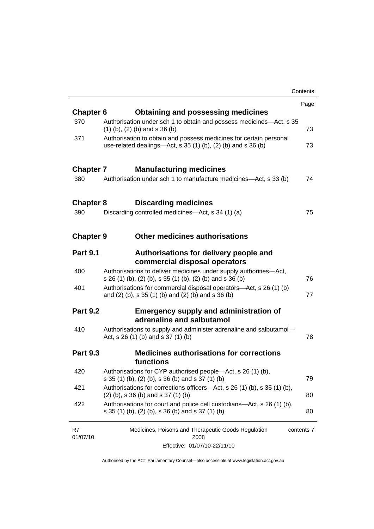|                  |                                                                                                                                       | Contents   |
|------------------|---------------------------------------------------------------------------------------------------------------------------------------|------------|
|                  |                                                                                                                                       | Page       |
| <b>Chapter 6</b> | <b>Obtaining and possessing medicines</b>                                                                                             |            |
| 370              | Authorisation under sch 1 to obtain and possess medicines-Act, s 35<br>$(1)$ (b), $(2)$ (b) and s 36 (b)                              | 73         |
| 371              | Authorisation to obtain and possess medicines for certain personal<br>use-related dealings—Act, s $35(1)(b)$ , $(2)(b)$ and s $36(b)$ | 73         |
| <b>Chapter 7</b> | <b>Manufacturing medicines</b>                                                                                                        |            |
| 380              | Authorisation under sch 1 to manufacture medicines—Act, s 33 (b)                                                                      | 74         |
| <b>Chapter 8</b> | <b>Discarding medicines</b>                                                                                                           |            |
| 390              | Discarding controlled medicines—Act, s 34 (1) (a)                                                                                     | 75         |
| <b>Chapter 9</b> | <b>Other medicines authorisations</b>                                                                                                 |            |
| <b>Part 9.1</b>  | Authorisations for delivery people and<br>commercial disposal operators                                                               |            |
| 400              | Authorisations to deliver medicines under supply authorities—Act,<br>s 26 (1) (b), (2) (b), s 35 (1) (b), (2) (b) and s 36 (b)        | 76         |
| 401              | Authorisations for commercial disposal operators—Act, s 26 (1) (b)<br>and (2) (b), s 35 (1) (b) and (2) (b) and s 36 (b)              | 77         |
| <b>Part 9.2</b>  | <b>Emergency supply and administration of</b><br>adrenaline and salbutamol                                                            |            |
| 410              | Authorisations to supply and administer adrenaline and salbutamol-<br>Act, s 26 (1) (b) and s 37 (1) (b)                              | 78         |
| <b>Part 9.3</b>  | <b>Medicines authorisations for corrections</b><br>functions                                                                          |            |
| 420              | Authorisations for CYP authorised people—Act, s 26 (1) (b),<br>s 35 (1) (b), (2) (b), s 36 (b) and s 37 (1) (b)                       | 79         |
| 421              | Authorisations for corrections officers-Act, s 26 (1) (b), s 35 (1) (b),<br>$(2)$ (b), s 36 (b) and s 37 (1) (b)                      | 80         |
| 422              | Authorisations for court and police cell custodians—Act, s 26 (1) (b),<br>s 35 (1) (b), (2) (b), s 36 (b) and s 37 (1) (b)            | 80         |
| R7<br>01/07/10   | Medicines, Poisons and Therapeutic Goods Regulation<br>2008                                                                           | contents 7 |
|                  | Effective: 01/07/10-22/11/10                                                                                                          |            |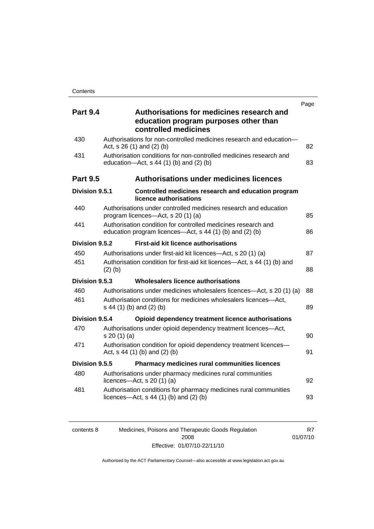|                 |                                                                                                                           | Page |
|-----------------|---------------------------------------------------------------------------------------------------------------------------|------|
| <b>Part 9.4</b> | Authorisations for medicines research and<br>education program purposes other than<br>controlled medicines                |      |
| 430             | Authorisations for non-controlled medicines research and education-<br>Act, s 26 (1) and (2) (b)                          | 82   |
| 431             | Authorisation conditions for non-controlled medicines research and<br>education- $Act$ , s 44 (1) (b) and (2) (b)         | 83   |
| <b>Part 9.5</b> | <b>Authorisations under medicines licences</b>                                                                            |      |
| Division 9.5.1  | Controlled medicines research and education program<br>licence authorisations                                             |      |
| 440             | Authorisations under controlled medicines research and education<br>program licences—Act, s 20 (1) (a)                    | 85   |
| 441             | Authorisation condition for controlled medicines research and<br>education program licences—Act, s 44 (1) (b) and (2) (b) | 86   |
| Division 9.5.2  | <b>First-aid kit licence authorisations</b>                                                                               |      |
| 450             | Authorisations under first-aid kit licences—Act, s 20 (1) (a)                                                             | 87   |
| 451             | Authorisation condition for first-aid kit licences—Act, s 44 (1) (b) and<br>$(2)$ $(b)$                                   | 88   |
| Division 9.5.3  | Wholesalers licence authorisations                                                                                        |      |
| 460             | Authorisations under medicines wholesalers licences—Act, s 20 (1) (a)                                                     | 88   |
| 461             | Authorisation conditions for medicines wholesalers licences-Act,<br>s 44 (1) (b) and (2) (b)                              | 89   |
| Division 9.5.4  | Opioid dependency treatment licence authorisations                                                                        |      |
| 470             | Authorisations under opioid dependency treatment licences-Act,<br>s 20(1)(a)                                              | 90   |
| 471             | Authorisation condition for opioid dependency treatment licences-<br>Act, $s$ 44 (1) (b) and (2) (b)                      | 91   |
| Division 9.5.5  | Pharmacy medicines rural communities licences                                                                             |      |
| 480             | Authorisations under pharmacy medicines rural communities<br>licences- $-\text{Act}$ , s 20 (1) (a)                       | 92   |
| 481             | Authorisation conditions for pharmacy medicines rural communities<br>licences—Act, $s$ 44 (1) (b) and (2) (b)             | 93   |

| contents 8 | Medicines, Poisons and Therapeutic Goods Regulation | R7       |
|------------|-----------------------------------------------------|----------|
|            | 2008                                                | 01/07/10 |
|            | Effective: 01/07/10-22/11/10                        |          |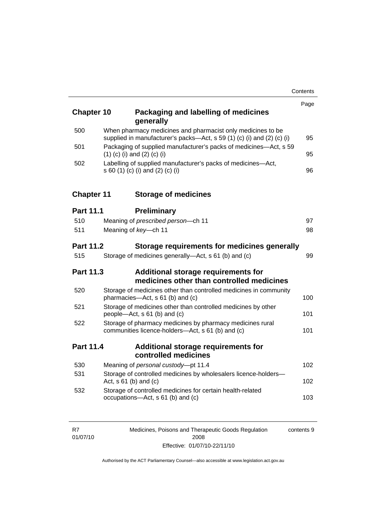| <b>Chapter 10</b>                                                                                    |  | Packaging and labelling of medicines<br>generally                                                                                     | Page |
|------------------------------------------------------------------------------------------------------|--|---------------------------------------------------------------------------------------------------------------------------------------|------|
| 500                                                                                                  |  | When pharmacy medicines and pharmacist only medicines to be<br>supplied in manufacturer's packs-Act, s 59 (1) (c) (i) and (2) (c) (i) | 95   |
| 501                                                                                                  |  | Packaging of supplied manufacturer's packs of medicines-Act, s 59<br>$(1)$ (c) (i) and (2) (c) (i)                                    | 95   |
| 502                                                                                                  |  | Labelling of supplied manufacturer's packs of medicines-Act,<br>s 60 (1) (c) (i) and (2) (c) (i)                                      | 96   |
| <b>Chapter 11</b>                                                                                    |  | <b>Storage of medicines</b>                                                                                                           |      |
| <b>Part 11.1</b>                                                                                     |  | <b>Preliminary</b>                                                                                                                    |      |
| 510                                                                                                  |  | Meaning of prescribed person-ch 11                                                                                                    | 97   |
| 511                                                                                                  |  | Meaning of key-ch 11                                                                                                                  | 98   |
| Part 11.2                                                                                            |  | Storage requirements for medicines generally                                                                                          |      |
| 515                                                                                                  |  | Storage of medicines generally—Act, s 61 (b) and (c)                                                                                  | 99   |
| Part 11.3<br><b>Additional storage requirements for</b><br>medicines other than controlled medicines |  |                                                                                                                                       |      |
| 520                                                                                                  |  | Storage of medicines other than controlled medicines in community<br>pharmacies-Act, s 61 (b) and (c)                                 | 100  |
| 521                                                                                                  |  | Storage of medicines other than controlled medicines by other<br>people-Act, s 61 (b) and (c)                                         | 101  |
| 522                                                                                                  |  | Storage of pharmacy medicines by pharmacy medicines rural<br>communities licence-holders-Act, s 61 (b) and (c)                        | 101  |
| Part 11.4                                                                                            |  | <b>Additional storage requirements for</b><br>controlled medicines                                                                    |      |
| 530                                                                                                  |  | Meaning of personal custody-pt 11.4                                                                                                   | 102  |
| 531                                                                                                  |  | Storage of controlled medicines by wholesalers licence-holders-<br>Act, $s$ 61 (b) and (c)                                            | 102  |
| 532                                                                                                  |  | Storage of controlled medicines for certain health-related<br>occupations-Act, s 61 (b) and (c)                                       | 103  |

| R7       | Medicines, Poisons and Therapeutic Goods Regulation | contents 9 |
|----------|-----------------------------------------------------|------------|
| 01/07/10 | 2008                                                |            |
|          | Effective: 01/07/10-22/11/10                        |            |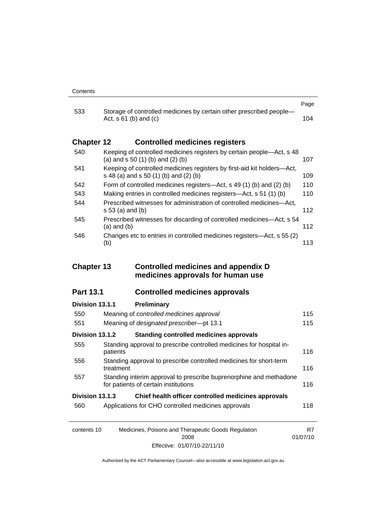|                   |                                                                                                                  | Page |
|-------------------|------------------------------------------------------------------------------------------------------------------|------|
| 533               | Storage of controlled medicines by certain other prescribed people-<br>Act, $s \, 61$ (b) and (c)                | 104  |
| <b>Chapter 12</b> | <b>Controlled medicines registers</b>                                                                            |      |
| 540               | Keeping of controlled medicines registers by certain people—Act, s 48<br>(a) and $s$ 50 (1) (b) and (2) (b)      | 107  |
| 541               | Keeping of controlled medicines registers by first-aid kit holders—Act,<br>s 48 (a) and s 50 (1) (b) and (2) (b) | 109  |
| 542               | Form of controlled medicines registers—Act, s 49 $(1)$ (b) and $(2)$ (b)                                         | 110  |
| 543               | Making entries in controlled medicines registers—Act, s 51 (1) (b)                                               | 110  |
| 544               | Prescribed witnesses for administration of controlled medicines—Act.<br>s 53 (a) and (b)                         | 112  |
| 545               | Prescribed witnesses for discarding of controlled medicines—Act, s 54<br>$(a)$ and $(b)$                         | 112  |
| 546               | Changes etc to entries in controlled medicines registers—Act, s 55 (2)<br>(b)                                    | 113  |

### **Chapter 13 Controlled medicines and appendix D medicines approvals for human use**

## **Part 13.1 Controlled medicines approvals**

| Division 13.1.1 | Preliminary                                                                                                |     |
|-----------------|------------------------------------------------------------------------------------------------------------|-----|
| 550             | Meaning of controlled medicines approval                                                                   | 115 |
| 551             | Meaning of designated prescriber-pt 13.1                                                                   | 115 |
| Division 13.1.2 | <b>Standing controlled medicines approvals</b>                                                             |     |
| 555             | Standing approval to prescribe controlled medicines for hospital in-<br>patients                           | 116 |
| 556             | Standing approval to prescribe controlled medicines for short-term<br>treatment                            | 116 |
| 557             | Standing interim approval to prescribe buprenorphine and methadone<br>for patients of certain institutions | 116 |
| Division 13.1.3 | Chief health officer controlled medicines approvals                                                        |     |
| 560             | Applications for CHO controlled medicines approvals                                                        | 118 |
|                 |                                                                                                            |     |
| contents 10     | Medicines, Poisons and Therapeutic Goods Regulation                                                        | R7  |

Authorised by the ACT Parliamentary Counsel—also accessible at www.legislation.act.gov.au

01/07/10

2008 Effective: 01/07/10-22/11/10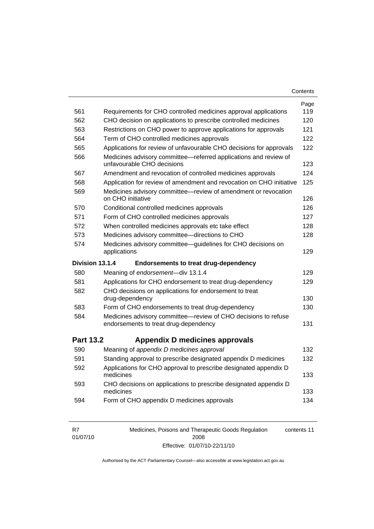| Contents |  |
|----------|--|
|----------|--|

| 561              | Requirements for CHO controlled medicines approval applications                                                                         | Page<br>119 |
|------------------|-----------------------------------------------------------------------------------------------------------------------------------------|-------------|
| 562              |                                                                                                                                         | 120         |
| 563              | CHO decision on applications to prescribe controlled medicines<br>Restrictions on CHO power to approve applications for approvals       | 121         |
| 564              | Term of CHO controlled medicines approvals                                                                                              | 122         |
| 565              |                                                                                                                                         | 122         |
| 566              | Applications for review of unfavourable CHO decisions for approvals<br>Medicines advisory committee-referred applications and review of |             |
|                  | unfavourable CHO decisions                                                                                                              | 123         |
| 567              | Amendment and revocation of controlled medicines approvals                                                                              | 124         |
| 568              | Application for review of amendment and revocation on CHO initiative                                                                    | 125         |
| 569              | Medicines advisory committee-review of amendment or revocation<br>on CHO initiative                                                     | 126         |
| 570              | Conditional controlled medicines approvals                                                                                              | 126         |
| 571              | Form of CHO controlled medicines approvals                                                                                              | 127         |
| 572              | When controlled medicines approvals etc take effect                                                                                     | 128         |
| 573              | Medicines advisory committee-directions to CHO                                                                                          | 128         |
| 574              | Medicines advisory committee-guidelines for CHO decisions on<br>applications                                                            | 129         |
|                  |                                                                                                                                         |             |
| Division 13.1.4  | <b>Endorsements to treat drug-dependency</b>                                                                                            |             |
| 580              | Meaning of endorsement-div 13.1.4                                                                                                       | 129         |
| 581              | Applications for CHO endorsement to treat drug-dependency                                                                               | 129         |
| 582              | CHO decisions on applications for endorsement to treat<br>drug-dependency                                                               | 130         |
| 583              | Form of CHO endorsements to treat drug-dependency                                                                                       | 130         |
| 584              | Medicines advisory committee-review of CHO decisions to refuse<br>endorsements to treat drug-dependency                                 | 131         |
| <b>Part 13.2</b> | Appendix D medicines approvals                                                                                                          |             |
| 590              | Meaning of appendix D medicines approval                                                                                                | 132         |
| 591              | Standing approval to prescribe designated appendix D medicines                                                                          | 132         |
| 592              | Applications for CHO approval to prescribe designated appendix D<br>medicines                                                           | 133         |
| 593              | CHO decisions on applications to prescribe designated appendix D<br>medicines                                                           | 133         |

| R7       | Medicines, Poisons and Therapeutic Goods Regulation | contents 11 |
|----------|-----------------------------------------------------|-------------|
| 01/07/10 | 2008                                                |             |
|          | Effective: 01/07/10-22/11/10                        |             |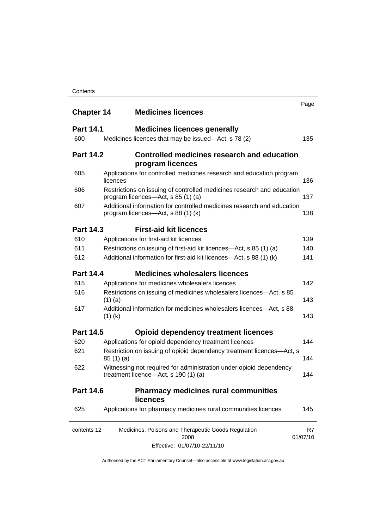| <b>Chapter 14</b> | <b>Medicines licences</b>                                                                                    | Page           |
|-------------------|--------------------------------------------------------------------------------------------------------------|----------------|
| <b>Part 14.1</b>  | <b>Medicines licences generally</b>                                                                          |                |
| 600               | Medicines licences that may be issued—Act, s 78 (2)                                                          | 135            |
| <b>Part 14.2</b>  | Controlled medicines research and education<br>program licences                                              |                |
| 605               | Applications for controlled medicines research and education program<br>licences                             | 136            |
| 606               | Restrictions on issuing of controlled medicines research and education<br>program licences—Act, s 85 (1) (a) | 137            |
| 607               | Additional information for controlled medicines research and education<br>program licences—Act, s 88 (1) (k) | 138            |
| <b>Part 14.3</b>  | <b>First-aid kit licences</b>                                                                                |                |
| 610               | Applications for first-aid kit licences                                                                      | 139            |
| 611               | Restrictions on issuing of first-aid kit licences-Act, s 85 (1) (a)                                          | 140            |
| 612               | Additional information for first-aid kit licences—Act, s 88 (1) (k)                                          | 141            |
| <b>Part 14.4</b>  | <b>Medicines wholesalers licences</b>                                                                        |                |
| 615               | Applications for medicines wholesalers licences                                                              | 142            |
| 616               | Restrictions on issuing of medicines wholesalers licences—Act, s 85<br>$(1)$ (a)                             | 143            |
| 617               | Additional information for medicines wholesalers licences—Act, s 88<br>$(1)$ (k)                             | 143            |
| <b>Part 14.5</b>  | <b>Opioid dependency treatment licences</b>                                                                  |                |
| 620               | Applications for opioid dependency treatment licences                                                        | 144            |
| 621               | Restriction on issuing of opioid dependency treatment licences-Act, s<br>85(1)(a)                            | 144            |
| 622               | Witnessing not required for administration under opioid dependency<br>treatment licence-Act, s 190 (1) (a)   | 144            |
| <b>Part 14.6</b>  | <b>Pharmacy medicines rural communities</b><br><b>licences</b>                                               |                |
| 625               | Applications for pharmacy medicines rural communities licences                                               | 145            |
| contents 12       | Medicines, Poisons and Therapeutic Goods Regulation<br>2008                                                  | R7<br>01/07/10 |
|                   | Effective: 01/07/10-22/11/10                                                                                 |                |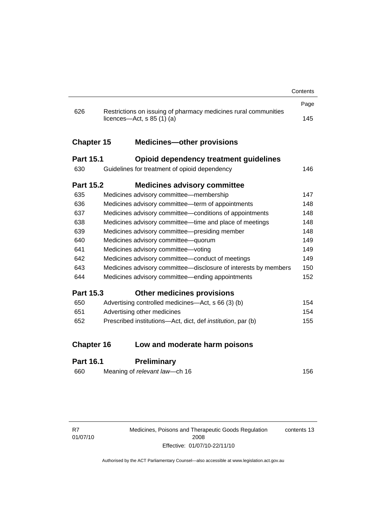|                   |                                                                                               | Contents |
|-------------------|-----------------------------------------------------------------------------------------------|----------|
|                   |                                                                                               | Page     |
| 626               | Restrictions on issuing of pharmacy medicines rural communities<br>licences—Act, s $85(1)(a)$ | 145      |
| <b>Chapter 15</b> | <b>Medicines-other provisions</b>                                                             |          |
| <b>Part 15.1</b>  | Opioid dependency treatment guidelines                                                        |          |
| 630               | Guidelines for treatment of opioid dependency                                                 | 146      |
| <b>Part 15.2</b>  | <b>Medicines advisory committee</b>                                                           |          |
| 635               | Medicines advisory committee-membership                                                       | 147      |
| 636               | Medicines advisory committee—term of appointments                                             | 148      |
| 637               | Medicines advisory committee-conditions of appointments                                       | 148      |
| 638               | Medicines advisory committee—time and place of meetings                                       | 148      |
| 639               | Medicines advisory committee-presiding member                                                 | 148      |
| 640               | Medicines advisory committee-quorum                                                           | 149      |
| 641               | Medicines advisory committee-voting                                                           | 149      |
| 642               | Medicines advisory committee-conduct of meetings                                              | 149      |
| 643               | Medicines advisory committee-disclosure of interests by members                               | 150      |
| 644               | Medicines advisory committee—ending appointments                                              | 152      |
| <b>Part 15.3</b>  | <b>Other medicines provisions</b>                                                             |          |
| 650               | Advertising controlled medicines—Act, s 66 (3) (b)                                            | 154      |
| 651               | Advertising other medicines                                                                   | 154      |
| 652               | Prescribed institutions-Act, dict, def <i>institution</i> , par (b)                           | 155      |
| <b>Chapter 16</b> | Low and moderate harm poisons                                                                 |          |
| <b>Part 16.1</b>  | <b>Preliminary</b>                                                                            |          |

# 660 Meaning of *relevant law*—ch 16 [156](#page-179-0)

R7 01/07/10 Medicines, Poisons and Therapeutic Goods Regulation 2008 Effective: 01/07/10-22/11/10 contents 13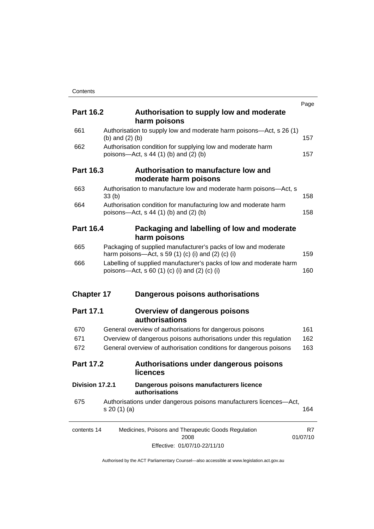|                   |                   |                                                                                                                      | Page     |
|-------------------|-------------------|----------------------------------------------------------------------------------------------------------------------|----------|
| <b>Part 16.2</b>  |                   | Authorisation to supply low and moderate                                                                             |          |
|                   |                   | harm poisons                                                                                                         |          |
| 661               | (b) and $(2)$ (b) | Authorisation to supply low and moderate harm poisons—Act, s 26 (1)                                                  | 157      |
| 662               |                   | Authorisation condition for supplying low and moderate harm                                                          |          |
|                   |                   | poisons-Act, $s$ 44 (1) (b) and (2) (b)                                                                              | 157      |
| <b>Part 16.3</b>  |                   | Authorisation to manufacture low and                                                                                 |          |
|                   |                   | moderate harm poisons                                                                                                |          |
| 663               | 33(b)             | Authorisation to manufacture low and moderate harm poisons-Act, s                                                    | 158      |
| 664               |                   | Authorisation condition for manufacturing low and moderate harm                                                      |          |
|                   |                   | poisons—Act, s 44 (1) (b) and (2) (b)                                                                                | 158      |
| <b>Part 16.4</b>  |                   | Packaging and labelling of low and moderate                                                                          |          |
|                   |                   | harm poisons                                                                                                         |          |
| 665               |                   | Packaging of supplied manufacturer's packs of low and moderate                                                       |          |
|                   |                   | harm poisons—Act, s 59 $(1)$ $(c)$ $(i)$ and $(2)$ $(c)$ $(i)$                                                       | 159      |
| 666               |                   | Labelling of supplied manufacturer's packs of low and moderate harm<br>poisons—Act, s 60 (1) (c) (i) and (2) (c) (i) | 160      |
| <b>Chapter 17</b> |                   | Dangerous poisons authorisations                                                                                     |          |
| <b>Part 17.1</b>  |                   |                                                                                                                      |          |
|                   |                   | <b>Overview of dangerous poisons</b><br>authorisations                                                               |          |
| 670               |                   | General overview of authorisations for dangerous poisons                                                             | 161      |
| 671               |                   | Overview of dangerous poisons authorisations under this regulation                                                   | 162      |
| 672               |                   | General overview of authorisation conditions for dangerous poisons                                                   | 163      |
| <b>Part 17.2</b>  |                   | Authorisations under dangerous poisons                                                                               |          |
|                   |                   | <b>licences</b>                                                                                                      |          |
| Division 17.2.1   |                   | Dangerous poisons manufacturers licence<br>authorisations                                                            |          |
| 675               |                   | Authorisations under dangerous poisons manufacturers licences-Act,                                                   |          |
|                   | s 20(1)(a)        |                                                                                                                      | 164      |
| contents 14       |                   | Medicines, Poisons and Therapeutic Goods Regulation                                                                  | R7       |
|                   |                   | 2008                                                                                                                 | 01/07/10 |
|                   |                   | Effective: 01/07/10-22/11/10                                                                                         |          |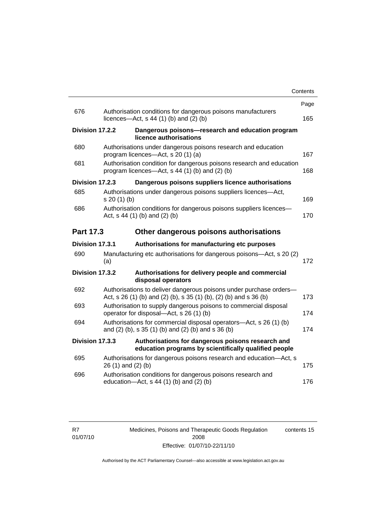| Page<br>676<br>Authorisation conditions for dangerous poisons manufacturers<br>licences—Act, $s$ 44 (1) (b) and (2) (b)<br>165<br>Division 17.2.2<br>Dangerous poisons-research and education program<br>licence authorisations<br>680<br>Authorisations under dangerous poisons research and education<br>program licences—Act, s 20 (1) (a)<br>167 |
|------------------------------------------------------------------------------------------------------------------------------------------------------------------------------------------------------------------------------------------------------------------------------------------------------------------------------------------------------|
|                                                                                                                                                                                                                                                                                                                                                      |
|                                                                                                                                                                                                                                                                                                                                                      |
|                                                                                                                                                                                                                                                                                                                                                      |
|                                                                                                                                                                                                                                                                                                                                                      |
| Authorisation condition for dangerous poisons research and education<br>681<br>program licences—Act, $s$ 44 (1) (b) and (2) (b)<br>168                                                                                                                                                                                                               |
| Division 17.2.3<br>Dangerous poisons suppliers licence authorisations                                                                                                                                                                                                                                                                                |
| 685<br>Authorisations under dangerous poisons suppliers licences—Act,<br>169<br>s 20(1)(b)                                                                                                                                                                                                                                                           |
| Authorisation conditions for dangerous poisons suppliers licences-<br>686<br>Act, $s$ 44 (1) (b) and (2) (b)<br>170                                                                                                                                                                                                                                  |
| <b>Part 17.3</b><br>Other dangerous poisons authorisations                                                                                                                                                                                                                                                                                           |
| Division 17.3.1<br>Authorisations for manufacturing etc purposes                                                                                                                                                                                                                                                                                     |
| 690<br>Manufacturing etc authorisations for dangerous poisons-Act, s 20 (2)<br>(a)<br>172                                                                                                                                                                                                                                                            |
| Division 17.3.2<br>Authorisations for delivery people and commercial<br>disposal operators                                                                                                                                                                                                                                                           |
| 692<br>Authorisations to deliver dangerous poisons under purchase orders-<br>Act, s 26 (1) (b) and (2) (b), s 35 (1) (b), (2) (b) and s 36 (b)<br>173                                                                                                                                                                                                |
| 693<br>Authorisation to supply dangerous poisons to commercial disposal<br>operator for disposal—Act, s 26 (1) (b)<br>174                                                                                                                                                                                                                            |
| Authorisations for commercial disposal operators-Act, s 26 (1) (b)<br>694<br>and (2) (b), s 35 (1) (b) and (2) (b) and s 36 (b)<br>174                                                                                                                                                                                                               |
| Division 17.3.3<br>Authorisations for dangerous poisons research and<br>education programs by scientifically qualified people                                                                                                                                                                                                                        |
| 695<br>Authorisations for dangerous poisons research and education-Act, s<br>26 (1) and (2) (b)<br>175                                                                                                                                                                                                                                               |
| 696<br>Authorisation conditions for dangerous poisons research and<br>education-Act, s 44 (1) (b) and (2) (b)<br>176                                                                                                                                                                                                                                 |

Medicines, Poisons and Therapeutic Goods Regulation 2008 Effective: 01/07/10-22/11/10 contents 15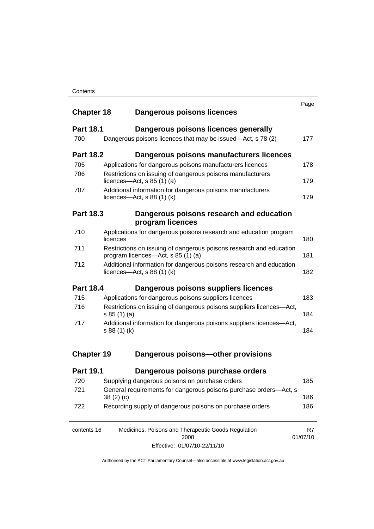| <b>Chapter 18</b> | Dangerous poisons licences                                                                                | Page           |  |  |
|-------------------|-----------------------------------------------------------------------------------------------------------|----------------|--|--|
| <b>Part 18.1</b>  | Dangerous poisons licences generally                                                                      |                |  |  |
| 700               | Dangerous poisons licences that may be issued—Act, s 78 (2)                                               | 177            |  |  |
| <b>Part 18.2</b>  | Dangerous poisons manufacturers licences                                                                  |                |  |  |
| 705               | Applications for dangerous poisons manufacturers licences                                                 | 178            |  |  |
| 706               | Restrictions on issuing of dangerous poisons manufacturers<br>licences- $-\text{Act}$ , s 85 (1) (a)      | 179            |  |  |
| 707               | Additional information for dangerous poisons manufacturers<br>licences—Act, $s$ 88 (1) (k)                | 179            |  |  |
| <b>Part 18.3</b>  | Dangerous poisons research and education<br>program licences                                              |                |  |  |
| 710               | Applications for dangerous poisons research and education program<br>licences                             | 180            |  |  |
| 711               | Restrictions on issuing of dangerous poisons research and education<br>program licences—Act, s 85 (1) (a) |                |  |  |
| 712               | Additional information for dangerous poisons research and education<br>licences—Act, $s$ 88 (1) (k)       | 182            |  |  |
| <b>Part 18.4</b>  | Dangerous poisons suppliers licences                                                                      |                |  |  |
| 715               | Applications for dangerous poisons suppliers licences                                                     | 183            |  |  |
| 716               | Restrictions on issuing of dangerous poisons suppliers licences-Act,<br>s 85 (1) (a)                      | 184            |  |  |
| 717               | Additional information for dangerous poisons suppliers licences-Act,<br>s 88 (1) (k)                      | 184            |  |  |
| <b>Chapter 19</b> | Dangerous poisons-other provisions                                                                        |                |  |  |
| <b>Part 19.1</b>  | Dangerous poisons purchase orders                                                                         |                |  |  |
| 720               | Supplying dangerous poisons on purchase orders                                                            | 185            |  |  |
| 721               | General requirements for dangerous poisons purchase orders-Act, s<br>38(2)(c)                             | 186            |  |  |
| 722               | Recording supply of dangerous poisons on purchase orders                                                  | 186            |  |  |
| contents 16       | Medicines, Poisons and Therapeutic Goods Regulation<br>2008                                               | R7<br>01/07/10 |  |  |

Effective: 01/07/10-22/11/10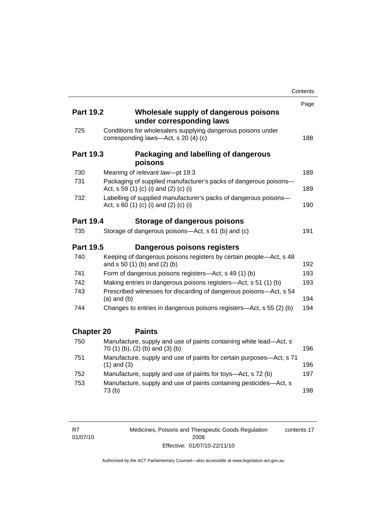|                   |                                                                                                           | Contents |
|-------------------|-----------------------------------------------------------------------------------------------------------|----------|
|                   |                                                                                                           | Page     |
| <b>Part 19.2</b>  | Wholesale supply of dangerous poisons<br>under corresponding laws                                         |          |
| 725               | Conditions for wholesalers supplying dangerous poisons under<br>corresponding laws-Act, s 20 (4) (c)      | 188      |
| <b>Part 19.3</b>  | Packaging and labelling of dangerous<br>poisons                                                           |          |
| 730               | Meaning of relevant law-pt 19.3                                                                           | 189      |
| 731               | Packaging of supplied manufacturer's packs of dangerous poisons-<br>Act, s 59 (1) (c) (i) and (2) (c) (i) | 189      |
| 732               | Labelling of supplied manufacturer's packs of dangerous poisons-<br>Act, s 60 (1) (c) (i) and (2) (c) (i) | 190      |
| <b>Part 19.4</b>  | Storage of dangerous poisons                                                                              |          |
| 735               | Storage of dangerous poisons-Act, s 61 (b) and (c)                                                        | 191      |
| <b>Part 19.5</b>  | Dangerous poisons registers                                                                               |          |
| 740               | Keeping of dangerous poisons registers by certain people-Act, s 48<br>and s 50 (1) (b) and (2) (b)        | 192      |
| 741               | Form of dangerous poisons registers-Act, s 49 (1) (b)                                                     | 193      |
| 742               | Making entries in dangerous poisons registers—Act, s 51 (1) (b)                                           | 193      |
| 743               | Prescribed witnesses for discarding of dangerous poisons-Act, s 54<br>$(a)$ and $(b)$                     | 194      |
| 744               | Changes to entries in dangerous poisons registers—Act, s 55 (2) (b)                                       | 194      |
| <b>Chapter 20</b> | <b>Paints</b>                                                                                             |          |
| 750               | Manufacture, supply and use of paints containing white lead-Act, s<br>70 (1) (b), (2) (b) and (3) (b)     | 196      |
| 751               | Manufacture, supply and use of paints for certain purposes-Act, s 71<br>$(1)$ and $(3)$                   | 196      |
| 752               | Manufacture, supply and use of paints for toys—Act, s 72 (b)                                              | 197      |
| 753               | Manufacture, supply and use of paints containing pesticides-Act, s<br>73(b)                               | 198      |

R7 01/07/10 Medicines, Poisons and Therapeutic Goods Regulation 2008 Effective: 01/07/10-22/11/10 contents 17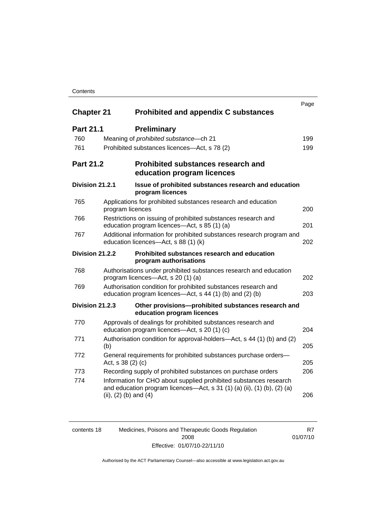### **Contents**

| <b>Chapter 21</b>      |                           | <b>Prohibited and appendix C substances</b>                                                                                                    | Page |
|------------------------|---------------------------|------------------------------------------------------------------------------------------------------------------------------------------------|------|
| <b>Part 21.1</b>       |                           | <b>Preliminary</b>                                                                                                                             |      |
| 760                    |                           | Meaning of <i>prohibited</i> substance - ch 21                                                                                                 | 199  |
| 761                    |                           | Prohibited substances licences—Act, s 78 (2)                                                                                                   | 199  |
| <b>Part 21.2</b>       |                           | <b>Prohibited substances research and</b><br>education program licences                                                                        |      |
| Division 21.2.1        |                           | Issue of prohibited substances research and education<br>program licences                                                                      |      |
| 765                    | program licences          | Applications for prohibited substances research and education                                                                                  | 200  |
| 766                    |                           | Restrictions on issuing of prohibited substances research and<br>education program licences-Act, s 85 (1) (a)                                  | 201  |
| 767                    |                           | Additional information for prohibited substances research program and<br>education licences-Act, s 88 (1) (k)                                  | 202  |
| <b>Division 21.2.2</b> |                           | Prohibited substances research and education<br>program authorisations                                                                         |      |
| 768                    |                           | Authorisations under prohibited substances research and education<br>program licences—Act, s 20 (1) (a)                                        | 202  |
| 769                    |                           | Authorisation condition for prohibited substances research and<br>education program licences—Act, s 44 (1) (b) and (2) (b)                     | 203  |
| Division 21.2.3        |                           | Other provisions-prohibited substances research and<br>education program licences                                                              |      |
| 770                    |                           | Approvals of dealings for prohibited substances research and<br>education program licences—Act, s 20 (1) (c)                                   | 204  |
| 771                    | (b)                       | Authorisation condition for approval-holders—Act, s 44 (1) (b) and (2)                                                                         | 205  |
| 772                    | Act, s 38 (2) (c)         | General requirements for prohibited substances purchase orders-                                                                                | 205  |
| 773                    |                           | Recording supply of prohibited substances on purchase orders                                                                                   | 206  |
| 774                    | (ii), $(2)$ (b) and $(4)$ | Information for CHO about supplied prohibited substances research<br>and education program licences—Act, s $31$ (1) (a) (ii), (1) (b), (2) (a) | 206  |

| contents 18 | Medicines, Poisons and Therapeutic Goods Regulation | R7       |
|-------------|-----------------------------------------------------|----------|
|             | 2008                                                | 01/07/10 |
|             | Effective: 01/07/10-22/11/10                        |          |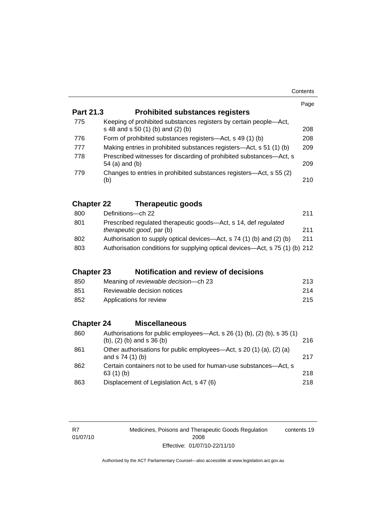| Contents |
|----------|
|----------|

|                   |                                                                                                         | Page |  |  |
|-------------------|---------------------------------------------------------------------------------------------------------|------|--|--|
| Part 21.3         | <b>Prohibited substances registers</b>                                                                  |      |  |  |
| 775               | Keeping of prohibited substances registers by certain people-Act,<br>s 48 and s 50 (1) (b) and (2) (b)  | 208  |  |  |
| 776               | Form of prohibited substances registers—Act, s 49 (1) (b)<br>208                                        |      |  |  |
| 777               | Making entries in prohibited substances registers-Act, s 51 (1) (b)                                     | 209  |  |  |
| 778               | Prescribed witnesses for discarding of prohibited substances-Act, s<br>54 (a) and (b)                   | 209  |  |  |
| 779               | Changes to entries in prohibited substances registers—Act, s 55 (2)<br>(b)                              | 210  |  |  |
| <b>Chapter 22</b> | <b>Therapeutic goods</b>                                                                                |      |  |  |
| 800               | Definitions-ch 22                                                                                       | 211  |  |  |
| 801               | Prescribed regulated therapeutic goods-Act, s 14, def regulated<br><i>therapeutic good, par (b)</i>     | 211  |  |  |
| 802               | Authorisation to supply optical devices—Act, s 74 (1) (b) and (2) (b)                                   | 211  |  |  |
| 803               | Authorisation conditions for supplying optical devices—Act, s 75 (1) (b) 212                            |      |  |  |
| <b>Chapter 23</b> | <b>Notification and review of decisions</b>                                                             |      |  |  |
| 850               | Meaning of reviewable decision--- ch 23                                                                 | 213  |  |  |
| 851               | Reviewable decision notices                                                                             | 214  |  |  |
| 852               | Applications for review                                                                                 | 215  |  |  |
| <b>Chapter 24</b> | <b>Miscellaneous</b>                                                                                    |      |  |  |
| 860               | Authorisations for public employees—Act, s 26 (1) (b), (2) (b), s 35 (1)<br>(b), $(2)$ (b) and s 36 (b) | 216  |  |  |
| 861               | Other authorisations for public employees—Act, s 20 (1) (a), (2) (a)<br>and s 74 (1) (b)                | 217  |  |  |
| 862               | Certain containers not to be used for human-use substances-Act, s<br>63(1)(b)                           | 218  |  |  |
| 863               | Displacement of Legislation Act, s 47 (6)                                                               | 218  |  |  |

Medicines, Poisons and Therapeutic Goods Regulation 2008 Effective: 01/07/10-22/11/10 contents 19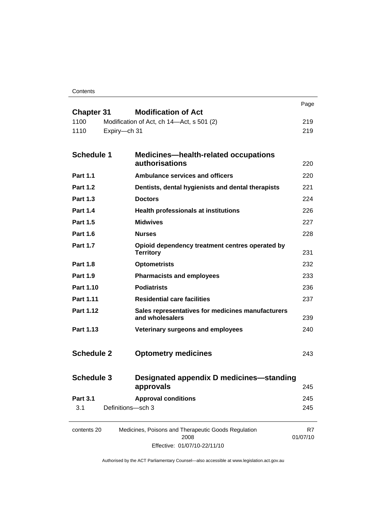**Contents** 

|                           | <b>Modification of Act</b>                                           | Page           |
|---------------------------|----------------------------------------------------------------------|----------------|
| <b>Chapter 31</b><br>1100 | Modification of Act, ch 14-Act, s 501 (2)                            | 219            |
| 1110                      | Expiry-ch 31                                                         | 219            |
|                           |                                                                      |                |
| <b>Schedule 1</b>         | <b>Medicines-health-related occupations</b>                          |                |
|                           | authorisations                                                       | 220            |
| <b>Part 1.1</b>           | <b>Ambulance services and officers</b>                               | 220            |
| <b>Part 1.2</b>           | Dentists, dental hygienists and dental therapists                    | 221            |
| <b>Part 1.3</b>           | <b>Doctors</b>                                                       | 224            |
| <b>Part 1.4</b>           | <b>Health professionals at institutions</b>                          | 226            |
| <b>Part 1.5</b>           | <b>Midwives</b>                                                      | 227            |
| <b>Part 1.6</b>           | <b>Nurses</b>                                                        | 228            |
| <b>Part 1.7</b>           | Opioid dependency treatment centres operated by<br><b>Territory</b>  | 231            |
| <b>Part 1.8</b>           | <b>Optometrists</b>                                                  | 232            |
| <b>Part 1.9</b>           | <b>Pharmacists and employees</b>                                     | 233            |
| Part 1.10                 | <b>Podiatrists</b>                                                   | 236            |
| Part 1.11                 | <b>Residential care facilities</b>                                   | 237            |
| Part 1.12                 | Sales representatives for medicines manufacturers<br>and wholesalers | 239            |
| Part 1.13                 | Veterinary surgeons and employees                                    | 240            |
|                           |                                                                      |                |
| <b>Schedule 2</b>         | <b>Optometry medicines</b>                                           | 243            |
|                           |                                                                      |                |
| <b>Schedule 3</b>         | Designated appendix D medicines-standing                             |                |
|                           | approvals                                                            | 245            |
| <b>Part 3.1</b>           | <b>Approval conditions</b>                                           | 245            |
| 3.1                       | Definitions-sch 3                                                    | 245            |
|                           |                                                                      |                |
| contents 20               | Medicines, Poisons and Therapeutic Goods Regulation<br>2008          | R7<br>01/07/10 |

Effective: 01/07/10-22/11/10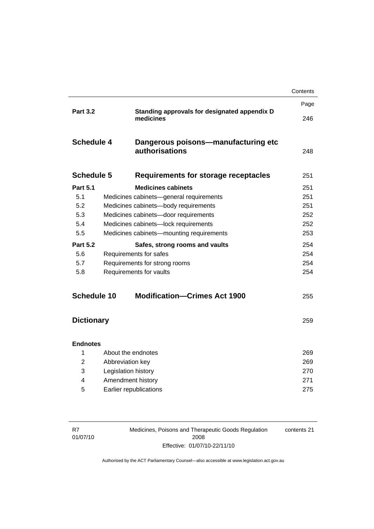|                   |                         |                                                           | Contents |
|-------------------|-------------------------|-----------------------------------------------------------|----------|
| <b>Part 3.2</b>   |                         |                                                           | Page     |
|                   |                         | Standing approvals for designated appendix D<br>medicines | 246      |
| <b>Schedule 4</b> |                         | Dangerous poisons-manufacturing etc<br>authorisations     | 248      |
| <b>Schedule 5</b> |                         | Requirements for storage receptacles                      | 251      |
| <b>Part 5.1</b>   |                         | <b>Medicines cabinets</b>                                 | 251      |
| 5.1               |                         | Medicines cabinets-general requirements                   | 251      |
| 5.2               |                         | Medicines cabinets-body requirements                      | 251      |
| 5.3               |                         | Medicines cabinets-door requirements                      | 252      |
| 5.4               |                         | Medicines cabinets-lock requirements                      | 252      |
| 5.5               |                         | Medicines cabinets-mounting requirements                  | 253      |
| <b>Part 5.2</b>   |                         | Safes, strong rooms and vaults                            | 254      |
| 5.6               |                         | Requirements for safes                                    | 254      |
| 5.7               |                         | Requirements for strong rooms                             | 254      |
| 5.8               | Requirements for vaults |                                                           | 254      |
| Schedule 10       |                         | <b>Modification-Crimes Act 1900</b>                       | 255      |
| <b>Dictionary</b> |                         |                                                           | 259      |
|                   |                         |                                                           |          |
| <b>Endnotes</b>   |                         |                                                           |          |
| 1                 | About the endnotes      |                                                           | 269      |
| $\overline{2}$    | Abbreviation key        |                                                           | 269      |
| 3                 | Legislation history     |                                                           | 270      |
| 4                 | Amendment history       |                                                           | 271      |
| 5                 |                         | Earlier republications                                    | 275      |
|                   |                         |                                                           |          |

| R7       |  |
|----------|--|
| 01/07/10 |  |

Medicines, Poisons and Therapeutic Goods Regulation 2008 Effective: 01/07/10-22/11/10

contents 21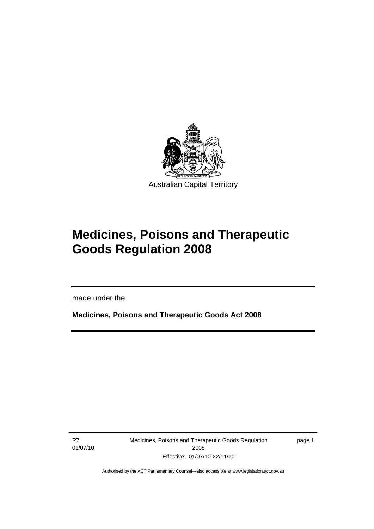<span id="page-24-0"></span>

# **Medicines, Poisons and Therapeutic Goods Regulation 2008**

made under the

**Medicines, Poisons and Therapeutic Goods Act 2008** 

R7 01/07/10

I

Medicines, Poisons and Therapeutic Goods Regulation 2008 Effective: 01/07/10-22/11/10

page 1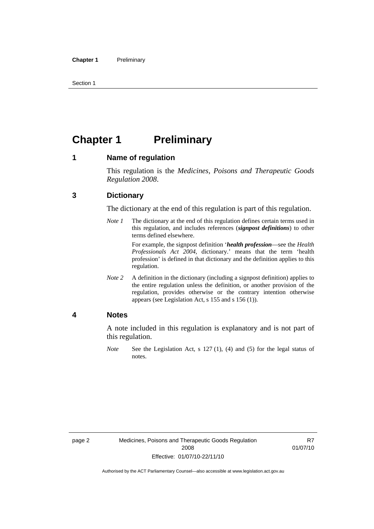<span id="page-25-0"></span>Section 1

# **Chapter 1 Preliminary**

#### **1 Name of regulation**

This regulation is the *Medicines, Poisons and Therapeutic Goods Regulation 2008*.

### **3 Dictionary**

The dictionary at the end of this regulation is part of this regulation.

*Note 1* The dictionary at the end of this regulation defines certain terms used in this regulation, and includes references (*signpost definitions*) to other terms defined elsewhere.

> For example, the signpost definition '*health profession*—see the *Health Professionals Act 2004*, dictionary.' means that the term 'health profession' is defined in that dictionary and the definition applies to this regulation.

*Note 2* A definition in the dictionary (including a signpost definition) applies to the entire regulation unless the definition, or another provision of the regulation, provides otherwise or the contrary intention otherwise appears (see Legislation Act, s 155 and s 156 (1)).

#### **4 Notes**

A note included in this regulation is explanatory and is not part of this regulation.

*Note* See the Legislation Act, s 127 (1), (4) and (5) for the legal status of notes.

R7 01/07/10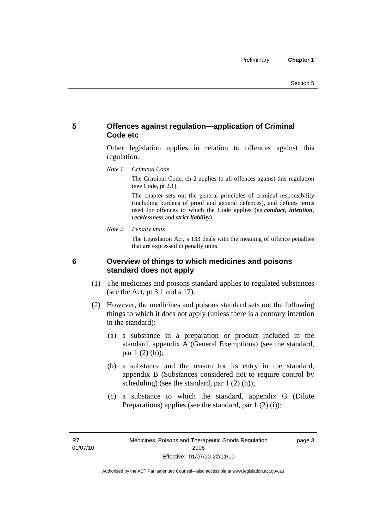### <span id="page-26-0"></span>**5 Offences against regulation—application of Criminal Code etc**

Other legislation applies in relation to offences against this regulation.

*Note 1 Criminal Code*

The Criminal Code, ch 2 applies to all offences against this regulation (see Code, pt 2.1).

The chapter sets out the general principles of criminal responsibility (including burdens of proof and general defences), and defines terms used for offences to which the Code applies (eg *conduct*, *intention*, *recklessness* and *strict liability*).

*Note 2 Penalty units* 

The Legislation Act, s 133 deals with the meaning of offence penalties that are expressed in penalty units.

### **6 Overview of things to which medicines and poisons standard does not apply**

- (1) The medicines and poisons standard applies to regulated substances (see the Act, pt 3.1 and s 17).
- (2) However, the medicines and poisons standard sets out the following things to which it does not apply (unless there is a contrary intention in the standard):
	- (a) a substance in a preparation or product included in the standard, appendix A (General Exemptions) (see the standard, par 1 (2) (h));
	- (b) a substance and the reason for its entry in the standard, appendix B (Substances considered not to require control by scheduling) (see the standard, par 1 (2) (h));
	- (c) a substance to which the standard, appendix G (Dilute Preparations) applies (see the standard, par  $1(2)(i)$ );

R7 01/07/10 page 3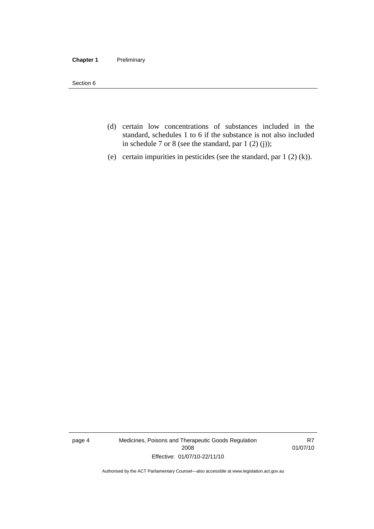#### **Chapter 1** Preliminary

Section 6

- (d) certain low concentrations of substances included in the standard, schedules 1 to 6 if the substance is not also included in schedule 7 or 8 (see the standard, par 1 (2) (j));
- (e) certain impurities in pesticides (see the standard, par 1 (2) (k)).

page 4 Medicines, Poisons and Therapeutic Goods Regulation 2008 Effective: 01/07/10-22/11/10

R7 01/07/10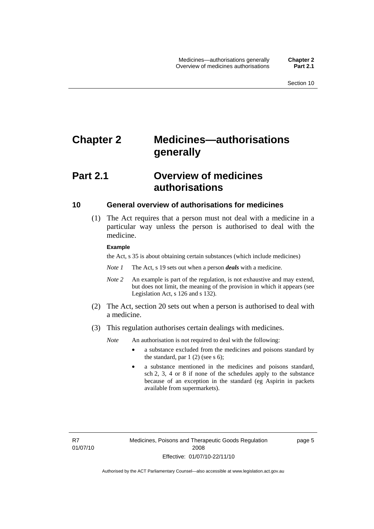# <span id="page-28-0"></span>**Chapter 2 Medicines—authorisations generally**

# **Part 2.1 Overview of medicines authorisations**

#### **10 General overview of authorisations for medicines**

 (1) The Act requires that a person must not deal with a medicine in a particular way unless the person is authorised to deal with the medicine.

#### **Example**

the Act, s 35 is about obtaining certain substances (which include medicines)

- *Note 1* The Act, s 19 sets out when a person *deals* with a medicine.
- *Note 2* An example is part of the regulation, is not exhaustive and may extend, but does not limit, the meaning of the provision in which it appears (see Legislation Act, s 126 and s 132).
- (2) The Act, section 20 sets out when a person is authorised to deal with a medicine.
- (3) This regulation authorises certain dealings with medicines.

*Note* An authorisation is not required to deal with the following:

- a substance excluded from the medicines and poisons standard by the standard, par  $1(2)$  (see s 6);
- a substance mentioned in the medicines and poisons standard, sch 2, 3, 4 or 8 if none of the schedules apply to the substance because of an exception in the standard (eg Aspirin in packets available from supermarkets).

R7 01/07/10 page 5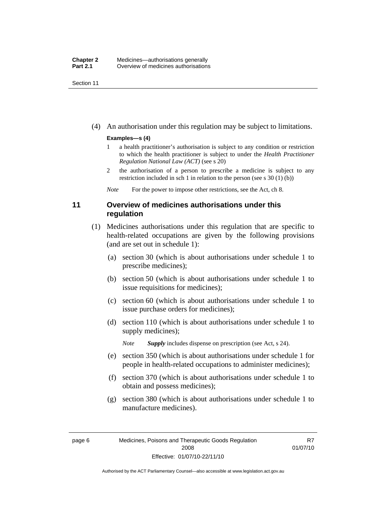<span id="page-29-0"></span>Section 11

(4) An authorisation under this regulation may be subject to limitations.

#### **Examples—s (4)**

- 1 a health practitioner's authorisation is subject to any condition or restriction to which the health practitioner is subject to under the *Health Practitioner Regulation National Law (ACT)* (see s 20)
- 2 the authorisation of a person to prescribe a medicine is subject to any restriction included in sch 1 in relation to the person (see s 30 (1) (b))

*Note* For the power to impose other restrictions, see the Act, ch 8.

### **11 Overview of medicines authorisations under this regulation**

- (1) Medicines authorisations under this regulation that are specific to health-related occupations are given by the following provisions (and are set out in schedule 1):
	- (a) section 30 (which is about authorisations under schedule 1 to prescribe medicines);
	- (b) section 50 (which is about authorisations under schedule 1 to issue requisitions for medicines);
	- (c) section 60 (which is about authorisations under schedule 1 to issue purchase orders for medicines);
	- (d) section 110 (which is about authorisations under schedule 1 to supply medicines);

*Note Supply* includes dispense on prescription (see Act, s 24).

- (e) section 350 (which is about authorisations under schedule 1 for people in health-related occupations to administer medicines);
- (f) section 370 (which is about authorisations under schedule 1 to obtain and possess medicines);
- (g) section 380 (which is about authorisations under schedule 1 to manufacture medicines).

R7 01/07/10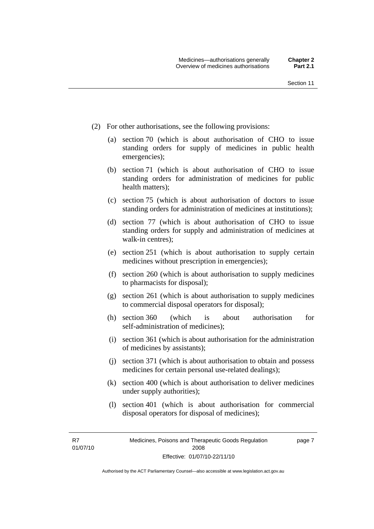- (2) For other authorisations, see the following provisions:
	- (a) section 70 (which is about authorisation of CHO to issue standing orders for supply of medicines in public health emergencies);
	- (b) section 71 (which is about authorisation of CHO to issue standing orders for administration of medicines for public health matters);
	- (c) section 75 (which is about authorisation of doctors to issue standing orders for administration of medicines at institutions);
	- (d) section 77 (which is about authorisation of CHO to issue standing orders for supply and administration of medicines at walk-in centres);
	- (e) section 251 (which is about authorisation to supply certain medicines without prescription in emergencies);
	- (f) section 260 (which is about authorisation to supply medicines to pharmacists for disposal);
	- (g) section 261 (which is about authorisation to supply medicines to commercial disposal operators for disposal);
	- (h) section 360 (which is about authorisation for self-administration of medicines);
	- (i) section 361 (which is about authorisation for the administration of medicines by assistants);
	- (j) section 371 (which is about authorisation to obtain and possess medicines for certain personal use-related dealings);
	- (k) section 400 (which is about authorisation to deliver medicines under supply authorities);
	- (l) section 401 (which is about authorisation for commercial disposal operators for disposal of medicines);

R7 01/07/10 page 7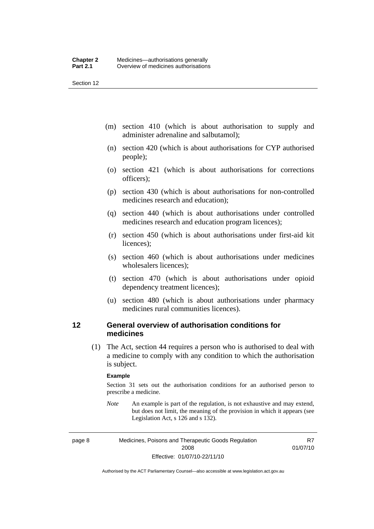<span id="page-31-0"></span>Section 12

- (m) section 410 (which is about authorisation to supply and administer adrenaline and salbutamol);
- (n) section 420 (which is about authorisations for CYP authorised people);
- (o) section 421 (which is about authorisations for corrections officers);
- (p) section 430 (which is about authorisations for non-controlled medicines research and education);
- (q) section 440 (which is about authorisations under controlled medicines research and education program licences);
- (r) section 450 (which is about authorisations under first-aid kit licences);
- (s) section 460 (which is about authorisations under medicines wholesalers licences);
- (t) section 470 (which is about authorisations under opioid dependency treatment licences);
- (u) section 480 (which is about authorisations under pharmacy medicines rural communities licences).

### **12 General overview of authorisation conditions for medicines**

 (1) The Act, section 44 requires a person who is authorised to deal with a medicine to comply with any condition to which the authorisation is subject.

#### **Example**

Section 31 sets out the authorisation conditions for an authorised person to prescribe a medicine.

*Note* An example is part of the regulation, is not exhaustive and may extend, but does not limit, the meaning of the provision in which it appears (see Legislation Act, s 126 and s 132).

page 8 Medicines, Poisons and Therapeutic Goods Regulation 2008 Effective: 01/07/10-22/11/10

R7 01/07/10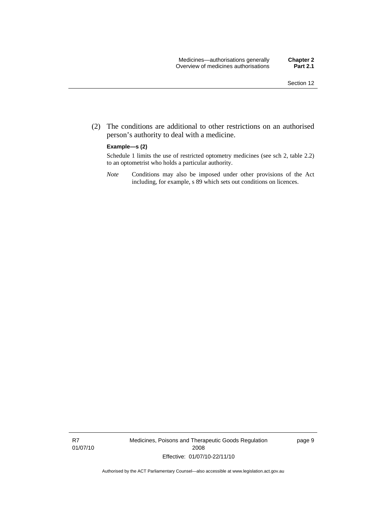(2) The conditions are additional to other restrictions on an authorised person's authority to deal with a medicine.

#### **Example—s (2)**

Schedule 1 limits the use of restricted optometry medicines (see sch 2, table 2.2) to an optometrist who holds a particular authority.

*Note* Conditions may also be imposed under other provisions of the Act including, for example, s 89 which sets out conditions on licences.

R7 01/07/10 Medicines, Poisons and Therapeutic Goods Regulation 2008 Effective: 01/07/10-22/11/10

page 9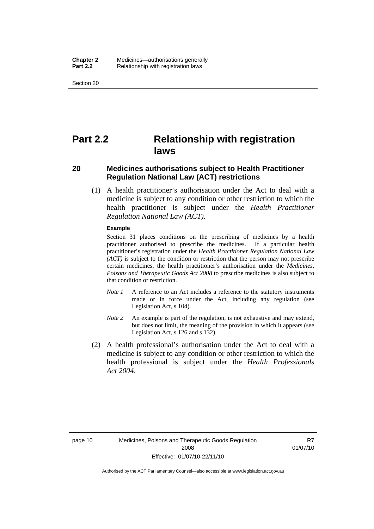<span id="page-33-0"></span>Section 20

# **Part 2.2 Relationship with registration laws**

### **20 Medicines authorisations subject to Health Practitioner Regulation National Law (ACT) restrictions**

 (1) A health practitioner's authorisation under the Act to deal with a medicine is subject to any condition or other restriction to which the health practitioner is subject under the *Health Practitioner Regulation National Law (ACT)*.

#### **Example**

Section 31 places conditions on the prescribing of medicines by a health practitioner authorised to prescribe the medicines. If a particular health practitioner's registration under the *Health Practitioner Regulation National Law (ACT)* is subject to the condition or restriction that the person may not prescribe certain medicines, the health practitioner's authorisation under the *Medicines, Poisons and Therapeutic Goods Act 2008* to prescribe medicines is also subject to that condition or restriction.

- *Note 1* A reference to an Act includes a reference to the statutory instruments made or in force under the Act, including any regulation (see Legislation Act, s 104).
- *Note 2* An example is part of the regulation, is not exhaustive and may extend, but does not limit, the meaning of the provision in which it appears (see Legislation Act, s 126 and s 132).
- (2) A health professional's authorisation under the Act to deal with a medicine is subject to any condition or other restriction to which the health professional is subject under the *Health Professionals Act 2004*.

R7 01/07/10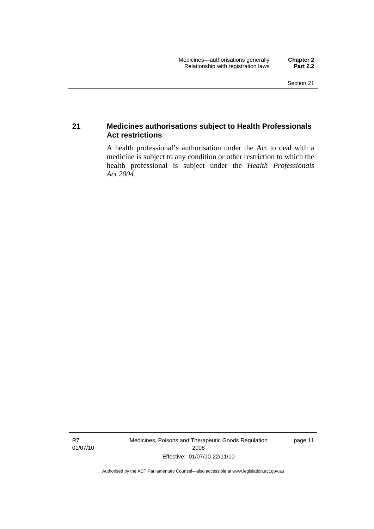### <span id="page-34-0"></span>**21 Medicines authorisations subject to Health Professionals Act restrictions**

A health professional's authorisation under the Act to deal with a medicine is subject to any condition or other restriction to which the health professional is subject under the *Health Professionals Act 2004*.

R7 01/07/10 Medicines, Poisons and Therapeutic Goods Regulation 2008 Effective: 01/07/10-22/11/10

page 11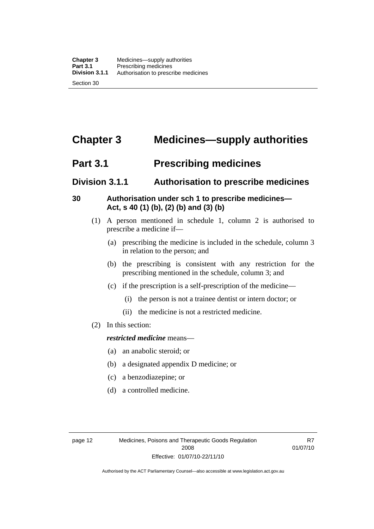# <span id="page-35-0"></span>**Chapter 3 Medicines—supply authorities**

# **Part 3.1 Prescribing medicines**

## **Division 3.1.1 Authorisation to prescribe medicines**

## **30 Authorisation under sch 1 to prescribe medicines— Act, s 40 (1) (b), (2) (b) and (3) (b)**

- (1) A person mentioned in schedule 1, column 2 is authorised to prescribe a medicine if—
	- (a) prescribing the medicine is included in the schedule, column 3 in relation to the person; and
	- (b) the prescribing is consistent with any restriction for the prescribing mentioned in the schedule, column 3; and
	- (c) if the prescription is a self-prescription of the medicine—
		- (i) the person is not a trainee dentist or intern doctor; or
		- (ii) the medicine is not a restricted medicine.
- (2) In this section:

#### *restricted medicine* means—

- (a) an anabolic steroid; or
- (b) a designated appendix D medicine; or
- (c) a benzodiazepine; or
- (d) a controlled medicine.

R7 01/07/10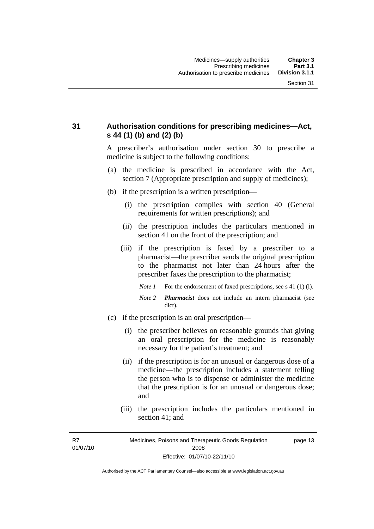## **31 Authorisation conditions for prescribing medicines—Act, s 44 (1) (b) and (2) (b)**

A prescriber's authorisation under section 30 to prescribe a medicine is subject to the following conditions:

- (a) the medicine is prescribed in accordance with the Act, section 7 (Appropriate prescription and supply of medicines);
- (b) if the prescription is a written prescription—
	- (i) the prescription complies with section 40 (General requirements for written prescriptions); and
	- (ii) the prescription includes the particulars mentioned in section 41 on the front of the prescription; and
	- (iii) if the prescription is faxed by a prescriber to a pharmacist—the prescriber sends the original prescription to the pharmacist not later than 24 hours after the prescriber faxes the prescription to the pharmacist;
		- *Note 1* For the endorsement of faxed prescriptions, see s 41 (1) (1).
		- *Note 2 Pharmacist* does not include an intern pharmacist (see dict).
- (c) if the prescription is an oral prescription—
	- (i) the prescriber believes on reasonable grounds that giving an oral prescription for the medicine is reasonably necessary for the patient's treatment; and
	- (ii) if the prescription is for an unusual or dangerous dose of a medicine—the prescription includes a statement telling the person who is to dispense or administer the medicine that the prescription is for an unusual or dangerous dose; and
	- (iii) the prescription includes the particulars mentioned in section 41; and

R7 01/07/10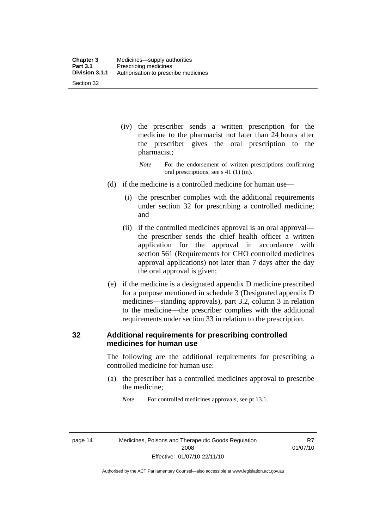- (iv) the prescriber sends a written prescription for the medicine to the pharmacist not later than 24 hours after the prescriber gives the oral prescription to the pharmacist;
	- *Note* For the endorsement of written prescriptions confirming oral prescriptions, see s 41 (1) (m).
- (d) if the medicine is a controlled medicine for human use—
	- (i) the prescriber complies with the additional requirements under section 32 for prescribing a controlled medicine; and
	- (ii) if the controlled medicines approval is an oral approval the prescriber sends the chief health officer a written application for the approval in accordance with section 561 (Requirements for CHO controlled medicines approval applications) not later than 7 days after the day the oral approval is given;
- (e) if the medicine is a designated appendix D medicine prescribed for a purpose mentioned in schedule 3 (Designated appendix D medicines—standing approvals), part 3.2, column 3 in relation to the medicine—the prescriber complies with the additional requirements under section 33 in relation to the prescription.

#### **32 Additional requirements for prescribing controlled medicines for human use**

The following are the additional requirements for prescribing a controlled medicine for human use:

- (a) the prescriber has a controlled medicines approval to prescribe the medicine;
	- *Note* For controlled medicines approvals, see pt 13.1.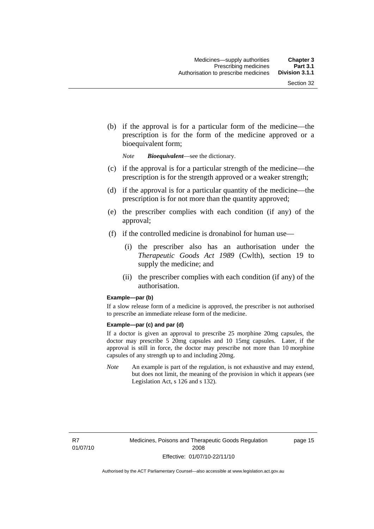(b) if the approval is for a particular form of the medicine—the prescription is for the form of the medicine approved or a bioequivalent form;

*Note Bioequivalent*—see the dictionary.

- (c) if the approval is for a particular strength of the medicine—the prescription is for the strength approved or a weaker strength;
- (d) if the approval is for a particular quantity of the medicine—the prescription is for not more than the quantity approved;
- (e) the prescriber complies with each condition (if any) of the approval;
- (f) if the controlled medicine is dronabinol for human use—
	- (i) the prescriber also has an authorisation under the *Therapeutic Goods Act 1989* (Cwlth), section 19 to supply the medicine; and
	- (ii) the prescriber complies with each condition (if any) of the authorisation.

#### **Example—par (b)**

If a slow release form of a medicine is approved, the prescriber is not authorised to prescribe an immediate release form of the medicine.

#### **Example—par (c) and par (d)**

If a doctor is given an approval to prescribe 25 morphine 20mg capsules, the doctor may prescribe 5 20mg capsules and 10 15mg capsules. Later, if the approval is still in force, the doctor may prescribe not more than 10 morphine capsules of any strength up to and including 20mg.

*Note* An example is part of the regulation, is not exhaustive and may extend, but does not limit, the meaning of the provision in which it appears (see Legislation Act, s 126 and s 132).

R7 01/07/10 page 15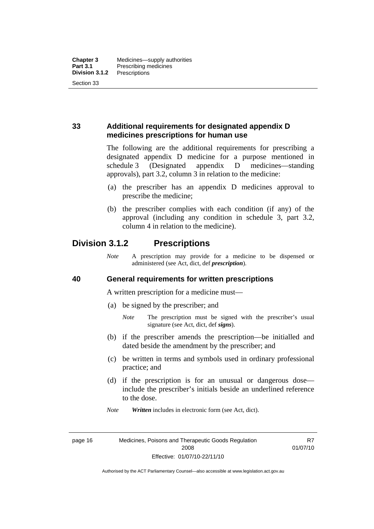## **33 Additional requirements for designated appendix D medicines prescriptions for human use**

The following are the additional requirements for prescribing a designated appendix D medicine for a purpose mentioned in schedule 3 (Designated appendix D medicines—standing approvals), part 3.2, column 3 in relation to the medicine:

- (a) the prescriber has an appendix D medicines approval to prescribe the medicine;
- (b) the prescriber complies with each condition (if any) of the approval (including any condition in schedule 3, part 3.2, column 4 in relation to the medicine).

## **Division 3.1.2 Prescriptions**

*Note* A prescription may provide for a medicine to be dispensed or administered (see Act, dict, def *prescription*).

#### **40 General requirements for written prescriptions**

A written prescription for a medicine must—

- (a) be signed by the prescriber; and
	- *Note* The prescription must be signed with the prescriber's usual signature (see Act, dict, def *signs*).
- (b) if the prescriber amends the prescription—be initialled and dated beside the amendment by the prescriber; and
- (c) be written in terms and symbols used in ordinary professional practice; and
- (d) if the prescription is for an unusual or dangerous dose include the prescriber's initials beside an underlined reference to the dose.
- *Note Written* includes in electronic form (see Act, dict).

page 16 Medicines, Poisons and Therapeutic Goods Regulation 2008 Effective: 01/07/10-22/11/10

R7 01/07/10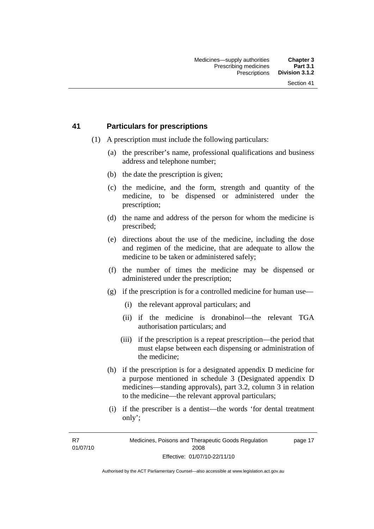#### **41 Particulars for prescriptions**

- (1) A prescription must include the following particulars:
	- (a) the prescriber's name, professional qualifications and business address and telephone number;
	- (b) the date the prescription is given;
	- (c) the medicine, and the form, strength and quantity of the medicine, to be dispensed or administered under the prescription;
	- (d) the name and address of the person for whom the medicine is prescribed;
	- (e) directions about the use of the medicine, including the dose and regimen of the medicine, that are adequate to allow the medicine to be taken or administered safely;
	- (f) the number of times the medicine may be dispensed or administered under the prescription;
	- (g) if the prescription is for a controlled medicine for human use—
		- (i) the relevant approval particulars; and
		- (ii) if the medicine is dronabinol—the relevant TGA authorisation particulars; and
		- (iii) if the prescription is a repeat prescription—the period that must elapse between each dispensing or administration of the medicine;
	- (h) if the prescription is for a designated appendix D medicine for a purpose mentioned in schedule 3 (Designated appendix D medicines—standing approvals), part 3.2, column 3 in relation to the medicine—the relevant approval particulars;
	- (i) if the prescriber is a dentist—the words 'for dental treatment only';

R7 01/07/10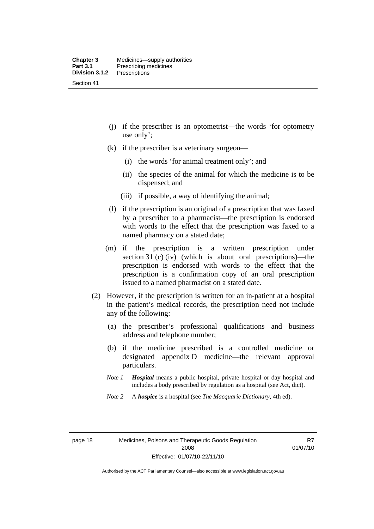- (j) if the prescriber is an optometrist—the words 'for optometry use only';
- (k) if the prescriber is a veterinary surgeon—
	- (i) the words 'for animal treatment only'; and
	- (ii) the species of the animal for which the medicine is to be dispensed; and
	- (iii) if possible, a way of identifying the animal;
- (l) if the prescription is an original of a prescription that was faxed by a prescriber to a pharmacist—the prescription is endorsed with words to the effect that the prescription was faxed to a named pharmacy on a stated date;
- (m) if the prescription is a written prescription under section 31 (c) (iv) (which is about oral prescriptions)—the prescription is endorsed with words to the effect that the prescription is a confirmation copy of an oral prescription issued to a named pharmacist on a stated date.
- (2) However, if the prescription is written for an in-patient at a hospital in the patient's medical records, the prescription need not include any of the following:
	- (a) the prescriber's professional qualifications and business address and telephone number;
	- (b) if the medicine prescribed is a controlled medicine or designated appendix D medicine—the relevant approval particulars.
	- *Note 1 Hospital* means a public hospital, private hospital or day hospital and includes a body prescribed by regulation as a hospital (see Act, dict).
	- *Note 2* A *hospice* is a hospital (see *The Macquarie Dictionary*, 4th ed).

R7 01/07/10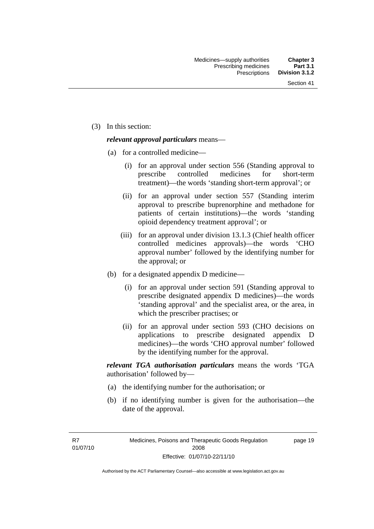(3) In this section:

#### *relevant approval particulars* means—

- (a) for a controlled medicine—
	- (i) for an approval under section 556 (Standing approval to prescribe controlled medicines for short-term treatment)—the words 'standing short-term approval'; or
	- (ii) for an approval under section 557 (Standing interim approval to prescribe buprenorphine and methadone for patients of certain institutions)—the words 'standing opioid dependency treatment approval'; or
	- (iii) for an approval under division 13.1.3 (Chief health officer controlled medicines approvals)—the words 'CHO approval number' followed by the identifying number for the approval; or
- (b) for a designated appendix D medicine—
	- (i) for an approval under section 591 (Standing approval to prescribe designated appendix D medicines)—the words 'standing approval' and the specialist area, or the area, in which the prescriber practises; or
	- (ii) for an approval under section 593 (CHO decisions on applications to prescribe designated appendix D medicines)—the words 'CHO approval number' followed by the identifying number for the approval.

*relevant TGA authorisation particulars* means the words 'TGA authorisation' followed by—

- (a) the identifying number for the authorisation; or
- (b) if no identifying number is given for the authorisation—the date of the approval.

R7 01/07/10 page 19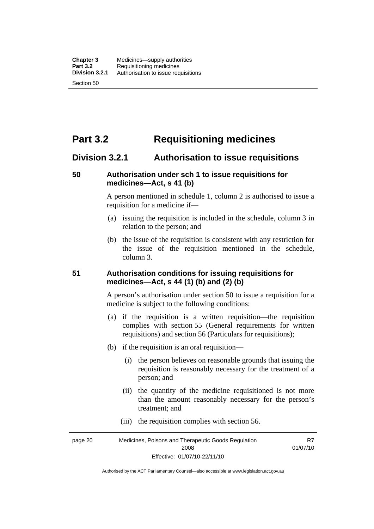# **Part 3.2 Requisitioning medicines**

## **Division 3.2.1 Authorisation to issue requisitions**

#### **50 Authorisation under sch 1 to issue requisitions for medicines—Act, s 41 (b)**

A person mentioned in schedule 1, column 2 is authorised to issue a requisition for a medicine if—

- (a) issuing the requisition is included in the schedule, column 3 in relation to the person; and
- (b) the issue of the requisition is consistent with any restriction for the issue of the requisition mentioned in the schedule, column 3.

#### **51 Authorisation conditions for issuing requisitions for medicines—Act, s 44 (1) (b) and (2) (b)**

A person's authorisation under section 50 to issue a requisition for a medicine is subject to the following conditions:

- (a) if the requisition is a written requisition—the requisition complies with section 55 (General requirements for written requisitions) and section 56 (Particulars for requisitions);
- (b) if the requisition is an oral requisition—
	- (i) the person believes on reasonable grounds that issuing the requisition is reasonably necessary for the treatment of a person; and
	- (ii) the quantity of the medicine requisitioned is not more than the amount reasonably necessary for the person's treatment; and
	- (iii) the requisition complies with section 56.

page 20 Medicines, Poisons and Therapeutic Goods Regulation 2008 Effective: 01/07/10-22/11/10 R7 01/07/10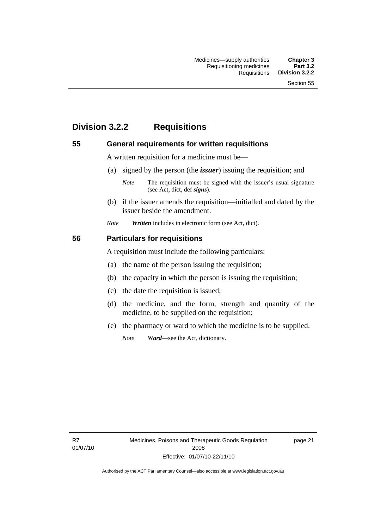# **Division 3.2.2 Requisitions**

#### **55 General requirements for written requisitions**

A written requisition for a medicine must be—

(a) signed by the person (the *issuer*) issuing the requisition; and

 (b) if the issuer amends the requisition—initialled and dated by the issuer beside the amendment.

*Note Written* includes in electronic form (see Act, dict).

#### **56 Particulars for requisitions**

A requisition must include the following particulars:

- (a) the name of the person issuing the requisition;
- (b) the capacity in which the person is issuing the requisition;
- (c) the date the requisition is issued;
- (d) the medicine, and the form, strength and quantity of the medicine, to be supplied on the requisition;
- (e) the pharmacy or ward to which the medicine is to be supplied.

*Note Ward*—see the Act, dictionary.

R7 01/07/10

*Note* The requisition must be signed with the issuer's usual signature (see Act, dict, def *signs*).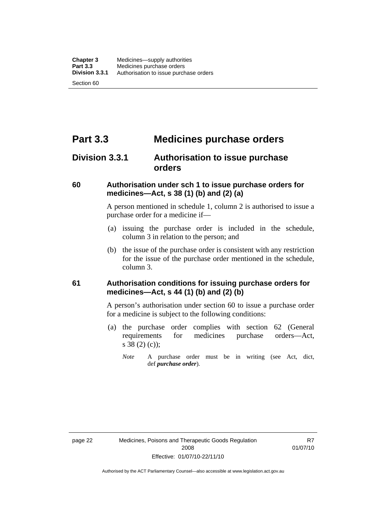# **Part 3.3 Medicines purchase orders**

## **Division 3.3.1 Authorisation to issue purchase orders**

#### **60 Authorisation under sch 1 to issue purchase orders for medicines—Act, s 38 (1) (b) and (2) (a)**

A person mentioned in schedule 1, column 2 is authorised to issue a purchase order for a medicine if—

- (a) issuing the purchase order is included in the schedule, column 3 in relation to the person; and
- (b) the issue of the purchase order is consistent with any restriction for the issue of the purchase order mentioned in the schedule, column 3.

#### **61 Authorisation conditions for issuing purchase orders for medicines—Act, s 44 (1) (b) and (2) (b)**

A person's authorisation under section 60 to issue a purchase order for a medicine is subject to the following conditions:

- (a) the purchase order complies with section 62 (General requirements for medicines purchase orders—Act, s 38 (2) (c));
	- *Note* A purchase order must be in writing (see Act, dict, def *purchase order*).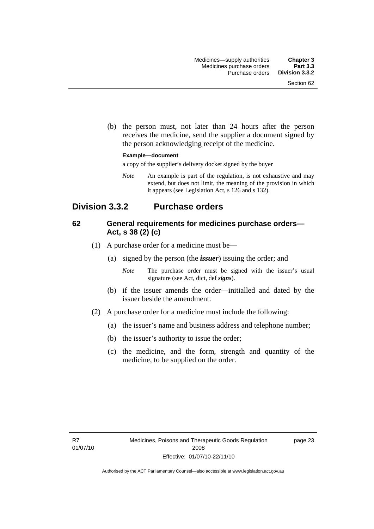(b) the person must, not later than 24 hours after the person receives the medicine, send the supplier a document signed by the person acknowledging receipt of the medicine.

#### **Example—document**

a copy of the supplier's delivery docket signed by the buyer

*Note* An example is part of the regulation, is not exhaustive and may extend, but does not limit, the meaning of the provision in which it appears (see Legislation Act, s 126 and s 132).

## **Division 3.3.2 Purchase orders**

#### **62 General requirements for medicines purchase orders— Act, s 38 (2) (c)**

- (1) A purchase order for a medicine must be—
	- (a) signed by the person (the *issuer*) issuing the order; and
		- *Note* The purchase order must be signed with the issuer's usual signature (see Act, dict, def *signs*).
	- (b) if the issuer amends the order—initialled and dated by the issuer beside the amendment.
- (2) A purchase order for a medicine must include the following:
	- (a) the issuer's name and business address and telephone number;
	- (b) the issuer's authority to issue the order;
	- (c) the medicine, and the form, strength and quantity of the medicine, to be supplied on the order.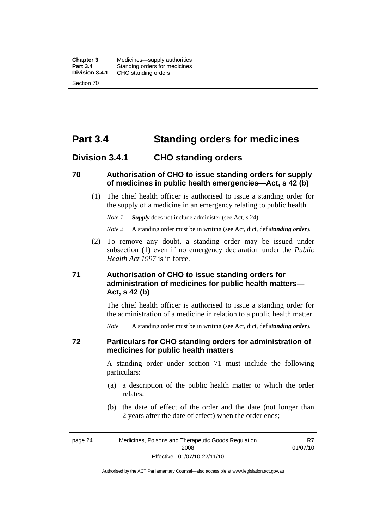**Chapter 3** Medicines—supply authorities<br>**Part 3.4** Standing orders for medicines **Part 3.4** Standing orders for medicines<br>**Division 3.4.1** CHO standing orders **Division 3.4.1** CHO standing orders Section 70

# **Part 3.4 Standing orders for medicines**

#### **Division 3.4.1 CHO standing orders**

#### **70 Authorisation of CHO to issue standing orders for supply of medicines in public health emergencies—Act, s 42 (b)**

 (1) The chief health officer is authorised to issue a standing order for the supply of a medicine in an emergency relating to public health.

*Note 1 Supply* does not include administer (see Act, s 24).

*Note 2* A standing order must be in writing (see Act, dict, def *standing order*).

 (2) To remove any doubt, a standing order may be issued under subsection (1) even if no emergency declaration under the *Public Health Act 1997* is in force.

#### **71 Authorisation of CHO to issue standing orders for administration of medicines for public health matters— Act, s 42 (b)**

The chief health officer is authorised to issue a standing order for the administration of a medicine in relation to a public health matter.

*Note* A standing order must be in writing (see Act, dict, def *standing order*).

#### **72 Particulars for CHO standing orders for administration of medicines for public health matters**

A standing order under section 71 must include the following particulars:

- (a) a description of the public health matter to which the order relates;
- (b) the date of effect of the order and the date (not longer than 2 years after the date of effect) when the order ends;

R7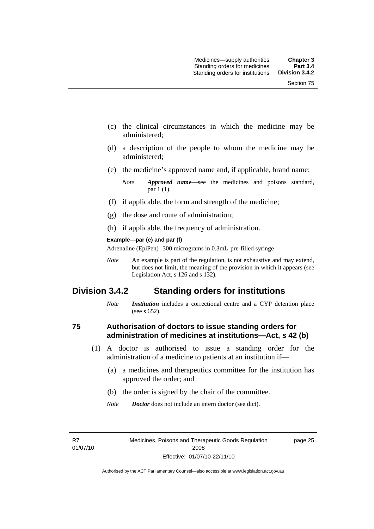- (c) the clinical circumstances in which the medicine may be administered;
- (d) a description of the people to whom the medicine may be administered;
- (e) the medicine's approved name and, if applicable, brand name;

- (f) if applicable, the form and strength of the medicine;
- (g) the dose and route of administration;
- (h) if applicable, the frequency of administration.

#### **Example—par (e) and par (f)**

Adrenaline (EpiPen) 300 micrograms in 0.3mL pre-filled syringe

*Note* An example is part of the regulation, is not exhaustive and may extend, but does not limit, the meaning of the provision in which it appears (see Legislation Act, s 126 and s 132).

## **Division 3.4.2 Standing orders for institutions**

*Note Institution* includes a correctional centre and a CYP detention place (see s 652).

#### **75 Authorisation of doctors to issue standing orders for administration of medicines at institutions—Act, s 42 (b)**

- (1) A doctor is authorised to issue a standing order for the administration of a medicine to patients at an institution if—
	- (a) a medicines and therapeutics committee for the institution has approved the order; and
	- (b) the order is signed by the chair of the committee.
	- *Note Doctor* does not include an intern doctor (see dict).

R7 01/07/10 page 25

*Note Approved name*—see the medicines and poisons standard, par 1 (1).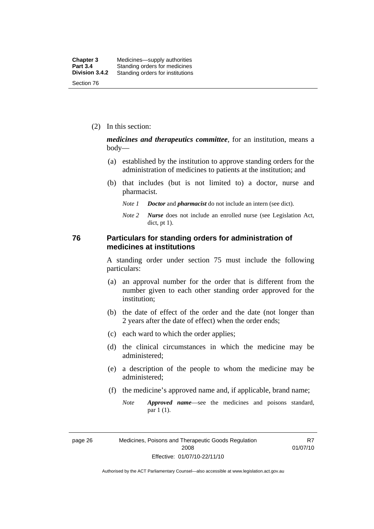(2) In this section:

*medicines and therapeutics committee*, for an institution, means a body—

- (a) established by the institution to approve standing orders for the administration of medicines to patients at the institution; and
- (b) that includes (but is not limited to) a doctor, nurse and pharmacist.
	- *Note 1 Doctor* and *pharmacist* do not include an intern (see dict).
	- *Note 2 Nurse* does not include an enrolled nurse (see Legislation Act, dict, pt 1).

#### **76 Particulars for standing orders for administration of medicines at institutions**

A standing order under section 75 must include the following particulars:

- (a) an approval number for the order that is different from the number given to each other standing order approved for the institution;
- (b) the date of effect of the order and the date (not longer than 2 years after the date of effect) when the order ends;
- (c) each ward to which the order applies;
- (d) the clinical circumstances in which the medicine may be administered;
- (e) a description of the people to whom the medicine may be administered;
- (f) the medicine's approved name and, if applicable, brand name;
	- *Note Approved name*—see the medicines and poisons standard, par 1 (1).

page 26 Medicines, Poisons and Therapeutic Goods Regulation 2008 Effective: 01/07/10-22/11/10

R7 01/07/10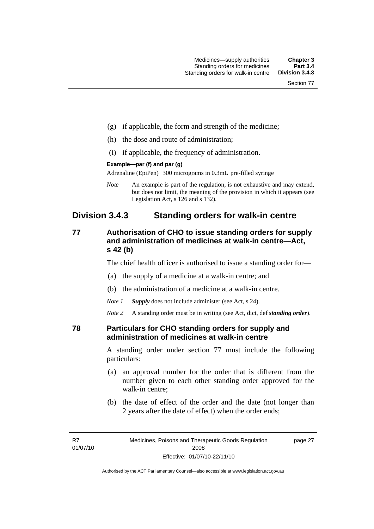- (g) if applicable, the form and strength of the medicine;
- (h) the dose and route of administration;
- (i) if applicable, the frequency of administration.

#### **Example—par (f) and par (g)**

Adrenaline (EpiPen) 300 micrograms in 0.3mL pre-filled syringe

*Note* An example is part of the regulation, is not exhaustive and may extend, but does not limit, the meaning of the provision in which it appears (see Legislation Act, s 126 and s 132).

## **Division 3.4.3 Standing orders for walk-in centre**

#### **77 Authorisation of CHO to issue standing orders for supply and administration of medicines at walk-in centre—Act, s 42 (b)**

The chief health officer is authorised to issue a standing order for—

- (a) the supply of a medicine at a walk-in centre; and
- (b) the administration of a medicine at a walk-in centre.

*Note 1 Supply* does not include administer (see Act, s 24).

*Note 2* A standing order must be in writing (see Act, dict, def *standing order*).

#### **78 Particulars for CHO standing orders for supply and administration of medicines at walk-in centre**

A standing order under section 77 must include the following particulars:

- (a) an approval number for the order that is different from the number given to each other standing order approved for the walk-in centre;
- (b) the date of effect of the order and the date (not longer than 2 years after the date of effect) when the order ends;

page 27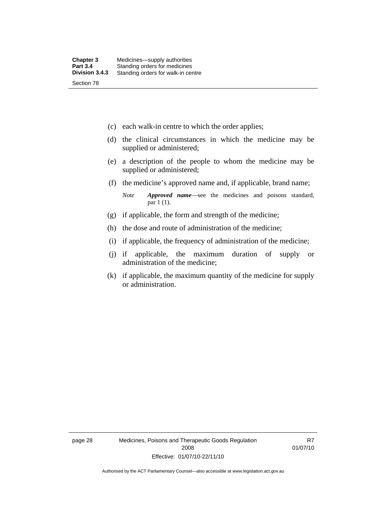- (c) each walk-in centre to which the order applies;
- (d) the clinical circumstances in which the medicine may be supplied or administered;
- (e) a description of the people to whom the medicine may be supplied or administered;
- (f) the medicine's approved name and, if applicable, brand name;

*Note Approved name*—see the medicines and poisons standard, par 1 (1).

- (g) if applicable, the form and strength of the medicine;
- (h) the dose and route of administration of the medicine;
- (i) if applicable, the frequency of administration of the medicine;
- (j) if applicable, the maximum duration of supply or administration of the medicine;
- (k) if applicable, the maximum quantity of the medicine for supply or administration.

page 28 Medicines, Poisons and Therapeutic Goods Regulation 2008 Effective: 01/07/10-22/11/10

R7 01/07/10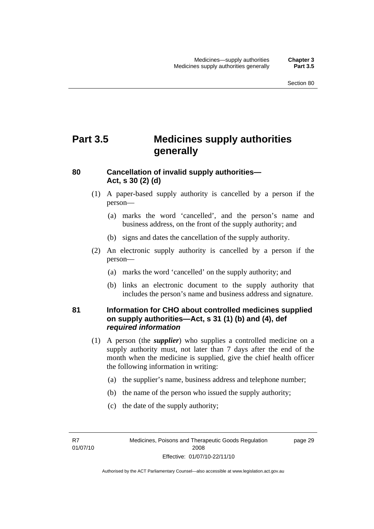# **Part 3.5 Medicines supply authorities generally**

#### **80 Cancellation of invalid supply authorities— Act, s 30 (2) (d)**

- (1) A paper-based supply authority is cancelled by a person if the person—
	- (a) marks the word 'cancelled', and the person's name and business address, on the front of the supply authority; and
	- (b) signs and dates the cancellation of the supply authority.
- (2) An electronic supply authority is cancelled by a person if the person—
	- (a) marks the word 'cancelled' on the supply authority; and
	- (b) links an electronic document to the supply authority that includes the person's name and business address and signature.

#### **81 Information for CHO about controlled medicines supplied on supply authorities—Act, s 31 (1) (b) and (4), def**  *required information*

- (1) A person (the *supplier*) who supplies a controlled medicine on a supply authority must, not later than 7 days after the end of the month when the medicine is supplied, give the chief health officer the following information in writing:
	- (a) the supplier's name, business address and telephone number;
	- (b) the name of the person who issued the supply authority;
	- (c) the date of the supply authority;

R7 01/07/10 page 29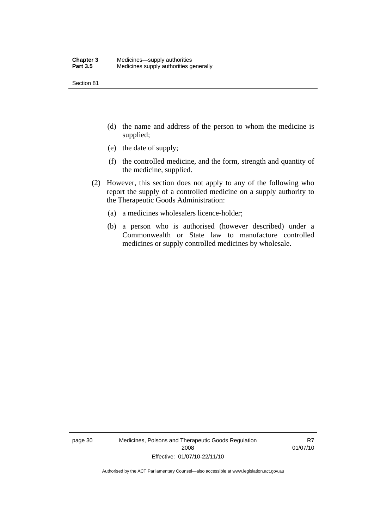Section 81

- (d) the name and address of the person to whom the medicine is supplied;
- (e) the date of supply;
- (f) the controlled medicine, and the form, strength and quantity of the medicine, supplied.
- (2) However, this section does not apply to any of the following who report the supply of a controlled medicine on a supply authority to the Therapeutic Goods Administration:
	- (a) a medicines wholesalers licence-holder;
	- (b) a person who is authorised (however described) under a Commonwealth or State law to manufacture controlled medicines or supply controlled medicines by wholesale.

page 30 Medicines, Poisons and Therapeutic Goods Regulation 2008 Effective: 01/07/10-22/11/10

R7 01/07/10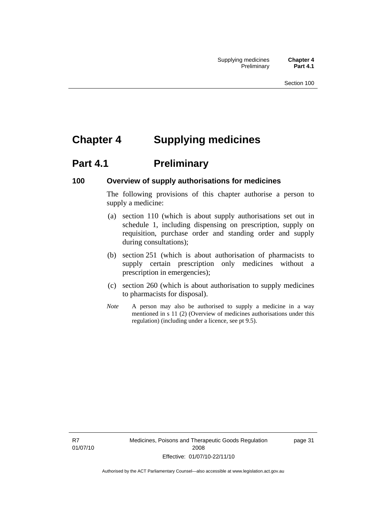# **Chapter 4 Supplying medicines**

# **Part 4.1** Preliminary

#### **100 Overview of supply authorisations for medicines**

The following provisions of this chapter authorise a person to supply a medicine:

- (a) section 110 (which is about supply authorisations set out in schedule 1, including dispensing on prescription, supply on requisition, purchase order and standing order and supply during consultations);
- (b) section 251 (which is about authorisation of pharmacists to supply certain prescription only medicines without a prescription in emergencies);
- (c) section 260 (which is about authorisation to supply medicines to pharmacists for disposal).
- *Note* A person may also be authorised to supply a medicine in a way mentioned in s 11 (2) (Overview of medicines authorisations under this regulation) (including under a licence, see pt 9.5).

R7 01/07/10 Medicines, Poisons and Therapeutic Goods Regulation 2008 Effective: 01/07/10-22/11/10

page 31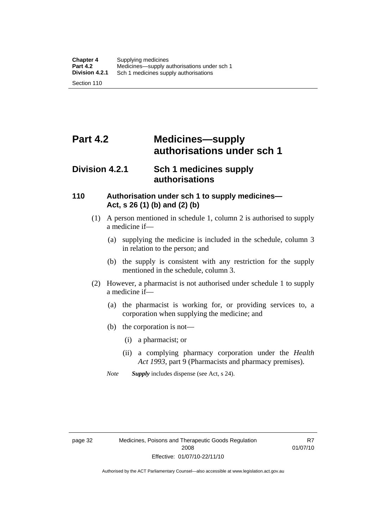# **Part 4.2 Medicines—supply authorisations under sch 1**

## **Division 4.2.1 Sch 1 medicines supply authorisations**

#### **110 Authorisation under sch 1 to supply medicines— Act, s 26 (1) (b) and (2) (b)**

- (1) A person mentioned in schedule 1, column 2 is authorised to supply a medicine if—
	- (a) supplying the medicine is included in the schedule, column 3 in relation to the person; and
	- (b) the supply is consistent with any restriction for the supply mentioned in the schedule, column 3.
- (2) However, a pharmacist is not authorised under schedule 1 to supply a medicine if—
	- (a) the pharmacist is working for, or providing services to, a corporation when supplying the medicine; and
	- (b) the corporation is not—
		- (i) a pharmacist; or
		- (ii) a complying pharmacy corporation under the *Health Act 1993*, part 9 (Pharmacists and pharmacy premises).
	- *Note Supply* includes dispense (see Act, s 24).

R7 01/07/10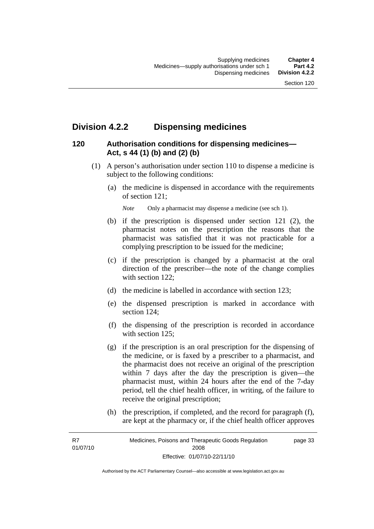## **Division 4.2.2 Dispensing medicines**

#### **120 Authorisation conditions for dispensing medicines— Act, s 44 (1) (b) and (2) (b)**

- (1) A person's authorisation under section 110 to dispense a medicine is subject to the following conditions:
	- (a) the medicine is dispensed in accordance with the requirements of section 121;

*Note* Only a pharmacist may dispense a medicine (see sch 1).

- (b) if the prescription is dispensed under section 121 (2), the pharmacist notes on the prescription the reasons that the pharmacist was satisfied that it was not practicable for a complying prescription to be issued for the medicine;
- (c) if the prescription is changed by a pharmacist at the oral direction of the prescriber—the note of the change complies with section 122:
- (d) the medicine is labelled in accordance with section 123;
- (e) the dispensed prescription is marked in accordance with section 124;
- (f) the dispensing of the prescription is recorded in accordance with section 125:
- (g) if the prescription is an oral prescription for the dispensing of the medicine, or is faxed by a prescriber to a pharmacist, and the pharmacist does not receive an original of the prescription within 7 days after the day the prescription is given—the pharmacist must, within 24 hours after the end of the 7-day period, tell the chief health officer, in writing, of the failure to receive the original prescription;
- (h) the prescription, if completed, and the record for paragraph (f), are kept at the pharmacy or, if the chief health officer approves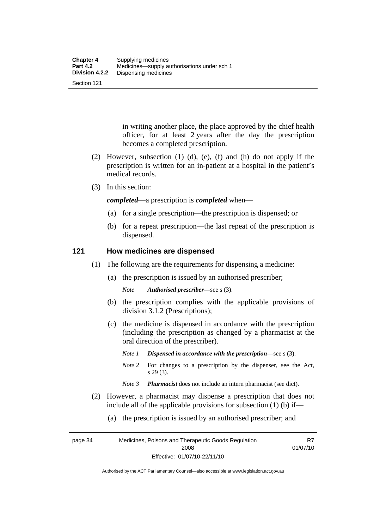Section 121

in writing another place, the place approved by the chief health officer, for at least 2 years after the day the prescription becomes a completed prescription.

- (2) However, subsection (1) (d), (e), (f) and (h) do not apply if the prescription is written for an in-patient at a hospital in the patient's medical records.
- (3) In this section:

*completed*—a prescription is *completed* when—

- (a) for a single prescription—the prescription is dispensed; or
- (b) for a repeat prescription—the last repeat of the prescription is dispensed.

#### **121 How medicines are dispensed**

- (1) The following are the requirements for dispensing a medicine:
	- (a) the prescription is issued by an authorised prescriber;

*Note Authorised prescriber*—see s (3).

- (b) the prescription complies with the applicable provisions of division 3.1.2 (Prescriptions);
- (c) the medicine is dispensed in accordance with the prescription (including the prescription as changed by a pharmacist at the oral direction of the prescriber).
	- *Note 1 Dispensed in accordance with the prescription*—see s (3).
	- *Note* 2 For changes to a prescription by the dispenser, see the Act, s 29 (3).
	- *Note 3 Pharmacist* does not include an intern pharmacist (see dict).
- (2) However, a pharmacist may dispense a prescription that does not include all of the applicable provisions for subsection (1) (b) if—
	- (a) the prescription is issued by an authorised prescriber; and

page 34 Medicines, Poisons and Therapeutic Goods Regulation 2008 Effective: 01/07/10-22/11/10 R7 01/07/10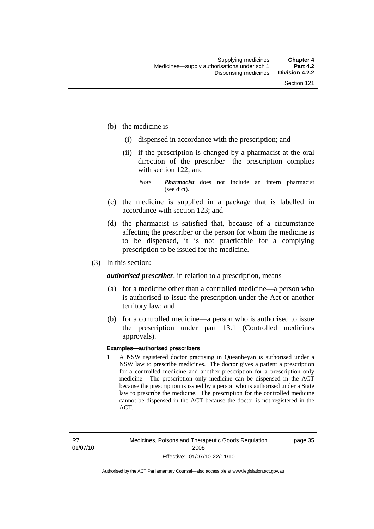- (b) the medicine is—
	- (i) dispensed in accordance with the prescription; and
	- (ii) if the prescription is changed by a pharmacist at the oral direction of the prescriber—the prescription complies with section 122; and

*Note Pharmacist* does not include an intern pharmacist (see dict).

- (c) the medicine is supplied in a package that is labelled in accordance with section 123; and
- (d) the pharmacist is satisfied that, because of a circumstance affecting the prescriber or the person for whom the medicine is to be dispensed, it is not practicable for a complying prescription to be issued for the medicine.
- (3) In this section:

*authorised prescriber*, in relation to a prescription, means—

- (a) for a medicine other than a controlled medicine—a person who is authorised to issue the prescription under the Act or another territory law; and
- (b) for a controlled medicine—a person who is authorised to issue the prescription under part 13.1 (Controlled medicines approvals).

#### **Examples—authorised prescribers**

1 A NSW registered doctor practising in Queanbeyan is authorised under a NSW law to prescribe medicines. The doctor gives a patient a prescription for a controlled medicine and another prescription for a prescription only medicine. The prescription only medicine can be dispensed in the ACT because the prescription is issued by a person who is authorised under a State law to prescribe the medicine. The prescription for the controlled medicine cannot be dispensed in the ACT because the doctor is not registered in the ACT.

page 35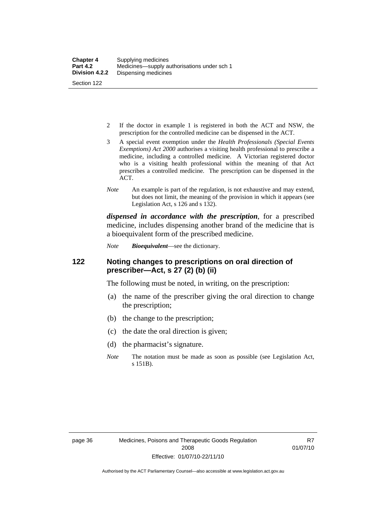- 2 If the doctor in example 1 is registered in both the ACT and NSW, the prescription for the controlled medicine can be dispensed in the ACT.
- 3 A special event exemption under the *Health Professionals (Special Events Exemptions) Act 2000* authorises a visiting health professional to prescribe a medicine, including a controlled medicine. A Victorian registered doctor who is a visiting health professional within the meaning of that Act prescribes a controlled medicine. The prescription can be dispensed in the ACT.
- *Note* An example is part of the regulation, is not exhaustive and may extend, but does not limit, the meaning of the provision in which it appears (see Legislation Act, s 126 and s 132).

*dispensed in accordance with the prescription*, for a prescribed medicine, includes dispensing another brand of the medicine that is a bioequivalent form of the prescribed medicine.

*Note Bioequivalent*—see the dictionary.

#### **122 Noting changes to prescriptions on oral direction of prescriber—Act, s 27 (2) (b) (ii)**

The following must be noted, in writing, on the prescription:

- (a) the name of the prescriber giving the oral direction to change the prescription;
- (b) the change to the prescription;
- (c) the date the oral direction is given;
- (d) the pharmacist's signature.
- *Note* The notation must be made as soon as possible (see Legislation Act, s 151B).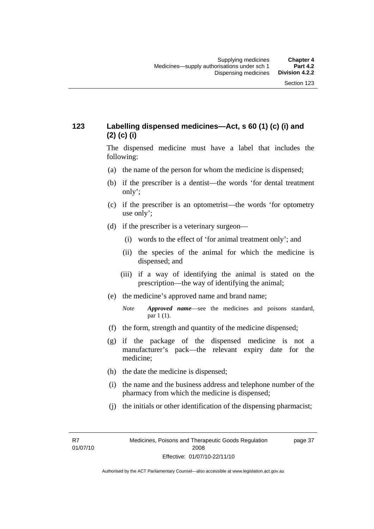## **123 Labelling dispensed medicines—Act, s 60 (1) (c) (i) and (2) (c) (i)**

The dispensed medicine must have a label that includes the following:

- (a) the name of the person for whom the medicine is dispensed;
- (b) if the prescriber is a dentist—the words 'for dental treatment only';
- (c) if the prescriber is an optometrist—the words 'for optometry use only';
- (d) if the prescriber is a veterinary surgeon—
	- (i) words to the effect of 'for animal treatment only'; and
	- (ii) the species of the animal for which the medicine is dispensed; and
	- (iii) if a way of identifying the animal is stated on the prescription—the way of identifying the animal;
- (e) the medicine's approved name and brand name;
	- *Note Approved name*—see the medicines and poisons standard, par 1 (1).
- (f) the form, strength and quantity of the medicine dispensed;
- (g) if the package of the dispensed medicine is not a manufacturer's pack—the relevant expiry date for the medicine;
- (h) the date the medicine is dispensed;
- (i) the name and the business address and telephone number of the pharmacy from which the medicine is dispensed;
- (j) the initials or other identification of the dispensing pharmacist;

R7 01/07/10 page 37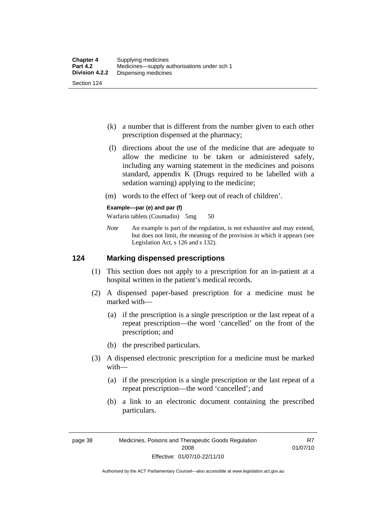- (k) a number that is different from the number given to each other prescription dispensed at the pharmacy;
- (l) directions about the use of the medicine that are adequate to allow the medicine to be taken or administered safely, including any warning statement in the medicines and poisons standard, appendix K (Drugs required to be labelled with a sedation warning) applying to the medicine;
- (m) words to the effect of 'keep out of reach of children'.

#### **Example—par (e) and par (f)**

Warfarin tablets (Coumadin) 5mg 50

*Note* An example is part of the regulation, is not exhaustive and may extend, but does not limit, the meaning of the provision in which it appears (see Legislation Act, s 126 and s 132).

#### **124 Marking dispensed prescriptions**

- (1) This section does not apply to a prescription for an in-patient at a hospital written in the patient's medical records.
- (2) A dispensed paper-based prescription for a medicine must be marked with—
	- (a) if the prescription is a single prescription or the last repeat of a repeat prescription—the word 'cancelled' on the front of the prescription; and
	- (b) the prescribed particulars.
- (3) A dispensed electronic prescription for a medicine must be marked with—
	- (a) if the prescription is a single prescription or the last repeat of a repeat prescription—the word 'cancelled'; and
	- (b) a link to an electronic document containing the prescribed particulars.

page 38 Medicines, Poisons and Therapeutic Goods Regulation 2008 Effective: 01/07/10-22/11/10

R7 01/07/10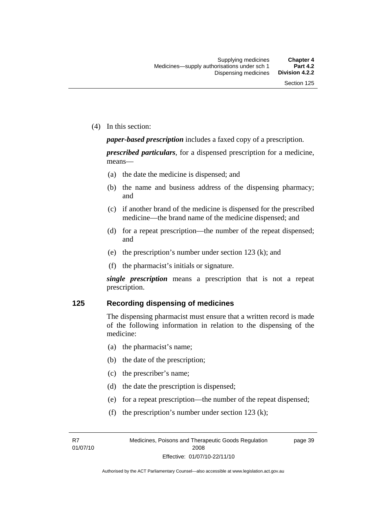(4) In this section:

*paper-based prescription* includes a faxed copy of a prescription.

*prescribed particulars*, for a dispensed prescription for a medicine, means—

- (a) the date the medicine is dispensed; and
- (b) the name and business address of the dispensing pharmacy; and
- (c) if another brand of the medicine is dispensed for the prescribed medicine—the brand name of the medicine dispensed; and
- (d) for a repeat prescription—the number of the repeat dispensed; and
- (e) the prescription's number under section 123 (k); and
- (f) the pharmacist's initials or signature.

*single prescription* means a prescription that is not a repeat prescription.

#### **125 Recording dispensing of medicines**

The dispensing pharmacist must ensure that a written record is made of the following information in relation to the dispensing of the medicine:

- (a) the pharmacist's name;
- (b) the date of the prescription;
- (c) the prescriber's name;
- (d) the date the prescription is dispensed;
- (e) for a repeat prescription—the number of the repeat dispensed;
- (f) the prescription's number under section 123 (k);

R7 01/07/10 page 39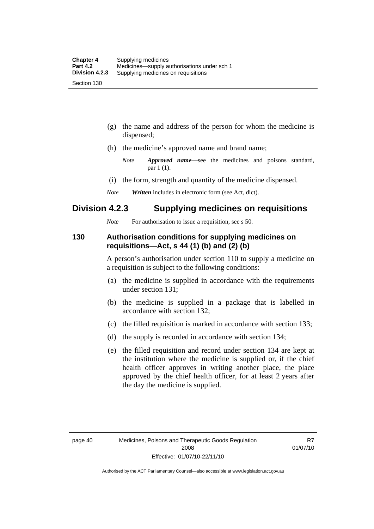- (g) the name and address of the person for whom the medicine is dispensed;
- (h) the medicine's approved name and brand name;
	- *Note Approved name*—see the medicines and poisons standard, par 1 (1).
- (i) the form, strength and quantity of the medicine dispensed.
- *Note Written* includes in electronic form (see Act, dict).

## **Division 4.2.3 Supplying medicines on requisitions**

*Note* For authorisation to issue a requisition, see s 50.

#### **130 Authorisation conditions for supplying medicines on requisitions—Act, s 44 (1) (b) and (2) (b)**

A person's authorisation under section 110 to supply a medicine on a requisition is subject to the following conditions:

- (a) the medicine is supplied in accordance with the requirements under section 131;
- (b) the medicine is supplied in a package that is labelled in accordance with section 132;
- (c) the filled requisition is marked in accordance with section 133;
- (d) the supply is recorded in accordance with section 134;
- (e) the filled requisition and record under section 134 are kept at the institution where the medicine is supplied or, if the chief health officer approves in writing another place, the place approved by the chief health officer, for at least 2 years after the day the medicine is supplied.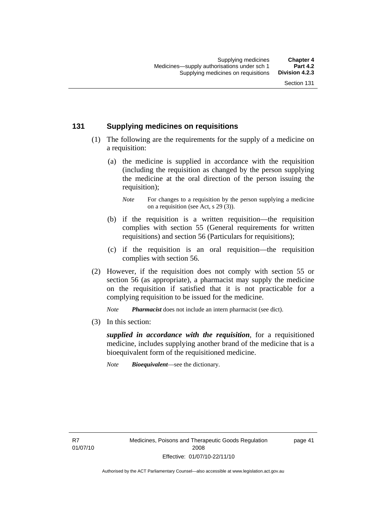## **131 Supplying medicines on requisitions**

- (1) The following are the requirements for the supply of a medicine on a requisition:
	- (a) the medicine is supplied in accordance with the requisition (including the requisition as changed by the person supplying the medicine at the oral direction of the person issuing the requisition);

- (b) if the requisition is a written requisition—the requisition complies with section 55 (General requirements for written requisitions) and section 56 (Particulars for requisitions);
- (c) if the requisition is an oral requisition—the requisition complies with section 56.
- (2) However, if the requisition does not comply with section 55 or section 56 (as appropriate), a pharmacist may supply the medicine on the requisition if satisfied that it is not practicable for a complying requisition to be issued for the medicine.

*Note Pharmacist* does not include an intern pharmacist (see dict).

(3) In this section:

*supplied in accordance with the requisition*, for a requisitioned medicine, includes supplying another brand of the medicine that is a bioequivalent form of the requisitioned medicine.

*Note Bioequivalent*—see the dictionary.

R7 01/07/10 page 41

*Note* For changes to a requisition by the person supplying a medicine on a requisition (see Act, s 29 (3)).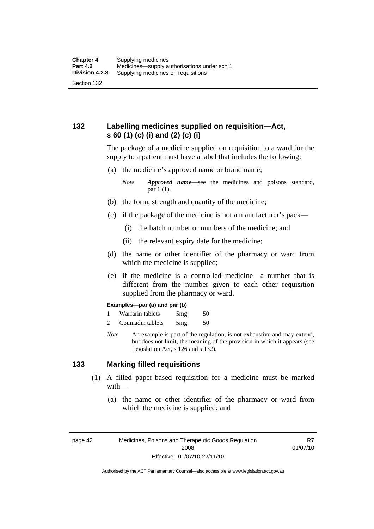## **132 Labelling medicines supplied on requisition—Act, s 60 (1) (c) (i) and (2) (c) (i)**

The package of a medicine supplied on requisition to a ward for the supply to a patient must have a label that includes the following:

(a) the medicine's approved name or brand name;

*Note Approved name*—see the medicines and poisons standard, par 1 (1).

- (b) the form, strength and quantity of the medicine;
- (c) if the package of the medicine is not a manufacturer's pack—
	- (i) the batch number or numbers of the medicine; and
	- (ii) the relevant expiry date for the medicine;
- (d) the name or other identifier of the pharmacy or ward from which the medicine is supplied;
- (e) if the medicine is a controlled medicine—a number that is different from the number given to each other requisition supplied from the pharmacy or ward.

#### **Examples—par (a) and par (b)**

- 1 Warfarin tablets 5mg 50
- 2 Coumadin tablets 5mg 50
- *Note* An example is part of the regulation, is not exhaustive and may extend, but does not limit, the meaning of the provision in which it appears (see Legislation Act, s 126 and s 132).

#### **133 Marking filled requisitions**

- (1) A filled paper-based requisition for a medicine must be marked with—
	- (a) the name or other identifier of the pharmacy or ward from which the medicine is supplied; and

page 42 Medicines, Poisons and Therapeutic Goods Regulation 2008 Effective: 01/07/10-22/11/10

R7 01/07/10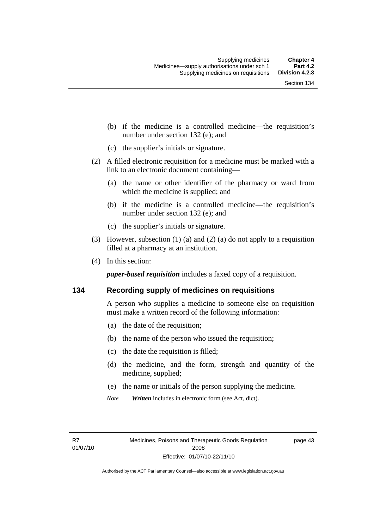- (b) if the medicine is a controlled medicine—the requisition's number under section 132 (e); and
- (c) the supplier's initials or signature.
- (2) A filled electronic requisition for a medicine must be marked with a link to an electronic document containing—
	- (a) the name or other identifier of the pharmacy or ward from which the medicine is supplied; and
	- (b) if the medicine is a controlled medicine—the requisition's number under section 132 (e); and
	- (c) the supplier's initials or signature.
- (3) However, subsection (1) (a) and (2) (a) do not apply to a requisition filled at a pharmacy at an institution.
- (4) In this section:

*paper-based requisition* includes a faxed copy of a requisition.

#### **134 Recording supply of medicines on requisitions**

A person who supplies a medicine to someone else on requisition must make a written record of the following information:

- (a) the date of the requisition;
- (b) the name of the person who issued the requisition;
- (c) the date the requisition is filled;
- (d) the medicine, and the form, strength and quantity of the medicine, supplied;
- (e) the name or initials of the person supplying the medicine.
- *Note Written* includes in electronic form (see Act, dict).

page 43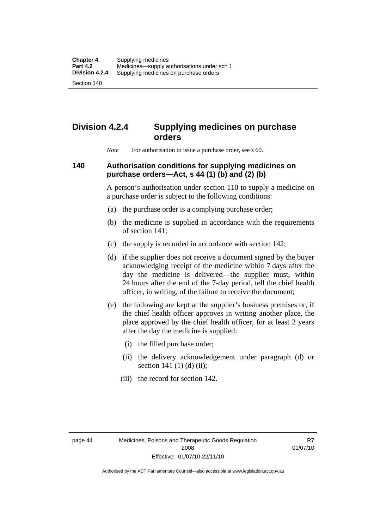Section 140

# **Division 4.2.4 Supplying medicines on purchase orders**

*Note* For authorisation to issue a purchase order, see s 60.

## **140 Authorisation conditions for supplying medicines on purchase orders—Act, s 44 (1) (b) and (2) (b)**

A person's authorisation under section 110 to supply a medicine on a purchase order is subject to the following conditions:

- (a) the purchase order is a complying purchase order;
- (b) the medicine is supplied in accordance with the requirements of section 141;
- (c) the supply is recorded in accordance with section 142;
- (d) if the supplier does not receive a document signed by the buyer acknowledging receipt of the medicine within 7 days after the day the medicine is delivered—the supplier must, within 24 hours after the end of the 7-day period, tell the chief health officer, in writing, of the failure to receive the document;
- (e) the following are kept at the supplier's business premises or, if the chief health officer approves in writing another place, the place approved by the chief health officer, for at least 2 years after the day the medicine is supplied:
	- (i) the filled purchase order;
	- (ii) the delivery acknowledgement under paragraph (d) or section 141 $(1)$  $(d)$  $(ii)$ ;
	- (iii) the record for section 142.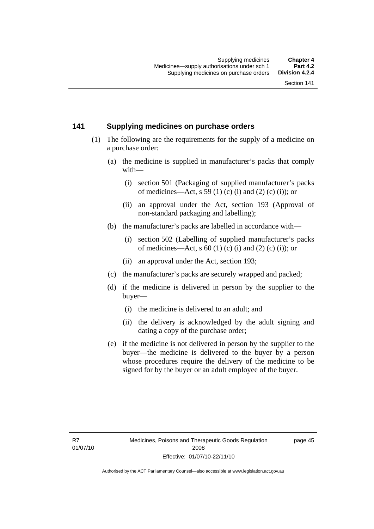#### **141 Supplying medicines on purchase orders**

- (1) The following are the requirements for the supply of a medicine on a purchase order:
	- (a) the medicine is supplied in manufacturer's packs that comply with—
		- (i) section 501 (Packaging of supplied manufacturer's packs of medicines—Act, s 59 (1) (c) (i) and (2) (c) (i)); or
		- (ii) an approval under the Act, section 193 (Approval of non-standard packaging and labelling);
	- (b) the manufacturer's packs are labelled in accordance with—
		- (i) section 502 (Labelling of supplied manufacturer's packs of medicines—Act, s  $60$  (1) (c) (i) and (2) (c) (i)); or
		- (ii) an approval under the Act, section 193;
	- (c) the manufacturer's packs are securely wrapped and packed;
	- (d) if the medicine is delivered in person by the supplier to the buyer—
		- (i) the medicine is delivered to an adult; and
		- (ii) the delivery is acknowledged by the adult signing and dating a copy of the purchase order;
	- (e) if the medicine is not delivered in person by the supplier to the buyer—the medicine is delivered to the buyer by a person whose procedures require the delivery of the medicine to be signed for by the buyer or an adult employee of the buyer.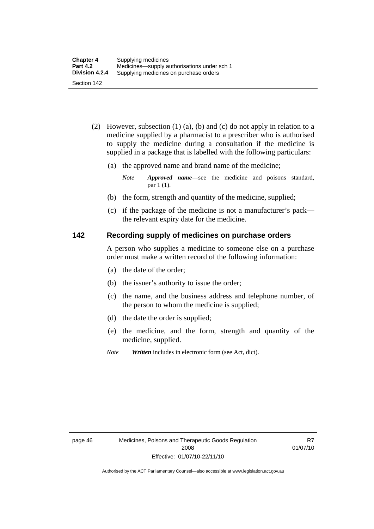- (2) However, subsection (1) (a), (b) and (c) do not apply in relation to a medicine supplied by a pharmacist to a prescriber who is authorised to supply the medicine during a consultation if the medicine is supplied in a package that is labelled with the following particulars:
	- (a) the approved name and brand name of the medicine;

*Note Approved name*—see the medicine and poisons standard, par 1 (1).

- (b) the form, strength and quantity of the medicine, supplied;
- (c) if the package of the medicine is not a manufacturer's pack the relevant expiry date for the medicine.

#### **142 Recording supply of medicines on purchase orders**

A person who supplies a medicine to someone else on a purchase order must make a written record of the following information:

- (a) the date of the order;
- (b) the issuer's authority to issue the order;
- (c) the name, and the business address and telephone number, of the person to whom the medicine is supplied;
- (d) the date the order is supplied;
- (e) the medicine, and the form, strength and quantity of the medicine, supplied.
- *Note Written* includes in electronic form (see Act, dict).

R7 01/07/10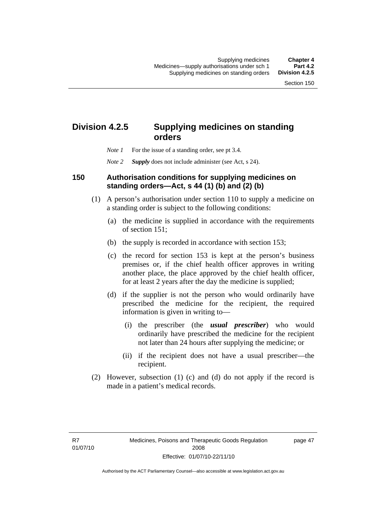# **Division 4.2.5 Supplying medicines on standing orders**

- *Note 1* For the issue of a standing order, see pt 3.4.
- *Note 2 Supply* does not include administer (see Act, s 24).

#### **150 Authorisation conditions for supplying medicines on standing orders—Act, s 44 (1) (b) and (2) (b)**

- (1) A person's authorisation under section 110 to supply a medicine on a standing order is subject to the following conditions:
	- (a) the medicine is supplied in accordance with the requirements of section 151;
	- (b) the supply is recorded in accordance with section 153;
	- (c) the record for section 153 is kept at the person's business premises or, if the chief health officer approves in writing another place, the place approved by the chief health officer, for at least 2 years after the day the medicine is supplied;
	- (d) if the supplier is not the person who would ordinarily have prescribed the medicine for the recipient, the required information is given in writing to—
		- (i) the prescriber (the *usual prescriber*) who would ordinarily have prescribed the medicine for the recipient not later than 24 hours after supplying the medicine; or
		- (ii) if the recipient does not have a usual prescriber—the recipient.
- (2) However, subsection (1) (c) and (d) do not apply if the record is made in a patient's medical records.

page 47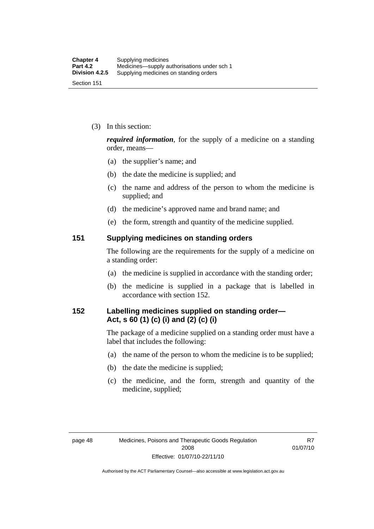(3) In this section:

*required information*, for the supply of a medicine on a standing order, means—

- (a) the supplier's name; and
- (b) the date the medicine is supplied; and
- (c) the name and address of the person to whom the medicine is supplied; and
- (d) the medicine's approved name and brand name; and
- (e) the form, strength and quantity of the medicine supplied.

#### **151 Supplying medicines on standing orders**

The following are the requirements for the supply of a medicine on a standing order:

- (a) the medicine is supplied in accordance with the standing order;
- (b) the medicine is supplied in a package that is labelled in accordance with section 152.

## **152 Labelling medicines supplied on standing order— Act, s 60 (1) (c) (i) and (2) (c) (i)**

The package of a medicine supplied on a standing order must have a label that includes the following:

- (a) the name of the person to whom the medicine is to be supplied;
- (b) the date the medicine is supplied;
- (c) the medicine, and the form, strength and quantity of the medicine, supplied;

R7 01/07/10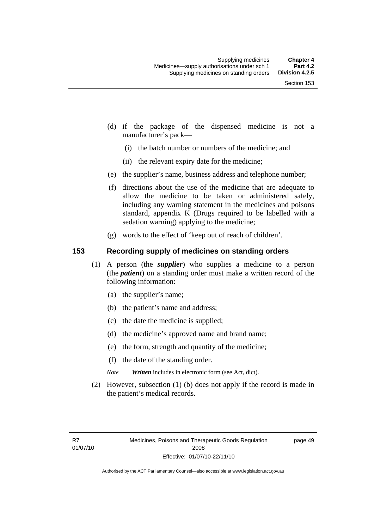- (d) if the package of the dispensed medicine is not a manufacturer's pack—
	- (i) the batch number or numbers of the medicine; and
	- (ii) the relevant expiry date for the medicine;
- (e) the supplier's name, business address and telephone number;
- (f) directions about the use of the medicine that are adequate to allow the medicine to be taken or administered safely, including any warning statement in the medicines and poisons standard, appendix K (Drugs required to be labelled with a sedation warning) applying to the medicine;
- (g) words to the effect of 'keep out of reach of children'.

### **153 Recording supply of medicines on standing orders**

- (1) A person (the *supplier*) who supplies a medicine to a person (the *patient*) on a standing order must make a written record of the following information:
	- (a) the supplier's name;
	- (b) the patient's name and address;
	- (c) the date the medicine is supplied;
	- (d) the medicine's approved name and brand name;
	- (e) the form, strength and quantity of the medicine;
	- (f) the date of the standing order.
	- *Note Written* includes in electronic form (see Act, dict).
- (2) However, subsection (1) (b) does not apply if the record is made in the patient's medical records.

page 49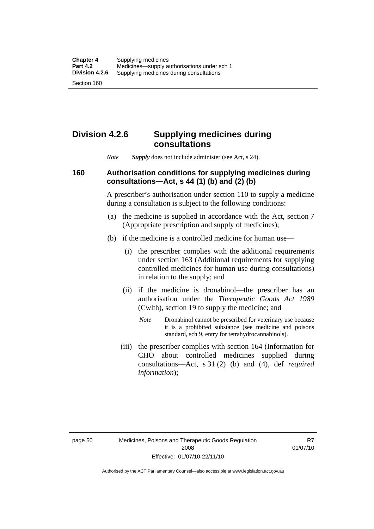### **Division 4.2.6 Supplying medicines during consultations**

*Note Supply* does not include administer (see Act, s 24).

### **160 Authorisation conditions for supplying medicines during consultations—Act, s 44 (1) (b) and (2) (b)**

A prescriber's authorisation under section 110 to supply a medicine during a consultation is subject to the following conditions:

- (a) the medicine is supplied in accordance with the Act, section 7 (Appropriate prescription and supply of medicines);
- (b) if the medicine is a controlled medicine for human use—
	- (i) the prescriber complies with the additional requirements under section 163 (Additional requirements for supplying controlled medicines for human use during consultations) in relation to the supply; and
	- (ii) if the medicine is dronabinol—the prescriber has an authorisation under the *Therapeutic Goods Act 1989* (Cwlth), section 19 to supply the medicine; and
		- *Note* Dronabinol cannot be prescribed for veterinary use because it is a prohibited substance (see medicine and poisons standard, sch 9, entry for tetrahydrocannabinols).
	- (iii) the prescriber complies with section 164 (Information for CHO about controlled medicines supplied during consultations—Act, s 31 (2) (b) and (4), def *required information*);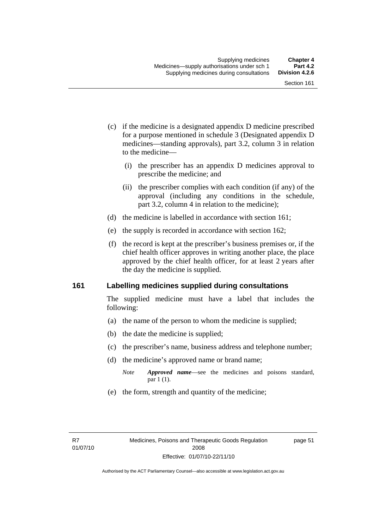- (c) if the medicine is a designated appendix D medicine prescribed for a purpose mentioned in schedule 3 (Designated appendix D medicines—standing approvals), part 3.2, column 3 in relation to the medicine—
	- (i) the prescriber has an appendix D medicines approval to prescribe the medicine; and
	- (ii) the prescriber complies with each condition (if any) of the approval (including any conditions in the schedule, part 3.2, column 4 in relation to the medicine);
- (d) the medicine is labelled in accordance with section 161;
- (e) the supply is recorded in accordance with section 162;
- (f) the record is kept at the prescriber's business premises or, if the chief health officer approves in writing another place, the place approved by the chief health officer, for at least 2 years after the day the medicine is supplied.

### **161 Labelling medicines supplied during consultations**

The supplied medicine must have a label that includes the following:

- (a) the name of the person to whom the medicine is supplied;
- (b) the date the medicine is supplied;
- (c) the prescriber's name, business address and telephone number;
- (d) the medicine's approved name or brand name;
	- *Note Approved name*—see the medicines and poisons standard, par 1 (1).
- (e) the form, strength and quantity of the medicine;

page 51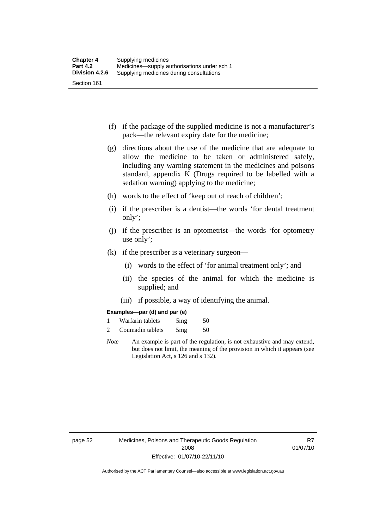- (f) if the package of the supplied medicine is not a manufacturer's pack—the relevant expiry date for the medicine;
- (g) directions about the use of the medicine that are adequate to allow the medicine to be taken or administered safely, including any warning statement in the medicines and poisons standard, appendix K (Drugs required to be labelled with a sedation warning) applying to the medicine;
- (h) words to the effect of 'keep out of reach of children';
- (i) if the prescriber is a dentist—the words 'for dental treatment only';
- (j) if the prescriber is an optometrist—the words 'for optometry use only';
- (k) if the prescriber is a veterinary surgeon—
	- (i) words to the effect of 'for animal treatment only'; and
	- (ii) the species of the animal for which the medicine is supplied; and
	- (iii) if possible, a way of identifying the animal.

#### **Examples—par (d) and par (e)**

| Warfarin tablets | 5mg | 50 |
|------------------|-----|----|
| Coumadin tablets | 5mg | 50 |

*Note* An example is part of the regulation, is not exhaustive and may extend, but does not limit, the meaning of the provision in which it appears (see Legislation Act, s 126 and s 132).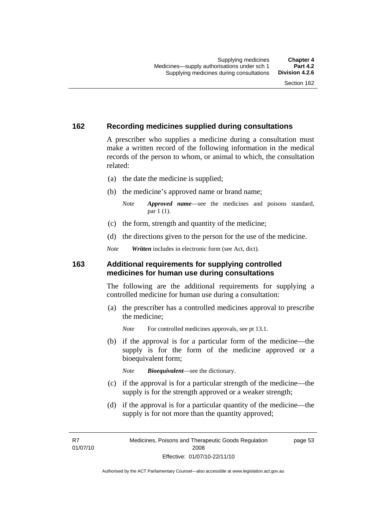### **162 Recording medicines supplied during consultations**

A prescriber who supplies a medicine during a consultation must make a written record of the following information in the medical records of the person to whom, or animal to which, the consultation related:

- (a) the date the medicine is supplied;
- (b) the medicine's approved name or brand name;

*Note Approved name*—see the medicines and poisons standard, par 1 (1).

- (c) the form, strength and quantity of the medicine;
- (d) the directions given to the person for the use of the medicine.

*Note Written* includes in electronic form (see Act, dict).

#### **163 Additional requirements for supplying controlled medicines for human use during consultations**

The following are the additional requirements for supplying a controlled medicine for human use during a consultation:

- (a) the prescriber has a controlled medicines approval to prescribe the medicine;
	- *Note* For controlled medicines approvals, see pt 13.1.
- (b) if the approval is for a particular form of the medicine—the supply is for the form of the medicine approved or a bioequivalent form;

*Note Bioequivalent*—see the dictionary.

- (c) if the approval is for a particular strength of the medicine—the supply is for the strength approved or a weaker strength;
- (d) if the approval is for a particular quantity of the medicine—the supply is for not more than the quantity approved;

R7 01/07/10 page 53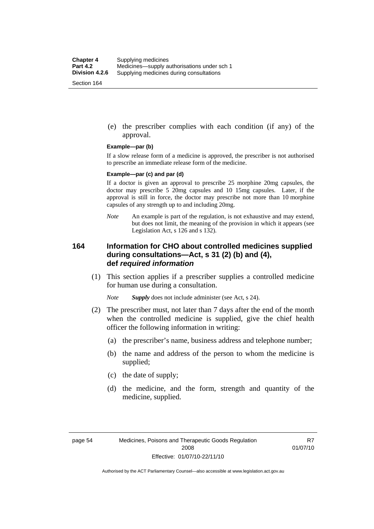(e) the prescriber complies with each condition (if any) of the approval.

#### **Example—par (b)**

If a slow release form of a medicine is approved, the prescriber is not authorised to prescribe an immediate release form of the medicine.

#### **Example—par (c) and par (d)**

If a doctor is given an approval to prescribe 25 morphine 20mg capsules, the doctor may prescribe 5 20mg capsules and 10 15mg capsules. Later, if the approval is still in force, the doctor may prescribe not more than 10 morphine capsules of any strength up to and including 20mg.

*Note* An example is part of the regulation, is not exhaustive and may extend, but does not limit, the meaning of the provision in which it appears (see Legislation Act, s 126 and s 132).

### **164 Information for CHO about controlled medicines supplied during consultations—Act, s 31 (2) (b) and (4), def** *required information*

 (1) This section applies if a prescriber supplies a controlled medicine for human use during a consultation.

*Note Supply* does not include administer (see Act, s 24).

- (2) The prescriber must, not later than 7 days after the end of the month when the controlled medicine is supplied, give the chief health officer the following information in writing:
	- (a) the prescriber's name, business address and telephone number;
	- (b) the name and address of the person to whom the medicine is supplied;
	- (c) the date of supply;
	- (d) the medicine, and the form, strength and quantity of the medicine, supplied.

R7 01/07/10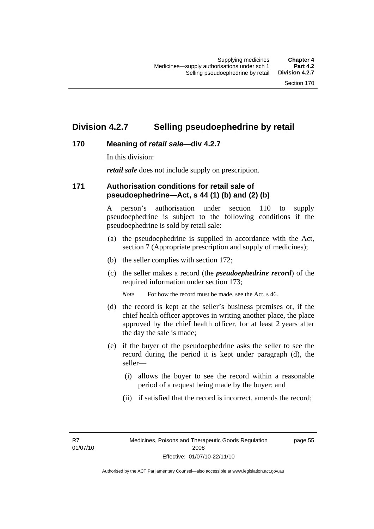### **Division 4.2.7 Selling pseudoephedrine by retail**

### **170 Meaning of** *retail sale***—div 4.2.7**

In this division:

*retail sale* does not include supply on prescription.

### **171 Authorisation conditions for retail sale of pseudoephedrine—Act, s 44 (1) (b) and (2) (b)**

A person's authorisation under section 110 to supply pseudoephedrine is subject to the following conditions if the pseudoephedrine is sold by retail sale:

- (a) the pseudoephedrine is supplied in accordance with the Act, section 7 (Appropriate prescription and supply of medicines);
- (b) the seller complies with section 172;
- (c) the seller makes a record (the *pseudoephedrine record*) of the required information under section 173;

*Note* For how the record must be made, see the Act, s 46.

- (d) the record is kept at the seller's business premises or, if the chief health officer approves in writing another place, the place approved by the chief health officer, for at least 2 years after the day the sale is made;
- (e) if the buyer of the pseudoephedrine asks the seller to see the record during the period it is kept under paragraph (d), the seller—
	- (i) allows the buyer to see the record within a reasonable period of a request being made by the buyer; and
	- (ii) if satisfied that the record is incorrect, amends the record;

R7 01/07/10 page 55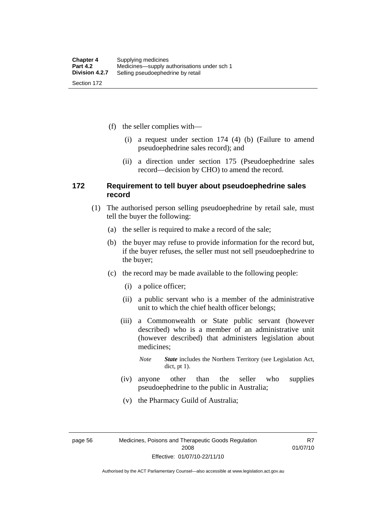(f) the seller complies with—

- (i) a request under section 174 (4) (b) (Failure to amend pseudoephedrine sales record); and
- (ii) a direction under section 175 (Pseudoephedrine sales record—decision by CHO) to amend the record.

### **172 Requirement to tell buyer about pseudoephedrine sales record**

- (1) The authorised person selling pseudoephedrine by retail sale, must tell the buyer the following:
	- (a) the seller is required to make a record of the sale;
	- (b) the buyer may refuse to provide information for the record but, if the buyer refuses, the seller must not sell pseudoephedrine to the buyer;
	- (c) the record may be made available to the following people:
		- (i) a police officer;
		- (ii) a public servant who is a member of the administrative unit to which the chief health officer belongs;
		- (iii) a Commonwealth or State public servant (however described) who is a member of an administrative unit (however described) that administers legislation about medicines;
			- *Note State* includes the Northern Territory (see Legislation Act, dict, pt 1).
		- (iv) anyone other than the seller who supplies pseudoephedrine to the public in Australia;
		- (v) the Pharmacy Guild of Australia;

page 56 Medicines, Poisons and Therapeutic Goods Regulation 2008 Effective: 01/07/10-22/11/10

R7 01/07/10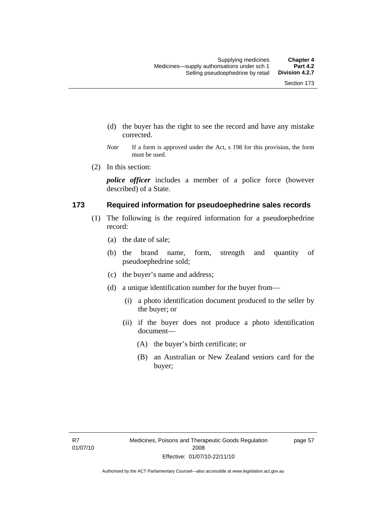- (d) the buyer has the right to see the record and have any mistake corrected.
- *Note* If a form is approved under the Act, s 198 for this provision, the form must be used.
- (2) In this section:

*police officer* includes a member of a police force (however described) of a State.

#### **173 Required information for pseudoephedrine sales records**

- (1) The following is the required information for a pseudoephedrine record:
	- (a) the date of sale;
	- (b) the brand name, form, strength and quantity of pseudoephedrine sold;
	- (c) the buyer's name and address;
	- (d) a unique identification number for the buyer from—
		- (i) a photo identification document produced to the seller by the buyer; or
		- (ii) if the buyer does not produce a photo identification document—
			- (A) the buyer's birth certificate; or
			- (B) an Australian or New Zealand seniors card for the buyer;

page 57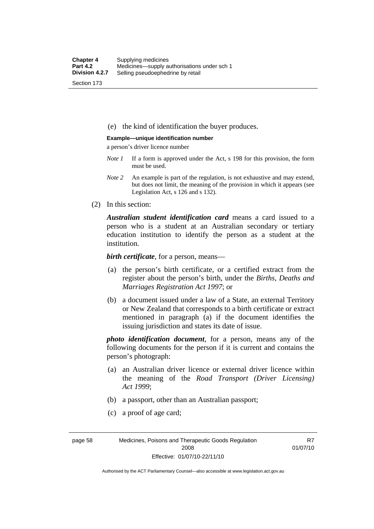(e) the kind of identification the buyer produces.

#### **Example—unique identification number**

a person's driver licence number

- *Note 1* If a form is approved under the Act, s 198 for this provision, the form must be used.
- *Note 2* An example is part of the regulation, is not exhaustive and may extend, but does not limit, the meaning of the provision in which it appears (see Legislation Act, s 126 and s 132).
- (2) In this section:

*Australian student identification card* means a card issued to a person who is a student at an Australian secondary or tertiary education institution to identify the person as a student at the institution.

*birth certificate*, for a person, means—

- (a) the person's birth certificate, or a certified extract from the register about the person's birth, under the *Births, Deaths and Marriages Registration Act 1997*; or
- (b) a document issued under a law of a State, an external Territory or New Zealand that corresponds to a birth certificate or extract mentioned in paragraph (a) if the document identifies the issuing jurisdiction and states its date of issue.

*photo identification document*, for a person, means any of the following documents for the person if it is current and contains the person's photograph:

- (a) an Australian driver licence or external driver licence within the meaning of the *Road Transport (Driver Licensing) Act 1999*;
- (b) a passport, other than an Australian passport;
- (c) a proof of age card;

page 58 Medicines, Poisons and Therapeutic Goods Regulation 2008 Effective: 01/07/10-22/11/10

R7 01/07/10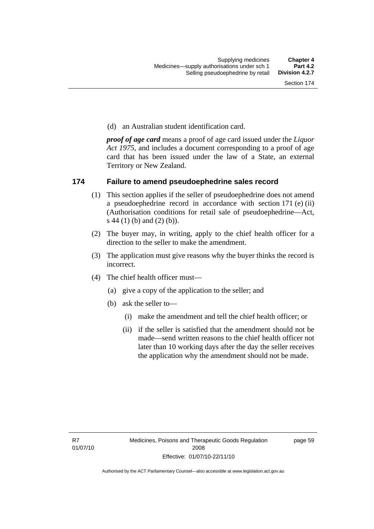(d) an Australian student identification card.

*proof of age card* means a proof of age card issued under the *Liquor Act 1975*, and includes a document corresponding to a proof of age card that has been issued under the law of a State, an external Territory or New Zealand.

### **174 Failure to amend pseudoephedrine sales record**

- (1) This section applies if the seller of pseudoephedrine does not amend a pseudoephedrine record in accordance with section 171 (e) (ii) (Authorisation conditions for retail sale of pseudoephedrine—Act, s 44 (1) (b) and (2) (b)).
- (2) The buyer may, in writing, apply to the chief health officer for a direction to the seller to make the amendment.
- (3) The application must give reasons why the buyer thinks the record is incorrect.
- (4) The chief health officer must—
	- (a) give a copy of the application to the seller; and
	- (b) ask the seller to—
		- (i) make the amendment and tell the chief health officer; or
		- (ii) if the seller is satisfied that the amendment should not be made—send written reasons to the chief health officer not later than 10 working days after the day the seller receives the application why the amendment should not be made.

page 59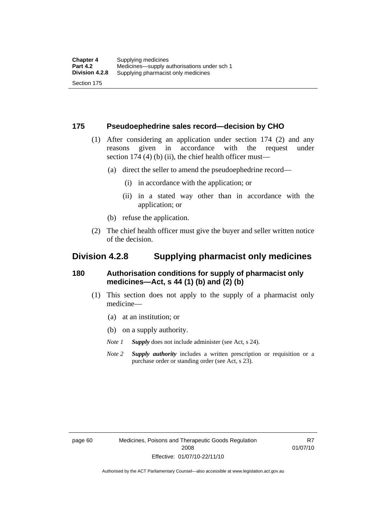### **175 Pseudoephedrine sales record—decision by CHO**

- (1) After considering an application under section 174 (2) and any reasons given in accordance with the request under section 174  $(4)$  (b)  $(ii)$ , the chief health officer must—
	- (a) direct the seller to amend the pseudoephedrine record—
		- (i) in accordance with the application; or
		- (ii) in a stated way other than in accordance with the application; or
	- (b) refuse the application.
- (2) The chief health officer must give the buyer and seller written notice of the decision.

### **Division 4.2.8 Supplying pharmacist only medicines**

### **180 Authorisation conditions for supply of pharmacist only medicines—Act, s 44 (1) (b) and (2) (b)**

- (1) This section does not apply to the supply of a pharmacist only medicine—
	- (a) at an institution; or
	- (b) on a supply authority.
	- *Note 1 Supply* does not include administer (see Act, s 24).
	- *Note 2 Supply authority* includes a written prescription or requisition or a purchase order or standing order (see Act, s 23).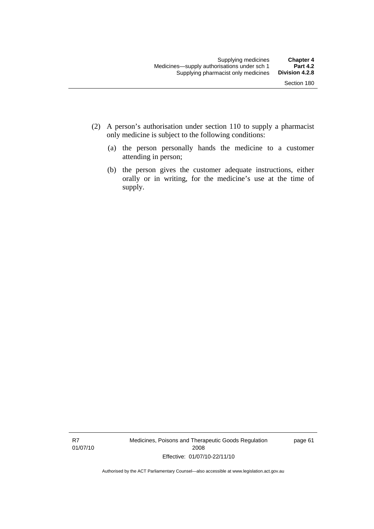- (2) A person's authorisation under section 110 to supply a pharmacist only medicine is subject to the following conditions:
	- (a) the person personally hands the medicine to a customer attending in person;
	- (b) the person gives the customer adequate instructions, either orally or in writing, for the medicine's use at the time of supply.

R7 01/07/10 Medicines, Poisons and Therapeutic Goods Regulation 2008 Effective: 01/07/10-22/11/10

page 61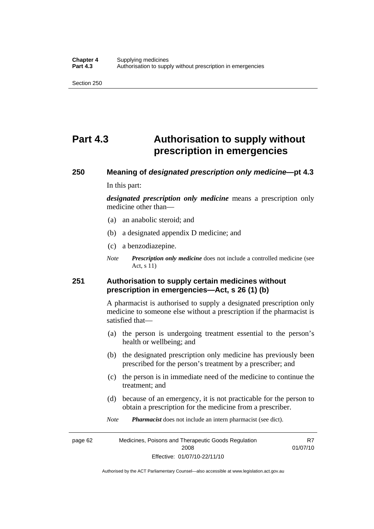# **Part 4.3 Authorisation to supply without prescription in emergencies**

# **250 Meaning of** *designated prescription only medicine***—pt 4.3**

In this part:

*designated prescription only medicine* means a prescription only medicine other than—

- (a) an anabolic steroid; and
- (b) a designated appendix D medicine; and
- (c) a benzodiazepine.
- *Note Prescription only medicine* does not include a controlled medicine (see Act, s 11)

### **251 Authorisation to supply certain medicines without prescription in emergencies—Act, s 26 (1) (b)**

A pharmacist is authorised to supply a designated prescription only medicine to someone else without a prescription if the pharmacist is satisfied that—

- (a) the person is undergoing treatment essential to the person's health or wellbeing; and
- (b) the designated prescription only medicine has previously been prescribed for the person's treatment by a prescriber; and
- (c) the person is in immediate need of the medicine to continue the treatment; and
- (d) because of an emergency, it is not practicable for the person to obtain a prescription for the medicine from a prescriber.
- *Note Pharmacist* does not include an intern pharmacist (see dict).

page 62 Medicines, Poisons and Therapeutic Goods Regulation 2008 Effective: 01/07/10-22/11/10 R7 01/07/10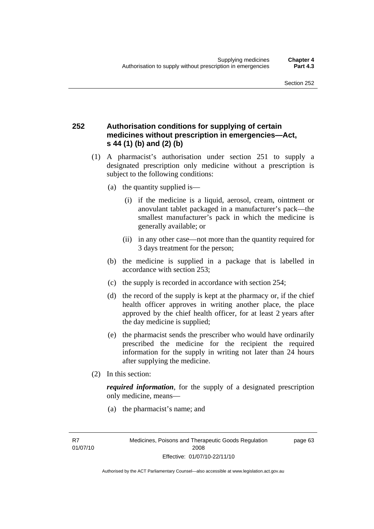### **252 Authorisation conditions for supplying of certain medicines without prescription in emergencies—Act, s 44 (1) (b) and (2) (b)**

- (1) A pharmacist's authorisation under section 251 to supply a designated prescription only medicine without a prescription is subject to the following conditions:
	- (a) the quantity supplied is—
		- (i) if the medicine is a liquid, aerosol, cream, ointment or anovulant tablet packaged in a manufacturer's pack—the smallest manufacturer's pack in which the medicine is generally available; or
		- (ii) in any other case—not more than the quantity required for 3 days treatment for the person;
	- (b) the medicine is supplied in a package that is labelled in accordance with section 253;
	- (c) the supply is recorded in accordance with section 254;
	- (d) the record of the supply is kept at the pharmacy or, if the chief health officer approves in writing another place, the place approved by the chief health officer, for at least 2 years after the day medicine is supplied;
	- (e) the pharmacist sends the prescriber who would have ordinarily prescribed the medicine for the recipient the required information for the supply in writing not later than 24 hours after supplying the medicine.
- (2) In this section:

*required information*, for the supply of a designated prescription only medicine, means—

(a) the pharmacist's name; and

R7 01/07/10 page 63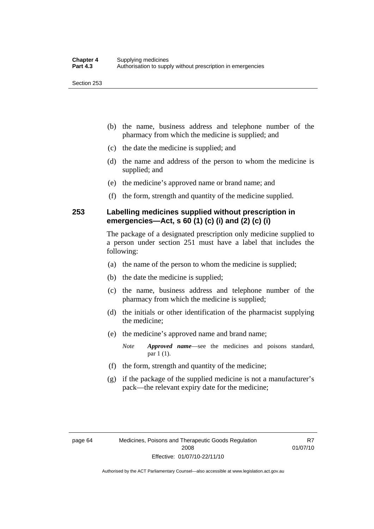- (b) the name, business address and telephone number of the pharmacy from which the medicine is supplied; and
- (c) the date the medicine is supplied; and
- (d) the name and address of the person to whom the medicine is supplied; and
- (e) the medicine's approved name or brand name; and
- (f) the form, strength and quantity of the medicine supplied.

### **253 Labelling medicines supplied without prescription in emergencies—Act, s 60 (1) (c) (i) and (2) (c) (i)**

The package of a designated prescription only medicine supplied to a person under section 251 must have a label that includes the following:

- (a) the name of the person to whom the medicine is supplied;
- (b) the date the medicine is supplied;
- (c) the name, business address and telephone number of the pharmacy from which the medicine is supplied;
- (d) the initials or other identification of the pharmacist supplying the medicine;
- (e) the medicine's approved name and brand name;

*Note Approved name*—see the medicines and poisons standard, par 1 (1).

- (f) the form, strength and quantity of the medicine;
- (g) if the package of the supplied medicine is not a manufacturer's pack—the relevant expiry date for the medicine;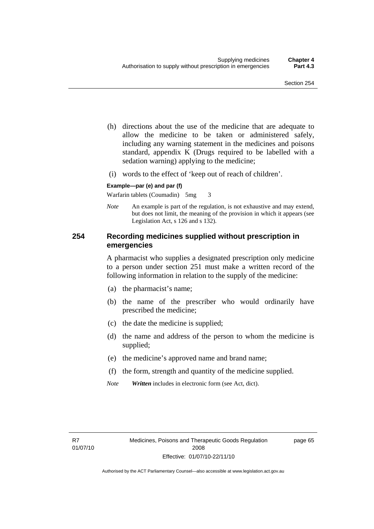- (h) directions about the use of the medicine that are adequate to allow the medicine to be taken or administered safely, including any warning statement in the medicines and poisons standard, appendix K (Drugs required to be labelled with a sedation warning) applying to the medicine;
- (i) words to the effect of 'keep out of reach of children'.

#### **Example—par (e) and par (f)**

Warfarin tablets (Coumadin) 5mg 3

*Note* An example is part of the regulation, is not exhaustive and may extend, but does not limit, the meaning of the provision in which it appears (see Legislation Act, s 126 and s 132).

### **254 Recording medicines supplied without prescription in emergencies**

A pharmacist who supplies a designated prescription only medicine to a person under section 251 must make a written record of the following information in relation to the supply of the medicine:

- (a) the pharmacist's name;
- (b) the name of the prescriber who would ordinarily have prescribed the medicine;
- (c) the date the medicine is supplied;
- (d) the name and address of the person to whom the medicine is supplied;
- (e) the medicine's approved name and brand name;
- (f) the form, strength and quantity of the medicine supplied.
- *Note Written* includes in electronic form (see Act, dict).

page 65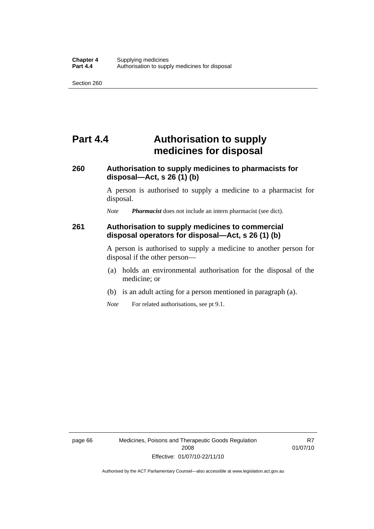# **Part 4.4 Authorisation to supply medicines for disposal**

### **260 Authorisation to supply medicines to pharmacists for disposal—Act, s 26 (1) (b)**

A person is authorised to supply a medicine to a pharmacist for disposal.

*Note Pharmacist* does not include an intern pharmacist (see dict).

### **261 Authorisation to supply medicines to commercial disposal operators for disposal—Act, s 26 (1) (b)**

A person is authorised to supply a medicine to another person for disposal if the other person—

- (a) holds an environmental authorisation for the disposal of the medicine; or
- (b) is an adult acting for a person mentioned in paragraph (a).
- *Note* For related authorisations, see pt 9.1.

R7 01/07/10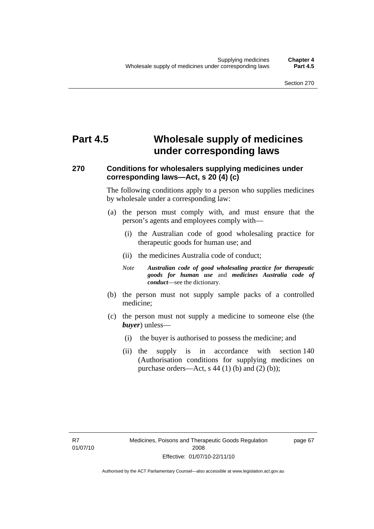# **Part 4.5 Wholesale supply of medicines under corresponding laws**

### **270 Conditions for wholesalers supplying medicines under corresponding laws—Act, s 20 (4) (c)**

The following conditions apply to a person who supplies medicines by wholesale under a corresponding law:

- (a) the person must comply with, and must ensure that the person's agents and employees comply with—
	- (i) the Australian code of good wholesaling practice for therapeutic goods for human use; and
	- (ii) the medicines Australia code of conduct;
	- *Note Australian code of good wholesaling practice for therapeutic goods for human use* and *medicines Australia code of conduct*—see the dictionary.
- (b) the person must not supply sample packs of a controlled medicine;
- (c) the person must not supply a medicine to someone else (the *buyer*) unless—
	- (i) the buyer is authorised to possess the medicine; and
	- (ii) the supply is in accordance with section 140 (Authorisation conditions for supplying medicines on purchase orders—Act, s  $44$  (1) (b) and (2) (b));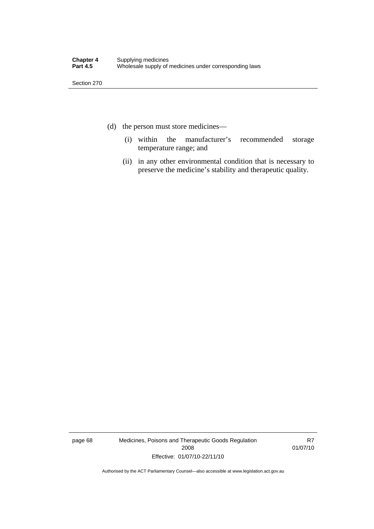- (d) the person must store medicines—
	- (i) within the manufacturer's recommended storage temperature range; and
	- (ii) in any other environmental condition that is necessary to preserve the medicine's stability and therapeutic quality.

page 68 Medicines, Poisons and Therapeutic Goods Regulation 2008 Effective: 01/07/10-22/11/10

R7 01/07/10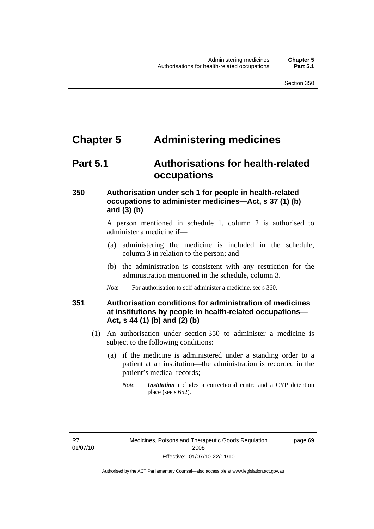### **Chapter 5 Administering medicines**

### **Part 5.1 Authorisations for health-related occupations**

### **350 Authorisation under sch 1 for people in health-related occupations to administer medicines—Act, s 37 (1) (b) and (3) (b)**

A person mentioned in schedule 1, column 2 is authorised to administer a medicine if—

- (a) administering the medicine is included in the schedule, column 3 in relation to the person; and
- (b) the administration is consistent with any restriction for the administration mentioned in the schedule, column 3.
- *Note* For authorisation to self-administer a medicine, see s 360.

### **351 Authorisation conditions for administration of medicines at institutions by people in health-related occupations— Act, s 44 (1) (b) and (2) (b)**

- (1) An authorisation under section 350 to administer a medicine is subject to the following conditions:
	- (a) if the medicine is administered under a standing order to a patient at an institution—the administration is recorded in the patient's medical records;
		- *Note Institution* includes a correctional centre and a CYP detention place (see s 652).

R7 01/07/10 page 69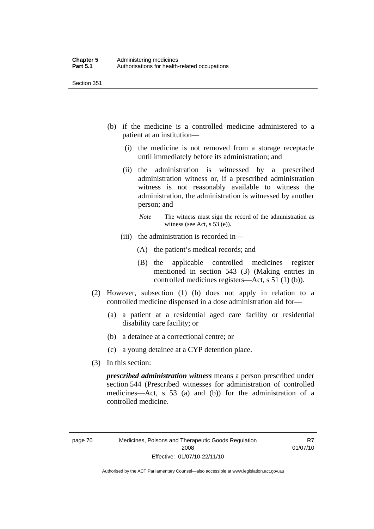- (b) if the medicine is a controlled medicine administered to a patient at an institution—
	- (i) the medicine is not removed from a storage receptacle until immediately before its administration; and
	- (ii) the administration is witnessed by a prescribed administration witness or, if a prescribed administration witness is not reasonably available to witness the administration, the administration is witnessed by another person; and
		- *Note* The witness must sign the record of the administration as witness (see Act, s 53 (e)).
	- (iii) the administration is recorded in—
		- (A) the patient's medical records; and
		- (B) the applicable controlled medicines register mentioned in section 543 (3) (Making entries in controlled medicines registers—Act, s 51 (1) (b)).
- (2) However, subsection (1) (b) does not apply in relation to a controlled medicine dispensed in a dose administration aid for—
	- (a) a patient at a residential aged care facility or residential disability care facility; or
	- (b) a detainee at a correctional centre; or
	- (c) a young detainee at a CYP detention place.
- (3) In this section:

*prescribed administration witness* means a person prescribed under section 544 (Prescribed witnesses for administration of controlled medicines—Act, s 53 (a) and (b)) for the administration of a controlled medicine.

R7 01/07/10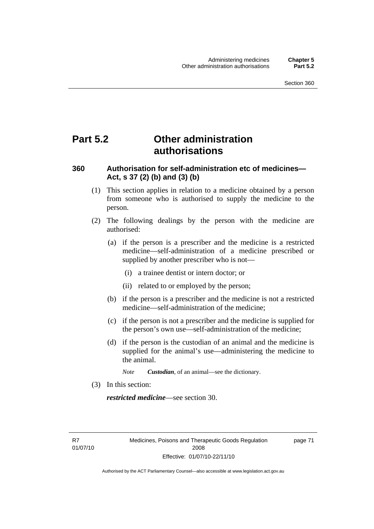### **Part 5.2 Other administration authorisations**

### **360 Authorisation for self-administration etc of medicines— Act, s 37 (2) (b) and (3) (b)**

- (1) This section applies in relation to a medicine obtained by a person from someone who is authorised to supply the medicine to the person.
- (2) The following dealings by the person with the medicine are authorised:
	- (a) if the person is a prescriber and the medicine is a restricted medicine—self-administration of a medicine prescribed or supplied by another prescriber who is not—
		- (i) a trainee dentist or intern doctor; or
		- (ii) related to or employed by the person;
	- (b) if the person is a prescriber and the medicine is not a restricted medicine—self-administration of the medicine;
	- (c) if the person is not a prescriber and the medicine is supplied for the person's own use—self-administration of the medicine;
	- (d) if the person is the custodian of an animal and the medicine is supplied for the animal's use—administering the medicine to the animal.
		- *Note Custodian*, of an animal—see the dictionary.
- (3) In this section:

*restricted medicine*—see section 30.

R7 01/07/10 page 71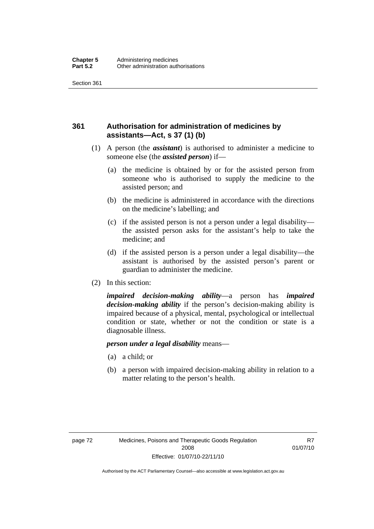### **361 Authorisation for administration of medicines by assistants—Act, s 37 (1) (b)**

- (1) A person (the *assistant*) is authorised to administer a medicine to someone else (the *assisted person*) if—
	- (a) the medicine is obtained by or for the assisted person from someone who is authorised to supply the medicine to the assisted person; and
	- (b) the medicine is administered in accordance with the directions on the medicine's labelling; and
	- (c) if the assisted person is not a person under a legal disability the assisted person asks for the assistant's help to take the medicine; and
	- (d) if the assisted person is a person under a legal disability—the assistant is authorised by the assisted person's parent or guardian to administer the medicine.
- (2) In this section:

*impaired decision-making ability*—a person has *impaired decision-making ability* if the person's decision-making ability is impaired because of a physical, mental, psychological or intellectual condition or state, whether or not the condition or state is a diagnosable illness.

#### *person under a legal disability* means—

- (a) a child; or
- (b) a person with impaired decision-making ability in relation to a matter relating to the person's health.

R7 01/07/10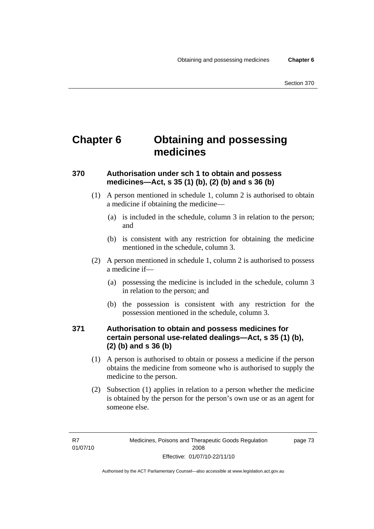# **Chapter 6 Obtaining and possessing medicines**

### **370 Authorisation under sch 1 to obtain and possess medicines—Act, s 35 (1) (b), (2) (b) and s 36 (b)**

- (1) A person mentioned in schedule 1, column 2 is authorised to obtain a medicine if obtaining the medicine—
	- (a) is included in the schedule, column 3 in relation to the person; and
	- (b) is consistent with any restriction for obtaining the medicine mentioned in the schedule, column 3.
- (2) A person mentioned in schedule 1, column 2 is authorised to possess a medicine if—
	- (a) possessing the medicine is included in the schedule, column 3 in relation to the person; and
	- (b) the possession is consistent with any restriction for the possession mentioned in the schedule, column 3.

### **371 Authorisation to obtain and possess medicines for certain personal use-related dealings—Act, s 35 (1) (b), (2) (b) and s 36 (b)**

- (1) A person is authorised to obtain or possess a medicine if the person obtains the medicine from someone who is authorised to supply the medicine to the person.
- (2) Subsection (1) applies in relation to a person whether the medicine is obtained by the person for the person's own use or as an agent for someone else.

page 73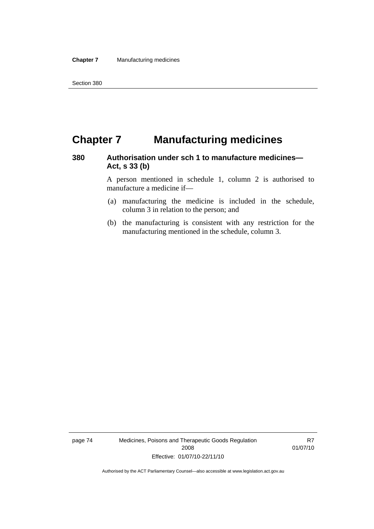# **Chapter 7 Manufacturing medicines**

### **380 Authorisation under sch 1 to manufacture medicines— Act, s 33 (b)**

A person mentioned in schedule 1, column 2 is authorised to manufacture a medicine if—

- (a) manufacturing the medicine is included in the schedule, column 3 in relation to the person; and
- (b) the manufacturing is consistent with any restriction for the manufacturing mentioned in the schedule, column 3.

page 74 Medicines, Poisons and Therapeutic Goods Regulation 2008 Effective: 01/07/10-22/11/10

R7 01/07/10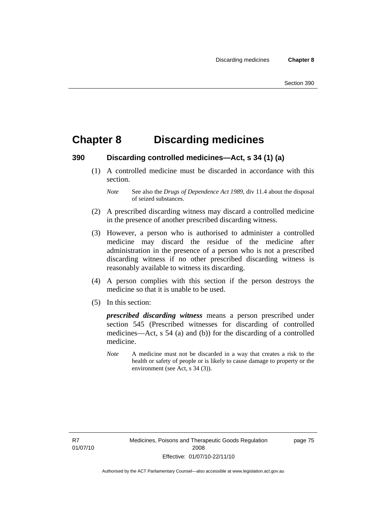# **Chapter 8 Discarding medicines**

### **390 Discarding controlled medicines—Act, s 34 (1) (a)**

 (1) A controlled medicine must be discarded in accordance with this section.

- (2) A prescribed discarding witness may discard a controlled medicine in the presence of another prescribed discarding witness.
- (3) However, a person who is authorised to administer a controlled medicine may discard the residue of the medicine after administration in the presence of a person who is not a prescribed discarding witness if no other prescribed discarding witness is reasonably available to witness its discarding.
- (4) A person complies with this section if the person destroys the medicine so that it is unable to be used.
- (5) In this section:

*prescribed discarding witness* means a person prescribed under section 545 (Prescribed witnesses for discarding of controlled medicines—Act, s 54 (a) and (b)) for the discarding of a controlled medicine.

*Note* A medicine must not be discarded in a way that creates a risk to the health or safety of people or is likely to cause damage to property or the environment (see Act, s 34 (3)).

R7 01/07/10 page 75

*Note* See also the *Drugs of Dependence Act 1989*, div 11.4 about the disposal of seized substances.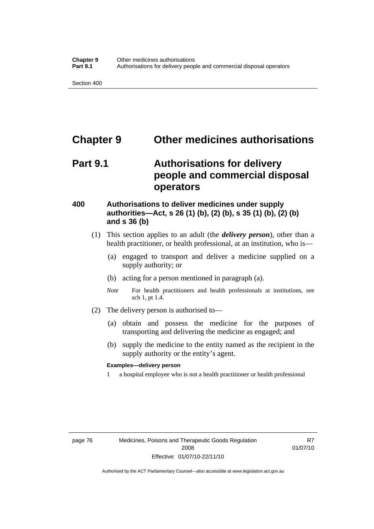### **Chapter 9 Other medicines authorisations**

# **Part 9.1 Authorisations for delivery people and commercial disposal operators**

### **400 Authorisations to deliver medicines under supply authorities—Act, s 26 (1) (b), (2) (b), s 35 (1) (b), (2) (b) and s 36 (b)**

- (1) This section applies to an adult (the *delivery person*), other than a health practitioner, or health professional, at an institution, who is—
	- (a) engaged to transport and deliver a medicine supplied on a supply authority; or
	- (b) acting for a person mentioned in paragraph (a).
	- *Note* For health practitioners and health professionals at institutions, see sch 1, pt 1.4.
- (2) The delivery person is authorised to—
	- (a) obtain and possess the medicine for the purposes of transporting and delivering the medicine as engaged; and
	- (b) supply the medicine to the entity named as the recipient in the supply authority or the entity's agent.

#### **Examples—delivery person**

1 a hospital employee who is not a health practitioner or health professional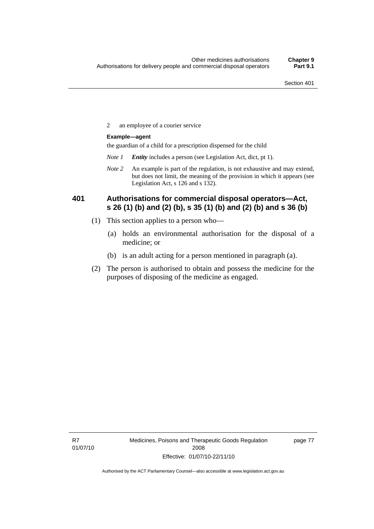2 an employee of a courier service

#### **Example—agent**

the guardian of a child for a prescription dispensed for the child

- *Note 1 Entity* includes a person (see Legislation Act, dict, pt 1).
- *Note 2* An example is part of the regulation, is not exhaustive and may extend, but does not limit, the meaning of the provision in which it appears (see Legislation Act, s 126 and s 132).

### **401 Authorisations for commercial disposal operators—Act, s 26 (1) (b) and (2) (b), s 35 (1) (b) and (2) (b) and s 36 (b)**

- (1) This section applies to a person who—
	- (a) holds an environmental authorisation for the disposal of a medicine; or
	- (b) is an adult acting for a person mentioned in paragraph (a).
- (2) The person is authorised to obtain and possess the medicine for the purposes of disposing of the medicine as engaged.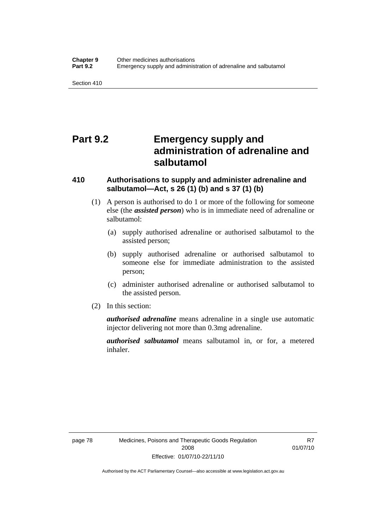# **Part 9.2 Emergency supply and administration of adrenaline and salbutamol**

### **410 Authorisations to supply and administer adrenaline and salbutamol—Act, s 26 (1) (b) and s 37 (1) (b)**

- (1) A person is authorised to do 1 or more of the following for someone else (the *assisted person*) who is in immediate need of adrenaline or salbutamol:
	- (a) supply authorised adrenaline or authorised salbutamol to the assisted person;
	- (b) supply authorised adrenaline or authorised salbutamol to someone else for immediate administration to the assisted person;
	- (c) administer authorised adrenaline or authorised salbutamol to the assisted person.
- (2) In this section:

*authorised adrenaline* means adrenaline in a single use automatic injector delivering not more than 0.3mg adrenaline.

*authorised salbutamol* means salbutamol in, or for, a metered inhaler.

R7 01/07/10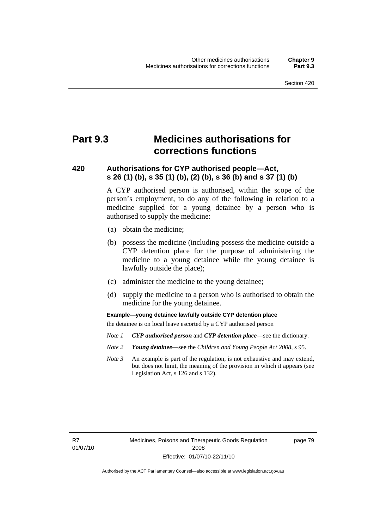# **Part 9.3 Medicines authorisations for corrections functions**

### **420 Authorisations for CYP authorised people—Act, s 26 (1) (b), s 35 (1) (b), (2) (b), s 36 (b) and s 37 (1) (b)**

A CYP authorised person is authorised, within the scope of the person's employment, to do any of the following in relation to a medicine supplied for a young detainee by a person who is authorised to supply the medicine:

- (a) obtain the medicine;
- (b) possess the medicine (including possess the medicine outside a CYP detention place for the purpose of administering the medicine to a young detainee while the young detainee is lawfully outside the place);
- (c) administer the medicine to the young detainee;
- (d) supply the medicine to a person who is authorised to obtain the medicine for the young detainee.

**Example—young detainee lawfully outside CYP detention place** 

the detainee is on local leave escorted by a CYP authorised person

- *Note 1 CYP authorised person* and *CYP detention place*—see the dictionary.
- *Note 2 Young detainee*—see the *Children and Young People Act 2008*, s 95.
- *Note 3* An example is part of the regulation, is not exhaustive and may extend, but does not limit, the meaning of the provision in which it appears (see Legislation Act, s 126 and s 132).

page 79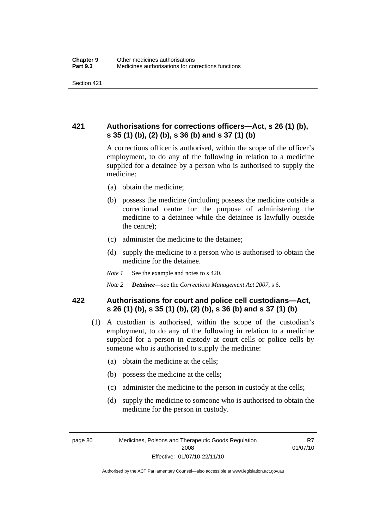### **421 Authorisations for corrections officers—Act, s 26 (1) (b), s 35 (1) (b), (2) (b), s 36 (b) and s 37 (1) (b)**

A corrections officer is authorised, within the scope of the officer's employment, to do any of the following in relation to a medicine supplied for a detainee by a person who is authorised to supply the medicine:

- (a) obtain the medicine;
- (b) possess the medicine (including possess the medicine outside a correctional centre for the purpose of administering the medicine to a detainee while the detainee is lawfully outside the centre);
- (c) administer the medicine to the detainee;
- (d) supply the medicine to a person who is authorised to obtain the medicine for the detainee.
- *Note 1* See the example and notes to s 420.
- *Note 2 Detainee*—see the *Corrections Management Act 2007*, s 6.

### **422 Authorisations for court and police cell custodians—Act, s 26 (1) (b), s 35 (1) (b), (2) (b), s 36 (b) and s 37 (1) (b)**

- (1) A custodian is authorised, within the scope of the custodian's employment, to do any of the following in relation to a medicine supplied for a person in custody at court cells or police cells by someone who is authorised to supply the medicine:
	- (a) obtain the medicine at the cells;
	- (b) possess the medicine at the cells;
	- (c) administer the medicine to the person in custody at the cells;
	- (d) supply the medicine to someone who is authorised to obtain the medicine for the person in custody.

R7 01/07/10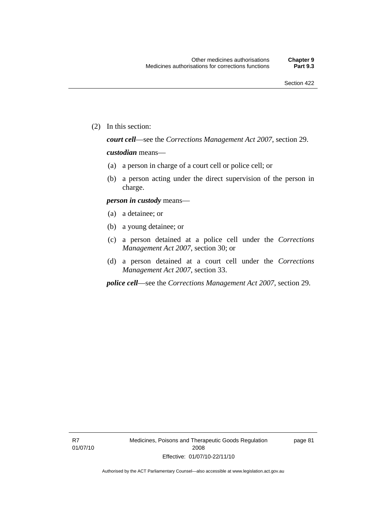(2) In this section:

*court cell*—see the *Corrections Management Act 2007*, section 29.

#### *custodian* means—

- (a) a person in charge of a court cell or police cell; or
- (b) a person acting under the direct supervision of the person in charge.

### *person in custody* means—

- (a) a detainee; or
- (b) a young detainee; or
- (c) a person detained at a police cell under the *Corrections Management Act 2007*, section 30; or
- (d) a person detained at a court cell under the *Corrections Management Act 2007*, section 33.

*police cell*—see the *Corrections Management Act 2007*, section 29.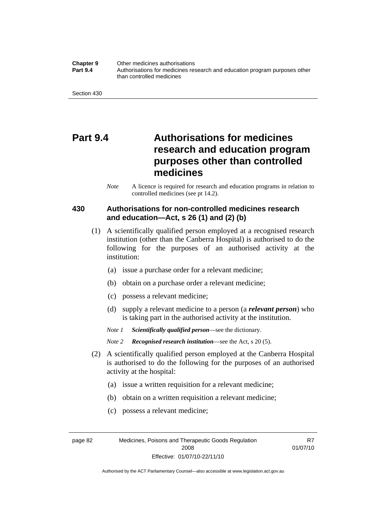#### **Chapter 9** Other medicines authorisations **Part 9.4** • **Authorisations for medicines research and education program purposes other** than controlled medicines

# **Part 9.4 Authorisations for medicines research and education program purposes other than controlled medicines**

*Note* A licence is required for research and education programs in relation to controlled medicines (see pt 14.2).

### **430 Authorisations for non-controlled medicines research and education—Act, s 26 (1) and (2) (b)**

- (1) A scientifically qualified person employed at a recognised research institution (other than the Canberra Hospital) is authorised to do the following for the purposes of an authorised activity at the institution:
	- (a) issue a purchase order for a relevant medicine;
	- (b) obtain on a purchase order a relevant medicine;
	- (c) possess a relevant medicine;
	- (d) supply a relevant medicine to a person (a *relevant person*) who is taking part in the authorised activity at the institution.
	- *Note 1 Scientifically qualified person*—see the dictionary.
	- *Note 2 Recognised research institution*—see the Act, s 20 (5).
- (2) A scientifically qualified person employed at the Canberra Hospital is authorised to do the following for the purposes of an authorised activity at the hospital:
	- (a) issue a written requisition for a relevant medicine;
	- (b) obtain on a written requisition a relevant medicine;
	- (c) possess a relevant medicine;

page 82 Medicines, Poisons and Therapeutic Goods Regulation 2008 Effective: 01/07/10-22/11/10

R7 01/07/10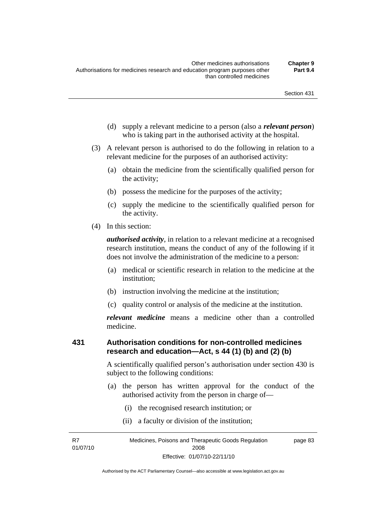- (d) supply a relevant medicine to a person (also a *relevant person*) who is taking part in the authorised activity at the hospital.
- (3) A relevant person is authorised to do the following in relation to a relevant medicine for the purposes of an authorised activity:
	- (a) obtain the medicine from the scientifically qualified person for the activity;
	- (b) possess the medicine for the purposes of the activity;
	- (c) supply the medicine to the scientifically qualified person for the activity.
- (4) In this section:

*authorised activity*, in relation to a relevant medicine at a recognised research institution, means the conduct of any of the following if it does not involve the administration of the medicine to a person:

- (a) medical or scientific research in relation to the medicine at the institution;
- (b) instruction involving the medicine at the institution;
- (c) quality control or analysis of the medicine at the institution.

*relevant medicine* means a medicine other than a controlled medicine.

### **431 Authorisation conditions for non-controlled medicines research and education—Act, s 44 (1) (b) and (2) (b)**

A scientifically qualified person's authorisation under section 430 is subject to the following conditions:

- (a) the person has written approval for the conduct of the authorised activity from the person in charge of—
	- (i) the recognised research institution; or
	- (ii) a faculty or division of the institution;

R7 01/07/10 Medicines, Poisons and Therapeutic Goods Regulation 2008 Effective: 01/07/10-22/11/10 page 83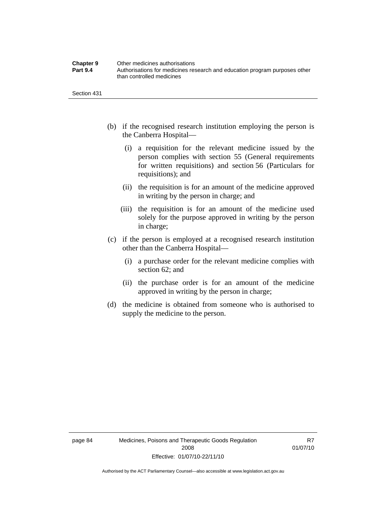| <b>Chapter 9</b> | Other medicines authorisations                                             |
|------------------|----------------------------------------------------------------------------|
| <b>Part 9.4</b>  | Authorisations for medicines research and education program purposes other |
|                  | than controlled medicines                                                  |

- (b) if the recognised research institution employing the person is the Canberra Hospital—
	- (i) a requisition for the relevant medicine issued by the person complies with section 55 (General requirements for written requisitions) and section 56 (Particulars for requisitions); and
	- (ii) the requisition is for an amount of the medicine approved in writing by the person in charge; and
	- (iii) the requisition is for an amount of the medicine used solely for the purpose approved in writing by the person in charge;
- (c) if the person is employed at a recognised research institution other than the Canberra Hospital—
	- (i) a purchase order for the relevant medicine complies with section 62; and
	- (ii) the purchase order is for an amount of the medicine approved in writing by the person in charge;
- (d) the medicine is obtained from someone who is authorised to supply the medicine to the person.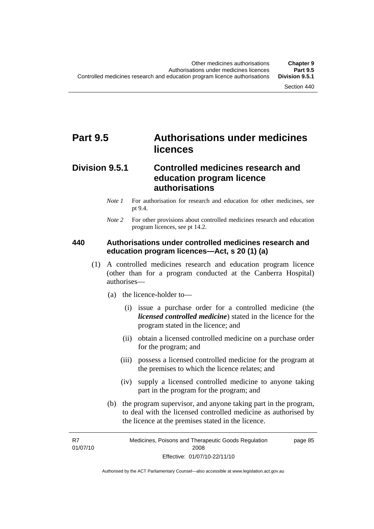# **Part 9.5 Authorisations under medicines licences**

## **Division 9.5.1 Controlled medicines research and education program licence authorisations**

- *Note 1* For authorisation for research and education for other medicines, see pt 9.4.
- *Note* 2 For other provisions about controlled medicines research and education program licences, see pt 14.2.

## **440 Authorisations under controlled medicines research and education program licences—Act, s 20 (1) (a)**

- (1) A controlled medicines research and education program licence (other than for a program conducted at the Canberra Hospital) authorises—
	- (a) the licence-holder to—
		- (i) issue a purchase order for a controlled medicine (the *licensed controlled medicine*) stated in the licence for the program stated in the licence; and
		- (ii) obtain a licensed controlled medicine on a purchase order for the program; and
		- (iii) possess a licensed controlled medicine for the program at the premises to which the licence relates; and
		- (iv) supply a licensed controlled medicine to anyone taking part in the program for the program; and
	- (b) the program supervisor, and anyone taking part in the program, to deal with the licensed controlled medicine as authorised by the licence at the premises stated in the licence.

R7 01/07/10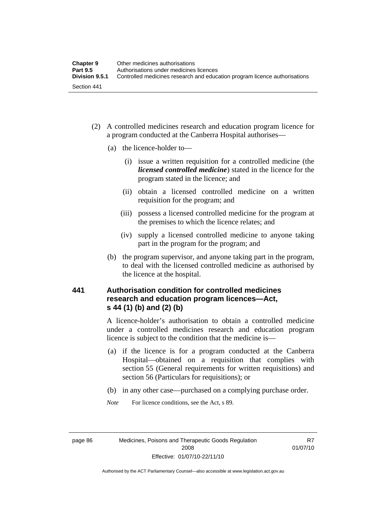- (2) A controlled medicines research and education program licence for a program conducted at the Canberra Hospital authorises—
	- (a) the licence-holder to—
		- (i) issue a written requisition for a controlled medicine (the *licensed controlled medicine*) stated in the licence for the program stated in the licence; and
		- (ii) obtain a licensed controlled medicine on a written requisition for the program; and
		- (iii) possess a licensed controlled medicine for the program at the premises to which the licence relates; and
		- (iv) supply a licensed controlled medicine to anyone taking part in the program for the program; and
	- (b) the program supervisor, and anyone taking part in the program, to deal with the licensed controlled medicine as authorised by the licence at the hospital.

## **441 Authorisation condition for controlled medicines research and education program licences—Act, s 44 (1) (b) and (2) (b)**

A licence-holder's authorisation to obtain a controlled medicine under a controlled medicines research and education program licence is subject to the condition that the medicine is—

- (a) if the licence is for a program conducted at the Canberra Hospital—obtained on a requisition that complies with section 55 (General requirements for written requisitions) and section 56 (Particulars for requisitions); or
- (b) in any other case—purchased on a complying purchase order.
- *Note* For licence conditions, see the Act, s 89.

page 86 Medicines, Poisons and Therapeutic Goods Regulation 2008 Effective: 01/07/10-22/11/10

R7 01/07/10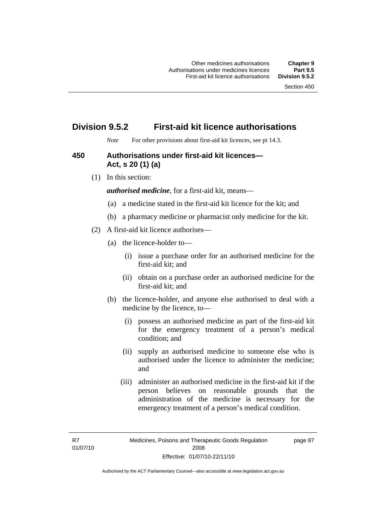## **Division 9.5.2 First-aid kit licence authorisations**

*Note* For other provisions about first-aid kit licences, see pt 14.3.

## **450 Authorisations under first-aid kit licences— Act, s 20 (1) (a)**

(1) In this section:

*authorised medicine*, for a first-aid kit, means—

- (a) a medicine stated in the first-aid kit licence for the kit; and
- (b) a pharmacy medicine or pharmacist only medicine for the kit.
- (2) A first-aid kit licence authorises—
	- (a) the licence-holder to—
		- (i) issue a purchase order for an authorised medicine for the first-aid kit; and
		- (ii) obtain on a purchase order an authorised medicine for the first-aid kit; and
	- (b) the licence-holder, and anyone else authorised to deal with a medicine by the licence, to—
		- (i) possess an authorised medicine as part of the first-aid kit for the emergency treatment of a person's medical condition; and
		- (ii) supply an authorised medicine to someone else who is authorised under the licence to administer the medicine; and
		- (iii) administer an authorised medicine in the first-aid kit if the person believes on reasonable grounds that the administration of the medicine is necessary for the emergency treatment of a person's medical condition.

page 87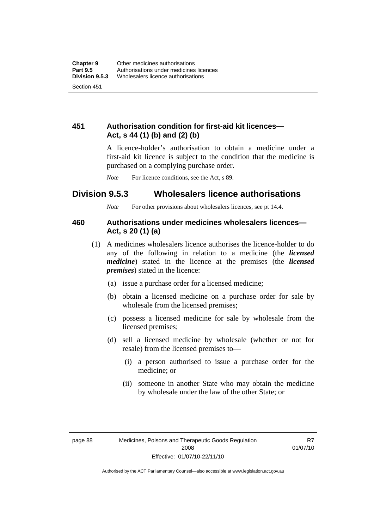## **451 Authorisation condition for first-aid kit licences— Act, s 44 (1) (b) and (2) (b)**

A licence-holder's authorisation to obtain a medicine under a first-aid kit licence is subject to the condition that the medicine is purchased on a complying purchase order.

*Note* For licence conditions, see the Act, s 89.

## **Division 9.5.3 Wholesalers licence authorisations**

*Note* For other provisions about wholesalers licences, see pt 14.4.

## **460 Authorisations under medicines wholesalers licences— Act, s 20 (1) (a)**

- (1) A medicines wholesalers licence authorises the licence-holder to do any of the following in relation to a medicine (the *licensed medicine*) stated in the licence at the premises (the *licensed premises*) stated in the licence:
	- (a) issue a purchase order for a licensed medicine;
	- (b) obtain a licensed medicine on a purchase order for sale by wholesale from the licensed premises;
	- (c) possess a licensed medicine for sale by wholesale from the licensed premises;
	- (d) sell a licensed medicine by wholesale (whether or not for resale) from the licensed premises to—
		- (i) a person authorised to issue a purchase order for the medicine; or
		- (ii) someone in another State who may obtain the medicine by wholesale under the law of the other State; or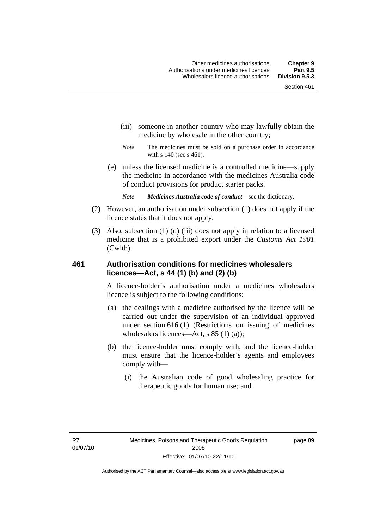- (iii) someone in another country who may lawfully obtain the medicine by wholesale in the other country;
- *Note* The medicines must be sold on a purchase order in accordance with s 140 (see s 461).
- (e) unless the licensed medicine is a controlled medicine—supply the medicine in accordance with the medicines Australia code of conduct provisions for product starter packs.
	- *Note Medicines Australia code of conduct*—see the dictionary.
- (2) However, an authorisation under subsection (1) does not apply if the licence states that it does not apply.
- (3) Also, subsection (1) (d) (iii) does not apply in relation to a licensed medicine that is a prohibited export under the *Customs Act 1901* (Cwlth).

## **461 Authorisation conditions for medicines wholesalers licences—Act, s 44 (1) (b) and (2) (b)**

A licence-holder's authorisation under a medicines wholesalers licence is subject to the following conditions:

- (a) the dealings with a medicine authorised by the licence will be carried out under the supervision of an individual approved under section 616 (1) (Restrictions on issuing of medicines wholesalers licences—Act, s 85 (1) (a));
- (b) the licence-holder must comply with, and the licence-holder must ensure that the licence-holder's agents and employees comply with—
	- (i) the Australian code of good wholesaling practice for therapeutic goods for human use; and

page 89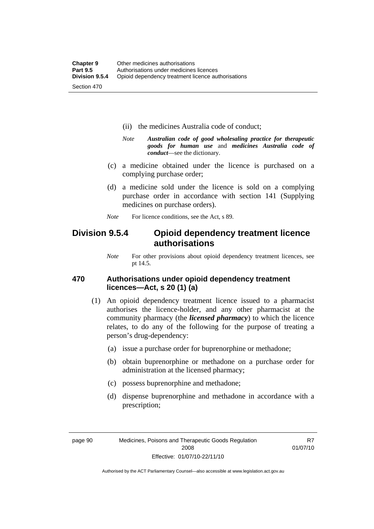- (ii) the medicines Australia code of conduct;
- *Note Australian code of good wholesaling practice for therapeutic goods for human use* and *medicines Australia code of conduct*—see the dictionary.
- (c) a medicine obtained under the licence is purchased on a complying purchase order;
- (d) a medicine sold under the licence is sold on a complying purchase order in accordance with section 141 (Supplying medicines on purchase orders).
- *Note* For licence conditions, see the Act, s 89.

## **Division 9.5.4 Opioid dependency treatment licence authorisations**

*Note* For other provisions about opioid dependency treatment licences, see pt 14.5.

## **470 Authorisations under opioid dependency treatment licences—Act, s 20 (1) (a)**

- (1) An opioid dependency treatment licence issued to a pharmacist authorises the licence-holder, and any other pharmacist at the community pharmacy (the *licensed pharmacy*) to which the licence relates, to do any of the following for the purpose of treating a person's drug-dependency:
	- (a) issue a purchase order for buprenorphine or methadone;
	- (b) obtain buprenorphine or methadone on a purchase order for administration at the licensed pharmacy;
	- (c) possess buprenorphine and methadone;
	- (d) dispense buprenorphine and methadone in accordance with a prescription;

R7 01/07/10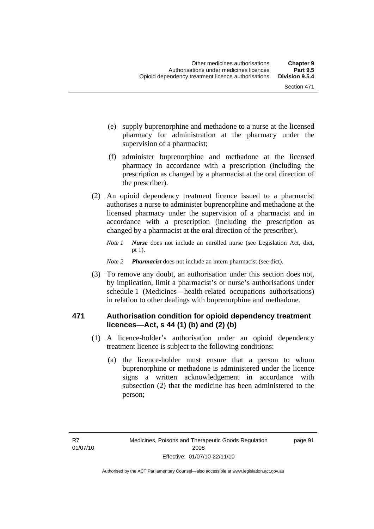- (e) supply buprenorphine and methadone to a nurse at the licensed pharmacy for administration at the pharmacy under the supervision of a pharmacist;
- (f) administer buprenorphine and methadone at the licensed pharmacy in accordance with a prescription (including the prescription as changed by a pharmacist at the oral direction of the prescriber).
- (2) An opioid dependency treatment licence issued to a pharmacist authorises a nurse to administer buprenorphine and methadone at the licensed pharmacy under the supervision of a pharmacist and in accordance with a prescription (including the prescription as changed by a pharmacist at the oral direction of the prescriber).
	- *Note 1 Nurse* does not include an enrolled nurse (see Legislation Act, dict, pt 1).
	- *Note 2 Pharmacist* does not include an intern pharmacist (see dict).
- (3) To remove any doubt, an authorisation under this section does not, by implication, limit a pharmacist's or nurse's authorisations under schedule 1 (Medicines—health-related occupations authorisations) in relation to other dealings with buprenorphine and methadone.

## **471 Authorisation condition for opioid dependency treatment licences—Act, s 44 (1) (b) and (2) (b)**

- (1) A licence-holder's authorisation under an opioid dependency treatment licence is subject to the following conditions:
	- (a) the licence-holder must ensure that a person to whom buprenorphine or methadone is administered under the licence signs a written acknowledgement in accordance with subsection (2) that the medicine has been administered to the person;

page 91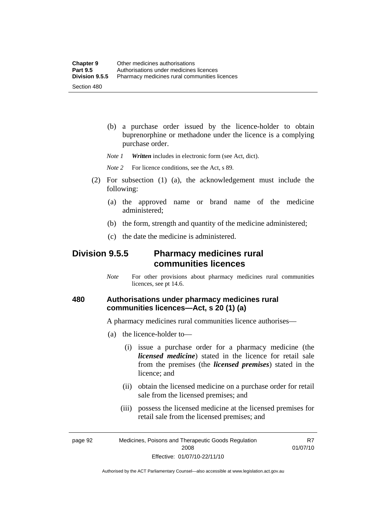(b) a purchase order issued by the licence-holder to obtain buprenorphine or methadone under the licence is a complying purchase order.

*Note 1 Written* includes in electronic form (see Act, dict).

*Note* 2 For licence conditions, see the Act, s 89.

- (2) For subsection (1) (a), the acknowledgement must include the following:
	- (a) the approved name or brand name of the medicine administered;
	- (b) the form, strength and quantity of the medicine administered;
	- (c) the date the medicine is administered.

## **Division 9.5.5 Pharmacy medicines rural communities licences**

*Note* For other provisions about pharmacy medicines rural communities licences, see pt 14.6.

## **480 Authorisations under pharmacy medicines rural communities licences—Act, s 20 (1) (a)**

A pharmacy medicines rural communities licence authorises—

- (a) the licence-holder to—
	- (i) issue a purchase order for a pharmacy medicine (the *licensed medicine*) stated in the licence for retail sale from the premises (the *licensed premises*) stated in the licence; and
	- (ii) obtain the licensed medicine on a purchase order for retail sale from the licensed premises; and
	- (iii) possess the licensed medicine at the licensed premises for retail sale from the licensed premises; and

page 92 Medicines, Poisons and Therapeutic Goods Regulation 2008 Effective: 01/07/10-22/11/10

R7 01/07/10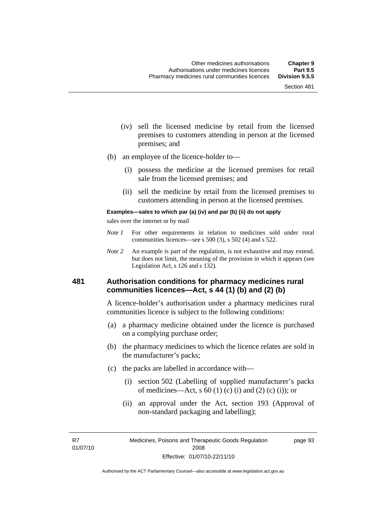- (iv) sell the licensed medicine by retail from the licensed premises to customers attending in person at the licensed premises; and
- (b) an employee of the licence-holder to—
	- (i) possess the medicine at the licensed premises for retail sale from the licensed premises; and
	- (ii) sell the medicine by retail from the licensed premises to customers attending in person at the licensed premises.

#### **Examples—sales to which par (a) (iv) and par (b) (ii) do not apply**

sales over the internet or by mail

- *Note 1* For other requirements in relation to medicines sold under rural communities licences—see s 500 (3), s 502 (4) and s 522.
- *Note 2* An example is part of the regulation, is not exhaustive and may extend, but does not limit, the meaning of the provision in which it appears (see Legislation Act, s 126 and s 132).

### **481 Authorisation conditions for pharmacy medicines rural communities licences—Act, s 44 (1) (b) and (2) (b)**

A licence-holder's authorisation under a pharmacy medicines rural communities licence is subject to the following conditions:

- (a) a pharmacy medicine obtained under the licence is purchased on a complying purchase order;
- (b) the pharmacy medicines to which the licence relates are sold in the manufacturer's packs;
- (c) the packs are labelled in accordance with—
	- (i) section 502 (Labelling of supplied manufacturer's packs of medicines—Act, s  $60(1)$  (c) (i) and (2) (c) (i)); or
	- (ii) an approval under the Act, section 193 (Approval of non-standard packaging and labelling);

R7 01/07/10 page 93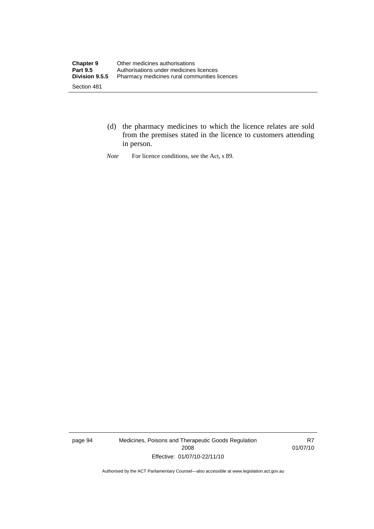- (d) the pharmacy medicines to which the licence relates are sold from the premises stated in the licence to customers attending in person.
- *Note* For licence conditions, see the Act, s 89.

page 94 Medicines, Poisons and Therapeutic Goods Regulation 2008 Effective: 01/07/10-22/11/10

R7 01/07/10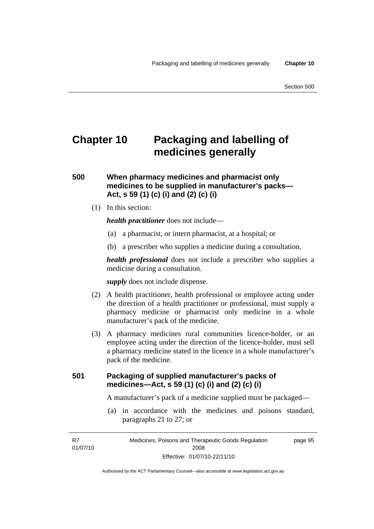# **Chapter 10 Packaging and labelling of medicines generally**

## **500 When pharmacy medicines and pharmacist only medicines to be supplied in manufacturer's packs— Act, s 59 (1) (c) (i) and (2) (c) (i)**

(1) In this section:

*health practitioner* does not include—

- (a) a pharmacist, or intern pharmacist, at a hospital; or
- (b) a prescriber who supplies a medicine during a consultation.

*health professional* does not include a prescriber who supplies a medicine during a consultation.

*supply* does not include dispense.

- (2) A health practitioner, health professional or employee acting under the direction of a health practitioner or professional, must supply a pharmacy medicine or pharmacist only medicine in a whole manufacturer's pack of the medicine.
- (3) A pharmacy medicines rural communities licence-holder, or an employee acting under the direction of the licence-holder, must sell a pharmacy medicine stated in the licence in a whole manufacturer's pack of the medicine.

## **501 Packaging of supplied manufacturer's packs of medicines—Act, s 59 (1) (c) (i) and (2) (c) (i)**

A manufacturer's pack of a medicine supplied must be packaged—

 (a) in accordance with the medicines and poisons standard, paragraphs 21 to 27; or

R7 01/07/10 page 95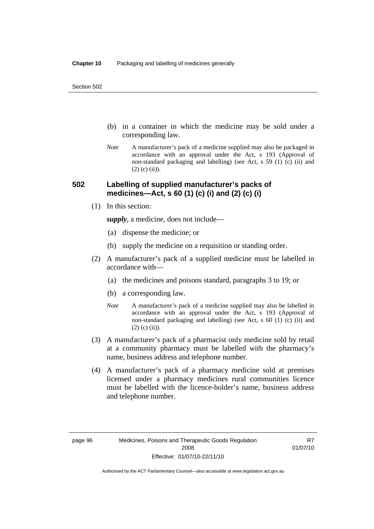- (b) in a container in which the medicine may be sold under a corresponding law.
- *Note* A manufacturer's pack of a medicine supplied may also be packaged in accordance with an approval under the Act, s 193 (Approval of non-standard packaging and labelling) (see Act, s 59 (1) (c) (ii) and  $(2)$  (c) (ii)).

## **502 Labelling of supplied manufacturer's packs of medicines—Act, s 60 (1) (c) (i) and (2) (c) (i)**

(1) In this section:

*supply*, a medicine, does not include—

- (a) dispense the medicine; or
- (b) supply the medicine on a requisition or standing order.
- (2) A manufacturer's pack of a supplied medicine must be labelled in accordance with—
	- (a) the medicines and poisons standard, paragraphs 3 to 19; or
	- (b) a corresponding law.
	- *Note* A manufacturer's pack of a medicine supplied may also be labelled in accordance with an approval under the Act, s 193 (Approval of non-standard packaging and labelling) (see Act, s 60 (1) (c) (ii) and  $(2)$  (c) (ii)).
- (3) A manufacturer's pack of a pharmacist only medicine sold by retail at a community pharmacy must be labelled with the pharmacy's name, business address and telephone number.
- (4) A manufacturer's pack of a pharmacy medicine sold at premises licensed under a pharmacy medicines rural communities licence must be labelled with the licence-holder's name, business address and telephone number.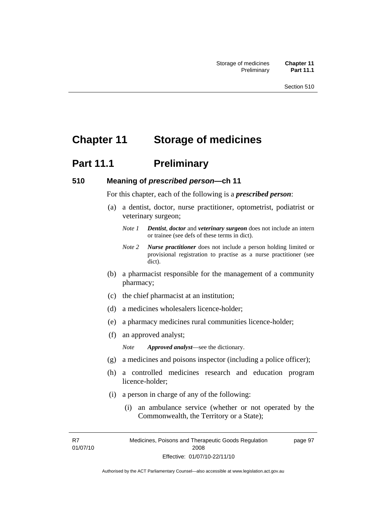# **Chapter 11 Storage of medicines**

# **Part 11.1** Preliminary

#### **510 Meaning of** *prescribed person***—ch 11**

For this chapter, each of the following is a *prescribed person*:

- (a) a dentist, doctor, nurse practitioner, optometrist, podiatrist or veterinary surgeon;
	- *Note 1 Dentist*, *doctor* and *veterinary surgeon* does not include an intern or trainee (see defs of these terms in dict).
	- *Note 2 Nurse practitioner* does not include a person holding limited or provisional registration to practise as a nurse practitioner (see dict).
- (b) a pharmacist responsible for the management of a community pharmacy;
- (c) the chief pharmacist at an institution;
- (d) a medicines wholesalers licence-holder;
- (e) a pharmacy medicines rural communities licence-holder;
- (f) an approved analyst;

*Note Approved analyst*—see the dictionary.

- (g) a medicines and poisons inspector (including a police officer);
- (h) a controlled medicines research and education program licence-holder;
- (i) a person in charge of any of the following:
	- (i) an ambulance service (whether or not operated by the Commonwealth, the Territory or a State);

R7 01/07/10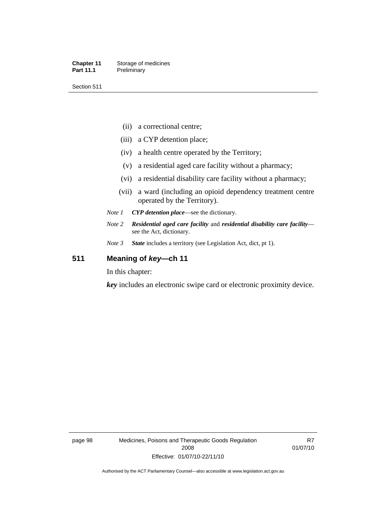- (ii) a correctional centre;
- (iii) a CYP detention place;
- (iv) a health centre operated by the Territory;
- (v) a residential aged care facility without a pharmacy;
- (vi) a residential disability care facility without a pharmacy;
- (vii) a ward (including an opioid dependency treatment centre operated by the Territory).
- *Note 1 CYP detention place*—see the dictionary.
- *Note 2 Residential aged care facility* and *residential disability care facility* see the Act, dictionary.
- *Note 3 State* includes a territory (see Legislation Act, dict, pt 1).

## **511 Meaning of** *key***—ch 11**

In this chapter:

*key* includes an electronic swipe card or electronic proximity device.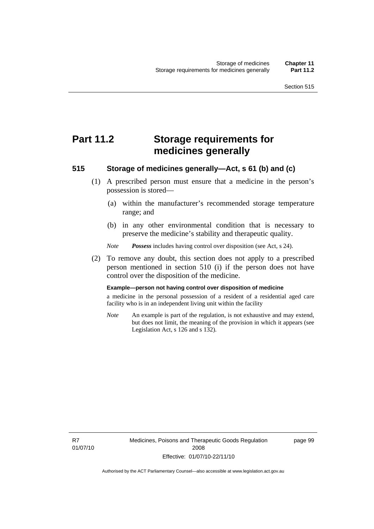# **Part 11.2 Storage requirements for medicines generally**

## **515 Storage of medicines generally—Act, s 61 (b) and (c)**

- (1) A prescribed person must ensure that a medicine in the person's possession is stored—
	- (a) within the manufacturer's recommended storage temperature range; and
	- (b) in any other environmental condition that is necessary to preserve the medicine's stability and therapeutic quality.

*Note Possess* includes having control over disposition (see Act, s 24).

 (2) To remove any doubt, this section does not apply to a prescribed person mentioned in section 510 (i) if the person does not have control over the disposition of the medicine.

#### **Example—person not having control over disposition of medicine**

a medicine in the personal possession of a resident of a residential aged care facility who is in an independent living unit within the facility

*Note* An example is part of the regulation, is not exhaustive and may extend, but does not limit, the meaning of the provision in which it appears (see Legislation Act, s 126 and s 132).

R7 01/07/10 Medicines, Poisons and Therapeutic Goods Regulation 2008 Effective: 01/07/10-22/11/10

page 99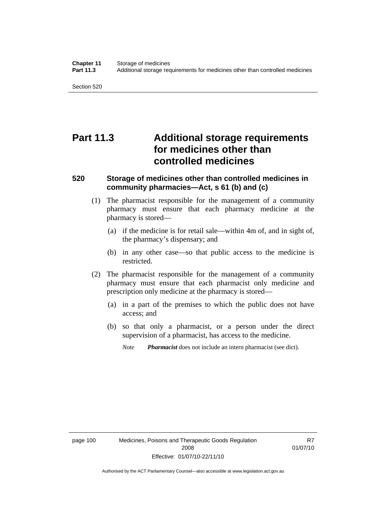Section 520

# **Part 11.3 Additional storage requirements for medicines other than controlled medicines**

## **520 Storage of medicines other than controlled medicines in community pharmacies—Act, s 61 (b) and (c)**

- (1) The pharmacist responsible for the management of a community pharmacy must ensure that each pharmacy medicine at the pharmacy is stored—
	- (a) if the medicine is for retail sale—within 4m of, and in sight of, the pharmacy's dispensary; and
	- (b) in any other case—so that public access to the medicine is restricted.
- (2) The pharmacist responsible for the management of a community pharmacy must ensure that each pharmacist only medicine and prescription only medicine at the pharmacy is stored—
	- (a) in a part of the premises to which the public does not have access; and
	- (b) so that only a pharmacist, or a person under the direct supervision of a pharmacist, has access to the medicine.
		- *Note Pharmacist* does not include an intern pharmacist (see dict).

R7 01/07/10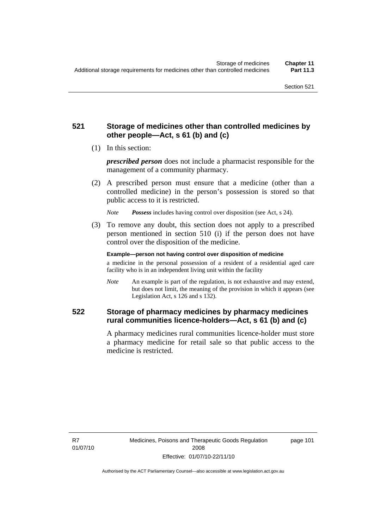## **521 Storage of medicines other than controlled medicines by other people—Act, s 61 (b) and (c)**

(1) In this section:

*prescribed person* does not include a pharmacist responsible for the management of a community pharmacy.

 (2) A prescribed person must ensure that a medicine (other than a controlled medicine) in the person's possession is stored so that public access to it is restricted.

*Note Possess* includes having control over disposition (see Act, s 24).

 (3) To remove any doubt, this section does not apply to a prescribed person mentioned in section 510 (i) if the person does not have control over the disposition of the medicine.

**Example—person not having control over disposition of medicine** 

a medicine in the personal possession of a resident of a residential aged care facility who is in an independent living unit within the facility

*Note* An example is part of the regulation, is not exhaustive and may extend, but does not limit, the meaning of the provision in which it appears (see Legislation Act, s 126 and s 132).

## **522 Storage of pharmacy medicines by pharmacy medicines rural communities licence-holders—Act, s 61 (b) and (c)**

A pharmacy medicines rural communities licence-holder must store a pharmacy medicine for retail sale so that public access to the medicine is restricted.

R7 01/07/10 page 101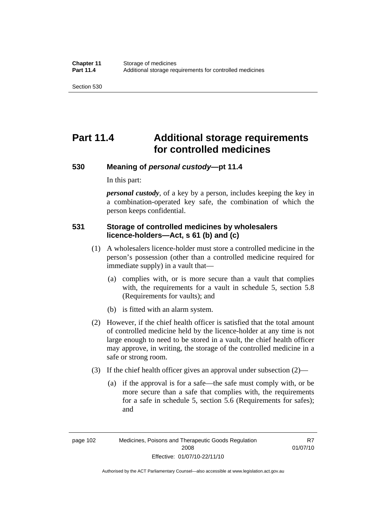Section 530

# **Part 11.4 Additional storage requirements for controlled medicines**

### **530 Meaning of** *personal custody***—pt 11.4**

In this part:

*personal custody*, of a key by a person, includes keeping the key in a combination-operated key safe, the combination of which the person keeps confidential.

## **531 Storage of controlled medicines by wholesalers licence-holders—Act, s 61 (b) and (c)**

- (1) A wholesalers licence-holder must store a controlled medicine in the person's possession (other than a controlled medicine required for immediate supply) in a vault that—
	- (a) complies with, or is more secure than a vault that complies with, the requirements for a vault in schedule 5, section 5.8 (Requirements for vaults); and
	- (b) is fitted with an alarm system.
- (2) However, if the chief health officer is satisfied that the total amount of controlled medicine held by the licence-holder at any time is not large enough to need to be stored in a vault, the chief health officer may approve, in writing, the storage of the controlled medicine in a safe or strong room.
- (3) If the chief health officer gives an approval under subsection (2)—
	- (a) if the approval is for a safe—the safe must comply with, or be more secure than a safe that complies with, the requirements for a safe in schedule 5, section 5.6 (Requirements for safes); and

page 102 Medicines, Poisons and Therapeutic Goods Regulation 2008 Effective: 01/07/10-22/11/10

R7 01/07/10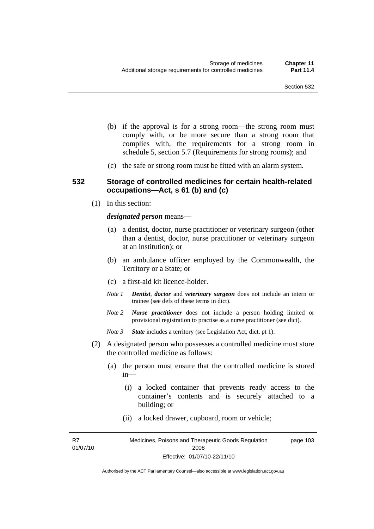- (b) if the approval is for a strong room—the strong room must comply with, or be more secure than a strong room that complies with, the requirements for a strong room in schedule 5, section 5.7 (Requirements for strong rooms); and
- (c) the safe or strong room must be fitted with an alarm system.

### **532 Storage of controlled medicines for certain health-related occupations—Act, s 61 (b) and (c)**

(1) In this section:

#### *designated person* means—

- (a) a dentist, doctor, nurse practitioner or veterinary surgeon (other than a dentist, doctor, nurse practitioner or veterinary surgeon at an institution); or
- (b) an ambulance officer employed by the Commonwealth, the Territory or a State; or
- (c) a first-aid kit licence-holder.
- *Note 1 Dentist*, *doctor* and *veterinary surgeon* does not include an intern or trainee (see defs of these terms in dict).
- *Note 2 Nurse practitioner* does not include a person holding limited or provisional registration to practise as a nurse practitioner (see dict).
- *Note 3 State* includes a territory (see Legislation Act, dict, pt 1).
- (2) A designated person who possesses a controlled medicine must store the controlled medicine as follows:
	- (a) the person must ensure that the controlled medicine is stored in—
		- (i) a locked container that prevents ready access to the container's contents and is securely attached to a building; or
		- (ii) a locked drawer, cupboard, room or vehicle;

R7 01/07/10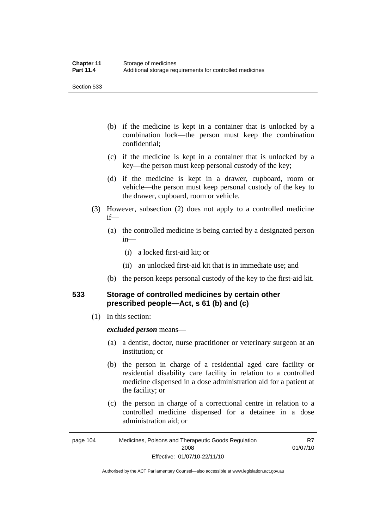Section 533

- (b) if the medicine is kept in a container that is unlocked by a combination lock—the person must keep the combination confidential;
- (c) if the medicine is kept in a container that is unlocked by a key—the person must keep personal custody of the key;
- (d) if the medicine is kept in a drawer, cupboard, room or vehicle—the person must keep personal custody of the key to the drawer, cupboard, room or vehicle.
- (3) However, subsection (2) does not apply to a controlled medicine if—
	- (a) the controlled medicine is being carried by a designated person in—
		- (i) a locked first-aid kit; or
		- (ii) an unlocked first-aid kit that is in immediate use; and
	- (b) the person keeps personal custody of the key to the first-aid kit.

## **533 Storage of controlled medicines by certain other prescribed people—Act, s 61 (b) and (c)**

(1) In this section:

#### *excluded person* means—

- (a) a dentist, doctor, nurse practitioner or veterinary surgeon at an institution; or
- (b) the person in charge of a residential aged care facility or residential disability care facility in relation to a controlled medicine dispensed in a dose administration aid for a patient at the facility; or
- (c) the person in charge of a correctional centre in relation to a controlled medicine dispensed for a detainee in a dose administration aid; or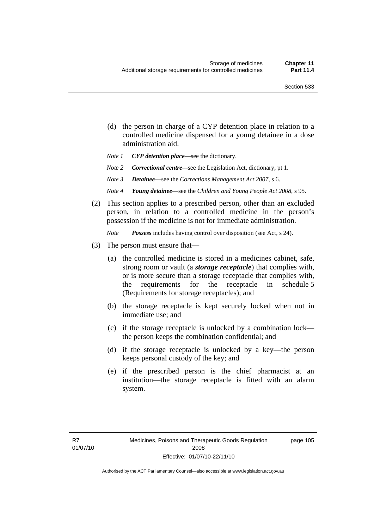- (d) the person in charge of a CYP detention place in relation to a controlled medicine dispensed for a young detainee in a dose administration aid.
- *Note 1 CYP detention place*—see the dictionary.
- *Note 2 Correctional centre—see the Legislation Act, dictionary, pt 1.*
- *Note 3 Detainee*—see the *Corrections Management Act 2007*, s 6.
- *Note 4 Young detainee*—see the *Children and Young People Act 2008*, s 95.
- (2) This section applies to a prescribed person, other than an excluded person, in relation to a controlled medicine in the person's possession if the medicine is not for immediate administration.

*Note Possess* includes having control over disposition (see Act, s 24).

- (3) The person must ensure that—
	- (a) the controlled medicine is stored in a medicines cabinet, safe, strong room or vault (a *storage receptacle*) that complies with, or is more secure than a storage receptacle that complies with, the requirements for the receptacle in schedule 5 (Requirements for storage receptacles); and
	- (b) the storage receptacle is kept securely locked when not in immediate use; and
	- (c) if the storage receptacle is unlocked by a combination lock the person keeps the combination confidential; and
	- (d) if the storage receptacle is unlocked by a key—the person keeps personal custody of the key; and
	- (e) if the prescribed person is the chief pharmacist at an institution—the storage receptacle is fitted with an alarm system.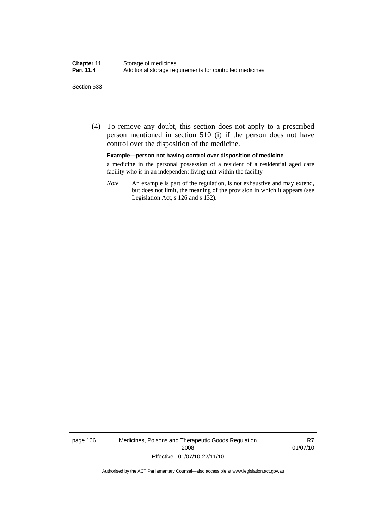#### Section 533

 (4) To remove any doubt, this section does not apply to a prescribed person mentioned in section 510 (i) if the person does not have control over the disposition of the medicine.

#### **Example—person not having control over disposition of medicine**

a medicine in the personal possession of a resident of a residential aged care facility who is in an independent living unit within the facility

*Note* An example is part of the regulation, is not exhaustive and may extend, but does not limit, the meaning of the provision in which it appears (see Legislation Act, s 126 and s 132).

page 106 Medicines, Poisons and Therapeutic Goods Regulation 2008 Effective: 01/07/10-22/11/10

R7 01/07/10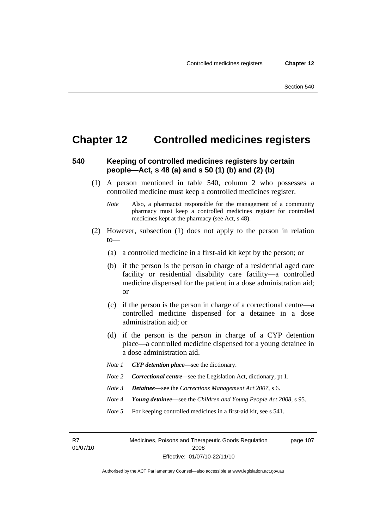## **Chapter 12 Controlled medicines registers**

### **540 Keeping of controlled medicines registers by certain people—Act, s 48 (a) and s 50 (1) (b) and (2) (b)**

- (1) A person mentioned in table 540, column 2 who possesses a controlled medicine must keep a controlled medicines register.
	- *Note* Also, a pharmacist responsible for the management of a community pharmacy must keep a controlled medicines register for controlled medicines kept at the pharmacy (see Act, s 48).
- (2) However, subsection (1) does not apply to the person in relation to—
	- (a) a controlled medicine in a first-aid kit kept by the person; or
	- (b) if the person is the person in charge of a residential aged care facility or residential disability care facility—a controlled medicine dispensed for the patient in a dose administration aid; or
	- (c) if the person is the person in charge of a correctional centre—a controlled medicine dispensed for a detainee in a dose administration aid; or
	- (d) if the person is the person in charge of a CYP detention place—a controlled medicine dispensed for a young detainee in a dose administration aid.
	- *Note 1 CYP detention place*—see the dictionary.
	- *Note 2 Correctional centre*—see the Legislation Act, dictionary, pt 1.
	- *Note 3 Detainee*—see the *Corrections Management Act 2007*, s 6.
	- *Note 4 Young detainee*—see the *Children and Young People Act 2008*, s 95.
	- *Note* 5 For keeping controlled medicines in a first-aid kit, see s 541.

R7 01/07/10 Medicines, Poisons and Therapeutic Goods Regulation 2008 Effective: 01/07/10-22/11/10 page 107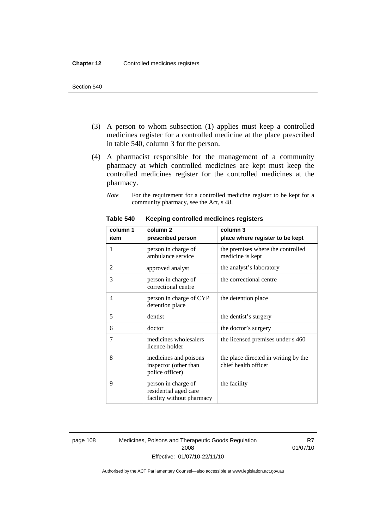- (3) A person to whom subsection (1) applies must keep a controlled medicines register for a controlled medicine at the place prescribed in table 540, column 3 for the person.
- (4) A pharmacist responsible for the management of a community pharmacy at which controlled medicines are kept must keep the controlled medicines register for the controlled medicines at the pharmacy.
	- *Note* For the requirement for a controlled medicine register to be kept for a community pharmacy, see the Act, s 48.

| column 1 | column <sub>2</sub>                                                       | column 3                                                     |
|----------|---------------------------------------------------------------------------|--------------------------------------------------------------|
| item     | prescribed person                                                         | place where register to be kept                              |
| 1        | person in charge of<br>ambulance service                                  | the premises where the controlled<br>medicine is kept        |
| 2        | approved analyst                                                          | the analyst's laboratory                                     |
| 3        | person in charge of<br>correctional centre                                | the correctional centre                                      |
| 4        | person in charge of CYP<br>detention place                                | the detention place                                          |
| 5        | dentist                                                                   | the dentist's surgery                                        |
| 6        | doctor                                                                    | the doctor's surgery                                         |
| 7        | medicines wholesalers<br>licence-holder                                   | the licensed premises under s 460                            |
| 8        | medicines and poisons<br>inspector (other than<br>police officer)         | the place directed in writing by the<br>chief health officer |
| 9        | person in charge of<br>residential aged care<br>facility without pharmacy | the facility                                                 |

#### **Table 540 Keeping controlled medicines registers**

page 108 Medicines, Poisons and Therapeutic Goods Regulation 2008 Effective: 01/07/10-22/11/10

R7 01/07/10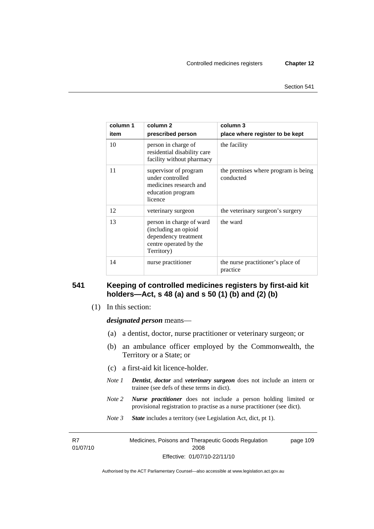| column 1 | column 2                                                                                                         | column 3                                         |
|----------|------------------------------------------------------------------------------------------------------------------|--------------------------------------------------|
| item     | prescribed person                                                                                                | place where register to be kept                  |
| 10       | person in charge of<br>residential disability care<br>facility without pharmacy                                  | the facility                                     |
| 11       | supervisor of program<br>under controlled<br>medicines research and<br>education program<br>licence              | the premises where program is being<br>conducted |
| 12       | veterinary surgeon                                                                                               | the veterinary surgeon's surgery                 |
| 13       | person in charge of ward<br>(including an opioid<br>dependency treatment<br>centre operated by the<br>Territory) | the ward                                         |
| 14       | nurse practitioner                                                                                               | the nurse practitioner's place of<br>practice    |

## **541 Keeping of controlled medicines registers by first-aid kit holders—Act, s 48 (a) and s 50 (1) (b) and (2) (b)**

(1) In this section:

*designated person* means—

- (a) a dentist, doctor, nurse practitioner or veterinary surgeon; or
- (b) an ambulance officer employed by the Commonwealth, the Territory or a State; or
- (c) a first-aid kit licence-holder.
- *Note 1 Dentist*, *doctor* and *veterinary surgeon* does not include an intern or trainee (see defs of these terms in dict).
- *Note 2 Nurse practitioner* does not include a person holding limited or provisional registration to practise as a nurse practitioner (see dict).
- *Note 3 State* includes a territory (see Legislation Act, dict, pt 1).

R7 01/07/10 Medicines, Poisons and Therapeutic Goods Regulation 2008 Effective: 01/07/10-22/11/10 page 109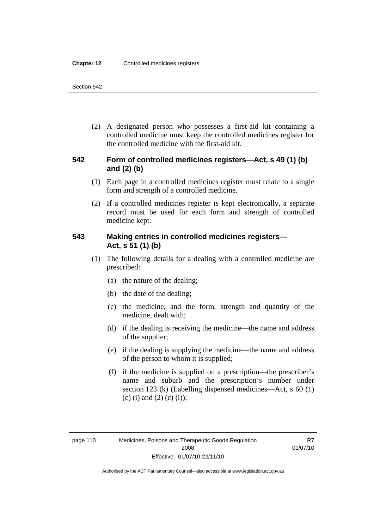(2) A designated person who possesses a first-aid kit containing a controlled medicine must keep the controlled medicines register for the controlled medicine with the first-aid kit.

## **542 Form of controlled medicines registers—Act, s 49 (1) (b) and (2) (b)**

- (1) Each page in a controlled medicines register must relate to a single form and strength of a controlled medicine.
- (2) If a controlled medicines register is kept electronically, a separate record must be used for each form and strength of controlled medicine kept.

## **543 Making entries in controlled medicines registers— Act, s 51 (1) (b)**

- (1) The following details for a dealing with a controlled medicine are prescribed:
	- (a) the nature of the dealing;
	- (b) the date of the dealing;
	- (c) the medicine, and the form, strength and quantity of the medicine, dealt with;
	- (d) if the dealing is receiving the medicine—the name and address of the supplier;
	- (e) if the dealing is supplying the medicine—the name and address of the person to whom it is supplied;
	- (f) if the medicine is supplied on a prescription—the prescriber's name and suburb and the prescription's number under section 123 (k) (Labelling dispensed medicines—Act, s 60 (1) (c) (i) and (2) (c) (i));

R7 01/07/10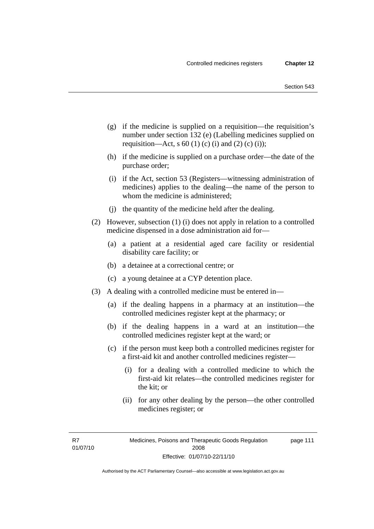- (g) if the medicine is supplied on a requisition—the requisition's number under section 132 (e) (Labelling medicines supplied on requisition—Act, s 60 (1) (c) (i) and (2) (c) (i));
- (h) if the medicine is supplied on a purchase order—the date of the purchase order;
- (i) if the Act, section 53 (Registers—witnessing administration of medicines) applies to the dealing—the name of the person to whom the medicine is administered;
- (j) the quantity of the medicine held after the dealing.
- (2) However, subsection (1) (i) does not apply in relation to a controlled medicine dispensed in a dose administration aid for—
	- (a) a patient at a residential aged care facility or residential disability care facility; or
	- (b) a detainee at a correctional centre; or
	- (c) a young detainee at a CYP detention place.
- (3) A dealing with a controlled medicine must be entered in—
	- (a) if the dealing happens in a pharmacy at an institution—the controlled medicines register kept at the pharmacy; or
	- (b) if the dealing happens in a ward at an institution—the controlled medicines register kept at the ward; or
	- (c) if the person must keep both a controlled medicines register for a first-aid kit and another controlled medicines register—
		- (i) for a dealing with a controlled medicine to which the first-aid kit relates—the controlled medicines register for the kit; or
		- (ii) for any other dealing by the person—the other controlled medicines register; or

R7 01/07/10 page 111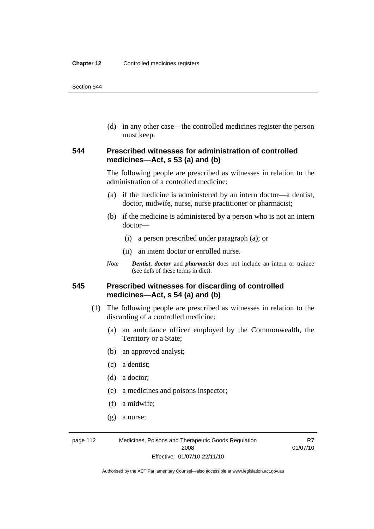(d) in any other case—the controlled medicines register the person must keep.

## **544 Prescribed witnesses for administration of controlled medicines—Act, s 53 (a) and (b)**

The following people are prescribed as witnesses in relation to the administration of a controlled medicine:

- (a) if the medicine is administered by an intern doctor—a dentist, doctor, midwife, nurse, nurse practitioner or pharmacist;
- (b) if the medicine is administered by a person who is not an intern doctor—
	- (i) a person prescribed under paragraph (a); or
	- (ii) an intern doctor or enrolled nurse.
- *Note Dentist*, *doctor* and *pharmacist* does not include an intern or trainee (see defs of these terms in dict).

## **545 Prescribed witnesses for discarding of controlled medicines—Act, s 54 (a) and (b)**

- (1) The following people are prescribed as witnesses in relation to the discarding of a controlled medicine:
	- (a) an ambulance officer employed by the Commonwealth, the Territory or a State;
	- (b) an approved analyst;
	- (c) a dentist;
	- (d) a doctor;
	- (e) a medicines and poisons inspector;
	- (f) a midwife;
	- (g) a nurse;

page 112 Medicines, Poisons and Therapeutic Goods Regulation 2008 Effective: 01/07/10-22/11/10

R7 01/07/10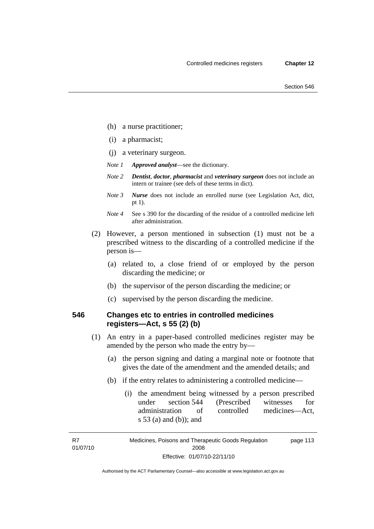- (h) a nurse practitioner;
- (i) a pharmacist;
- (j) a veterinary surgeon.
- *Note 1 Approved analyst*—see the dictionary.
- *Note 2 Dentist*, *doctor*, *pharmacist* and *veterinary surgeon* does not include an intern or trainee (see defs of these terms in dict).
- *Note 3 Nurse* does not include an enrolled nurse (see Legislation Act, dict, pt 1).
- *Note 4* See s 390 for the discarding of the residue of a controlled medicine left after administration.
- (2) However, a person mentioned in subsection (1) must not be a prescribed witness to the discarding of a controlled medicine if the person is—
	- (a) related to, a close friend of or employed by the person discarding the medicine; or
	- (b) the supervisor of the person discarding the medicine; or
	- (c) supervised by the person discarding the medicine.

## **546 Changes etc to entries in controlled medicines registers—Act, s 55 (2) (b)**

- (1) An entry in a paper-based controlled medicines register may be amended by the person who made the entry by—
	- (a) the person signing and dating a marginal note or footnote that gives the date of the amendment and the amended details; and
	- (b) if the entry relates to administering a controlled medicine—
		- (i) the amendment being witnessed by a person prescribed under section 544 (Prescribed witnesses for administration of controlled medicines—Act, s 53 (a) and (b)); and

R7 01/07/10

Medicines, Poisons and Therapeutic Goods Regulation 2008 Effective: 01/07/10-22/11/10 page 113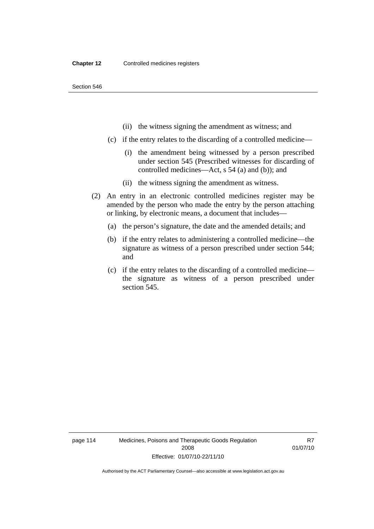- (ii) the witness signing the amendment as witness; and
- (c) if the entry relates to the discarding of a controlled medicine—
	- (i) the amendment being witnessed by a person prescribed under section 545 (Prescribed witnesses for discarding of controlled medicines—Act, s 54 (a) and (b)); and
	- (ii) the witness signing the amendment as witness.
- (2) An entry in an electronic controlled medicines register may be amended by the person who made the entry by the person attaching or linking, by electronic means, a document that includes—
	- (a) the person's signature, the date and the amended details; and
	- (b) if the entry relates to administering a controlled medicine—the signature as witness of a person prescribed under section 544; and
	- (c) if the entry relates to the discarding of a controlled medicine the signature as witness of a person prescribed under section 545.

page 114 Medicines, Poisons and Therapeutic Goods Regulation 2008 Effective: 01/07/10-22/11/10

R7 01/07/10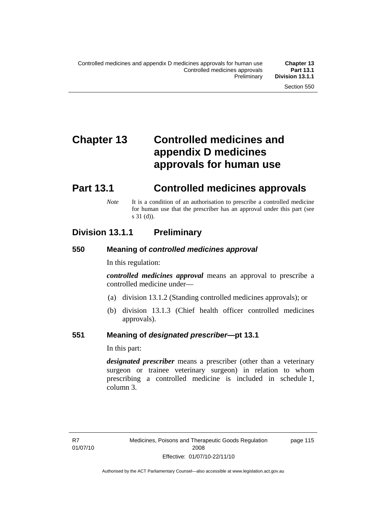# **Chapter 13 Controlled medicines and appendix D medicines approvals for human use**

# **Part 13.1 Controlled medicines approvals**

*Note* It is a condition of an authorisation to prescribe a controlled medicine for human use that the prescriber has an approval under this part (see s 31 (d)).

## **Division 13.1.1 Preliminary**

## **550 Meaning of** *controlled medicines approval*

In this regulation:

*controlled medicines approval* means an approval to prescribe a controlled medicine under—

- (a) division 13.1.2 (Standing controlled medicines approvals); or
- (b) division 13.1.3 (Chief health officer controlled medicines approvals).

## **551 Meaning of** *designated prescriber***—pt 13.1**

In this part:

*designated prescriber* means a prescriber (other than a veterinary surgeon or trainee veterinary surgeon) in relation to whom prescribing a controlled medicine is included in schedule 1, column 3.

page 115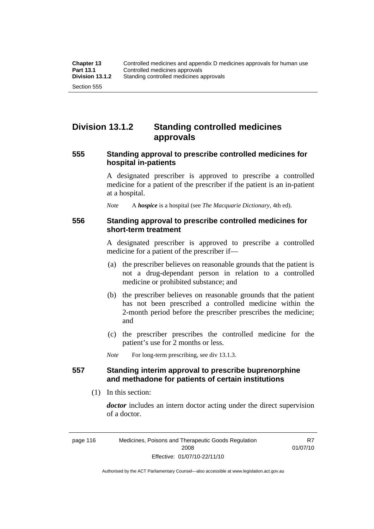## **Division 13.1.2 Standing controlled medicines approvals**

## **555 Standing approval to prescribe controlled medicines for hospital in-patients**

A designated prescriber is approved to prescribe a controlled medicine for a patient of the prescriber if the patient is an in-patient at a hospital.

*Note* A *hospice* is a hospital (see *The Macquarie Dictionary*, 4th ed).

### **556 Standing approval to prescribe controlled medicines for short-term treatment**

A designated prescriber is approved to prescribe a controlled medicine for a patient of the prescriber if—

- (a) the prescriber believes on reasonable grounds that the patient is not a drug-dependant person in relation to a controlled medicine or prohibited substance; and
- (b) the prescriber believes on reasonable grounds that the patient has not been prescribed a controlled medicine within the 2-month period before the prescriber prescribes the medicine; and
- (c) the prescriber prescribes the controlled medicine for the patient's use for 2 months or less.

*Note* For long-term prescribing, see div 13.1.3.

## **557 Standing interim approval to prescribe buprenorphine and methadone for patients of certain institutions**

(1) In this section:

*doctor* includes an intern doctor acting under the direct supervision of a doctor.

R7 01/07/10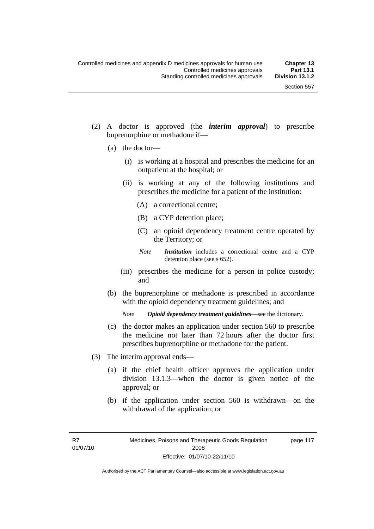- (2) A doctor is approved (the *interim approval*) to prescribe buprenorphine or methadone if—
	- (a) the doctor—
		- (i) is working at a hospital and prescribes the medicine for an outpatient at the hospital; or
		- (ii) is working at any of the following institutions and prescribes the medicine for a patient of the institution:
			- (A) a correctional centre;
			- (B) a CYP detention place;
			- (C) an opioid dependency treatment centre operated by the Territory; or
			- *Note Institution* includes a correctional centre and a CYP detention place (see s 652).
		- (iii) prescribes the medicine for a person in police custody; and
	- (b) the buprenorphine or methadone is prescribed in accordance with the opioid dependency treatment guidelines; and

*Note Opioid dependency treatment guidelines*—see the dictionary.

- (c) the doctor makes an application under section 560 to prescribe the medicine not later than 72 hours after the doctor first prescribes buprenorphine or methadone for the patient.
- (3) The interim approval ends—
	- (a) if the chief health officer approves the application under division 13.1.3—when the doctor is given notice of the approval; or
	- (b) if the application under section 560 is withdrawn—on the withdrawal of the application; or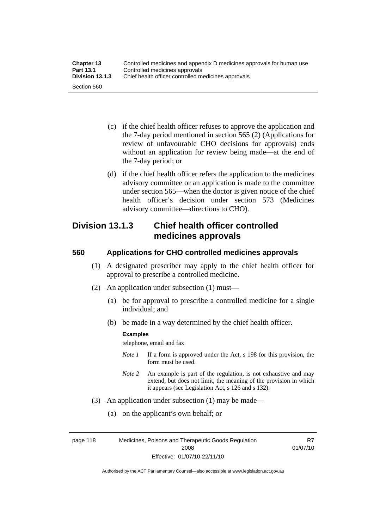| <b>Chapter 13</b> | Controlled medicines and appendix D medicines approvals for human use |  |
|-------------------|-----------------------------------------------------------------------|--|
| <b>Part 13.1</b>  | Controlled medicines approvals                                        |  |
| Division 13.1.3   | Chief health officer controlled medicines approvals                   |  |
| Section 560       |                                                                       |  |

- (c) if the chief health officer refuses to approve the application and the 7-day period mentioned in section 565 (2) (Applications for review of unfavourable CHO decisions for approvals) ends without an application for review being made—at the end of the 7-day period; or
- (d) if the chief health officer refers the application to the medicines advisory committee or an application is made to the committee under section 565—when the doctor is given notice of the chief health officer's decision under section 573 (Medicines advisory committee—directions to CHO).

## **Division 13.1.3 Chief health officer controlled medicines approvals**

## **560 Applications for CHO controlled medicines approvals**

- (1) A designated prescriber may apply to the chief health officer for approval to prescribe a controlled medicine.
- (2) An application under subsection (1) must—
	- (a) be for approval to prescribe a controlled medicine for a single individual; and
	- (b) be made in a way determined by the chief health officer.

#### **Examples**

telephone, email and fax

- *Note 1* If a form is approved under the Act, s 198 for this provision, the form must be used.
- *Note 2* An example is part of the regulation, is not exhaustive and may extend, but does not limit, the meaning of the provision in which it appears (see Legislation Act, s 126 and s 132).
- (3) An application under subsection (1) may be made—
	- (a) on the applicant's own behalf; or

page 118 Medicines, Poisons and Therapeutic Goods Regulation 2008 Effective: 01/07/10-22/11/10

R7 01/07/10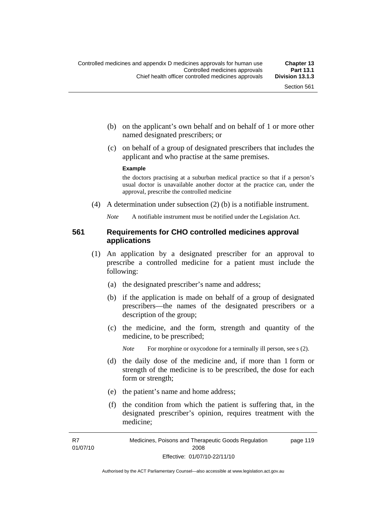- (b) on the applicant's own behalf and on behalf of 1 or more other named designated prescribers; or
- (c) on behalf of a group of designated prescribers that includes the applicant and who practise at the same premises.

#### **Example**

the doctors practising at a suburban medical practice so that if a person's usual doctor is unavailable another doctor at the practice can, under the approval, prescribe the controlled medicine

(4) A determination under subsection (2) (b) is a notifiable instrument.

*Note* A notifiable instrument must be notified under the Legislation Act.

## **561 Requirements for CHO controlled medicines approval applications**

- (1) An application by a designated prescriber for an approval to prescribe a controlled medicine for a patient must include the following:
	- (a) the designated prescriber's name and address;
	- (b) if the application is made on behalf of a group of designated prescribers—the names of the designated prescribers or a description of the group;
	- (c) the medicine, and the form, strength and quantity of the medicine, to be prescribed;

*Note* For morphine or oxycodone for a terminally ill person, see s (2).

- (d) the daily dose of the medicine and, if more than 1 form or strength of the medicine is to be prescribed, the dose for each form or strength;
- (e) the patient's name and home address;
- (f) the condition from which the patient is suffering that, in the designated prescriber's opinion, requires treatment with the medicine;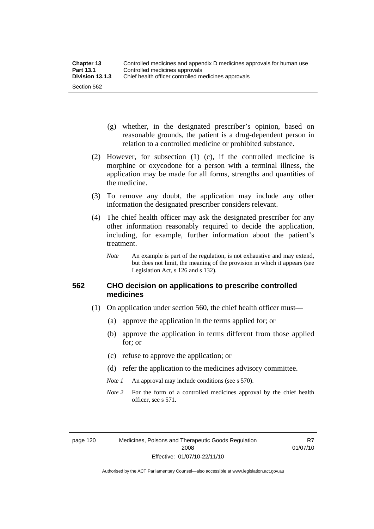- (g) whether, in the designated prescriber's opinion, based on reasonable grounds, the patient is a drug-dependent person in relation to a controlled medicine or prohibited substance.
- (2) However, for subsection (1) (c), if the controlled medicine is morphine or oxycodone for a person with a terminal illness, the application may be made for all forms, strengths and quantities of the medicine.
- (3) To remove any doubt, the application may include any other information the designated prescriber considers relevant.
- (4) The chief health officer may ask the designated prescriber for any other information reasonably required to decide the application, including, for example, further information about the patient's treatment.
	- *Note* An example is part of the regulation, is not exhaustive and may extend, but does not limit, the meaning of the provision in which it appears (see Legislation Act, s 126 and s 132).

## **562 CHO decision on applications to prescribe controlled medicines**

- (1) On application under section 560, the chief health officer must—
	- (a) approve the application in the terms applied for; or
	- (b) approve the application in terms different from those applied for; or
	- (c) refuse to approve the application; or
	- (d) refer the application to the medicines advisory committee.
	- *Note 1* An approval may include conditions (see s 570).
	- *Note* 2 For the form of a controlled medicines approval by the chief health officer, see s 571.

R7 01/07/10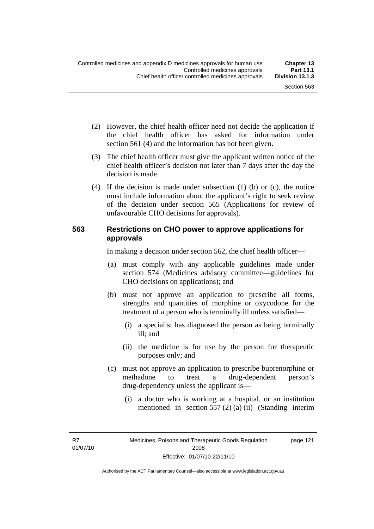- (2) However, the chief health officer need not decide the application if the chief health officer has asked for information under section 561 (4) and the information has not been given.
- (3) The chief health officer must give the applicant written notice of the chief health officer's decision not later than 7 days after the day the decision is made.
- (4) If the decision is made under subsection (1) (b) or (c), the notice must include information about the applicant's right to seek review of the decision under section 565 (Applications for review of unfavourable CHO decisions for approvals).

#### **563 Restrictions on CHO power to approve applications for approvals**

In making a decision under section 562, the chief health officer—

- (a) must comply with any applicable guidelines made under section 574 (Medicines advisory committee—guidelines for CHO decisions on applications); and
- (b) must not approve an application to prescribe all forms, strengths and quantities of morphine or oxycodone for the treatment of a person who is terminally ill unless satisfied—
	- (i) a specialist has diagnosed the person as being terminally ill; and
	- (ii) the medicine is for use by the person for therapeutic purposes only; and
- (c) must not approve an application to prescribe buprenorphine or methadone to treat a drug-dependent person's drug-dependency unless the applicant is—
	- (i) a doctor who is working at a hospital, or an institution mentioned in section 557 (2) (a) (ii) (Standing interim

R7 01/07/10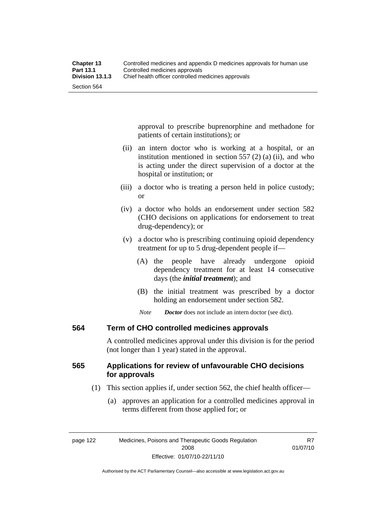approval to prescribe buprenorphine and methadone for patients of certain institutions); or

- (ii) an intern doctor who is working at a hospital, or an institution mentioned in section 557 (2) (a) (ii), and who is acting under the direct supervision of a doctor at the hospital or institution; or
- (iii) a doctor who is treating a person held in police custody; or
- (iv) a doctor who holds an endorsement under section 582 (CHO decisions on applications for endorsement to treat drug-dependency); or
- (v) a doctor who is prescribing continuing opioid dependency treatment for up to 5 drug-dependent people if—
	- (A) the people have already undergone opioid dependency treatment for at least 14 consecutive days (the *initial treatment*); and
	- (B) the initial treatment was prescribed by a doctor holding an endorsement under section 582.
	- *Note Doctor* does not include an intern doctor (see dict).

#### **564 Term of CHO controlled medicines approvals**

A controlled medicines approval under this division is for the period (not longer than 1 year) stated in the approval.

## **565 Applications for review of unfavourable CHO decisions for approvals**

- (1) This section applies if, under section 562, the chief health officer—
	- (a) approves an application for a controlled medicines approval in terms different from those applied for; or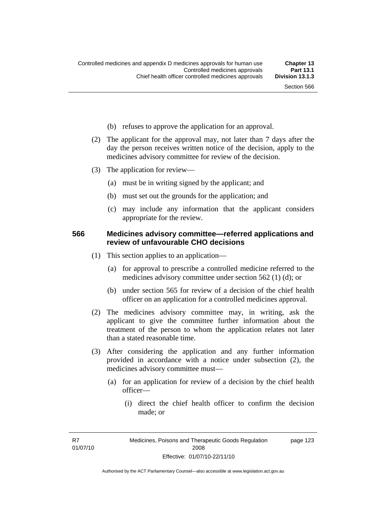- (b) refuses to approve the application for an approval.
- (2) The applicant for the approval may, not later than 7 days after the day the person receives written notice of the decision, apply to the medicines advisory committee for review of the decision.
- (3) The application for review—
	- (a) must be in writing signed by the applicant; and
	- (b) must set out the grounds for the application; and
	- (c) may include any information that the applicant considers appropriate for the review.

#### **566 Medicines advisory committee—referred applications and review of unfavourable CHO decisions**

- (1) This section applies to an application—
	- (a) for approval to prescribe a controlled medicine referred to the medicines advisory committee under section 562 (1) (d); or
	- (b) under section 565 for review of a decision of the chief health officer on an application for a controlled medicines approval.
- (2) The medicines advisory committee may, in writing, ask the applicant to give the committee further information about the treatment of the person to whom the application relates not later than a stated reasonable time.
- (3) After considering the application and any further information provided in accordance with a notice under subsection (2), the medicines advisory committee must—
	- (a) for an application for review of a decision by the chief health officer—
		- (i) direct the chief health officer to confirm the decision made; or

R7 01/07/10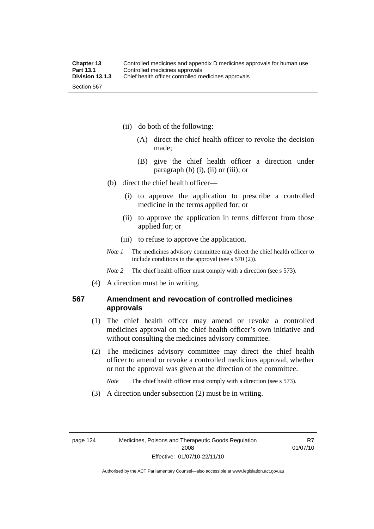- (ii) do both of the following:
	- (A) direct the chief health officer to revoke the decision made;
	- (B) give the chief health officer a direction under paragraph  $(b)$   $(i)$ ,  $(ii)$  or  $(iii)$ ; or
- (b) direct the chief health officer—
	- (i) to approve the application to prescribe a controlled medicine in the terms applied for; or
	- (ii) to approve the application in terms different from those applied for; or
	- (iii) to refuse to approve the application.
- *Note 1* The medicines advisory committee may direct the chief health officer to include conditions in the approval (see s 570 (2)).

*Note* 2 The chief health officer must comply with a direction (see s 573).

(4) A direction must be in writing.

### **567 Amendment and revocation of controlled medicines approvals**

- (1) The chief health officer may amend or revoke a controlled medicines approval on the chief health officer's own initiative and without consulting the medicines advisory committee.
- (2) The medicines advisory committee may direct the chief health officer to amend or revoke a controlled medicines approval, whether or not the approval was given at the direction of the committee.

*Note* The chief health officer must comply with a direction (see s 573).

(3) A direction under subsection (2) must be in writing.

R7 01/07/10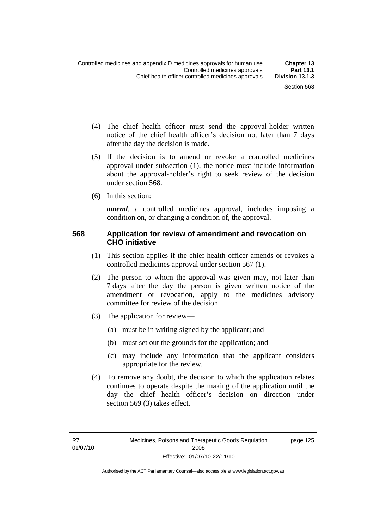page 125

- (4) The chief health officer must send the approval-holder written notice of the chief health officer's decision not later than 7 days after the day the decision is made.
- (5) If the decision is to amend or revoke a controlled medicines approval under subsection (1), the notice must include information about the approval-holder's right to seek review of the decision under section 568.
- (6) In this section:

*amend*, a controlled medicines approval, includes imposing a condition on, or changing a condition of, the approval.

#### **568 Application for review of amendment and revocation on CHO initiative**

- (1) This section applies if the chief health officer amends or revokes a controlled medicines approval under section 567 (1).
- (2) The person to whom the approval was given may, not later than 7 days after the day the person is given written notice of the amendment or revocation, apply to the medicines advisory committee for review of the decision.
- (3) The application for review—
	- (a) must be in writing signed by the applicant; and
	- (b) must set out the grounds for the application; and
	- (c) may include any information that the applicant considers appropriate for the review.
- (4) To remove any doubt, the decision to which the application relates continues to operate despite the making of the application until the day the chief health officer's decision on direction under section 569 (3) takes effect.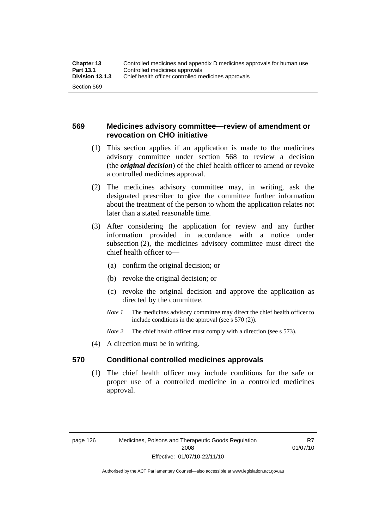## **569 Medicines advisory committee—review of amendment or revocation on CHO initiative**

- (1) This section applies if an application is made to the medicines advisory committee under section 568 to review a decision (the *original decision*) of the chief health officer to amend or revoke a controlled medicines approval.
- (2) The medicines advisory committee may, in writing, ask the designated prescriber to give the committee further information about the treatment of the person to whom the application relates not later than a stated reasonable time.
- (3) After considering the application for review and any further information provided in accordance with a notice under subsection (2), the medicines advisory committee must direct the chief health officer to—
	- (a) confirm the original decision; or
	- (b) revoke the original decision; or
	- (c) revoke the original decision and approve the application as directed by the committee.
	- *Note 1* The medicines advisory committee may direct the chief health officer to include conditions in the approval (see s 570 (2)).
	- *Note* 2 The chief health officer must comply with a direction (see s 573).
- (4) A direction must be in writing.

#### **570 Conditional controlled medicines approvals**

 (1) The chief health officer may include conditions for the safe or proper use of a controlled medicine in a controlled medicines approval.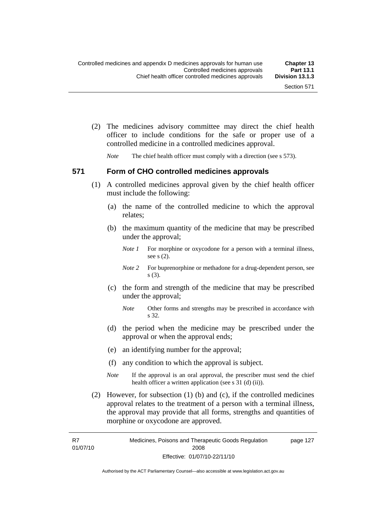(2) The medicines advisory committee may direct the chief health officer to include conditions for the safe or proper use of a controlled medicine in a controlled medicines approval.

*Note* The chief health officer must comply with a direction (see s 573).

#### **571 Form of CHO controlled medicines approvals**

- (1) A controlled medicines approval given by the chief health officer must include the following:
	- (a) the name of the controlled medicine to which the approval relates;
	- (b) the maximum quantity of the medicine that may be prescribed under the approval;
		- *Note 1* For morphine or oxycodone for a person with a terminal illness, see s (2).
		- *Note* 2 For buprenorphine or methadone for a drug-dependent person, see s (3).
	- (c) the form and strength of the medicine that may be prescribed under the approval;
		- *Note* Other forms and strengths may be prescribed in accordance with s 32.
	- (d) the period when the medicine may be prescribed under the approval or when the approval ends;
	- (e) an identifying number for the approval;
	- (f) any condition to which the approval is subject.
	- *Note* If the approval is an oral approval, the prescriber must send the chief health officer a written application (see s  $31$  (d) (ii)).
- (2) However, for subsection (1) (b) and (c), if the controlled medicines approval relates to the treatment of a person with a terminal illness, the approval may provide that all forms, strengths and quantities of morphine or oxycodone are approved.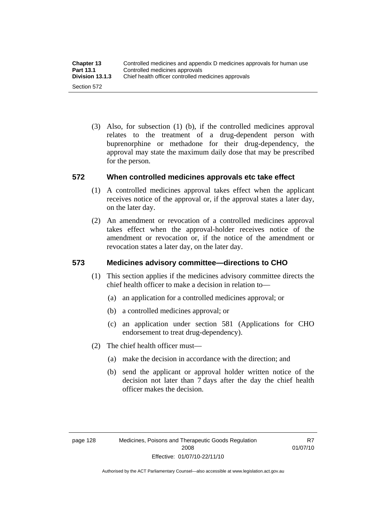(3) Also, for subsection (1) (b), if the controlled medicines approval relates to the treatment of a drug-dependent person with buprenorphine or methadone for their drug-dependency, the approval may state the maximum daily dose that may be prescribed for the person.

## **572 When controlled medicines approvals etc take effect**

- (1) A controlled medicines approval takes effect when the applicant receives notice of the approval or, if the approval states a later day, on the later day.
- (2) An amendment or revocation of a controlled medicines approval takes effect when the approval-holder receives notice of the amendment or revocation or, if the notice of the amendment or revocation states a later day, on the later day.

## **573 Medicines advisory committee—directions to CHO**

- (1) This section applies if the medicines advisory committee directs the chief health officer to make a decision in relation to—
	- (a) an application for a controlled medicines approval; or
	- (b) a controlled medicines approval; or
	- (c) an application under section 581 (Applications for CHO endorsement to treat drug-dependency).
- (2) The chief health officer must—
	- (a) make the decision in accordance with the direction; and
	- (b) send the applicant or approval holder written notice of the decision not later than 7 days after the day the chief health officer makes the decision.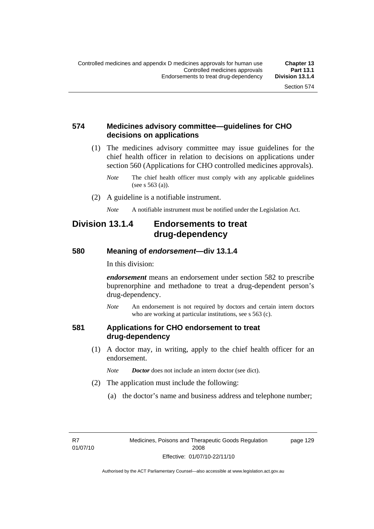### **574 Medicines advisory committee—guidelines for CHO decisions on applications**

 (1) The medicines advisory committee may issue guidelines for the chief health officer in relation to decisions on applications under section 560 (Applications for CHO controlled medicines approvals).

- (2) A guideline is a notifiable instrument.
	- *Note* A notifiable instrument must be notified under the Legislation Act.

## **Division 13.1.4 Endorsements to treat drug-dependency**

#### **580 Meaning of** *endorsement***—div 13.1.4**

In this division:

*endorsement* means an endorsement under section 582 to prescribe buprenorphine and methadone to treat a drug-dependent person's drug-dependency.

*Note* An endorsement is not required by doctors and certain intern doctors who are working at particular institutions, see s 563 (c).

#### **581 Applications for CHO endorsement to treat drug-dependency**

- (1) A doctor may, in writing, apply to the chief health officer for an endorsement.
	- *Note Doctor* does not include an intern doctor (see dict).
- (2) The application must include the following:
	- (a) the doctor's name and business address and telephone number;

R7 01/07/10 page 129

*Note* The chief health officer must comply with any applicable guidelines (see s 563 (a)).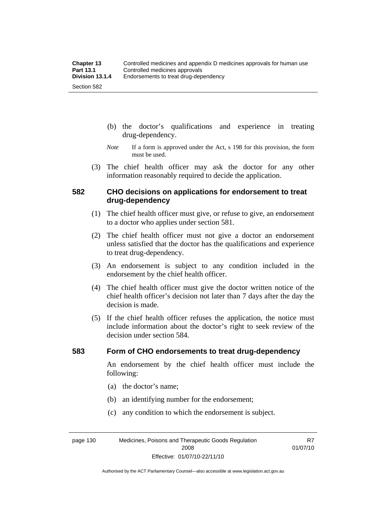- (b) the doctor's qualifications and experience in treating drug-dependency.
- *Note* If a form is approved under the Act, s 198 for this provision, the form must be used.
- (3) The chief health officer may ask the doctor for any other information reasonably required to decide the application.

#### **582 CHO decisions on applications for endorsement to treat drug-dependency**

- (1) The chief health officer must give, or refuse to give, an endorsement to a doctor who applies under section 581.
- (2) The chief health officer must not give a doctor an endorsement unless satisfied that the doctor has the qualifications and experience to treat drug-dependency.
- (3) An endorsement is subject to any condition included in the endorsement by the chief health officer.
- (4) The chief health officer must give the doctor written notice of the chief health officer's decision not later than 7 days after the day the decision is made.
- (5) If the chief health officer refuses the application, the notice must include information about the doctor's right to seek review of the decision under section 584.

#### **583 Form of CHO endorsements to treat drug-dependency**

An endorsement by the chief health officer must include the following:

- (a) the doctor's name;
- (b) an identifying number for the endorsement;
- (c) any condition to which the endorsement is subject.

page 130 Medicines, Poisons and Therapeutic Goods Regulation 2008 Effective: 01/07/10-22/11/10

R7 01/07/10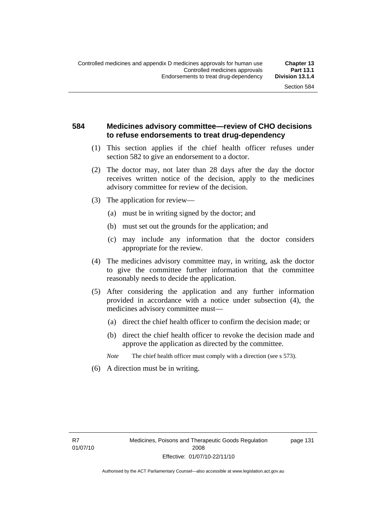### **584 Medicines advisory committee—review of CHO decisions to refuse endorsements to treat drug-dependency**

- (1) This section applies if the chief health officer refuses under section 582 to give an endorsement to a doctor.
- (2) The doctor may, not later than 28 days after the day the doctor receives written notice of the decision, apply to the medicines advisory committee for review of the decision.
- (3) The application for review—
	- (a) must be in writing signed by the doctor; and
	- (b) must set out the grounds for the application; and
	- (c) may include any information that the doctor considers appropriate for the review.
- (4) The medicines advisory committee may, in writing, ask the doctor to give the committee further information that the committee reasonably needs to decide the application.
- (5) After considering the application and any further information provided in accordance with a notice under subsection (4), the medicines advisory committee must—
	- (a) direct the chief health officer to confirm the decision made; or
	- (b) direct the chief health officer to revoke the decision made and approve the application as directed by the committee.

*Note* The chief health officer must comply with a direction (see s 573).

(6) A direction must be in writing.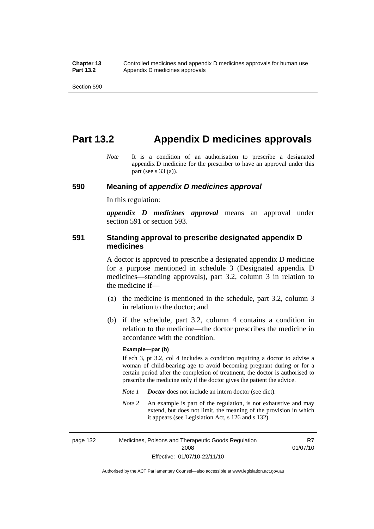## **Part 13.2 Appendix D medicines approvals**

*Note* It is a condition of an authorisation to prescribe a designated appendix D medicine for the prescriber to have an approval under this part (see s 33 (a)).

#### **590 Meaning of** *appendix D medicines approval*

In this regulation:

*appendix D medicines approval* means an approval under section 591 or section 593.

#### **591 Standing approval to prescribe designated appendix D medicines**

A doctor is approved to prescribe a designated appendix D medicine for a purpose mentioned in schedule 3 (Designated appendix D medicines—standing approvals), part 3.2, column 3 in relation to the medicine if—

- (a) the medicine is mentioned in the schedule, part 3.2, column 3 in relation to the doctor; and
- (b) if the schedule, part 3.2, column 4 contains a condition in relation to the medicine—the doctor prescribes the medicine in accordance with the condition.

#### **Example—par (b)**

If sch 3, pt 3.2, col 4 includes a condition requiring a doctor to advise a woman of child-bearing age to avoid becoming pregnant during or for a certain period after the completion of treatment, the doctor is authorised to prescribe the medicine only if the doctor gives the patient the advice.

- *Note 1 Doctor* does not include an intern doctor (see dict).
- *Note 2* An example is part of the regulation, is not exhaustive and may extend, but does not limit, the meaning of the provision in which it appears (see Legislation Act, s 126 and s 132).

page 132 Medicines, Poisons and Therapeutic Goods Regulation 2008 Effective: 01/07/10-22/11/10 R7 01/07/10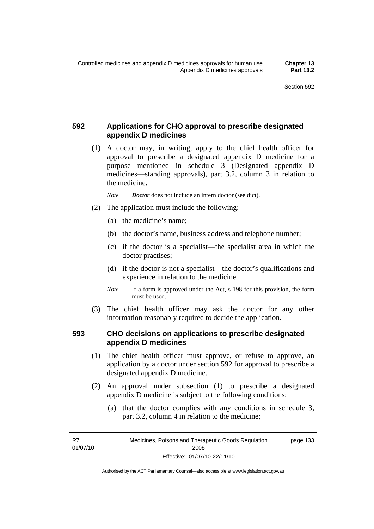## **592 Applications for CHO approval to prescribe designated appendix D medicines**

 (1) A doctor may, in writing, apply to the chief health officer for approval to prescribe a designated appendix D medicine for a purpose mentioned in schedule 3 (Designated appendix D medicines—standing approvals), part 3.2, column 3 in relation to the medicine.

*Note Doctor* does not include an intern doctor (see dict).

- (2) The application must include the following:
	- (a) the medicine's name;
	- (b) the doctor's name, business address and telephone number;
	- (c) if the doctor is a specialist—the specialist area in which the doctor practises;
	- (d) if the doctor is not a specialist—the doctor's qualifications and experience in relation to the medicine.
	- *Note* If a form is approved under the Act, s 198 for this provision, the form must be used.
- (3) The chief health officer may ask the doctor for any other information reasonably required to decide the application.

## **593 CHO decisions on applications to prescribe designated appendix D medicines**

- (1) The chief health officer must approve, or refuse to approve, an application by a doctor under section 592 for approval to prescribe a designated appendix D medicine.
- (2) An approval under subsection (1) to prescribe a designated appendix D medicine is subject to the following conditions:
	- (a) that the doctor complies with any conditions in schedule 3, part 3.2, column 4 in relation to the medicine;

R7 01/07/10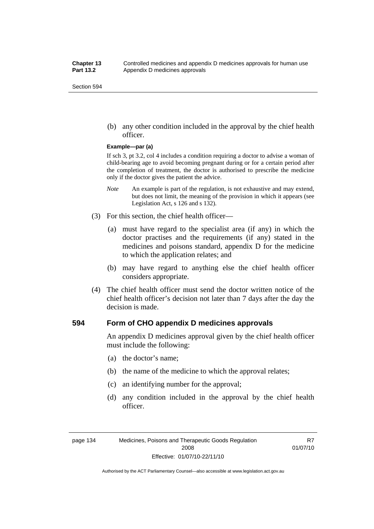(b) any other condition included in the approval by the chief health officer.

#### **Example—par (a)**

If sch 3, pt 3.2, col 4 includes a condition requiring a doctor to advise a woman of child-bearing age to avoid becoming pregnant during or for a certain period after the completion of treatment, the doctor is authorised to prescribe the medicine only if the doctor gives the patient the advice.

- *Note* An example is part of the regulation, is not exhaustive and may extend, but does not limit, the meaning of the provision in which it appears (see Legislation Act, s 126 and s 132).
- (3) For this section, the chief health officer—
	- (a) must have regard to the specialist area (if any) in which the doctor practises and the requirements (if any) stated in the medicines and poisons standard, appendix D for the medicine to which the application relates; and
	- (b) may have regard to anything else the chief health officer considers appropriate.
- (4) The chief health officer must send the doctor written notice of the chief health officer's decision not later than 7 days after the day the decision is made.

#### **594 Form of CHO appendix D medicines approvals**

An appendix D medicines approval given by the chief health officer must include the following:

- (a) the doctor's name;
- (b) the name of the medicine to which the approval relates;
- (c) an identifying number for the approval;
- (d) any condition included in the approval by the chief health officer.

R7 01/07/10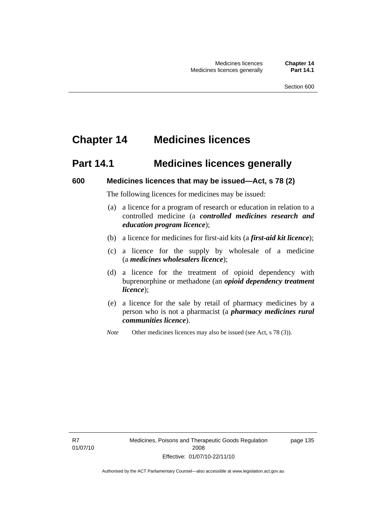# **Chapter 14 Medicines licences**

## **Part 14.1 Medicines licences generally**

#### **600 Medicines licences that may be issued—Act, s 78 (2)**

The following licences for medicines may be issued:

- (a) a licence for a program of research or education in relation to a controlled medicine (a *controlled medicines research and education program licence*);
- (b) a licence for medicines for first-aid kits (a *first-aid kit licence*);
- (c) a licence for the supply by wholesale of a medicine (a *medicines wholesalers licence*);
- (d) a licence for the treatment of opioid dependency with buprenorphine or methadone (an *opioid dependency treatment licence*);
- (e) a licence for the sale by retail of pharmacy medicines by a person who is not a pharmacist (a *pharmacy medicines rural communities licence*).
- *Note* Other medicines licences may also be issued (see Act, s 78 (3)).

R7 01/07/10 Medicines, Poisons and Therapeutic Goods Regulation 2008 Effective: 01/07/10-22/11/10

page 135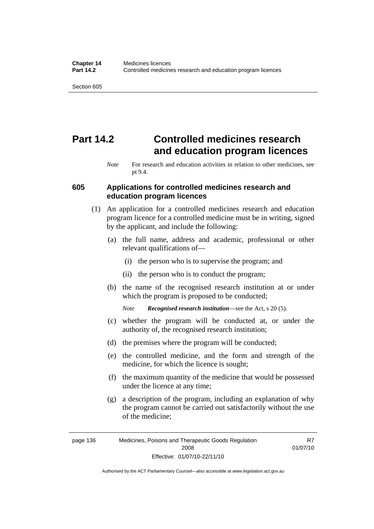# **Part 14.2 Controlled medicines research and education program licences**

#### **605 Applications for controlled medicines research and education program licences**

- (1) An application for a controlled medicines research and education program licence for a controlled medicine must be in writing, signed by the applicant, and include the following:
	- (a) the full name, address and academic, professional or other relevant qualifications of—
		- (i) the person who is to supervise the program; and
		- (ii) the person who is to conduct the program;
	- (b) the name of the recognised research institution at or under which the program is proposed to be conducted;

*Note Recognised research institution*—see the Act, s 20 (5).

- (c) whether the program will be conducted at, or under the authority of, the recognised research institution;
- (d) the premises where the program will be conducted;
- (e) the controlled medicine, and the form and strength of the medicine, for which the licence is sought;
- (f) the maximum quantity of the medicine that would be possessed under the licence at any time;
- (g) a description of the program, including an explanation of why the program cannot be carried out satisfactorily without the use of the medicine;

R7 01/07/10

*Note* For research and education activities in relation to other medicines, see pt 9.4.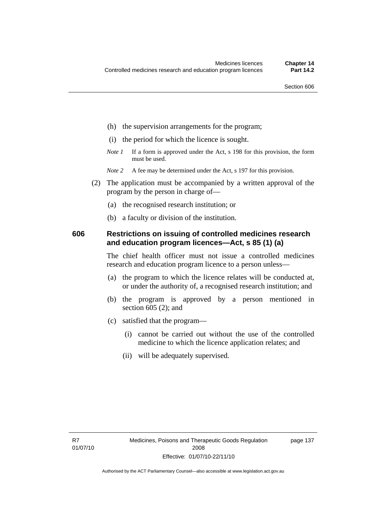- (h) the supervision arrangements for the program;
- (i) the period for which the licence is sought.
- *Note 1* If a form is approved under the Act, s 198 for this provision, the form must be used.
- *Note* 2 A fee may be determined under the Act, s 197 for this provision.
- (2) The application must be accompanied by a written approval of the program by the person in charge of—
	- (a) the recognised research institution; or
	- (b) a faculty or division of the institution.

#### **606 Restrictions on issuing of controlled medicines research and education program licences—Act, s 85 (1) (a)**

The chief health officer must not issue a controlled medicines research and education program licence to a person unless—

- (a) the program to which the licence relates will be conducted at, or under the authority of, a recognised research institution; and
- (b) the program is approved by a person mentioned in section 605 (2); and
- (c) satisfied that the program—
	- (i) cannot be carried out without the use of the controlled medicine to which the licence application relates; and
	- (ii) will be adequately supervised.

page 137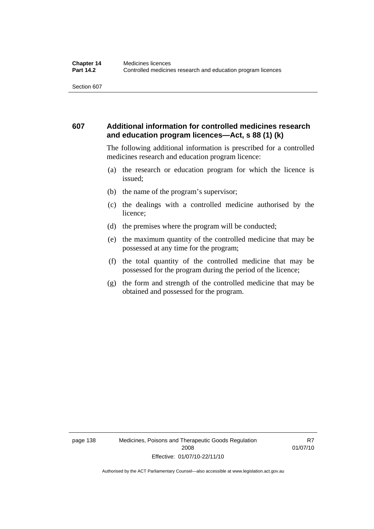### **607 Additional information for controlled medicines research and education program licences—Act, s 88 (1) (k)**

The following additional information is prescribed for a controlled medicines research and education program licence:

- (a) the research or education program for which the licence is issued;
- (b) the name of the program's supervisor;
- (c) the dealings with a controlled medicine authorised by the licence;
- (d) the premises where the program will be conducted;
- (e) the maximum quantity of the controlled medicine that may be possessed at any time for the program;
- (f) the total quantity of the controlled medicine that may be possessed for the program during the period of the licence;
- (g) the form and strength of the controlled medicine that may be obtained and possessed for the program.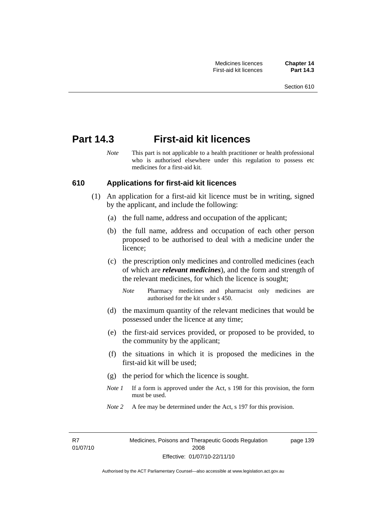## **Part 14.3 First-aid kit licences**

*Note* This part is not applicable to a health practitioner or health professional who is authorised elsewhere under this regulation to possess etc medicines for a first-aid kit.

#### **610 Applications for first-aid kit licences**

- (1) An application for a first-aid kit licence must be in writing, signed by the applicant, and include the following:
	- (a) the full name, address and occupation of the applicant;
	- (b) the full name, address and occupation of each other person proposed to be authorised to deal with a medicine under the licence;
	- (c) the prescription only medicines and controlled medicines (each of which are *relevant medicines*), and the form and strength of the relevant medicines, for which the licence is sought;
		- *Note* Pharmacy medicines and pharmacist only medicines are authorised for the kit under s 450.
	- (d) the maximum quantity of the relevant medicines that would be possessed under the licence at any time;
	- (e) the first-aid services provided, or proposed to be provided, to the community by the applicant;
	- (f) the situations in which it is proposed the medicines in the first-aid kit will be used;
	- (g) the period for which the licence is sought.
	- *Note 1* If a form is approved under the Act, s 198 for this provision, the form must be used.
	- *Note* 2 A fee may be determined under the Act, s 197 for this provision.

R7 01/07/10 page 139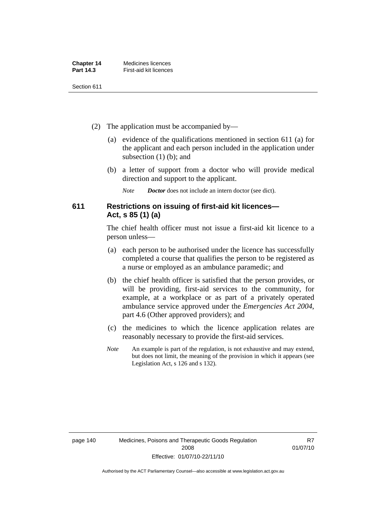| <b>Chapter 14</b> | Medicines licences     |
|-------------------|------------------------|
| <b>Part 14.3</b>  | First-aid kit licences |

- (2) The application must be accompanied by—
	- (a) evidence of the qualifications mentioned in section 611 (a) for the applicant and each person included in the application under subsection (1) (b); and
	- (b) a letter of support from a doctor who will provide medical direction and support to the applicant.
		- *Note Doctor* does not include an intern doctor (see dict).

## **611 Restrictions on issuing of first-aid kit licences— Act, s 85 (1) (a)**

The chief health officer must not issue a first-aid kit licence to a person unless—

- (a) each person to be authorised under the licence has successfully completed a course that qualifies the person to be registered as a nurse or employed as an ambulance paramedic; and
- (b) the chief health officer is satisfied that the person provides, or will be providing, first-aid services to the community, for example, at a workplace or as part of a privately operated ambulance service approved under the *Emergencies Act 2004*, part 4.6 (Other approved providers); and
- (c) the medicines to which the licence application relates are reasonably necessary to provide the first-aid services.
- *Note* An example is part of the regulation, is not exhaustive and may extend, but does not limit, the meaning of the provision in which it appears (see Legislation Act, s 126 and s 132).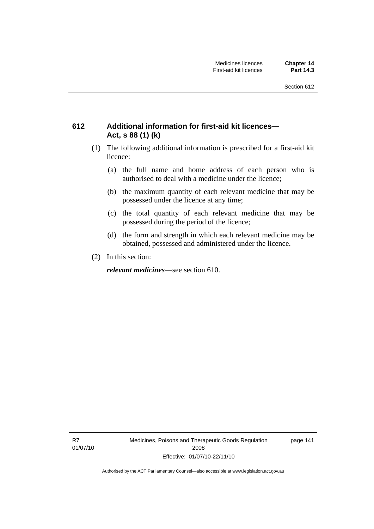## **612 Additional information for first-aid kit licences— Act, s 88 (1) (k)**

- (1) The following additional information is prescribed for a first-aid kit licence:
	- (a) the full name and home address of each person who is authorised to deal with a medicine under the licence;
	- (b) the maximum quantity of each relevant medicine that may be possessed under the licence at any time;
	- (c) the total quantity of each relevant medicine that may be possessed during the period of the licence;
	- (d) the form and strength in which each relevant medicine may be obtained, possessed and administered under the licence.
- (2) In this section:

*relevant medicines*—see section 610.

R7 01/07/10 Medicines, Poisons and Therapeutic Goods Regulation 2008 Effective: 01/07/10-22/11/10

page 141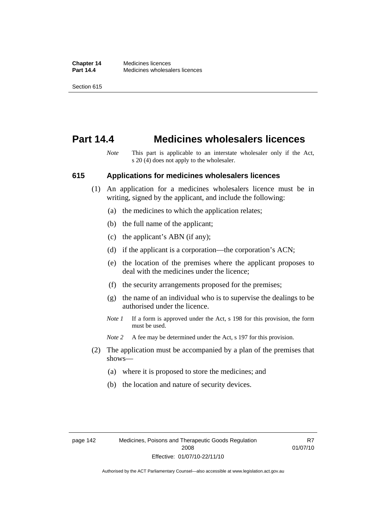## **Part 14.4 Medicines wholesalers licences**

*Note* This part is applicable to an interstate wholesaler only if the Act, s 20 (4) does not apply to the wholesaler.

#### **615 Applications for medicines wholesalers licences**

- (1) An application for a medicines wholesalers licence must be in writing, signed by the applicant, and include the following:
	- (a) the medicines to which the application relates;
	- (b) the full name of the applicant;
	- (c) the applicant's ABN (if any);
	- (d) if the applicant is a corporation—the corporation's ACN;
	- (e) the location of the premises where the applicant proposes to deal with the medicines under the licence;
	- (f) the security arrangements proposed for the premises;
	- (g) the name of an individual who is to supervise the dealings to be authorised under the licence.
	- *Note 1* If a form is approved under the Act, s 198 for this provision, the form must be used.
	- *Note* 2 A fee may be determined under the Act, s 197 for this provision.
- (2) The application must be accompanied by a plan of the premises that shows—
	- (a) where it is proposed to store the medicines; and
	- (b) the location and nature of security devices.

R7 01/07/10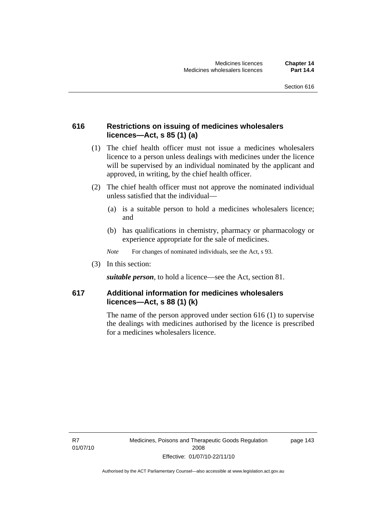### **616 Restrictions on issuing of medicines wholesalers licences—Act, s 85 (1) (a)**

- (1) The chief health officer must not issue a medicines wholesalers licence to a person unless dealings with medicines under the licence will be supervised by an individual nominated by the applicant and approved, in writing, by the chief health officer.
- (2) The chief health officer must not approve the nominated individual unless satisfied that the individual—
	- (a) is a suitable person to hold a medicines wholesalers licence; and
	- (b) has qualifications in chemistry, pharmacy or pharmacology or experience appropriate for the sale of medicines.
	- *Note* For changes of nominated individuals, see the Act, s 93.
- (3) In this section:

*suitable person*, to hold a licence—see the Act, section 81.

## **617 Additional information for medicines wholesalers licences—Act, s 88 (1) (k)**

The name of the person approved under section 616 (1) to supervise the dealings with medicines authorised by the licence is prescribed for a medicines wholesalers licence.

R7 01/07/10 page 143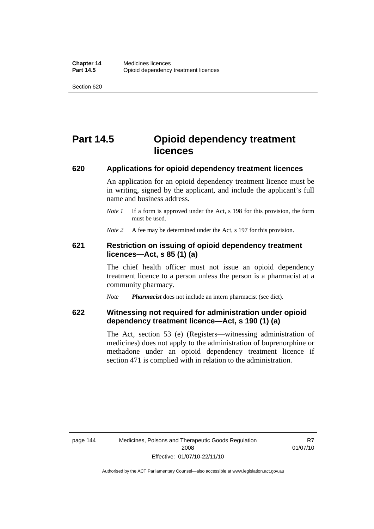# **Part 14.5 Opioid dependency treatment licences**

#### **620 Applications for opioid dependency treatment licences**

An application for an opioid dependency treatment licence must be in writing, signed by the applicant, and include the applicant's full name and business address.

*Note 1* If a form is approved under the Act, s 198 for this provision, the form must be used.

*Note* 2 A fee may be determined under the Act, s 197 for this provision.

#### **621 Restriction on issuing of opioid dependency treatment licences—Act, s 85 (1) (a)**

The chief health officer must not issue an opioid dependency treatment licence to a person unless the person is a pharmacist at a community pharmacy.

*Note Pharmacist* does not include an intern pharmacist (see dict).

#### **622 Witnessing not required for administration under opioid dependency treatment licence—Act, s 190 (1) (a)**

The Act, section 53 (e) (Registers—witnessing administration of medicines) does not apply to the administration of buprenorphine or methadone under an opioid dependency treatment licence if section 471 is complied with in relation to the administration.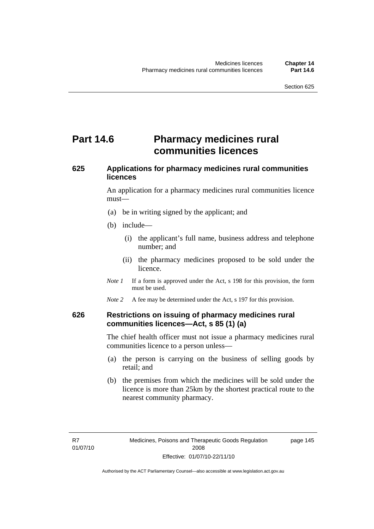# **Part 14.6** Pharmacy medicines rural **communities licences**

## **625 Applications for pharmacy medicines rural communities licences**

An application for a pharmacy medicines rural communities licence must—

- (a) be in writing signed by the applicant; and
- (b) include—
	- (i) the applicant's full name, business address and telephone number; and
	- (ii) the pharmacy medicines proposed to be sold under the licence.
- *Note 1* If a form is approved under the Act, s 198 for this provision, the form must be used.
- *Note* 2 A fee may be determined under the Act, s 197 for this provision.

#### **626 Restrictions on issuing of pharmacy medicines rural communities licences—Act, s 85 (1) (a)**

The chief health officer must not issue a pharmacy medicines rural communities licence to a person unless—

- (a) the person is carrying on the business of selling goods by retail; and
- (b) the premises from which the medicines will be sold under the licence is more than 25km by the shortest practical route to the nearest community pharmacy.

page 145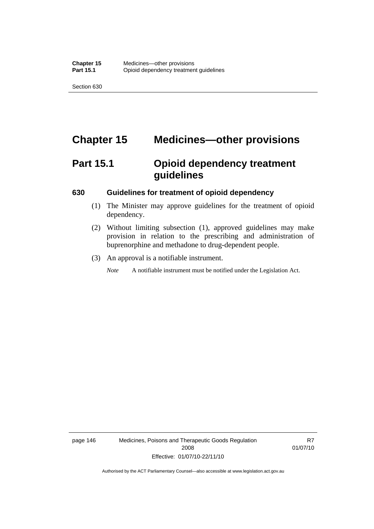# **Chapter 15 Medicines—other provisions**

# **Part 15.1 Opioid dependency treatment guidelines**

#### **630 Guidelines for treatment of opioid dependency**

- (1) The Minister may approve guidelines for the treatment of opioid dependency.
- (2) Without limiting subsection (1), approved guidelines may make provision in relation to the prescribing and administration of buprenorphine and methadone to drug-dependent people.
- (3) An approval is a notifiable instrument.

*Note* A notifiable instrument must be notified under the Legislation Act.

page 146 Medicines, Poisons and Therapeutic Goods Regulation 2008 Effective: 01/07/10-22/11/10

R7 01/07/10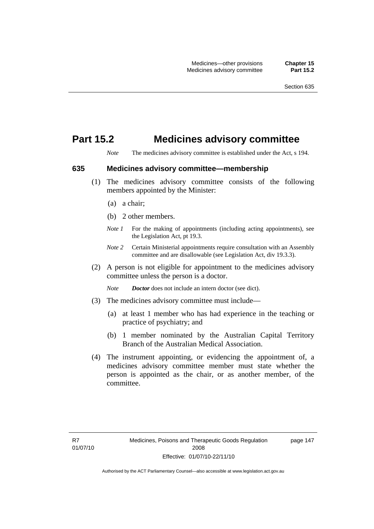## **Part 15.2 Medicines advisory committee**

*Note* The medicines advisory committee is established under the Act, s 194.

#### **635 Medicines advisory committee—membership**

- (1) The medicines advisory committee consists of the following members appointed by the Minister:
	- (a) a chair;
	- (b) 2 other members.
	- *Note 1* For the making of appointments (including acting appointments), see the Legislation Act, pt 19.3.
	- *Note 2* Certain Ministerial appointments require consultation with an Assembly committee and are disallowable (see Legislation Act, div 19.3.3).
- (2) A person is not eligible for appointment to the medicines advisory committee unless the person is a doctor.

*Note Doctor* does not include an intern doctor (see dict).

- (3) The medicines advisory committee must include—
	- (a) at least 1 member who has had experience in the teaching or practice of psychiatry; and
	- (b) 1 member nominated by the Australian Capital Territory Branch of the Australian Medical Association.
- (4) The instrument appointing, or evidencing the appointment of, a medicines advisory committee member must state whether the person is appointed as the chair, or as another member, of the committee.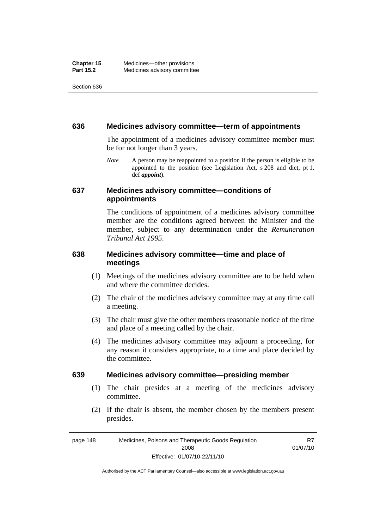#### **636 Medicines advisory committee—term of appointments**

The appointment of a medicines advisory committee member must be for not longer than 3 years.

*Note* A person may be reappointed to a position if the person is eligible to be appointed to the position (see Legislation Act, s 208 and dict, pt 1, def *appoint*).

#### **637 Medicines advisory committee—conditions of appointments**

The conditions of appointment of a medicines advisory committee member are the conditions agreed between the Minister and the member, subject to any determination under the *Remuneration Tribunal Act 1995*.

## **638 Medicines advisory committee—time and place of meetings**

- (1) Meetings of the medicines advisory committee are to be held when and where the committee decides.
- (2) The chair of the medicines advisory committee may at any time call a meeting.
- (3) The chair must give the other members reasonable notice of the time and place of a meeting called by the chair.
- (4) The medicines advisory committee may adjourn a proceeding, for any reason it considers appropriate, to a time and place decided by the committee.

#### **639 Medicines advisory committee—presiding member**

- (1) The chair presides at a meeting of the medicines advisory committee.
- (2) If the chair is absent, the member chosen by the members present presides.

page 148 Medicines, Poisons and Therapeutic Goods Regulation 2008 Effective: 01/07/10-22/11/10 R7 01/07/10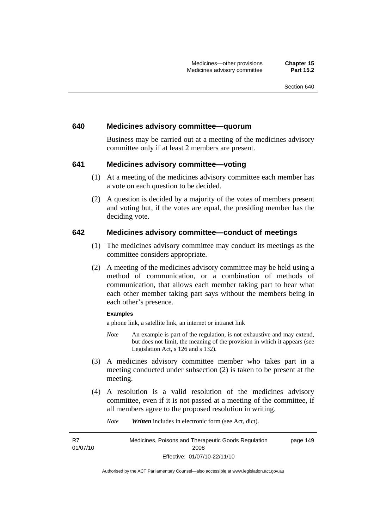#### **640 Medicines advisory committee—quorum**

Business may be carried out at a meeting of the medicines advisory committee only if at least 2 members are present.

#### **641 Medicines advisory committee—voting**

- (1) At a meeting of the medicines advisory committee each member has a vote on each question to be decided.
- (2) A question is decided by a majority of the votes of members present and voting but, if the votes are equal, the presiding member has the deciding vote.

#### **642 Medicines advisory committee—conduct of meetings**

- (1) The medicines advisory committee may conduct its meetings as the committee considers appropriate.
- (2) A meeting of the medicines advisory committee may be held using a method of communication, or a combination of methods of communication, that allows each member taking part to hear what each other member taking part says without the members being in each other's presence.

#### **Examples**

a phone link, a satellite link, an internet or intranet link

- *Note* An example is part of the regulation, is not exhaustive and may extend, but does not limit, the meaning of the provision in which it appears (see Legislation Act, s 126 and s 132).
- (3) A medicines advisory committee member who takes part in a meeting conducted under subsection (2) is taken to be present at the meeting.
- (4) A resolution is a valid resolution of the medicines advisory committee, even if it is not passed at a meeting of the committee, if all members agree to the proposed resolution in writing.

*Note Written* includes in electronic form (see Act, dict).

R7 01/07/10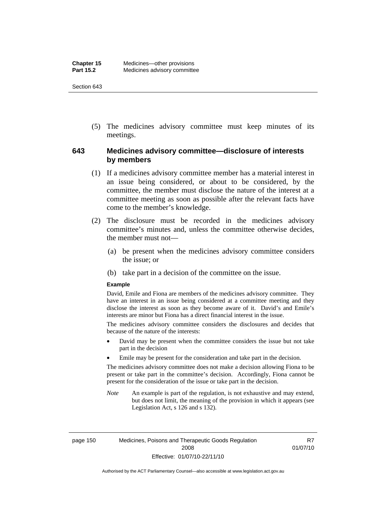(5) The medicines advisory committee must keep minutes of its meetings.

### **643 Medicines advisory committee—disclosure of interests by members**

- (1) If a medicines advisory committee member has a material interest in an issue being considered, or about to be considered, by the committee, the member must disclose the nature of the interest at a committee meeting as soon as possible after the relevant facts have come to the member's knowledge.
- (2) The disclosure must be recorded in the medicines advisory committee's minutes and, unless the committee otherwise decides, the member must not—
	- (a) be present when the medicines advisory committee considers the issue; or
	- (b) take part in a decision of the committee on the issue.

#### **Example**

David, Emile and Fiona are members of the medicines advisory committee. They have an interest in an issue being considered at a committee meeting and they disclose the interest as soon as they become aware of it. David's and Emile's interests are minor but Fiona has a direct financial interest in the issue.

The medicines advisory committee considers the disclosures and decides that because of the nature of the interests:

- David may be present when the committee considers the issue but not take part in the decision
- Emile may be present for the consideration and take part in the decision.

The medicines advisory committee does not make a decision allowing Fiona to be present or take part in the committee's decision. Accordingly, Fiona cannot be present for the consideration of the issue or take part in the decision.

*Note* An example is part of the regulation, is not exhaustive and may extend, but does not limit, the meaning of the provision in which it appears (see Legislation Act, s 126 and s 132).

R7 01/07/10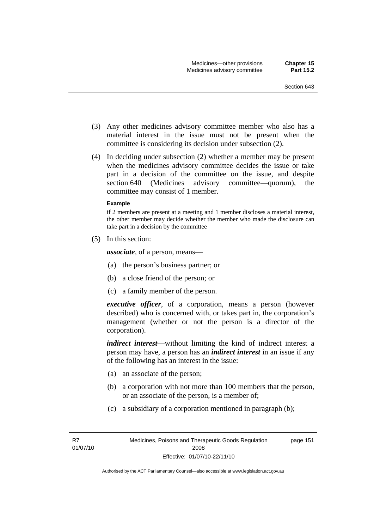- (3) Any other medicines advisory committee member who also has a material interest in the issue must not be present when the committee is considering its decision under subsection (2).
- (4) In deciding under subsection (2) whether a member may be present when the medicines advisory committee decides the issue or take part in a decision of the committee on the issue, and despite section 640 (Medicines advisory committee—quorum), the committee may consist of 1 member.

#### **Example**

if 2 members are present at a meeting and 1 member discloses a material interest, the other member may decide whether the member who made the disclosure can take part in a decision by the committee

(5) In this section:

*associate*, of a person, means—

- (a) the person's business partner; or
- (b) a close friend of the person; or
- (c) a family member of the person.

*executive officer*, of a corporation, means a person (however described) who is concerned with, or takes part in, the corporation's management (whether or not the person is a director of the corporation).

*indirect interest*—without limiting the kind of indirect interest a person may have, a person has an *indirect interest* in an issue if any of the following has an interest in the issue:

- (a) an associate of the person;
- (b) a corporation with not more than 100 members that the person, or an associate of the person, is a member of;
- (c) a subsidiary of a corporation mentioned in paragraph (b);

page 151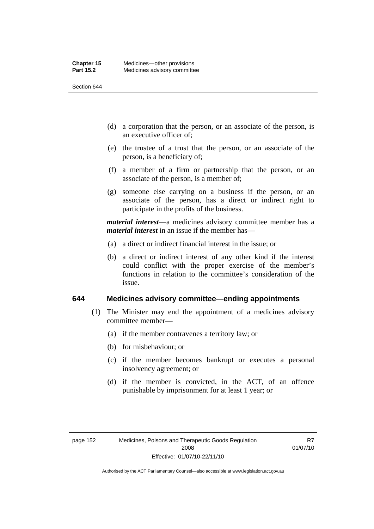- (d) a corporation that the person, or an associate of the person, is an executive officer of;
- (e) the trustee of a trust that the person, or an associate of the person, is a beneficiary of;
- (f) a member of a firm or partnership that the person, or an associate of the person, is a member of;
- (g) someone else carrying on a business if the person, or an associate of the person, has a direct or indirect right to participate in the profits of the business.

*material interest*—a medicines advisory committee member has a *material interest* in an issue if the member has—

- (a) a direct or indirect financial interest in the issue; or
- (b) a direct or indirect interest of any other kind if the interest could conflict with the proper exercise of the member's functions in relation to the committee's consideration of the issue.

#### **644 Medicines advisory committee—ending appointments**

- (1) The Minister may end the appointment of a medicines advisory committee member—
	- (a) if the member contravenes a territory law; or
	- (b) for misbehaviour; or
	- (c) if the member becomes bankrupt or executes a personal insolvency agreement; or
	- (d) if the member is convicted, in the ACT, of an offence punishable by imprisonment for at least 1 year; or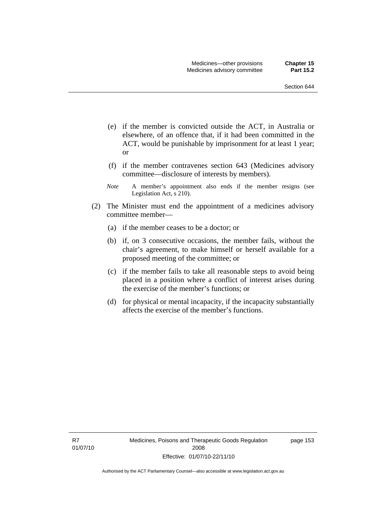- (e) if the member is convicted outside the ACT, in Australia or elsewhere, of an offence that, if it had been committed in the ACT, would be punishable by imprisonment for at least 1 year; or
- (f) if the member contravenes section 643 (Medicines advisory committee—disclosure of interests by members).
- *Note* A member's appointment also ends if the member resigns (see Legislation Act, s 210).
- (2) The Minister must end the appointment of a medicines advisory committee member—
	- (a) if the member ceases to be a doctor; or
	- (b) if, on 3 consecutive occasions, the member fails, without the chair's agreement, to make himself or herself available for a proposed meeting of the committee; or
	- (c) if the member fails to take all reasonable steps to avoid being placed in a position where a conflict of interest arises during the exercise of the member's functions; or
	- (d) for physical or mental incapacity, if the incapacity substantially affects the exercise of the member's functions.

R7 01/07/10 page 153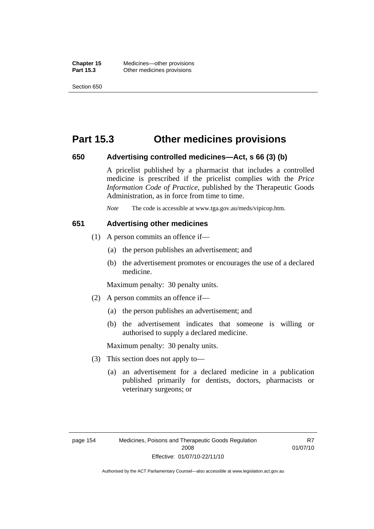## **Part 15.3 Other medicines provisions**

#### **650 Advertising controlled medicines—Act, s 66 (3) (b)**

A pricelist published by a pharmacist that includes a controlled medicine is prescribed if the pricelist complies with the *Price Information Code of Practice*, published by the Therapeutic Goods Administration, as in force from time to time.

*Note* The code is accessible at www.tga.gov.au/meds/vipicop.htm.

#### **651 Advertising other medicines**

- (1) A person commits an offence if—
	- (a) the person publishes an advertisement; and
	- (b) the advertisement promotes or encourages the use of a declared medicine.

Maximum penalty: 30 penalty units.

- (2) A person commits an offence if—
	- (a) the person publishes an advertisement; and
	- (b) the advertisement indicates that someone is willing or authorised to supply a declared medicine.

Maximum penalty: 30 penalty units.

- (3) This section does not apply to—
	- (a) an advertisement for a declared medicine in a publication published primarily for dentists, doctors, pharmacists or veterinary surgeons; or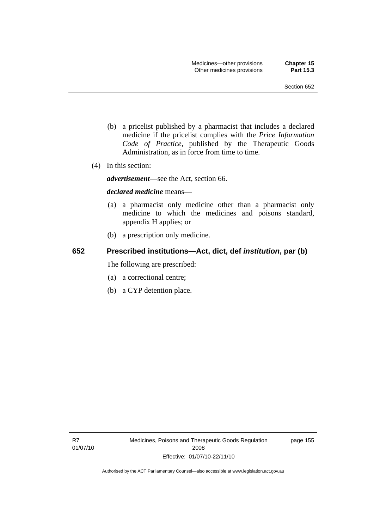- (b) a pricelist published by a pharmacist that includes a declared medicine if the pricelist complies with the *Price Information Code of Practice*, published by the Therapeutic Goods Administration, as in force from time to time.
- (4) In this section:

*advertisement*—see the Act, section 66.

#### *declared medicine* means—

- (a) a pharmacist only medicine other than a pharmacist only medicine to which the medicines and poisons standard, appendix H applies; or
- (b) a prescription only medicine.

## **652 Prescribed institutions—Act, dict, def** *institution***, par (b)**

The following are prescribed:

- (a) a correctional centre;
- (b) a CYP detention place.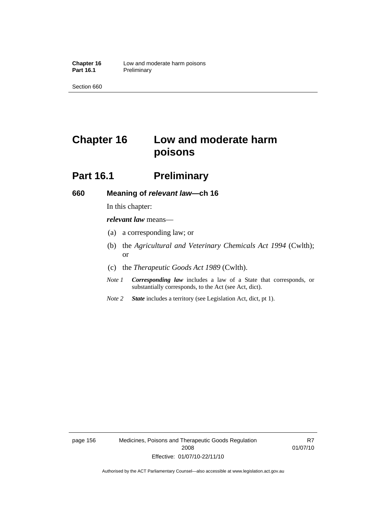# **Chapter 16 Low and moderate harm poisons**

# **Part 16.1** Preliminary

#### **660 Meaning of** *relevant law***—ch 16**

In this chapter:

*relevant law* means—

- (a) a corresponding law; or
- (b) the *Agricultural and Veterinary Chemicals Act 1994* (Cwlth); or
- (c) the *Therapeutic Goods Act 1989* (Cwlth).
- *Note 1 Corresponding law* includes a law of a State that corresponds, or substantially corresponds, to the Act (see Act, dict).
- *Note 2 State* includes a territory (see Legislation Act, dict, pt 1).

page 156 Medicines, Poisons and Therapeutic Goods Regulation 2008 Effective: 01/07/10-22/11/10

R7 01/07/10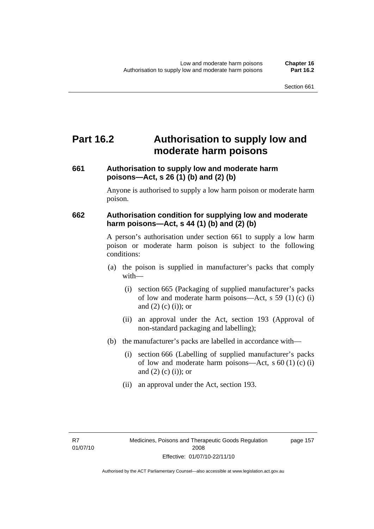# **Part 16.2 Authorisation to supply low and moderate harm poisons**

### **661 Authorisation to supply low and moderate harm poisons—Act, s 26 (1) (b) and (2) (b)**

Anyone is authorised to supply a low harm poison or moderate harm poison.

### **662 Authorisation condition for supplying low and moderate harm poisons—Act, s 44 (1) (b) and (2) (b)**

A person's authorisation under section 661 to supply a low harm poison or moderate harm poison is subject to the following conditions:

- (a) the poison is supplied in manufacturer's packs that comply with—
	- (i) section 665 (Packaging of supplied manufacturer's packs of low and moderate harm poisons—Act, s 59 (1) (c) (i) and  $(2)$  (c) (i)); or
	- (ii) an approval under the Act, section 193 (Approval of non-standard packaging and labelling);
- (b) the manufacturer's packs are labelled in accordance with—
	- (i) section 666 (Labelling of supplied manufacturer's packs of low and moderate harm poisons—Act, s  $60(1)(c)(i)$ and  $(2)$  (c) (i)); or
	- (ii) an approval under the Act, section 193.

page 157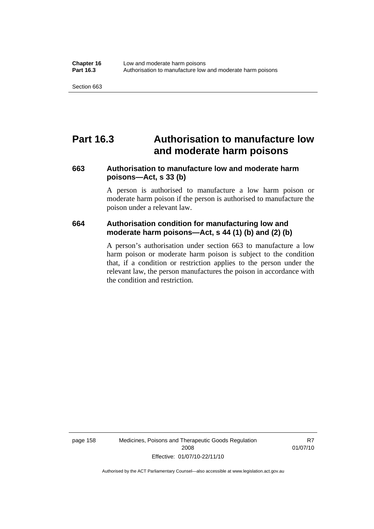### **Part 16.3 Authorisation to manufacture low and moderate harm poisons**

#### **663 Authorisation to manufacture low and moderate harm poisons—Act, s 33 (b)**

A person is authorised to manufacture a low harm poison or moderate harm poison if the person is authorised to manufacture the poison under a relevant law.

#### **664 Authorisation condition for manufacturing low and moderate harm poisons—Act, s 44 (1) (b) and (2) (b)**

A person's authorisation under section 663 to manufacture a low harm poison or moderate harm poison is subject to the condition that, if a condition or restriction applies to the person under the relevant law, the person manufactures the poison in accordance with the condition and restriction.

page 158 Medicines, Poisons and Therapeutic Goods Regulation 2008 Effective: 01/07/10-22/11/10

R7 01/07/10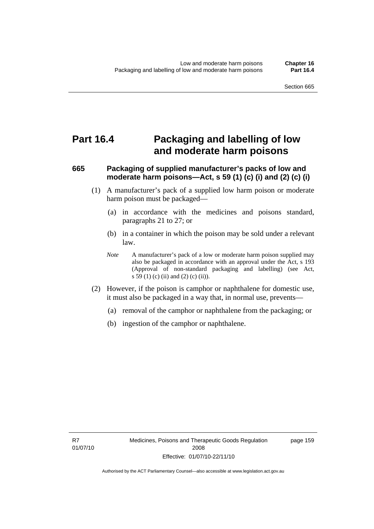### **Part 16.4 Packaging and labelling of low and moderate harm poisons**

#### **665 Packaging of supplied manufacturer's packs of low and moderate harm poisons—Act, s 59 (1) (c) (i) and (2) (c) (i)**

- (1) A manufacturer's pack of a supplied low harm poison or moderate harm poison must be packaged—
	- (a) in accordance with the medicines and poisons standard, paragraphs 21 to 27; or
	- (b) in a container in which the poison may be sold under a relevant law.
	- *Note* A manufacturer's pack of a low or moderate harm poison supplied may also be packaged in accordance with an approval under the Act, s 193 (Approval of non-standard packaging and labelling) (see Act, s 59 (1) (c) (ii) and (2) (c) (ii)).
- (2) However, if the poison is camphor or naphthalene for domestic use, it must also be packaged in a way that, in normal use, prevents—
	- (a) removal of the camphor or naphthalene from the packaging; or
	- (b) ingestion of the camphor or naphthalene.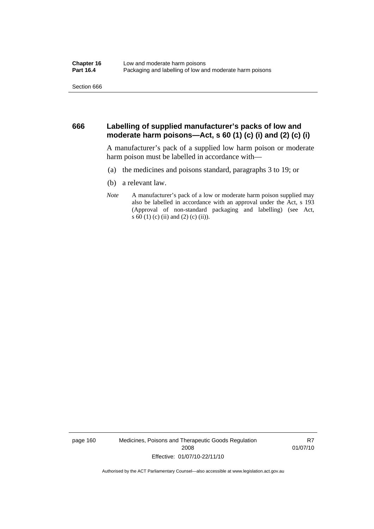#### **666 Labelling of supplied manufacturer's packs of low and moderate harm poisons—Act, s 60 (1) (c) (i) and (2) (c) (i)**

A manufacturer's pack of a supplied low harm poison or moderate harm poison must be labelled in accordance with—

- (a) the medicines and poisons standard, paragraphs 3 to 19; or
- (b) a relevant law.
- *Note* A manufacturer's pack of a low or moderate harm poison supplied may also be labelled in accordance with an approval under the Act, s 193 (Approval of non-standard packaging and labelling) (see Act, s 60 (1) (c) (ii) and (2) (c) (ii)).

page 160 Medicines, Poisons and Therapeutic Goods Regulation 2008 Effective: 01/07/10-22/11/10

R7 01/07/10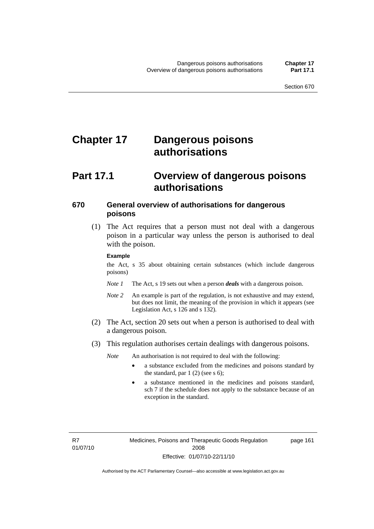# **Chapter 17 Dangerous poisons authorisations**

### **Part 17.1 Overview of dangerous poisons authorisations**

#### **670 General overview of authorisations for dangerous poisons**

 (1) The Act requires that a person must not deal with a dangerous poison in a particular way unless the person is authorised to deal with the poison.

#### **Example**

the Act, s 35 about obtaining certain substances (which include dangerous poisons)

- *Note 1* The Act, s 19 sets out when a person *deals* with a dangerous poison.
- *Note 2* An example is part of the regulation, is not exhaustive and may extend, but does not limit, the meaning of the provision in which it appears (see Legislation Act, s 126 and s 132).
- (2) The Act, section 20 sets out when a person is authorised to deal with a dangerous poison.
- (3) This regulation authorises certain dealings with dangerous poisons.

*Note* An authorisation is not required to deal with the following:

- a substance excluded from the medicines and poisons standard by the standard, par  $1(2)$  (see s 6);
- a substance mentioned in the medicines and poisons standard, sch 7 if the schedule does not apply to the substance because of an exception in the standard.

R7 01/07/10 page 161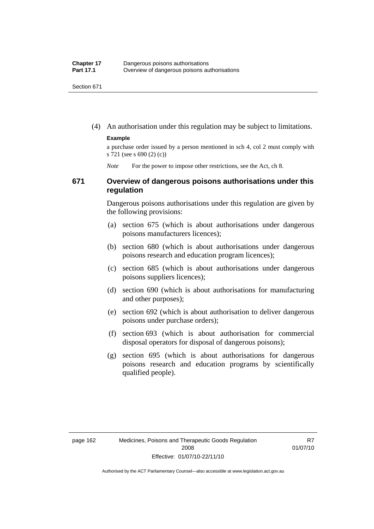(4) An authorisation under this regulation may be subject to limitations.

#### **Example**

a purchase order issued by a person mentioned in sch 4, col 2 must comply with s 721 (see s 690 (2) (c))

*Note* For the power to impose other restrictions, see the Act, ch 8.

#### **671 Overview of dangerous poisons authorisations under this regulation**

Dangerous poisons authorisations under this regulation are given by the following provisions:

- (a) section 675 (which is about authorisations under dangerous poisons manufacturers licences);
- (b) section 680 (which is about authorisations under dangerous poisons research and education program licences);
- (c) section 685 (which is about authorisations under dangerous poisons suppliers licences);
- (d) section 690 (which is about authorisations for manufacturing and other purposes);
- (e) section 692 (which is about authorisation to deliver dangerous poisons under purchase orders);
- (f) section 693 (which is about authorisation for commercial disposal operators for disposal of dangerous poisons);
- (g) section 695 (which is about authorisations for dangerous poisons research and education programs by scientifically qualified people).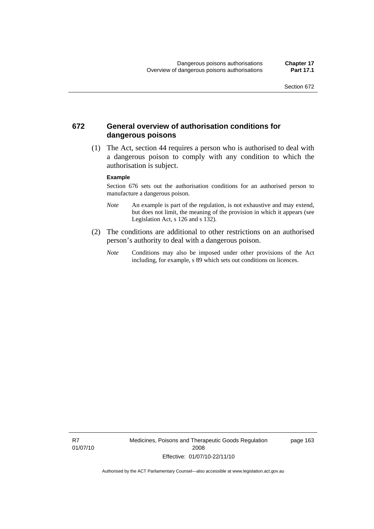#### **672 General overview of authorisation conditions for dangerous poisons**

 (1) The Act, section 44 requires a person who is authorised to deal with a dangerous poison to comply with any condition to which the authorisation is subject.

#### **Example**

Section 676 sets out the authorisation conditions for an authorised person to manufacture a dangerous poison.

- *Note* An example is part of the regulation, is not exhaustive and may extend, but does not limit, the meaning of the provision in which it appears (see Legislation Act, s  $126$  and s  $132$ ).
- (2) The conditions are additional to other restrictions on an authorised person's authority to deal with a dangerous poison.
	- *Note* Conditions may also be imposed under other provisions of the Act including, for example, s 89 which sets out conditions on licences.

R7 01/07/10 Medicines, Poisons and Therapeutic Goods Regulation 2008 Effective: 01/07/10-22/11/10

page 163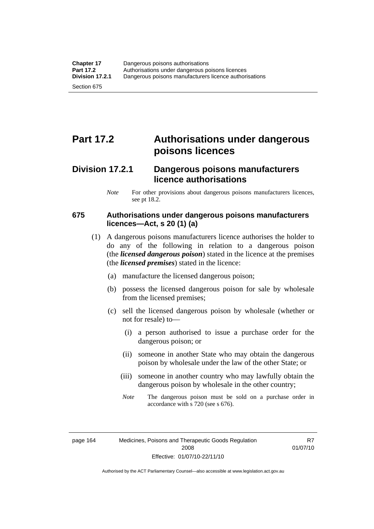# **Part 17.2 Authorisations under dangerous poisons licences**

### **Division 17.2.1 Dangerous poisons manufacturers licence authorisations**

*Note* For other provisions about dangerous poisons manufacturers licences, see pt 18.2.

#### **675 Authorisations under dangerous poisons manufacturers licences—Act, s 20 (1) (a)**

- (1) A dangerous poisons manufacturers licence authorises the holder to do any of the following in relation to a dangerous poison (the *licensed dangerous poison*) stated in the licence at the premises (the *licensed premises*) stated in the licence:
	- (a) manufacture the licensed dangerous poison;
	- (b) possess the licensed dangerous poison for sale by wholesale from the licensed premises;
	- (c) sell the licensed dangerous poison by wholesale (whether or not for resale) to—
		- (i) a person authorised to issue a purchase order for the dangerous poison; or
		- (ii) someone in another State who may obtain the dangerous poison by wholesale under the law of the other State; or
		- (iii) someone in another country who may lawfully obtain the dangerous poison by wholesale in the other country;
		- *Note* The dangerous poison must be sold on a purchase order in accordance with s 720 (see s 676).

R7 01/07/10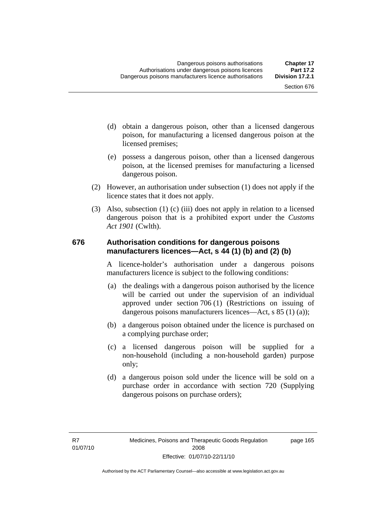- (d) obtain a dangerous poison, other than a licensed dangerous poison, for manufacturing a licensed dangerous poison at the licensed premises;
- (e) possess a dangerous poison, other than a licensed dangerous poison, at the licensed premises for manufacturing a licensed dangerous poison.
- (2) However, an authorisation under subsection (1) does not apply if the licence states that it does not apply.
- (3) Also, subsection (1) (c) (iii) does not apply in relation to a licensed dangerous poison that is a prohibited export under the *Customs Act 1901* (Cwlth).

#### **676 Authorisation conditions for dangerous poisons manufacturers licences—Act, s 44 (1) (b) and (2) (b)**

A licence-holder's authorisation under a dangerous poisons manufacturers licence is subject to the following conditions:

- (a) the dealings with a dangerous poison authorised by the licence will be carried out under the supervision of an individual approved under section 706 (1) (Restrictions on issuing of dangerous poisons manufacturers licences—Act, s 85 (1) (a));
- (b) a dangerous poison obtained under the licence is purchased on a complying purchase order;
- (c) a licensed dangerous poison will be supplied for a non-household (including a non-household garden) purpose only;
- (d) a dangerous poison sold under the licence will be sold on a purchase order in accordance with section 720 (Supplying dangerous poisons on purchase orders);

page 165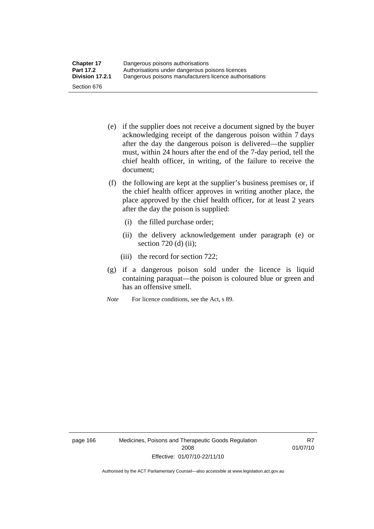- (e) if the supplier does not receive a document signed by the buyer acknowledging receipt of the dangerous poison within 7 days after the day the dangerous poison is delivered—the supplier must, within 24 hours after the end of the 7-day period, tell the chief health officer, in writing, of the failure to receive the document;
- (f) the following are kept at the supplier's business premises or, if the chief health officer approves in writing another place, the place approved by the chief health officer, for at least 2 years after the day the poison is supplied:
	- (i) the filled purchase order;
	- (ii) the delivery acknowledgement under paragraph (e) or section 720 (d) (ii);
	- (iii) the record for section 722;
- (g) if a dangerous poison sold under the licence is liquid containing paraquat—the poison is coloured blue or green and has an offensive smell.
- *Note* For licence conditions, see the Act, s 89.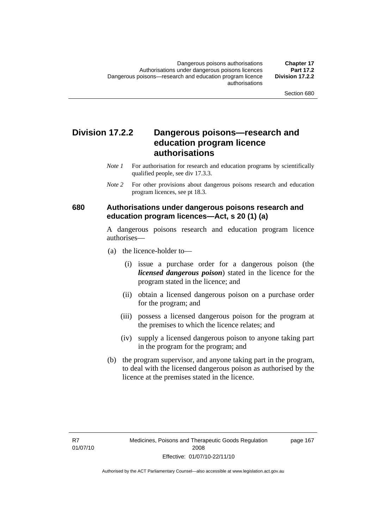### **Division 17.2.2 Dangerous poisons—research and education program licence authorisations**

- *Note 1* For authorisation for research and education programs by scientifically qualified people, see div 17.3.3.
- *Note 2* For other provisions about dangerous poisons research and education program licences, see pt 18.3.

#### **680 Authorisations under dangerous poisons research and education program licences—Act, s 20 (1) (a)**

A dangerous poisons research and education program licence authorises—

- (a) the licence-holder to—
	- (i) issue a purchase order for a dangerous poison (the *licensed dangerous poison*) stated in the licence for the program stated in the licence; and
	- (ii) obtain a licensed dangerous poison on a purchase order for the program; and
	- (iii) possess a licensed dangerous poison for the program at the premises to which the licence relates; and
	- (iv) supply a licensed dangerous poison to anyone taking part in the program for the program; and
- (b) the program supervisor, and anyone taking part in the program, to deal with the licensed dangerous poison as authorised by the licence at the premises stated in the licence.

page 167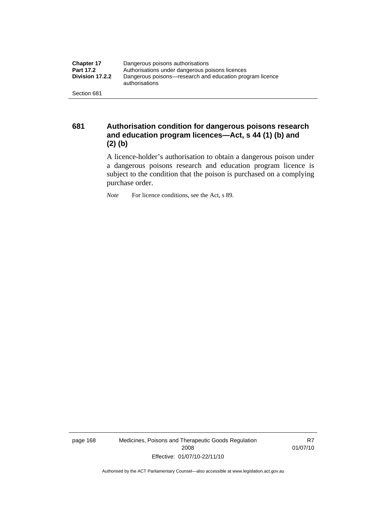| <b>Chapter 17</b> | Dangerous poisons authorisations                                           |  |  |
|-------------------|----------------------------------------------------------------------------|--|--|
| <b>Part 17.2</b>  | Authorisations under dangerous poisons licences                            |  |  |
| Division 17.2.2   | Dangerous poisons—research and education program licence<br>authorisations |  |  |
| Section 681       |                                                                            |  |  |

**681 Authorisation condition for dangerous poisons research and education program licences—Act, s 44 (1) (b) and (2) (b)** 

A licence-holder's authorisation to obtain a dangerous poison under a dangerous poisons research and education program licence is subject to the condition that the poison is purchased on a complying purchase order.

*Note* For licence conditions, see the Act, s 89.

page 168 Medicines, Poisons and Therapeutic Goods Regulation 2008 Effective: 01/07/10-22/11/10

R7 01/07/10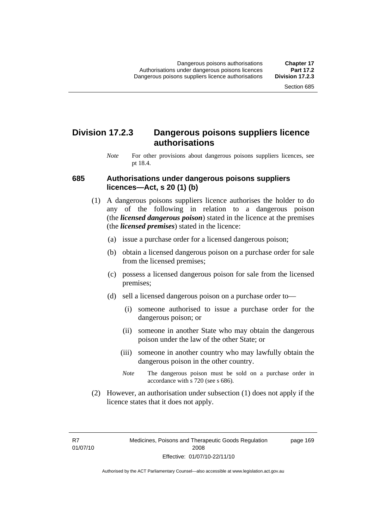### **Division 17.2.3 Dangerous poisons suppliers licence authorisations**

*Note* For other provisions about dangerous poisons suppliers licences, see pt 18.4.

#### **685 Authorisations under dangerous poisons suppliers licences—Act, s 20 (1) (b)**

- (1) A dangerous poisons suppliers licence authorises the holder to do any of the following in relation to a dangerous poison (the *licensed dangerous poison*) stated in the licence at the premises (the *licensed premises*) stated in the licence:
	- (a) issue a purchase order for a licensed dangerous poison;
	- (b) obtain a licensed dangerous poison on a purchase order for sale from the licensed premises;
	- (c) possess a licensed dangerous poison for sale from the licensed premises;
	- (d) sell a licensed dangerous poison on a purchase order to—
		- (i) someone authorised to issue a purchase order for the dangerous poison; or
		- (ii) someone in another State who may obtain the dangerous poison under the law of the other State; or
		- (iii) someone in another country who may lawfully obtain the dangerous poison in the other country.
		- *Note* The dangerous poison must be sold on a purchase order in accordance with s 720 (see s 686).
- (2) However, an authorisation under subsection (1) does not apply if the licence states that it does not apply.

R7 01/07/10 page 169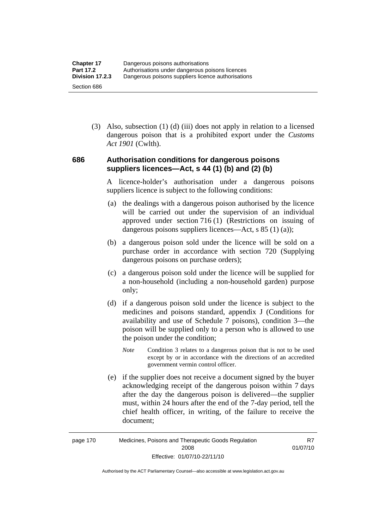(3) Also, subsection (1) (d) (iii) does not apply in relation to a licensed dangerous poison that is a prohibited export under the *Customs Act 1901* (Cwlth).

#### **686 Authorisation conditions for dangerous poisons suppliers licences—Act, s 44 (1) (b) and (2) (b)**

A licence-holder's authorisation under a dangerous poisons suppliers licence is subject to the following conditions:

- (a) the dealings with a dangerous poison authorised by the licence will be carried out under the supervision of an individual approved under section 716 (1) (Restrictions on issuing of dangerous poisons suppliers licences—Act, s 85 (1) (a));
- (b) a dangerous poison sold under the licence will be sold on a purchase order in accordance with section 720 (Supplying dangerous poisons on purchase orders);
- (c) a dangerous poison sold under the licence will be supplied for a non-household (including a non-household garden) purpose only;
- (d) if a dangerous poison sold under the licence is subject to the medicines and poisons standard, appendix J (Conditions for availability and use of Schedule 7 poisons), condition 3—the poison will be supplied only to a person who is allowed to use the poison under the condition;
	- *Note* Condition 3 relates to a dangerous poison that is not to be used except by or in accordance with the directions of an accredited government vermin control officer.
- (e) if the supplier does not receive a document signed by the buyer acknowledging receipt of the dangerous poison within 7 days after the day the dangerous poison is delivered—the supplier must, within 24 hours after the end of the 7-day period, tell the chief health officer, in writing, of the failure to receive the document;

R7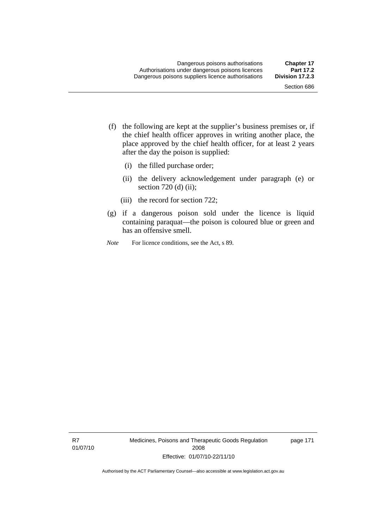- (f) the following are kept at the supplier's business premises or, if the chief health officer approves in writing another place, the place approved by the chief health officer, for at least 2 years after the day the poison is supplied:
	- (i) the filled purchase order;
	- (ii) the delivery acknowledgement under paragraph (e) or section 720 (d) (ii);
	- (iii) the record for section 722;
- (g) if a dangerous poison sold under the licence is liquid containing paraquat—the poison is coloured blue or green and has an offensive smell.
- *Note* For licence conditions, see the Act, s 89.

R7 01/07/10 Medicines, Poisons and Therapeutic Goods Regulation 2008 Effective: 01/07/10-22/11/10

page 171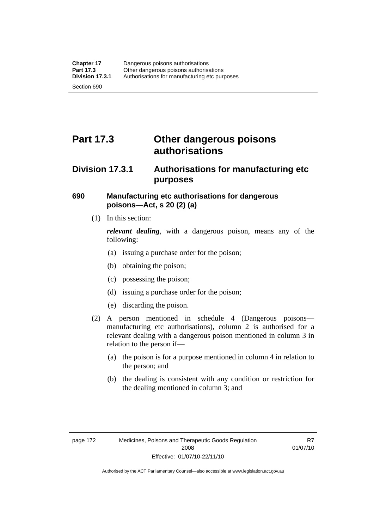# **Part 17.3 Other dangerous poisons authorisations**

### **Division 17.3.1 Authorisations for manufacturing etc purposes**

#### **690 Manufacturing etc authorisations for dangerous poisons—Act, s 20 (2) (a)**

(1) In this section:

*relevant dealing*, with a dangerous poison, means any of the following:

- (a) issuing a purchase order for the poison;
- (b) obtaining the poison;
- (c) possessing the poison;
- (d) issuing a purchase order for the poison;
- (e) discarding the poison.
- (2) A person mentioned in schedule 4 (Dangerous poisons manufacturing etc authorisations), column 2 is authorised for a relevant dealing with a dangerous poison mentioned in column 3 in relation to the person if—
	- (a) the poison is for a purpose mentioned in column 4 in relation to the person; and
	- (b) the dealing is consistent with any condition or restriction for the dealing mentioned in column 3; and

R7 01/07/10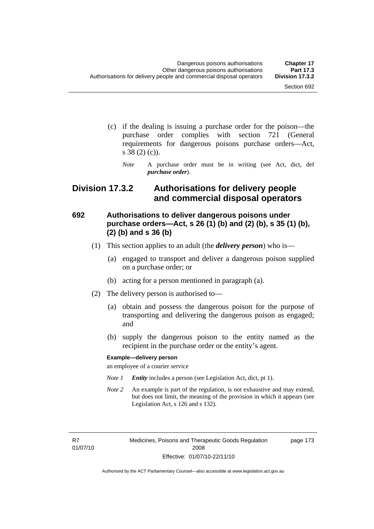- (c) if the dealing is issuing a purchase order for the poison—the purchase order complies with section 721 (General requirements for dangerous poisons purchase orders—Act, s 38 (2) (c)).
	- *Note* A purchase order must be in writing (see Act, dict, def *purchase order*).

### **Division 17.3.2 Authorisations for delivery people and commercial disposal operators**

#### **692 Authorisations to deliver dangerous poisons under purchase orders—Act, s 26 (1) (b) and (2) (b), s 35 (1) (b), (2) (b) and s 36 (b)**

- (1) This section applies to an adult (the *delivery person*) who is—
	- (a) engaged to transport and deliver a dangerous poison supplied on a purchase order; or
	- (b) acting for a person mentioned in paragraph (a).
- (2) The delivery person is authorised to—
	- (a) obtain and possess the dangerous poison for the purpose of transporting and delivering the dangerous poison as engaged; and
	- (b) supply the dangerous poison to the entity named as the recipient in the purchase order or the entity's agent.

#### **Example—delivery person**

an employee of a courier service

- *Note 1 Entity* includes a person (see Legislation Act, dict, pt 1).
- *Note 2* An example is part of the regulation, is not exhaustive and may extend, but does not limit, the meaning of the provision in which it appears (see Legislation Act, s 126 and s 132).

R7 01/07/10 Medicines, Poisons and Therapeutic Goods Regulation 2008 Effective: 01/07/10-22/11/10

page 173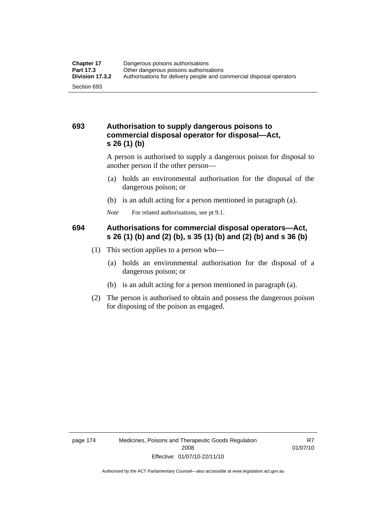#### **693 Authorisation to supply dangerous poisons to commercial disposal operator for disposal—Act, s 26 (1) (b)**

A person is authorised to supply a dangerous poison for disposal to another person if the other person—

- (a) holds an environmental authorisation for the disposal of the dangerous poison; or
- (b) is an adult acting for a person mentioned in paragraph (a).
- *Note* For related authorisations, see pt 9.1.

#### **694 Authorisations for commercial disposal operators—Act, s 26 (1) (b) and (2) (b), s 35 (1) (b) and (2) (b) and s 36 (b)**

- (1) This section applies to a person who—
	- (a) holds an environmental authorisation for the disposal of a dangerous poison; or
	- (b) is an adult acting for a person mentioned in paragraph (a).
- (2) The person is authorised to obtain and possess the dangerous poison for disposing of the poison as engaged.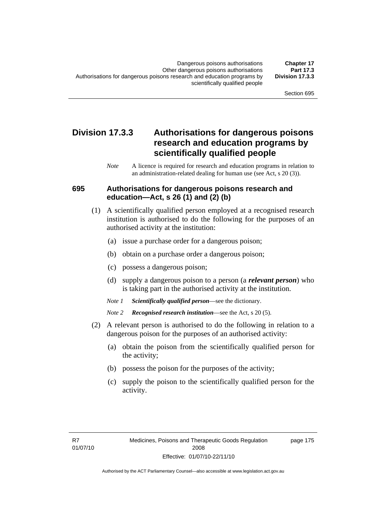### **Division 17.3.3 Authorisations for dangerous poisons research and education programs by scientifically qualified people**

*Note* A licence is required for research and education programs in relation to an administration-related dealing for human use (see Act, s 20 (3)).

#### **695 Authorisations for dangerous poisons research and education—Act, s 26 (1) and (2) (b)**

- (1) A scientifically qualified person employed at a recognised research institution is authorised to do the following for the purposes of an authorised activity at the institution:
	- (a) issue a purchase order for a dangerous poison;
	- (b) obtain on a purchase order a dangerous poison;
	- (c) possess a dangerous poison;
	- (d) supply a dangerous poison to a person (a *relevant person*) who is taking part in the authorised activity at the institution.
	- *Note 1 Scientifically qualified person*—see the dictionary.
	- *Note 2 Recognised research institution*—see the Act, s 20 (5).
- (2) A relevant person is authorised to do the following in relation to a dangerous poison for the purposes of an authorised activity:
	- (a) obtain the poison from the scientifically qualified person for the activity;
	- (b) possess the poison for the purposes of the activity;
	- (c) supply the poison to the scientifically qualified person for the activity.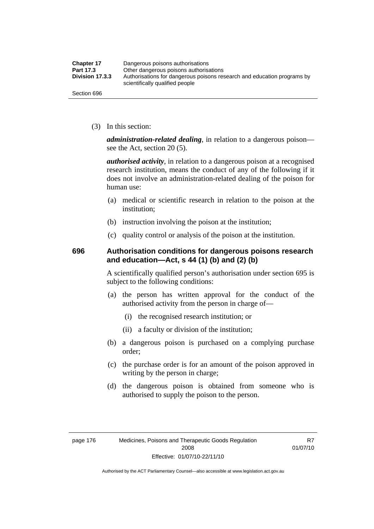| <b>Chapter 17</b> | Dangerous poisons authorisations                                                                           |  |
|-------------------|------------------------------------------------------------------------------------------------------------|--|
| Part 17.3         | Other dangerous poisons authorisations                                                                     |  |
| Division 17.3.3   | Authorisations for dangerous poisons research and education programs by<br>scientifically qualified people |  |
| Section 696       |                                                                                                            |  |

(3) In this section:

*administration-related dealing*, in relation to a dangerous poison see the Act, section 20 (5).

*authorised activity*, in relation to a dangerous poison at a recognised research institution, means the conduct of any of the following if it does not involve an administration-related dealing of the poison for human use:

- (a) medical or scientific research in relation to the poison at the institution;
- (b) instruction involving the poison at the institution;
- (c) quality control or analysis of the poison at the institution.

#### **696 Authorisation conditions for dangerous poisons research and education—Act, s 44 (1) (b) and (2) (b)**

A scientifically qualified person's authorisation under section 695 is subject to the following conditions:

- (a) the person has written approval for the conduct of the authorised activity from the person in charge of—
	- (i) the recognised research institution; or
	- (ii) a faculty or division of the institution;
- (b) a dangerous poison is purchased on a complying purchase order;
- (c) the purchase order is for an amount of the poison approved in writing by the person in charge;
- (d) the dangerous poison is obtained from someone who is authorised to supply the poison to the person.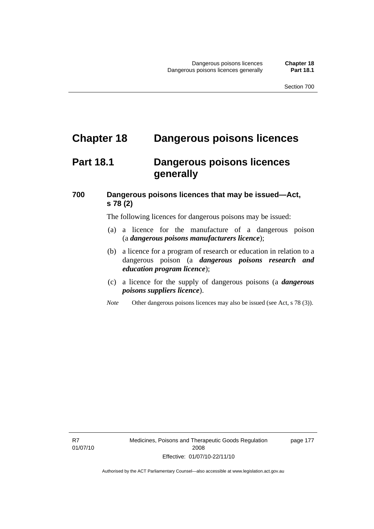## **Chapter 18 Dangerous poisons licences**

### **Part 18.1 Dangerous poisons licences generally**

### **700 Dangerous poisons licences that may be issued—Act, s 78 (2)**

The following licences for dangerous poisons may be issued:

- (a) a licence for the manufacture of a dangerous poison (a *dangerous poisons manufacturers licence*);
- (b) a licence for a program of research or education in relation to a dangerous poison (a *dangerous poisons research and education program licence*);
- (c) a licence for the supply of dangerous poisons (a *dangerous poisons suppliers licence*).
- *Note* Other dangerous poisons licences may also be issued (see Act, s 78 (3)).

R7 01/07/10 Medicines, Poisons and Therapeutic Goods Regulation 2008 Effective: 01/07/10-22/11/10

page 177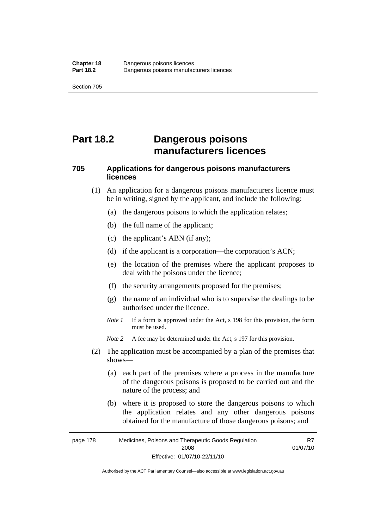# **Part 18.2 Dangerous poisons manufacturers licences**

### **705 Applications for dangerous poisons manufacturers licences**

- (1) An application for a dangerous poisons manufacturers licence must be in writing, signed by the applicant, and include the following:
	- (a) the dangerous poisons to which the application relates;
	- (b) the full name of the applicant;
	- (c) the applicant's ABN (if any);
	- (d) if the applicant is a corporation—the corporation's ACN;
	- (e) the location of the premises where the applicant proposes to deal with the poisons under the licence;
	- (f) the security arrangements proposed for the premises;
	- (g) the name of an individual who is to supervise the dealings to be authorised under the licence.
	- *Note 1* If a form is approved under the Act, s 198 for this provision, the form must be used.
	- *Note* 2 A fee may be determined under the Act, s 197 for this provision.
- (2) The application must be accompanied by a plan of the premises that shows—
	- (a) each part of the premises where a process in the manufacture of the dangerous poisons is proposed to be carried out and the nature of the process; and
	- (b) where it is proposed to store the dangerous poisons to which the application relates and any other dangerous poisons obtained for the manufacture of those dangerous poisons; and

page 178 Medicines, Poisons and Therapeutic Goods Regulation 2008 Effective: 01/07/10-22/11/10 R7 01/07/10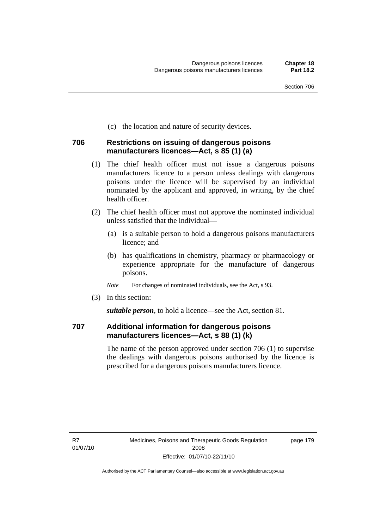(c) the location and nature of security devices.

#### **706 Restrictions on issuing of dangerous poisons manufacturers licences—Act, s 85 (1) (a)**

- (1) The chief health officer must not issue a dangerous poisons manufacturers licence to a person unless dealings with dangerous poisons under the licence will be supervised by an individual nominated by the applicant and approved, in writing, by the chief health officer.
- (2) The chief health officer must not approve the nominated individual unless satisfied that the individual—
	- (a) is a suitable person to hold a dangerous poisons manufacturers licence; and
	- (b) has qualifications in chemistry, pharmacy or pharmacology or experience appropriate for the manufacture of dangerous poisons.
	- *Note* For changes of nominated individuals, see the Act, s 93.
- (3) In this section:

*suitable person*, to hold a licence—see the Act, section 81.

#### **707 Additional information for dangerous poisons manufacturers licences—Act, s 88 (1) (k)**

The name of the person approved under section 706 (1) to supervise the dealings with dangerous poisons authorised by the licence is prescribed for a dangerous poisons manufacturers licence.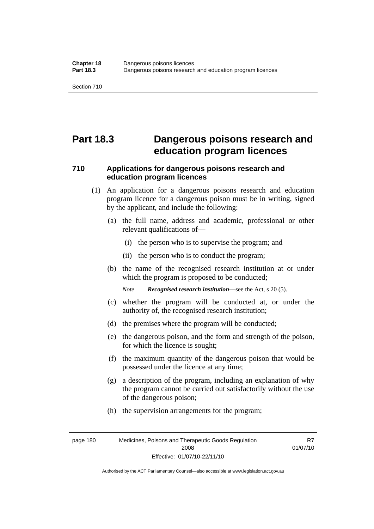# **Part 18.3 Dangerous poisons research and education program licences**

### **710 Applications for dangerous poisons research and education program licences**

- (1) An application for a dangerous poisons research and education program licence for a dangerous poison must be in writing, signed by the applicant, and include the following:
	- (a) the full name, address and academic, professional or other relevant qualifications of—
		- (i) the person who is to supervise the program; and
		- (ii) the person who is to conduct the program;
	- (b) the name of the recognised research institution at or under which the program is proposed to be conducted;

*Note Recognised research institution*—see the Act, s 20 (5).

- (c) whether the program will be conducted at, or under the authority of, the recognised research institution;
- (d) the premises where the program will be conducted;
- (e) the dangerous poison, and the form and strength of the poison, for which the licence is sought;
- (f) the maximum quantity of the dangerous poison that would be possessed under the licence at any time;
- (g) a description of the program, including an explanation of why the program cannot be carried out satisfactorily without the use of the dangerous poison;
- (h) the supervision arrangements for the program;

page 180 Medicines, Poisons and Therapeutic Goods Regulation 2008 Effective: 01/07/10-22/11/10

R7 01/07/10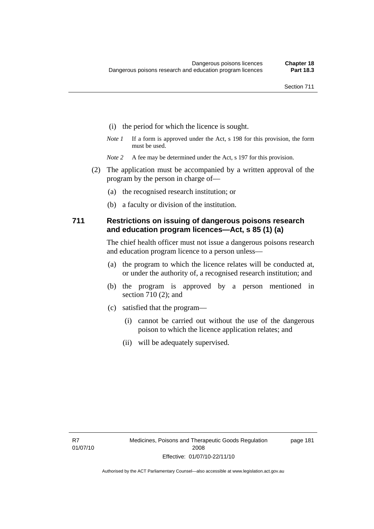- (i) the period for which the licence is sought.
- *Note 1* If a form is approved under the Act, s 198 for this provision, the form must be used.
- *Note* 2 A fee may be determined under the Act, s 197 for this provision.
- (2) The application must be accompanied by a written approval of the program by the person in charge of—
	- (a) the recognised research institution; or
	- (b) a faculty or division of the institution.

#### **711 Restrictions on issuing of dangerous poisons research and education program licences—Act, s 85 (1) (a)**

The chief health officer must not issue a dangerous poisons research and education program licence to a person unless—

- (a) the program to which the licence relates will be conducted at, or under the authority of, a recognised research institution; and
- (b) the program is approved by a person mentioned in section 710 (2); and
- (c) satisfied that the program—
	- (i) cannot be carried out without the use of the dangerous poison to which the licence application relates; and
	- (ii) will be adequately supervised.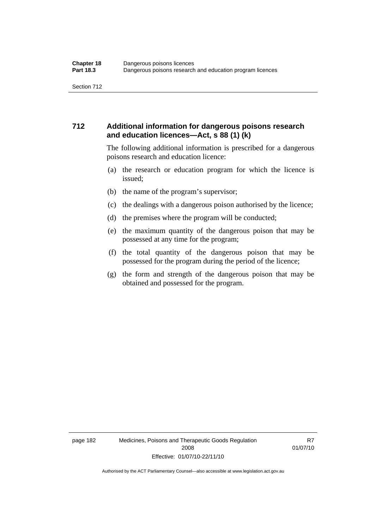#### **712 Additional information for dangerous poisons research and education licences—Act, s 88 (1) (k)**

The following additional information is prescribed for a dangerous poisons research and education licence:

- (a) the research or education program for which the licence is issued;
- (b) the name of the program's supervisor;
- (c) the dealings with a dangerous poison authorised by the licence;
- (d) the premises where the program will be conducted;
- (e) the maximum quantity of the dangerous poison that may be possessed at any time for the program;
- (f) the total quantity of the dangerous poison that may be possessed for the program during the period of the licence;
- (g) the form and strength of the dangerous poison that may be obtained and possessed for the program.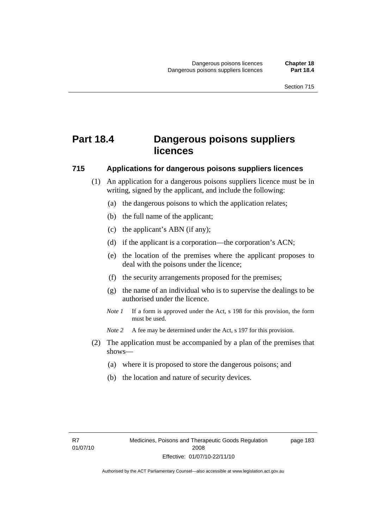## **Part 18.4 Dangerous poisons suppliers licences**

#### **715 Applications for dangerous poisons suppliers licences**

- (1) An application for a dangerous poisons suppliers licence must be in writing, signed by the applicant, and include the following:
	- (a) the dangerous poisons to which the application relates;
	- (b) the full name of the applicant;
	- (c) the applicant's ABN (if any);
	- (d) if the applicant is a corporation—the corporation's ACN;
	- (e) the location of the premises where the applicant proposes to deal with the poisons under the licence;
	- (f) the security arrangements proposed for the premises;
	- (g) the name of an individual who is to supervise the dealings to be authorised under the licence.
	- *Note 1* If a form is approved under the Act, s 198 for this provision, the form must be used.
	- *Note 2* A fee may be determined under the Act, s 197 for this provision.
- (2) The application must be accompanied by a plan of the premises that shows—
	- (a) where it is proposed to store the dangerous poisons; and
	- (b) the location and nature of security devices.

page 183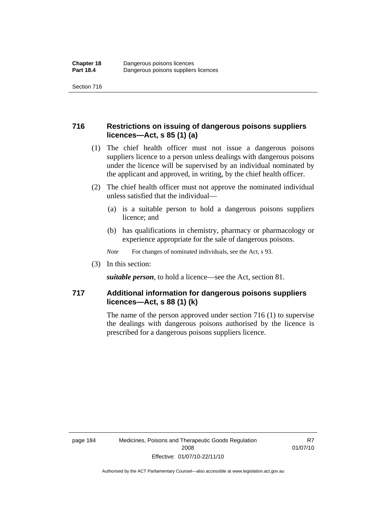#### **716 Restrictions on issuing of dangerous poisons suppliers licences—Act, s 85 (1) (a)**

- (1) The chief health officer must not issue a dangerous poisons suppliers licence to a person unless dealings with dangerous poisons under the licence will be supervised by an individual nominated by the applicant and approved, in writing, by the chief health officer.
- (2) The chief health officer must not approve the nominated individual unless satisfied that the individual—
	- (a) is a suitable person to hold a dangerous poisons suppliers licence; and
	- (b) has qualifications in chemistry, pharmacy or pharmacology or experience appropriate for the sale of dangerous poisons.
	- *Note* For changes of nominated individuals, see the Act, s 93.
- (3) In this section:

*suitable person*, to hold a licence—see the Act, section 81.

#### **717 Additional information for dangerous poisons suppliers licences—Act, s 88 (1) (k)**

The name of the person approved under section 716 (1) to supervise the dealings with dangerous poisons authorised by the licence is prescribed for a dangerous poisons suppliers licence.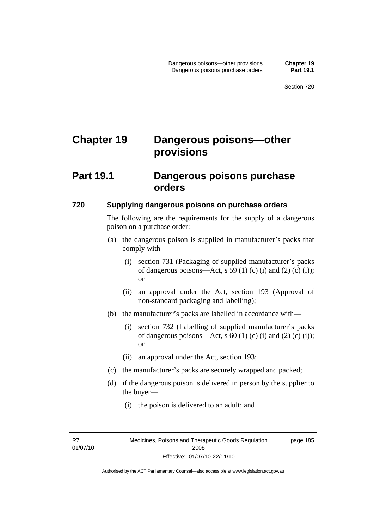# **Chapter 19 Dangerous poisons—other provisions**

### **Part 19.1 Dangerous poisons purchase orders**

#### **720 Supplying dangerous poisons on purchase orders**

The following are the requirements for the supply of a dangerous poison on a purchase order:

- (a) the dangerous poison is supplied in manufacturer's packs that comply with—
	- (i) section 731 (Packaging of supplied manufacturer's packs of dangerous poisons—Act, s 59 (1) (c) (i) and (2) (c) (i)); or
	- (ii) an approval under the Act, section 193 (Approval of non-standard packaging and labelling);
- (b) the manufacturer's packs are labelled in accordance with—
	- (i) section 732 (Labelling of supplied manufacturer's packs of dangerous poisons—Act, s  $60$  (1) (c) (i) and (2) (c) (i)); or
	- (ii) an approval under the Act, section 193;
- (c) the manufacturer's packs are securely wrapped and packed;
- (d) if the dangerous poison is delivered in person by the supplier to the buyer—
	- (i) the poison is delivered to an adult; and

R7 01/07/10 page 185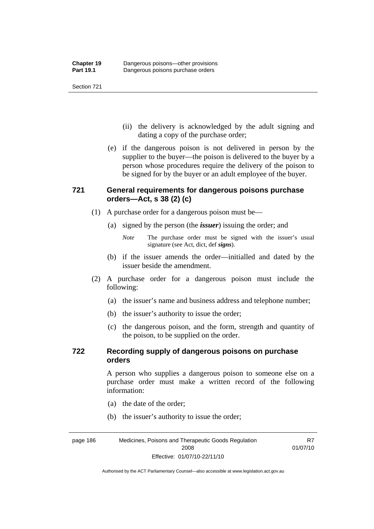- (ii) the delivery is acknowledged by the adult signing and dating a copy of the purchase order;
- (e) if the dangerous poison is not delivered in person by the supplier to the buyer—the poison is delivered to the buyer by a person whose procedures require the delivery of the poison to be signed for by the buyer or an adult employee of the buyer.

### **721 General requirements for dangerous poisons purchase orders—Act, s 38 (2) (c)**

- (1) A purchase order for a dangerous poison must be—
	- (a) signed by the person (the *issuer*) issuing the order; and
		- *Note* The purchase order must be signed with the issuer's usual signature (see Act, dict, def *signs*).
	- (b) if the issuer amends the order—initialled and dated by the issuer beside the amendment.
- (2) A purchase order for a dangerous poison must include the following:
	- (a) the issuer's name and business address and telephone number;
	- (b) the issuer's authority to issue the order;
	- (c) the dangerous poison, and the form, strength and quantity of the poison, to be supplied on the order.

#### **722 Recording supply of dangerous poisons on purchase orders**

A person who supplies a dangerous poison to someone else on a purchase order must make a written record of the following information:

R7

- (a) the date of the order;
- (b) the issuer's authority to issue the order;

page 186 Medicines, Poisons and Therapeutic Goods Regulation 2008 Effective: 01/07/10-22/11/10 01/07/10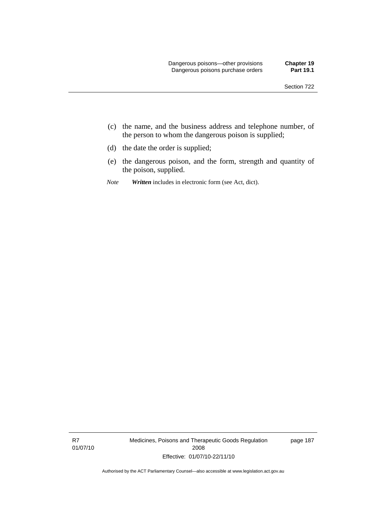- (c) the name, and the business address and telephone number, of the person to whom the dangerous poison is supplied;
- (d) the date the order is supplied;
- (e) the dangerous poison, and the form, strength and quantity of the poison, supplied.
- *Note Written* includes in electronic form (see Act, dict).

R7 01/07/10 Medicines, Poisons and Therapeutic Goods Regulation 2008 Effective: 01/07/10-22/11/10

page 187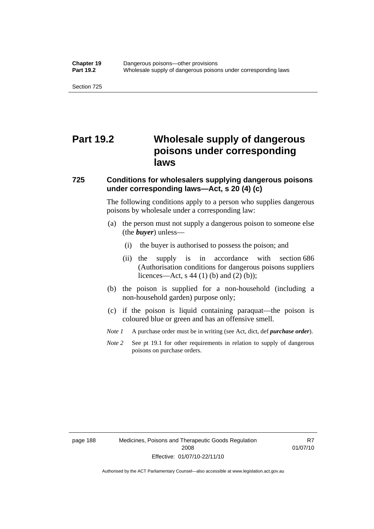# **Part 19.2 Wholesale supply of dangerous poisons under corresponding laws**

#### **725 Conditions for wholesalers supplying dangerous poisons under corresponding laws—Act, s 20 (4) (c)**

The following conditions apply to a person who supplies dangerous poisons by wholesale under a corresponding law:

- (a) the person must not supply a dangerous poison to someone else (the *buyer*) unless—
	- (i) the buyer is authorised to possess the poison; and
	- (ii) the supply is in accordance with section 686 (Authorisation conditions for dangerous poisons suppliers licences—Act, s 44 (1) (b) and (2) (b));
- (b) the poison is supplied for a non-household (including a non-household garden) purpose only;
- (c) if the poison is liquid containing paraquat—the poison is coloured blue or green and has an offensive smell.
- *Note 1* A purchase order must be in writing (see Act, dict, def *purchase order*).
- *Note* 2 See pt 19.1 for other requirements in relation to supply of dangerous poisons on purchase orders.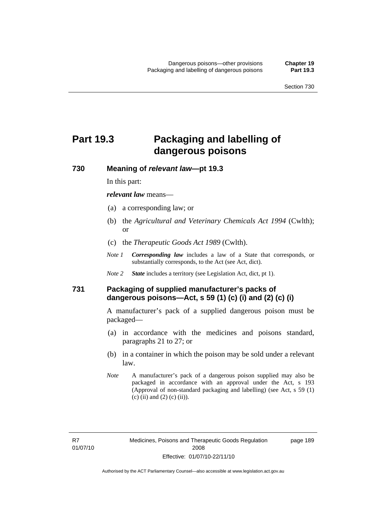# **Part 19.3 Packaging and labelling of dangerous poisons**

**730 Meaning of** *relevant law***—pt 19.3** 

In this part:

*relevant law* means—

- (a) a corresponding law; or
- (b) the *Agricultural and Veterinary Chemicals Act 1994* (Cwlth); or
- (c) the *Therapeutic Goods Act 1989* (Cwlth).
- *Note 1 Corresponding law* includes a law of a State that corresponds, or substantially corresponds, to the Act (see Act, dict).
- *Note 2 State* includes a territory (see Legislation Act, dict, pt 1).

#### **731 Packaging of supplied manufacturer's packs of dangerous poisons—Act, s 59 (1) (c) (i) and (2) (c) (i)**

A manufacturer's pack of a supplied dangerous poison must be packaged—

- (a) in accordance with the medicines and poisons standard, paragraphs 21 to 27; or
- (b) in a container in which the poison may be sold under a relevant law.
- *Note* A manufacturer's pack of a dangerous poison supplied may also be packaged in accordance with an approval under the Act, s 193 (Approval of non-standard packaging and labelling) (see Act, s 59 (1) (c) (ii) and (2) (c) (ii)).

page 189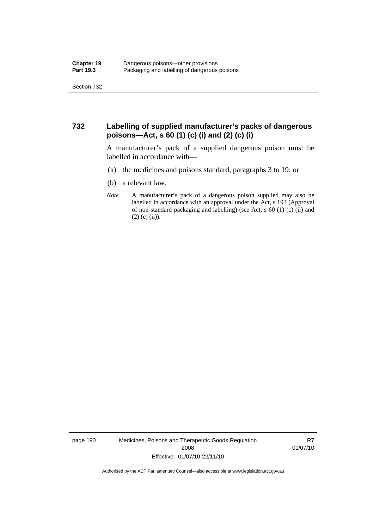#### **732 Labelling of supplied manufacturer's packs of dangerous poisons—Act, s 60 (1) (c) (i) and (2) (c) (i)**

A manufacturer's pack of a supplied dangerous poison must be labelled in accordance with—

- (a) the medicines and poisons standard, paragraphs 3 to 19; or
- (b) a relevant law.
- *Note* A manufacturer's pack of a dangerous poison supplied may also be labelled in accordance with an approval under the Act, s 193 (Approval of non-standard packaging and labelling) (see Act, s 60 (1) (c) (ii) and  $(2)$  (c) (ii)).

page 190 Medicines, Poisons and Therapeutic Goods Regulation 2008 Effective: 01/07/10-22/11/10

R7 01/07/10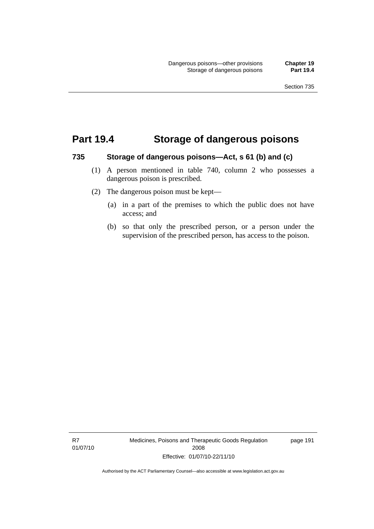### **Part 19.4 Storage of dangerous poisons**

#### **735 Storage of dangerous poisons—Act, s 61 (b) and (c)**

- (1) A person mentioned in table 740, column 2 who possesses a dangerous poison is prescribed.
- (2) The dangerous poison must be kept—
	- (a) in a part of the premises to which the public does not have access; and
	- (b) so that only the prescribed person, or a person under the supervision of the prescribed person, has access to the poison.

R7 01/07/10 Medicines, Poisons and Therapeutic Goods Regulation 2008 Effective: 01/07/10-22/11/10

page 191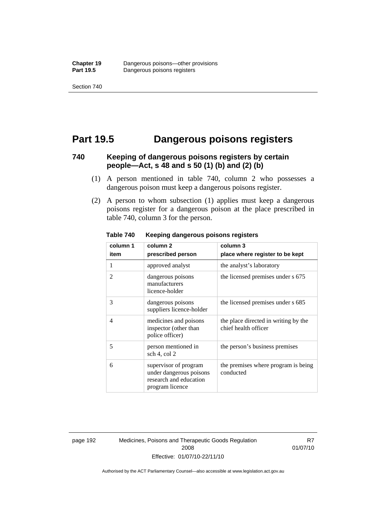## **Part 19.5 Dangerous poisons registers**

#### **740 Keeping of dangerous poisons registers by certain people—Act, s 48 and s 50 (1) (b) and (2) (b)**

- (1) A person mentioned in table 740, column 2 who possesses a dangerous poison must keep a dangerous poisons register.
- (2) A person to whom subsection (1) applies must keep a dangerous poisons register for a dangerous poison at the place prescribed in table 740, column 3 for the person.

| column 1                 | column <sub>2</sub>                                                                           | column 3                                                     |  |
|--------------------------|-----------------------------------------------------------------------------------------------|--------------------------------------------------------------|--|
| item                     | prescribed person                                                                             | place where register to be kept                              |  |
| 1                        | approved analyst                                                                              | the analyst's laboratory                                     |  |
| $\overline{\mathcal{L}}$ | dangerous poisons<br>manufacturers<br>licence-holder                                          | the licensed premises under s 675                            |  |
| 3                        | dangerous poisons<br>suppliers licence-holder                                                 | the licensed premises under s 685                            |  |
| $\overline{4}$           | medicines and poisons<br>inspector (other than<br>police officer)                             | the place directed in writing by the<br>chief health officer |  |
| 5                        | person mentioned in<br>sch 4, col 2                                                           | the person's business premises                               |  |
| 6                        | supervisor of program<br>under dangerous poisons<br>research and education<br>program licence | the premises where program is being<br>conducted             |  |

**Table 740 Keeping dangerous poisons registers** 

page 192 Medicines, Poisons and Therapeutic Goods Regulation 2008 Effective: 01/07/10-22/11/10

R7 01/07/10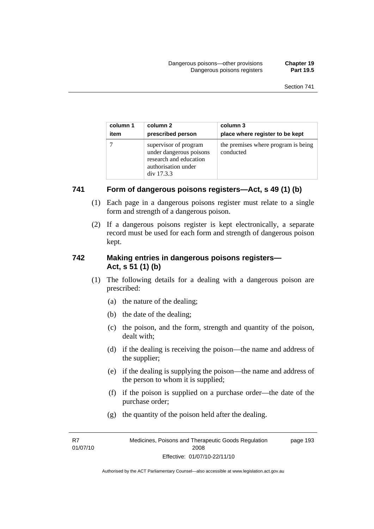| column 1 | column 2                                                                                                        | column 3                                         |
|----------|-----------------------------------------------------------------------------------------------------------------|--------------------------------------------------|
| item     | prescribed person                                                                                               | place where register to be kept                  |
|          | supervisor of program<br>under dangerous poisons<br>research and education<br>authorisation under<br>div 17.3.3 | the premises where program is being<br>conducted |

#### **741 Form of dangerous poisons registers—Act, s 49 (1) (b)**

- (1) Each page in a dangerous poisons register must relate to a single form and strength of a dangerous poison.
- (2) If a dangerous poisons register is kept electronically, a separate record must be used for each form and strength of dangerous poison kept.

#### **742 Making entries in dangerous poisons registers— Act, s 51 (1) (b)**

- (1) The following details for a dealing with a dangerous poison are prescribed:
	- (a) the nature of the dealing;
	- (b) the date of the dealing;
	- (c) the poison, and the form, strength and quantity of the poison, dealt with;
	- (d) if the dealing is receiving the poison—the name and address of the supplier;
	- (e) if the dealing is supplying the poison—the name and address of the person to whom it is supplied;
	- (f) if the poison is supplied on a purchase order—the date of the purchase order;
	- (g) the quantity of the poison held after the dealing.

R7 01/07/10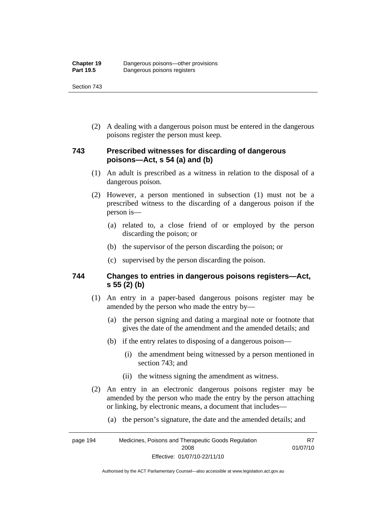Section 743

 (2) A dealing with a dangerous poison must be entered in the dangerous poisons register the person must keep.

### **743 Prescribed witnesses for discarding of dangerous poisons—Act, s 54 (a) and (b)**

- (1) An adult is prescribed as a witness in relation to the disposal of a dangerous poison.
- (2) However, a person mentioned in subsection (1) must not be a prescribed witness to the discarding of a dangerous poison if the person is—
	- (a) related to, a close friend of or employed by the person discarding the poison; or
	- (b) the supervisor of the person discarding the poison; or
	- (c) supervised by the person discarding the poison.

#### **744 Changes to entries in dangerous poisons registers—Act, s 55 (2) (b)**

- (1) An entry in a paper-based dangerous poisons register may be amended by the person who made the entry by—
	- (a) the person signing and dating a marginal note or footnote that gives the date of the amendment and the amended details; and
	- (b) if the entry relates to disposing of a dangerous poison—
		- (i) the amendment being witnessed by a person mentioned in section 743; and
		- (ii) the witness signing the amendment as witness.
- (2) An entry in an electronic dangerous poisons register may be amended by the person who made the entry by the person attaching or linking, by electronic means, a document that includes—
	- (a) the person's signature, the date and the amended details; and

page 194 Medicines, Poisons and Therapeutic Goods Regulation 2008 Effective: 01/07/10-22/11/10 R7 01/07/10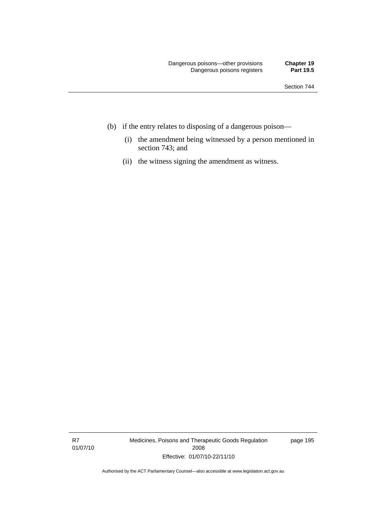- (b) if the entry relates to disposing of a dangerous poison—
	- (i) the amendment being witnessed by a person mentioned in section 743; and
	- (ii) the witness signing the amendment as witness.

R7 01/07/10 Medicines, Poisons and Therapeutic Goods Regulation 2008 Effective: 01/07/10-22/11/10

page 195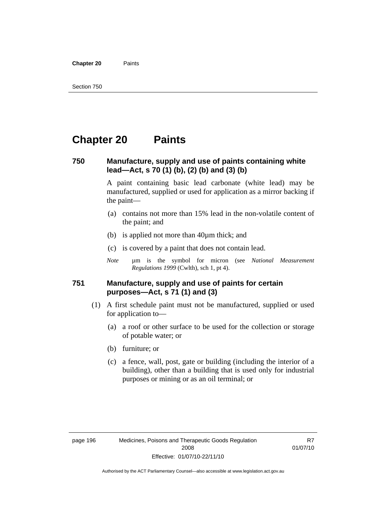**Chapter 20** Paints

## **Chapter 20 Paints**

#### **750 Manufacture, supply and use of paints containing white lead—Act, s 70 (1) (b), (2) (b) and (3) (b)**

A paint containing basic lead carbonate (white lead) may be manufactured, supplied or used for application as a mirror backing if the paint—

- (a) contains not more than 15% lead in the non-volatile content of the paint; and
- (b) is applied not more than 40µm thick; and
- (c) is covered by a paint that does not contain lead.
- *Note* um is the symbol for micron (see *National Measurement Regulations 1999* (Cwlth), sch 1, pt 4).

#### **751 Manufacture, supply and use of paints for certain purposes—Act, s 71 (1) and (3)**

- (1) A first schedule paint must not be manufactured, supplied or used for application to—
	- (a) a roof or other surface to be used for the collection or storage of potable water; or
	- (b) furniture; or
	- (c) a fence, wall, post, gate or building (including the interior of a building), other than a building that is used only for industrial purposes or mining or as an oil terminal; or

R7 01/07/10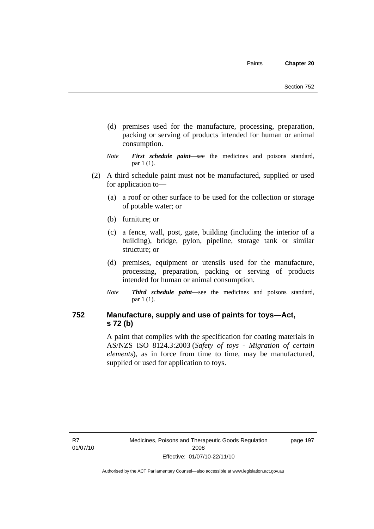- (d) premises used for the manufacture, processing, preparation, packing or serving of products intended for human or animal consumption.
- *Note First schedule paint*—see the medicines and poisons standard, par 1 (1).
- (2) A third schedule paint must not be manufactured, supplied or used for application to—
	- (a) a roof or other surface to be used for the collection or storage of potable water; or
	- (b) furniture; or
	- (c) a fence, wall, post, gate, building (including the interior of a building), bridge, pylon, pipeline, storage tank or similar structure; or
	- (d) premises, equipment or utensils used for the manufacture, processing, preparation, packing or serving of products intended for human or animal consumption.
	- *Note Third schedule paint*—see the medicines and poisons standard, par 1 (1).

### **752 Manufacture, supply and use of paints for toys—Act, s 72 (b)**

A paint that complies with the specification for coating materials in AS/NZS ISO 8124.3:2003 (*Safety of toys - Migration of certain elements*), as in force from time to time, may be manufactured, supplied or used for application to toys.

R7 01/07/10 page 197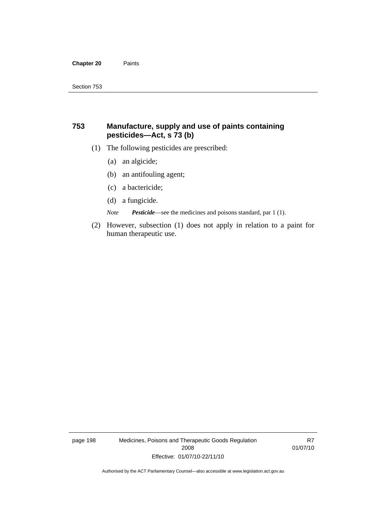#### **Chapter 20** Paints

#### **753 Manufacture, supply and use of paints containing pesticides—Act, s 73 (b)**

- (1) The following pesticides are prescribed:
	- (a) an algicide;
	- (b) an antifouling agent;
	- (c) a bactericide;
	- (d) a fungicide.

*Note Pesticide*—see the medicines and poisons standard, par 1 (1).

 (2) However, subsection (1) does not apply in relation to a paint for human therapeutic use.

page 198 Medicines, Poisons and Therapeutic Goods Regulation 2008 Effective: 01/07/10-22/11/10

R7 01/07/10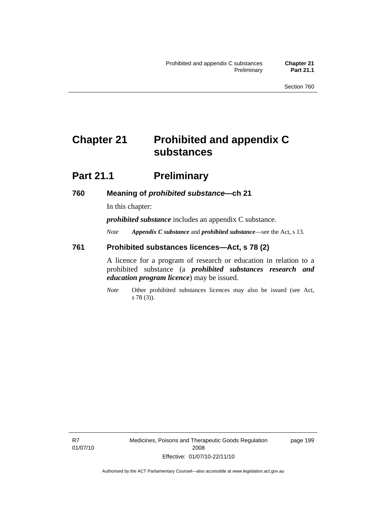# **Chapter 21 Prohibited and appendix C substances**

### **Part 21.1 Preliminary**

#### **760 Meaning of** *prohibited substance***—ch 21**

In this chapter:

*prohibited substance* includes an appendix C substance.

*Note Appendix C substance* and *prohibited substance*—see the Act, s 13.

#### **761 Prohibited substances licences—Act, s 78 (2)**

A licence for a program of research or education in relation to a prohibited substance (a *prohibited substances research and education program licence*) may be issued.

*Note* Other prohibited substances licences may also be issued (see Act, s 78 (3)).

R7 01/07/10 Medicines, Poisons and Therapeutic Goods Regulation 2008 Effective: 01/07/10-22/11/10

page 199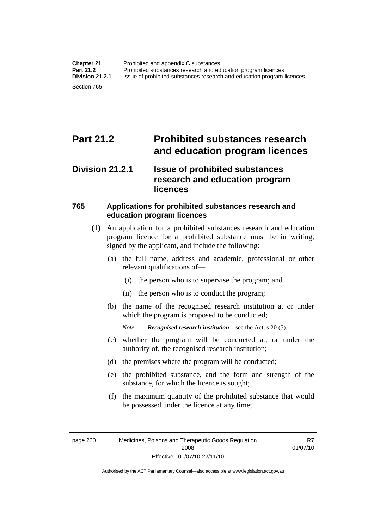# **Part 21.2 Prohibited substances research and education program licences**

### **Division 21.2.1 Issue of prohibited substances research and education program licences**

### **765 Applications for prohibited substances research and education program licences**

- (1) An application for a prohibited substances research and education program licence for a prohibited substance must be in writing, signed by the applicant, and include the following:
	- (a) the full name, address and academic, professional or other relevant qualifications of—
		- (i) the person who is to supervise the program; and
		- (ii) the person who is to conduct the program;
	- (b) the name of the recognised research institution at or under which the program is proposed to be conducted;

*Note Recognised research institution*—see the Act, s 20 (5).

- (c) whether the program will be conducted at, or under the authority of, the recognised research institution;
- (d) the premises where the program will be conducted;
- (e) the prohibited substance, and the form and strength of the substance, for which the licence is sought;
- (f) the maximum quantity of the prohibited substance that would be possessed under the licence at any time;

page 200 Medicines, Poisons and Therapeutic Goods Regulation 2008 Effective: 01/07/10-22/11/10

R7 01/07/10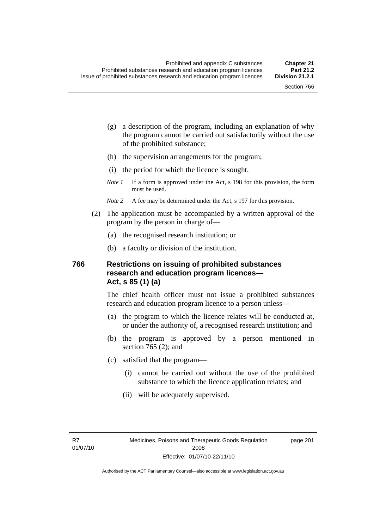- (g) a description of the program, including an explanation of why the program cannot be carried out satisfactorily without the use of the prohibited substance;
- (h) the supervision arrangements for the program;
- (i) the period for which the licence is sought.
- *Note 1* If a form is approved under the Act, s 198 for this provision, the form must be used.
- *Note* 2 A fee may be determined under the Act, s 197 for this provision.
- (2) The application must be accompanied by a written approval of the program by the person in charge of—
	- (a) the recognised research institution; or
	- (b) a faculty or division of the institution.

#### **766 Restrictions on issuing of prohibited substances research and education program licences— Act, s 85 (1) (a)**

The chief health officer must not issue a prohibited substances research and education program licence to a person unless—

- (a) the program to which the licence relates will be conducted at, or under the authority of, a recognised research institution; and
- (b) the program is approved by a person mentioned in section 765 (2); and
- (c) satisfied that the program—
	- (i) cannot be carried out without the use of the prohibited substance to which the licence application relates; and
	- (ii) will be adequately supervised.

R7 01/07/10 page 201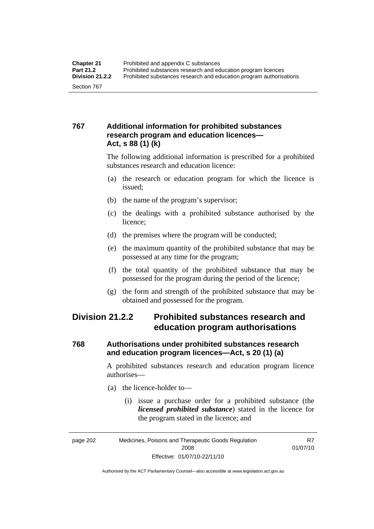### **767 Additional information for prohibited substances research program and education licences— Act, s 88 (1) (k)**

The following additional information is prescribed for a prohibited substances research and education licence:

- (a) the research or education program for which the licence is issued;
- (b) the name of the program's supervisor;
- (c) the dealings with a prohibited substance authorised by the licence;
- (d) the premises where the program will be conducted;
- (e) the maximum quantity of the prohibited substance that may be possessed at any time for the program;
- (f) the total quantity of the prohibited substance that may be possessed for the program during the period of the licence;
- (g) the form and strength of the prohibited substance that may be obtained and possessed for the program.

### **Division 21.2.2 Prohibited substances research and education program authorisations**

### **768 Authorisations under prohibited substances research and education program licences—Act, s 20 (1) (a)**

A prohibited substances research and education program licence authorises—

- (a) the licence-holder to—
	- (i) issue a purchase order for a prohibited substance (the *licensed prohibited substance*) stated in the licence for the program stated in the licence; and

R7 01/07/10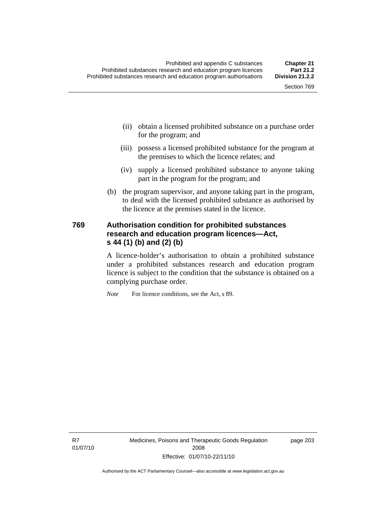- (ii) obtain a licensed prohibited substance on a purchase order for the program; and
- (iii) possess a licensed prohibited substance for the program at the premises to which the licence relates; and
- (iv) supply a licensed prohibited substance to anyone taking part in the program for the program; and
- (b) the program supervisor, and anyone taking part in the program, to deal with the licensed prohibited substance as authorised by the licence at the premises stated in the licence.

#### **769 Authorisation condition for prohibited substances research and education program licences—Act, s 44 (1) (b) and (2) (b)**

A licence-holder's authorisation to obtain a prohibited substance under a prohibited substances research and education program licence is subject to the condition that the substance is obtained on a complying purchase order.

*Note* For licence conditions, see the Act, s 89.

R7 01/07/10 Medicines, Poisons and Therapeutic Goods Regulation 2008 Effective: 01/07/10-22/11/10

page 203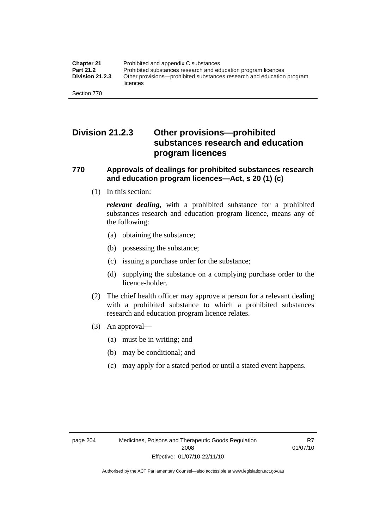### **Division 21.2.3 Other provisions—prohibited substances research and education program licences**

#### **770 Approvals of dealings for prohibited substances research and education program licences—Act, s 20 (1) (c)**

(1) In this section:

*relevant dealing*, with a prohibited substance for a prohibited substances research and education program licence, means any of the following:

- (a) obtaining the substance;
- (b) possessing the substance;
- (c) issuing a purchase order for the substance;
- (d) supplying the substance on a complying purchase order to the licence-holder.
- (2) The chief health officer may approve a person for a relevant dealing with a prohibited substance to which a prohibited substances research and education program licence relates.
- (3) An approval—
	- (a) must be in writing; and
	- (b) may be conditional; and
	- (c) may apply for a stated period or until a stated event happens.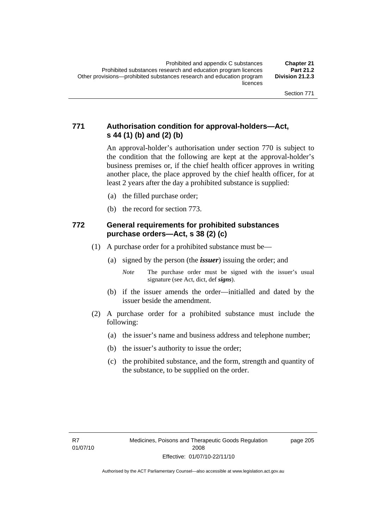### **771 Authorisation condition for approval-holders—Act, s 44 (1) (b) and (2) (b)**

An approval-holder's authorisation under section 770 is subject to the condition that the following are kept at the approval-holder's business premises or, if the chief health officer approves in writing another place, the place approved by the chief health officer, for at least 2 years after the day a prohibited substance is supplied:

- (a) the filled purchase order;
- (b) the record for section 773.

#### **772 General requirements for prohibited substances purchase orders—Act, s 38 (2) (c)**

- (1) A purchase order for a prohibited substance must be—
	- (a) signed by the person (the *issuer*) issuing the order; and
		- *Note* The purchase order must be signed with the issuer's usual signature (see Act, dict, def *signs*).
	- (b) if the issuer amends the order—initialled and dated by the issuer beside the amendment.
- (2) A purchase order for a prohibited substance must include the following:
	- (a) the issuer's name and business address and telephone number;
	- (b) the issuer's authority to issue the order;
	- (c) the prohibited substance, and the form, strength and quantity of the substance, to be supplied on the order.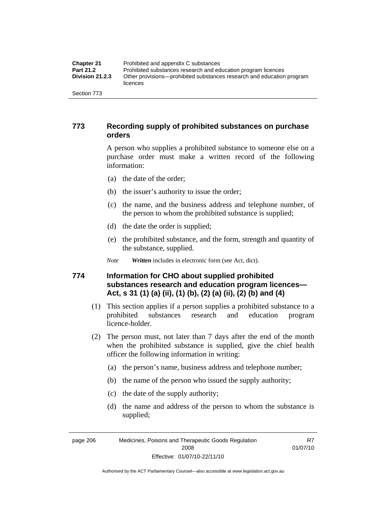| <b>Chapter 21</b>      | Prohibited and appendix C substances                                              |
|------------------------|-----------------------------------------------------------------------------------|
| Part 21.2              | Prohibited substances research and education program licences                     |
| <b>Division 21.2.3</b> | Other provisions—prohibited substances research and education program<br>licences |
| Section 773            |                                                                                   |

#### **773 Recording supply of prohibited substances on purchase orders**

A person who supplies a prohibited substance to someone else on a purchase order must make a written record of the following information:

- (a) the date of the order;
- (b) the issuer's authority to issue the order;
- (c) the name, and the business address and telephone number, of the person to whom the prohibited substance is supplied;
- (d) the date the order is supplied;
- (e) the prohibited substance, and the form, strength and quantity of the substance, supplied.

*Note Written* includes in electronic form (see Act, dict).

### **774 Information for CHO about supplied prohibited substances research and education program licences— Act, s 31 (1) (a) (ii), (1) (b), (2) (a) (ii), (2) (b) and (4)**

- (1) This section applies if a person supplies a prohibited substance to a prohibited substances research and education program licence-holder.
- (2) The person must, not later than 7 days after the end of the month when the prohibited substance is supplied, give the chief health officer the following information in writing:
	- (a) the person's name, business address and telephone number;
	- (b) the name of the person who issued the supply authority;
	- (c) the date of the supply authority;
	- (d) the name and address of the person to whom the substance is supplied;

page 206 Medicines, Poisons and Therapeutic Goods Regulation 2008 Effective: 01/07/10-22/11/10

R7 01/07/10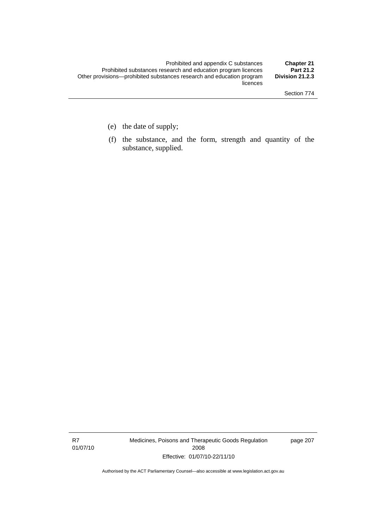- (e) the date of supply;
- (f) the substance, and the form, strength and quantity of the substance, supplied.

R7 01/07/10 Medicines, Poisons and Therapeutic Goods Regulation 2008 Effective: 01/07/10-22/11/10

page 207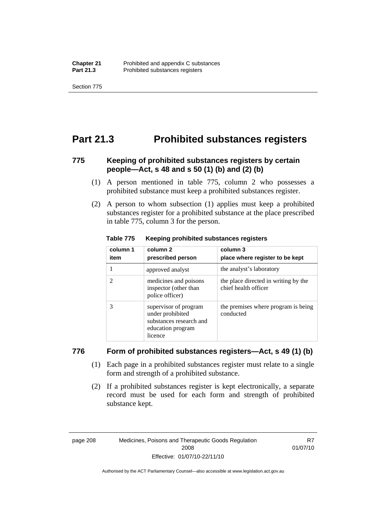Section 775

### **Part 21.3 Prohibited substances registers**

### **775 Keeping of prohibited substances registers by certain people—Act, s 48 and s 50 (1) (b) and (2) (b)**

- (1) A person mentioned in table 775, column 2 who possesses a prohibited substance must keep a prohibited substances register.
- (2) A person to whom subsection (1) applies must keep a prohibited substances register for a prohibited substance at the place prescribed in table 775, column 3 for the person.

| column 1<br>item | column 2<br>prescribed person                                                                        | column 3<br>place where register to be kept                  |
|------------------|------------------------------------------------------------------------------------------------------|--------------------------------------------------------------|
|                  | approved analyst                                                                                     | the analyst's laboratory                                     |
| 2                | medicines and poisons<br>inspector (other than<br>police officer)                                    | the place directed in writing by the<br>chief health officer |
| 3                | supervisor of program<br>under prohibited<br>substances research and<br>education program<br>licence | the premises where program is being<br>conducted             |

#### **Table 775 Keeping prohibited substances registers**

#### **776 Form of prohibited substances registers—Act, s 49 (1) (b)**

- (1) Each page in a prohibited substances register must relate to a single form and strength of a prohibited substance.
- (2) If a prohibited substances register is kept electronically, a separate record must be used for each form and strength of prohibited substance kept.

page 208 Medicines, Poisons and Therapeutic Goods Regulation 2008 Effective: 01/07/10-22/11/10

R7 01/07/10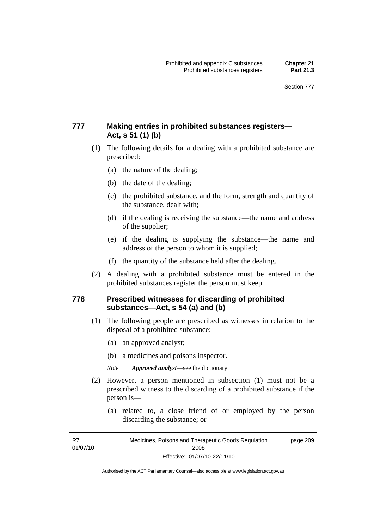### **777 Making entries in prohibited substances registers— Act, s 51 (1) (b)**

- (1) The following details for a dealing with a prohibited substance are prescribed:
	- (a) the nature of the dealing;
	- (b) the date of the dealing;
	- (c) the prohibited substance, and the form, strength and quantity of the substance, dealt with;
	- (d) if the dealing is receiving the substance—the name and address of the supplier;
	- (e) if the dealing is supplying the substance—the name and address of the person to whom it is supplied;
	- (f) the quantity of the substance held after the dealing.
- (2) A dealing with a prohibited substance must be entered in the prohibited substances register the person must keep.

#### **778 Prescribed witnesses for discarding of prohibited substances—Act, s 54 (a) and (b)**

- (1) The following people are prescribed as witnesses in relation to the disposal of a prohibited substance:
	- (a) an approved analyst;
	- (b) a medicines and poisons inspector.

*Note Approved analyst*—see the dictionary.

- (2) However, a person mentioned in subsection (1) must not be a prescribed witness to the discarding of a prohibited substance if the person is—
	- (a) related to, a close friend of or employed by the person discarding the substance; or

R7 01/07/10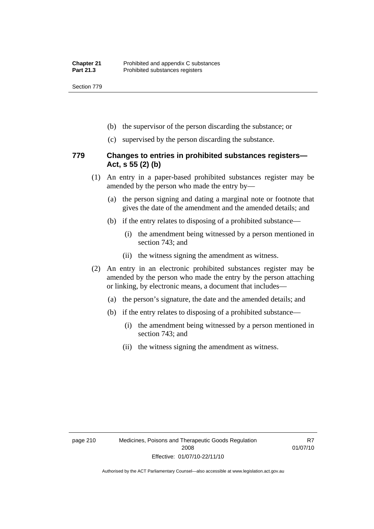Section 779

- (b) the supervisor of the person discarding the substance; or
- (c) supervised by the person discarding the substance.

#### **779 Changes to entries in prohibited substances registers— Act, s 55 (2) (b)**

- (1) An entry in a paper-based prohibited substances register may be amended by the person who made the entry by—
	- (a) the person signing and dating a marginal note or footnote that gives the date of the amendment and the amended details; and
	- (b) if the entry relates to disposing of a prohibited substance—
		- (i) the amendment being witnessed by a person mentioned in section 743; and
		- (ii) the witness signing the amendment as witness.
- (2) An entry in an electronic prohibited substances register may be amended by the person who made the entry by the person attaching or linking, by electronic means, a document that includes—
	- (a) the person's signature, the date and the amended details; and
	- (b) if the entry relates to disposing of a prohibited substance—
		- (i) the amendment being witnessed by a person mentioned in section 743; and
		- (ii) the witness signing the amendment as witness.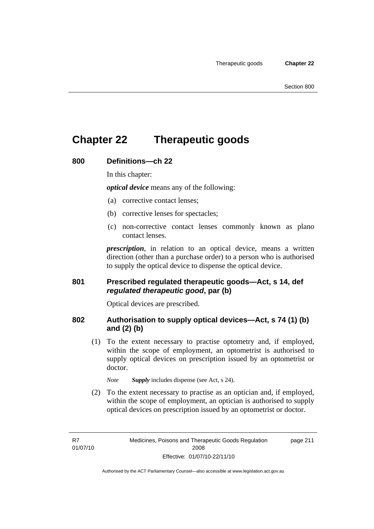# **Chapter 22 Therapeutic goods**

#### **800 Definitions—ch 22**

In this chapter:

*optical device* means any of the following:

- (a) corrective contact lenses;
- (b) corrective lenses for spectacles;
- (c) non-corrective contact lenses commonly known as plano contact lenses.

*prescription*, in relation to an optical device, means a written direction (other than a purchase order) to a person who is authorised to supply the optical device to dispense the optical device.

#### **801 Prescribed regulated therapeutic goods—Act, s 14, def**  *regulated therapeutic good***, par (b)**

Optical devices are prescribed.

#### **802 Authorisation to supply optical devices—Act, s 74 (1) (b) and (2) (b)**

 (1) To the extent necessary to practise optometry and, if employed, within the scope of employment, an optometrist is authorised to supply optical devices on prescription issued by an optometrist or doctor.

*Note Supply* includes dispense (see Act, s 24).

 (2) To the extent necessary to practise as an optician and, if employed, within the scope of employment, an optician is authorised to supply optical devices on prescription issued by an optometrist or doctor.

R7 01/07/10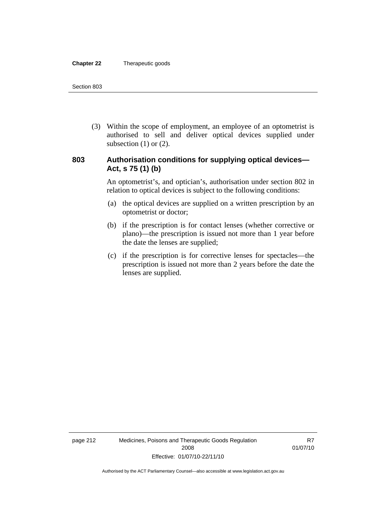#### **Chapter 22** Therapeutic goods

 (3) Within the scope of employment, an employee of an optometrist is authorised to sell and deliver optical devices supplied under subsection  $(1)$  or  $(2)$ .

#### **803 Authorisation conditions for supplying optical devices— Act, s 75 (1) (b)**

An optometrist's, and optician's, authorisation under section 802 in relation to optical devices is subject to the following conditions:

- (a) the optical devices are supplied on a written prescription by an optometrist or doctor;
- (b) if the prescription is for contact lenses (whether corrective or plano)—the prescription is issued not more than 1 year before the date the lenses are supplied;
- (c) if the prescription is for corrective lenses for spectacles—the prescription is issued not more than 2 years before the date the lenses are supplied.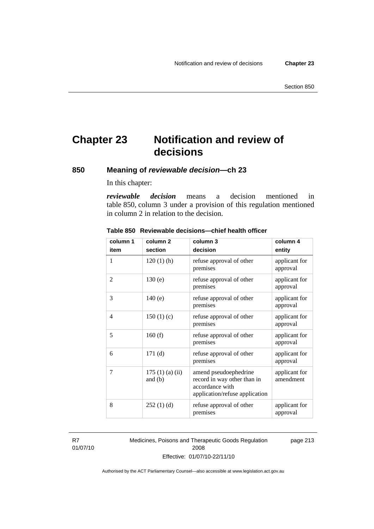# **Chapter 23 Notification and review of decisions**

**850 Meaning of** *reviewable decision—***ch 23** 

In this chapter:

*reviewable decision* means a decision mentioned in table 850, column 3 under a provision of this regulation mentioned in column 2 in relation to the decision.

| column 1       | column <sub>2</sub>        | column 3                                                                                                  | column 4                   |
|----------------|----------------------------|-----------------------------------------------------------------------------------------------------------|----------------------------|
| item           | section                    | decision                                                                                                  | entity                     |
| 1              | $120(1)$ (h)               | refuse approval of other<br>premises                                                                      | applicant for<br>approval  |
| $\overline{2}$ | 130(e)                     | refuse approval of other<br>premises                                                                      | applicant for<br>approval  |
| 3              | 140(e)                     | refuse approval of other<br>premises                                                                      | applicant for<br>approval  |
| 4              | 150(1)(c)                  | refuse approval of other<br>premises                                                                      | applicant for<br>approval  |
| 5              | 160(f)                     | refuse approval of other<br>premises                                                                      | applicant for<br>approval  |
| 6              | 171(d)                     | refuse approval of other<br>premises                                                                      | applicant for<br>approval  |
| 7              | 175(1)(a)(ii)<br>and $(b)$ | amend pseudoephedrine<br>record in way other than in<br>accordance with<br>application/refuse application | applicant for<br>amendment |
| 8              | 252(1)(d)                  | refuse approval of other<br>premises                                                                      | applicant for<br>approval  |

#### **Table 850 Reviewable decisions—chief health officer**

R7 01/07/10 Medicines, Poisons and Therapeutic Goods Regulation 2008 Effective: 01/07/10-22/11/10 page 213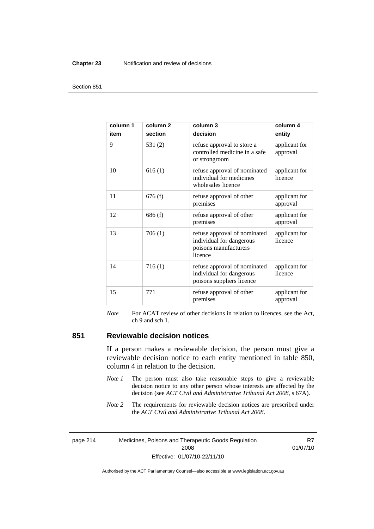#### **Chapter 23** Notification and review of decisions

#### Section 851

| column 1<br>item | column <sub>2</sub><br>section | column <sub>3</sub><br>decision                                                              | column 4<br>entity        |
|------------------|--------------------------------|----------------------------------------------------------------------------------------------|---------------------------|
| 9                | 531 $(2)$                      | refuse approval to store a<br>controlled medicine in a safe<br>or strongroom                 | applicant for<br>approval |
| 10               | 616(1)                         | refuse approval of nominated<br>individual for medicines<br>wholesales licence               | applicant for<br>licence  |
| 11               | 676(f)                         | refuse approval of other<br>premises                                                         | applicant for<br>approval |
| 12               | 686(f)                         | refuse approval of other<br>premises                                                         | applicant for<br>approval |
| 13               | 706(1)                         | refuse approval of nominated<br>individual for dangerous<br>poisons manufacturers<br>licence | applicant for<br>licence  |
| 14               | 716(1)                         | refuse approval of nominated<br>individual for dangerous<br>poisons suppliers licence        | applicant for<br>licence  |
| 15               | 771                            | refuse approval of other<br>premises                                                         | applicant for<br>approval |

*Note* For ACAT review of other decisions in relation to licences, see the Act, ch 9 and sch 1.

#### **851 Reviewable decision notices**

If a person makes a reviewable decision, the person must give a reviewable decision notice to each entity mentioned in table 850, column 4 in relation to the decision.

- *Note 1* The person must also take reasonable steps to give a reviewable decision notice to any other person whose interests are affected by the decision (see *ACT Civil and Administrative Tribunal Act 2008*, s 67A).
- *Note* 2 The requirements for reviewable decision notices are prescribed under the *ACT Civil and Administrative Tribunal Act 2008*.

page 214 Medicines, Poisons and Therapeutic Goods Regulation 2008 Effective: 01/07/10-22/11/10

R7 01/07/10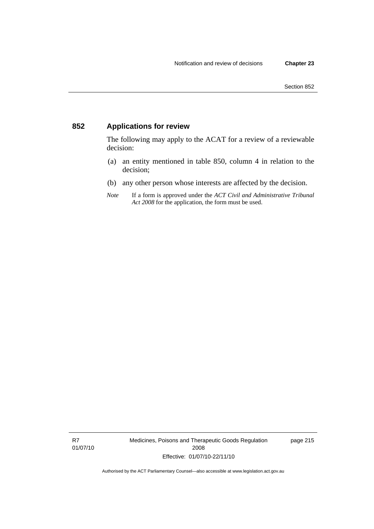### **852 Applications for review**

The following may apply to the ACAT for a review of a reviewable decision:

- (a) an entity mentioned in table 850, column 4 in relation to the decision;
- (b) any other person whose interests are affected by the decision.
- *Note* If a form is approved under the *ACT Civil and Administrative Tribunal Act 2008* for the application, the form must be used.

R7 01/07/10 Medicines, Poisons and Therapeutic Goods Regulation 2008 Effective: 01/07/10-22/11/10

page 215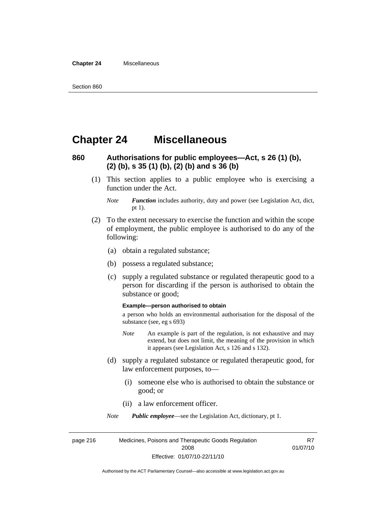#### **Chapter 24** Miscellaneous

### **Chapter 24 Miscellaneous**

### **860 Authorisations for public employees—Act, s 26 (1) (b), (2) (b), s 35 (1) (b), (2) (b) and s 36 (b)**

 (1) This section applies to a public employee who is exercising a function under the Act.

- (2) To the extent necessary to exercise the function and within the scope of employment, the public employee is authorised to do any of the following:
	- (a) obtain a regulated substance;
	- (b) possess a regulated substance;
	- (c) supply a regulated substance or regulated therapeutic good to a person for discarding if the person is authorised to obtain the substance or good;

#### **Example—person authorised to obtain**

a person who holds an environmental authorisation for the disposal of the substance (see, eg s 693)

- *Note* An example is part of the regulation, is not exhaustive and may extend, but does not limit, the meaning of the provision in which it appears (see Legislation Act, s 126 and s 132).
- (d) supply a regulated substance or regulated therapeutic good, for law enforcement purposes, to—
	- (i) someone else who is authorised to obtain the substance or good; or
	- (ii) a law enforcement officer.

*Note Public employee*—see the Legislation Act, dictionary, pt 1.

page 216 Medicines, Poisons and Therapeutic Goods Regulation 2008 Effective: 01/07/10-22/11/10 R7 01/07/10

*Note Function* includes authority, duty and power (see Legislation Act, dict, pt 1).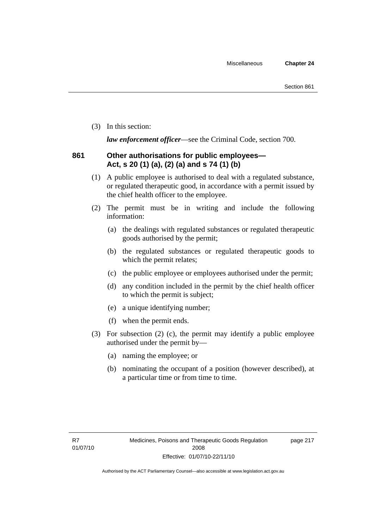(3) In this section:

*law enforcement officer*—see the Criminal Code, section 700.

### **861 Other authorisations for public employees— Act, s 20 (1) (a), (2) (a) and s 74 (1) (b)**

- (1) A public employee is authorised to deal with a regulated substance, or regulated therapeutic good, in accordance with a permit issued by the chief health officer to the employee.
- (2) The permit must be in writing and include the following information:
	- (a) the dealings with regulated substances or regulated therapeutic goods authorised by the permit;
	- (b) the regulated substances or regulated therapeutic goods to which the permit relates;
	- (c) the public employee or employees authorised under the permit;
	- (d) any condition included in the permit by the chief health officer to which the permit is subject;
	- (e) a unique identifying number;
	- (f) when the permit ends.
- (3) For subsection (2) (c), the permit may identify a public employee authorised under the permit by—
	- (a) naming the employee; or
	- (b) nominating the occupant of a position (however described), at a particular time or from time to time.

page 217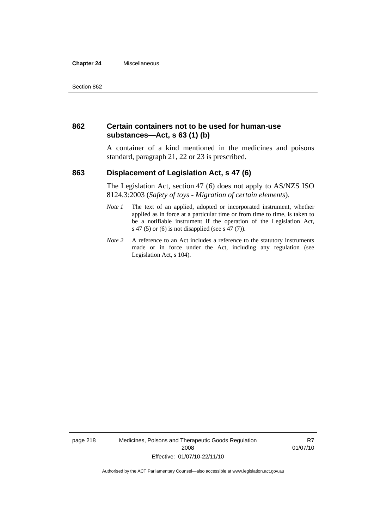#### **Chapter 24** Miscellaneous

#### **862 Certain containers not to be used for human-use substances—Act, s 63 (1) (b)**

A container of a kind mentioned in the medicines and poisons standard, paragraph 21, 22 or 23 is prescribed.

#### **863 Displacement of Legislation Act, s 47 (6)**

The Legislation Act, section 47 (6) does not apply to AS/NZS ISO 8124.3:2003 (*Safety of toys - Migration of certain elements*).

- *Note 1* The text of an applied, adopted or incorporated instrument, whether applied as in force at a particular time or from time to time, is taken to be a notifiable instrument if the operation of the Legislation Act, s 47 (5) or (6) is not disapplied (see s 47 (7)).
- *Note 2* A reference to an Act includes a reference to the statutory instruments made or in force under the Act, including any regulation (see Legislation Act, s 104).

page 218 Medicines, Poisons and Therapeutic Goods Regulation 2008 Effective: 01/07/10-22/11/10

R7 01/07/10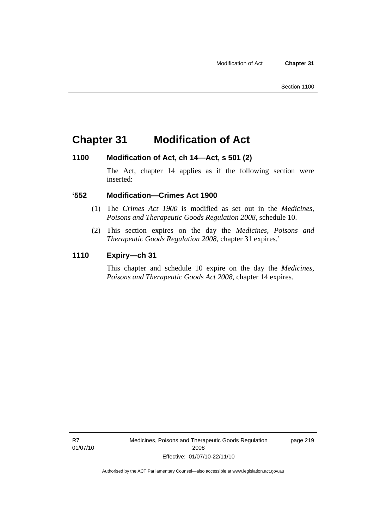### **Chapter 31 Modification of Act**

#### **1100 Modification of Act, ch 14—Act, s 501 (2)**

The Act, chapter 14 applies as if the following section were inserted:

#### **'552 Modification—Crimes Act 1900**

- (1) The *Crimes Act 1900* is modified as set out in the *Medicines, Poisons and Therapeutic Goods Regulation 2008*, schedule 10.
- (2) This section expires on the day the *Medicines, Poisons and Therapeutic Goods Regulation 2008*, chapter 31 expires.'

#### **1110 Expiry—ch 31**

This chapter and schedule 10 expire on the day the *Medicines, Poisons and Therapeutic Goods Act 2008*, chapter 14 expires.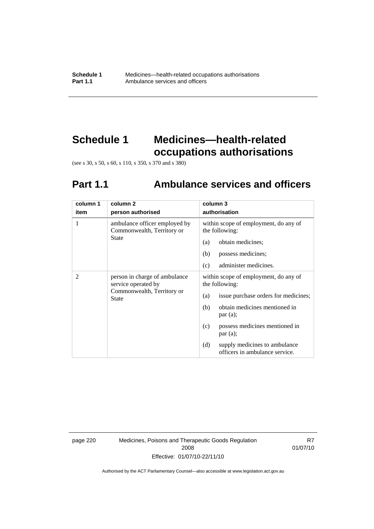# **Schedule 1 Medicines—health-related occupations authorisations**

(see s 30, s 50, s 60, s 110, s 350, s 370 and s 380)

# **Part 1.1 Ambulance services and officers**

| column 1       | column <sub>2</sub>                                                                                | column 3                                                               |
|----------------|----------------------------------------------------------------------------------------------------|------------------------------------------------------------------------|
| item           | person authorised                                                                                  | authorisation                                                          |
| 1              | ambulance officer employed by<br>Commonwealth, Territory or<br>State                               | within scope of employment, do any of<br>the following:                |
|                |                                                                                                    | obtain medicines;<br>(a)                                               |
|                |                                                                                                    | (b)<br>possess medicines;                                              |
|                |                                                                                                    | administer medicines.<br>(c)                                           |
| $\mathfrak{D}$ | person in charge of ambulance<br>service operated by<br>Commonwealth, Territory or<br><b>State</b> | within scope of employment, do any of<br>the following:                |
|                |                                                                                                    | issue purchase orders for medicines;<br>(a)                            |
|                |                                                                                                    | obtain medicines mentioned in<br>(b)<br>par(a);                        |
|                |                                                                                                    | possess medicines mentioned in<br>(c)<br>par(a);                       |
|                |                                                                                                    | supply medicines to ambulance<br>(d)<br>officers in ambulance service. |

page 220 Medicines, Poisons and Therapeutic Goods Regulation 2008 Effective: 01/07/10-22/11/10

R7 01/07/10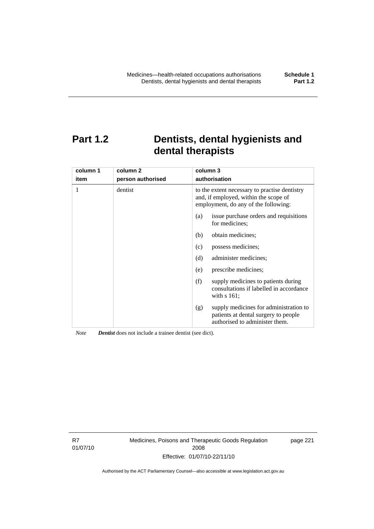# **Part 1.2 Dentists, dental hygienists and dental therapists**

| column 1<br>item | column <sub>2</sub><br>person authorised | column 3<br>authorisation                                                                                                      |  |
|------------------|------------------------------------------|--------------------------------------------------------------------------------------------------------------------------------|--|
| 1                | dentist                                  | to the extent necessary to practise dentistry<br>and, if employed, within the scope of<br>employment, do any of the following: |  |
|                  |                                          | issue purchase orders and requisitions<br>(a)<br>for medicines:                                                                |  |
|                  |                                          | obtain medicines;<br>(b)                                                                                                       |  |
|                  |                                          | possess medicines;<br>(c)                                                                                                      |  |
|                  |                                          | (d)<br>administer medicines;                                                                                                   |  |
|                  |                                          | prescribe medicines;<br>(e)                                                                                                    |  |
|                  |                                          | supply medicines to patients during<br>(f)<br>consultations if labelled in accordance<br>with $s$ 161;                         |  |
|                  |                                          | supply medicines for administration to<br>(g)<br>patients at dental surgery to people<br>authorised to administer them.        |  |

*Note Dentist* does not include a trainee dentist (see dict).

R7 01/07/10 Medicines, Poisons and Therapeutic Goods Regulation 2008 Effective: 01/07/10-22/11/10

page 221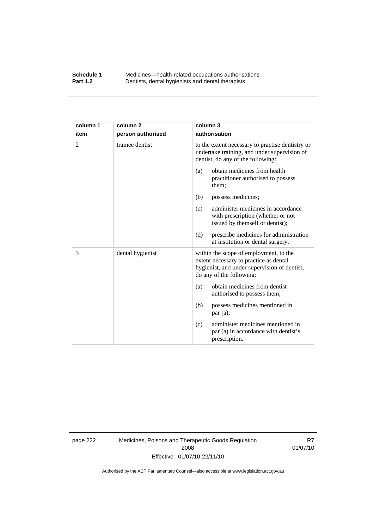#### **Schedule 1** Medicines—health-related occupations authorisations<br>**Part 1.2** Dentists, dental hygienists and dental therapists **Part 1.2** Dentists, dental hygienists and dental therapists

| column 1<br>item | column <sub>2</sub><br>person authorised | column 3<br>authorisation                                                                                                                                    |
|------------------|------------------------------------------|--------------------------------------------------------------------------------------------------------------------------------------------------------------|
| $\overline{2}$   | trainee dentist                          | to the extent necessary to practise dentistry or<br>undertake training, and under supervision of<br>dentist, do any of the following:                        |
|                  |                                          | obtain medicines from health<br>(a)<br>practitioner authorised to possess<br>them;                                                                           |
|                  |                                          | (b)<br>possess medicines;                                                                                                                                    |
|                  |                                          | administer medicines in accordance<br>(c)<br>with prescription (whether or not<br>issued by themself or dentist);                                            |
|                  |                                          | prescribe medicines for administration<br>(d)<br>at institution or dental surgery.                                                                           |
| 3                | dental hygienist                         | within the scope of employment, to the<br>extent necessary to practice as dental<br>hygienist, and under supervision of dentist,<br>do any of the following: |
|                  |                                          | obtain medicines from dentist<br>(a)<br>authorised to possess them;                                                                                          |
|                  |                                          | (b)<br>possess medicines mentioned in<br>par(a);                                                                                                             |
|                  |                                          | administer medicines mentioned in<br>(c)<br>par (a) in accordance with dentist's<br>prescription.                                                            |

page 222 Medicines, Poisons and Therapeutic Goods Regulation 2008 Effective: 01/07/10-22/11/10

R7 01/07/10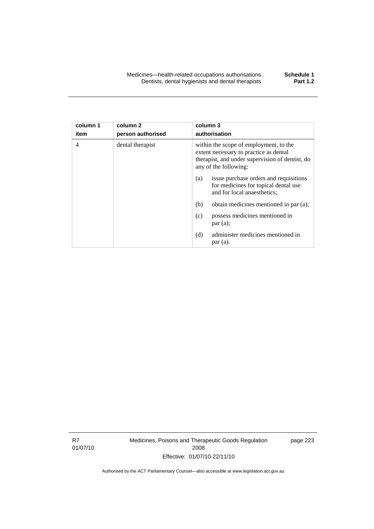| column 1<br>item | column 2<br>person authorised | column 3<br>authorisation                                                                                                                                    |  |
|------------------|-------------------------------|--------------------------------------------------------------------------------------------------------------------------------------------------------------|--|
| 4                | dental therapist              | within the scope of employment, to the<br>extent necessary to practice as dental<br>therapist, and under supervision of dentist, do<br>any of the following: |  |
|                  |                               | issue purchase orders and requisitions<br>(a)<br>for medicines for topical dental use<br>and for local anaesthetics;                                         |  |
|                  |                               | obtain medicines mentioned in par (a);<br>(b)                                                                                                                |  |
|                  |                               | (c)<br>possess medicines mentioned in<br>par(a);                                                                                                             |  |
|                  |                               | administer medicines mentioned in<br>(d)<br>par(a).                                                                                                          |  |

R7 01/07/10 Medicines, Poisons and Therapeutic Goods Regulation 2008 Effective: 01/07/10-22/11/10

page 223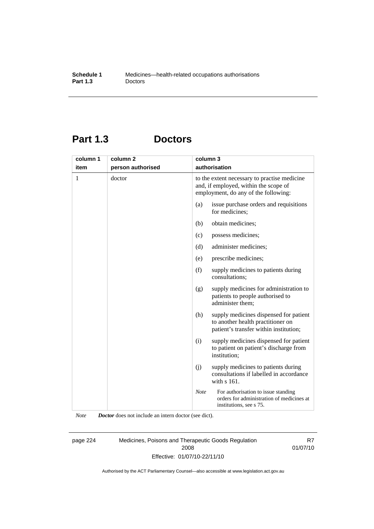## **Part 1.3 Doctors**

| column 1 | column <sub>2</sub> | column 3    |                                                                                                                               |
|----------|---------------------|-------------|-------------------------------------------------------------------------------------------------------------------------------|
| item     | person authorised   |             | authorisation                                                                                                                 |
| 1        | doctor              |             | to the extent necessary to practise medicine<br>and, if employed, within the scope of<br>employment, do any of the following: |
|          |                     | (a)         | issue purchase orders and requisitions<br>for medicines;                                                                      |
|          |                     | (b)         | obtain medicines;                                                                                                             |
|          |                     | (c)         | possess medicines;                                                                                                            |
|          |                     | (d)         | administer medicines;                                                                                                         |
|          |                     | (e)         | prescribe medicines;                                                                                                          |
|          |                     | (f)         | supply medicines to patients during<br>consultations;                                                                         |
|          |                     | (g)         | supply medicines for administration to<br>patients to people authorised to<br>administer them:                                |
|          |                     | (h)         | supply medicines dispensed for patient<br>to another health practitioner on<br>patient's transfer within institution;         |
|          |                     | (i)         | supply medicines dispensed for patient<br>to patient on patient's discharge from<br>institution;                              |
|          |                     | (j)         | supply medicines to patients during<br>consultations if labelled in accordance<br>with s 161.                                 |
|          |                     | <b>Note</b> | For authorisation to issue standing<br>orders for administration of medicines at<br>institutions, see s 75.                   |

*Note Doctor* does not include an intern doctor (see dict).

page 224 Medicines, Poisons and Therapeutic Goods Regulation 2008 Effective: 01/07/10-22/11/10

R7 01/07/10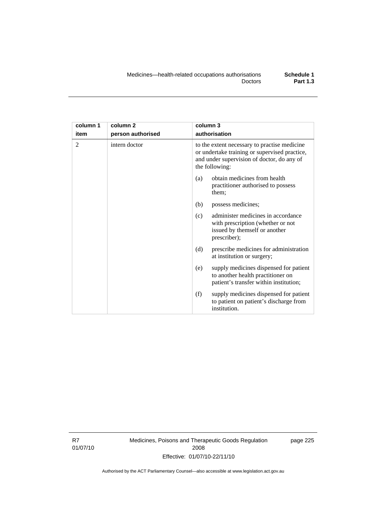| column 1       | column <sub>2</sub> | column 3                                                                                                                                                      |  |
|----------------|---------------------|---------------------------------------------------------------------------------------------------------------------------------------------------------------|--|
| item           | person authorised   | authorisation                                                                                                                                                 |  |
| $\mathfrak{D}$ | intern doctor       | to the extent necessary to practise medicine<br>or undertake training or supervised practice,<br>and under supervision of doctor, do any of<br>the following: |  |
|                |                     | obtain medicines from health<br>(a)<br>practitioner authorised to possess<br>them;                                                                            |  |
|                |                     | (b)<br>possess medicines;                                                                                                                                     |  |
|                |                     | administer medicines in accordance<br>(c)<br>with prescription (whether or not<br>issued by themself or another<br>prescriber);                               |  |
|                |                     | (d)<br>prescribe medicines for administration<br>at institution or surgery;                                                                                   |  |
|                |                     | supply medicines dispensed for patient<br>(e)<br>to another health practitioner on<br>patient's transfer within institution;                                  |  |
|                |                     | (f)<br>supply medicines dispensed for patient<br>to patient on patient's discharge from<br>institution.                                                       |  |

R7 01/07/10 Medicines, Poisons and Therapeutic Goods Regulation 2008 Effective: 01/07/10-22/11/10

page 225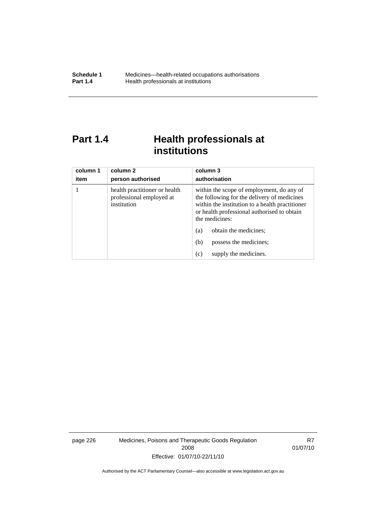# **Part 1.4 Health professionals at institutions**

| column 1<br>item | column 2<br>person authorised                                            | column 3<br>authorisation                                                                                                                                                                                    |
|------------------|--------------------------------------------------------------------------|--------------------------------------------------------------------------------------------------------------------------------------------------------------------------------------------------------------|
|                  | health practitioner or health<br>professional employed at<br>institution | within the scope of employment, do any of<br>the following for the delivery of medicines<br>within the institution to a health practitioner<br>or health professional authorised to obtain<br>the medicines: |
|                  |                                                                          | obtain the medicines;<br>(a)                                                                                                                                                                                 |
|                  |                                                                          | (b)<br>possess the medicines;                                                                                                                                                                                |
|                  |                                                                          | supply the medicines.<br>(c)                                                                                                                                                                                 |

page 226 Medicines, Poisons and Therapeutic Goods Regulation 2008 Effective: 01/07/10-22/11/10

R7 01/07/10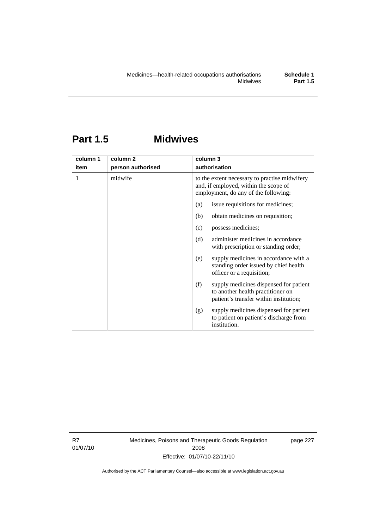# **Part 1.5 Midwives**

| column 1 | column <sub>2</sub> | column 3                                                                                                                       |
|----------|---------------------|--------------------------------------------------------------------------------------------------------------------------------|
| item     | person authorised   | authorisation                                                                                                                  |
| 1        | midwife             | to the extent necessary to practise midwifery<br>and, if employed, within the scope of<br>employment, do any of the following: |
|          |                     | issue requisitions for medicines;<br>(a)                                                                                       |
|          |                     | obtain medicines on requisition;<br>(b)                                                                                        |
|          |                     | possess medicines;<br>(c)                                                                                                      |
|          |                     | administer medicines in accordance<br>(d)<br>with prescription or standing order;                                              |
|          |                     | supply medicines in accordance with a<br>(e)<br>standing order issued by chief health<br>officer or a requisition;             |
|          |                     | (f)<br>supply medicines dispensed for patient<br>to another health practitioner on<br>patient's transfer within institution;   |
|          |                     | supply medicines dispensed for patient<br>(g)<br>to patient on patient's discharge from<br>institution.                        |

R7 01/07/10 Medicines, Poisons and Therapeutic Goods Regulation 2008 Effective: 01/07/10-22/11/10

page 227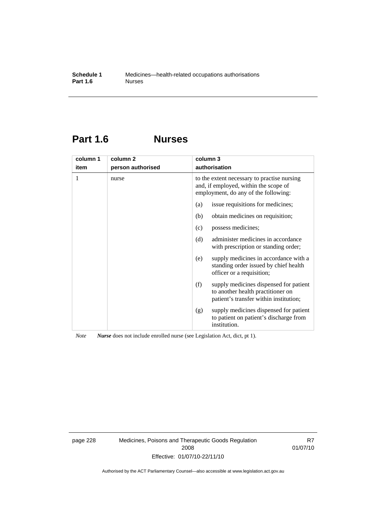## **Part 1.6 Nurses**

| column 1 | column <sub>2</sub> | column 3                                                                                                                     |
|----------|---------------------|------------------------------------------------------------------------------------------------------------------------------|
| item     | person authorised   | authorisation                                                                                                                |
| 1        | nurse               | to the extent necessary to practise nursing<br>and, if employed, within the scope of<br>employment, do any of the following: |
|          |                     | issue requisitions for medicines;<br>(a)                                                                                     |
|          |                     | obtain medicines on requisition;<br>(b)                                                                                      |
|          |                     | possess medicines;<br>(c)                                                                                                    |
|          |                     | administer medicines in accordance<br>(d)<br>with prescription or standing order;                                            |
|          |                     | supply medicines in accordance with a<br>(e)<br>standing order issued by chief health<br>officer or a requisition;           |
|          |                     | supply medicines dispensed for patient<br>(f)<br>to another health practitioner on<br>patient's transfer within institution; |
|          |                     | supply medicines dispensed for patient<br>(g)<br>to patient on patient's discharge from<br>institution.                      |

*Note Nurse* does not include enrolled nurse (see Legislation Act, dict, pt 1).

page 228 Medicines, Poisons and Therapeutic Goods Regulation 2008 Effective: 01/07/10-22/11/10

R7 01/07/10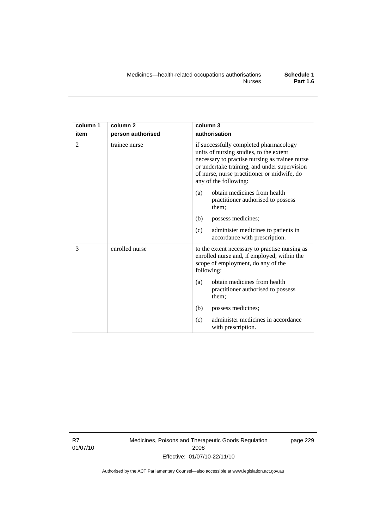| column 1       | column <sub>2</sub> | column 3                                                                                                                                                                                                                                                    |
|----------------|---------------------|-------------------------------------------------------------------------------------------------------------------------------------------------------------------------------------------------------------------------------------------------------------|
| item           | person authorised   | authorisation                                                                                                                                                                                                                                               |
| $\overline{2}$ | trainee nurse       | if successfully completed pharmacology<br>units of nursing studies, to the extent<br>necessary to practise nursing as trainee nurse<br>or undertake training, and under supervision<br>of nurse, nurse practitioner or midwife, do<br>any of the following: |
|                |                     | obtain medicines from health<br>(a)<br>practitioner authorised to possess<br>them;                                                                                                                                                                          |
|                |                     | (b)<br>possess medicines;                                                                                                                                                                                                                                   |
|                |                     | administer medicines to patients in<br>(c)<br>accordance with prescription.                                                                                                                                                                                 |
| 3              | enrolled nurse      | to the extent necessary to practise nursing as<br>enrolled nurse and, if employed, within the<br>scope of employment, do any of the<br>following:                                                                                                           |
|                |                     | obtain medicines from health<br>(a)<br>practitioner authorised to possess<br>them;                                                                                                                                                                          |
|                |                     | (b)<br>possess medicines;                                                                                                                                                                                                                                   |
|                |                     | administer medicines in accordance<br>(c)<br>with prescription.                                                                                                                                                                                             |

R7 01/07/10 Medicines, Poisons and Therapeutic Goods Regulation 2008 Effective: 01/07/10-22/11/10

page 229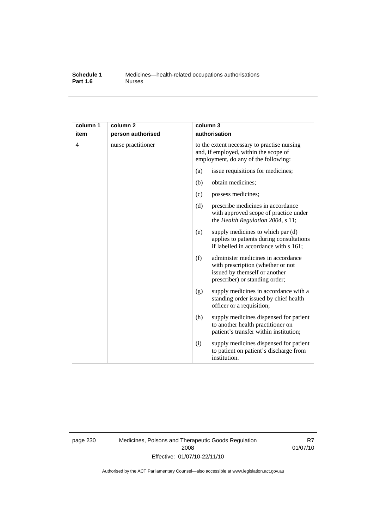### **Schedule 1** Medicines—health-related occupations authorisations<br>**Part 1.6** Murses **Part 1.6**

| column 1<br>item | column <sub>2</sub><br>person authorised | column 3                                                                                                                     | authorisation                                                                                                                              |
|------------------|------------------------------------------|------------------------------------------------------------------------------------------------------------------------------|--------------------------------------------------------------------------------------------------------------------------------------------|
| $\overline{4}$   | nurse practitioner                       | to the extent necessary to practise nursing<br>and, if employed, within the scope of<br>employment, do any of the following: |                                                                                                                                            |
|                  |                                          | (a)                                                                                                                          | issue requisitions for medicines;                                                                                                          |
|                  |                                          | (b)                                                                                                                          | obtain medicines;                                                                                                                          |
|                  |                                          | (c)                                                                                                                          | possess medicines;                                                                                                                         |
|                  |                                          | (d)                                                                                                                          | prescribe medicines in accordance<br>with approved scope of practice under<br>the Health Regulation 2004, s 11;                            |
|                  |                                          | (e)                                                                                                                          | supply medicines to which par (d)<br>applies to patients during consultations<br>if labelled in accordance with s 161;                     |
|                  |                                          | (f)                                                                                                                          | administer medicines in accordance<br>with prescription (whether or not<br>issued by themself or another<br>prescriber) or standing order; |
|                  |                                          | (g)                                                                                                                          | supply medicines in accordance with a<br>standing order issued by chief health<br>officer or a requisition;                                |
|                  |                                          | (h)                                                                                                                          | supply medicines dispensed for patient<br>to another health practitioner on<br>patient's transfer within institution;                      |
|                  |                                          | (i)                                                                                                                          | supply medicines dispensed for patient<br>to patient on patient's discharge from<br>institution.                                           |

page 230 Medicines, Poisons and Therapeutic Goods Regulation 2008 Effective: 01/07/10-22/11/10

R7 01/07/10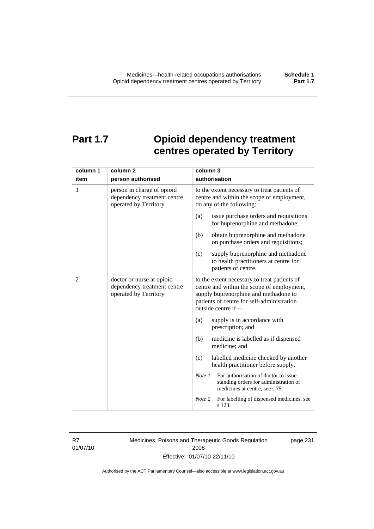# **Part 1.7 Opioid dependency treatment centres operated by Territory**

| column 1       | column <sub>2</sub>                                                                | column 3                                                                                                                                                                                                |  |
|----------------|------------------------------------------------------------------------------------|---------------------------------------------------------------------------------------------------------------------------------------------------------------------------------------------------------|--|
| item           | person authorised                                                                  | authorisation                                                                                                                                                                                           |  |
| 1              | person in charge of opioid<br>dependency treatment centre<br>operated by Territory | to the extent necessary to treat patients of<br>centre and within the scope of employment,<br>do any of the following:                                                                                  |  |
|                |                                                                                    | issue purchase orders and requisitions<br>(a)<br>for buprenorphine and methadone;                                                                                                                       |  |
|                |                                                                                    | (b)<br>obtain buprenorphine and methadone<br>on purchase orders and requisitions;                                                                                                                       |  |
|                |                                                                                    | supply buprenorphine and methadone<br>(c)<br>to health practitioners at centre for<br>patients of centre.                                                                                               |  |
| $\overline{c}$ | doctor or nurse at opioid<br>dependency treatment centre<br>operated by Territory  | to the extent necessary to treat patients of<br>centre and within the scope of employment,<br>supply buprenorphine and methadone to<br>patients of centre for self-administration<br>outside centre if- |  |
|                |                                                                                    | supply is in accordance with<br>(a)<br>prescription; and                                                                                                                                                |  |
|                |                                                                                    | (b)<br>medicine is labelled as if dispensed<br>medicine; and                                                                                                                                            |  |
|                |                                                                                    | labelled medicine checked by another<br>(c)<br>health practitioner before supply.                                                                                                                       |  |
|                |                                                                                    | For authorisation of doctor to issue<br>Note 1<br>standing orders for administration of<br>medicines at centre, see s 75.                                                                               |  |
|                |                                                                                    | Note 2<br>For labelling of dispensed medicines, see<br>s 123.                                                                                                                                           |  |

R7 01/07/10 Medicines, Poisons and Therapeutic Goods Regulation 2008 Effective: 01/07/10-22/11/10

page 231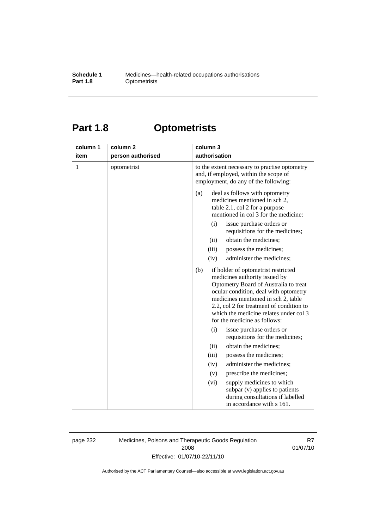# **Part 1.8 Optometrists**

| column 1     | column <sub>2</sub> | column 3                                                                                                                                                                                                                                                                                                                                                                                                                                                                                                                                                                                                                      |
|--------------|---------------------|-------------------------------------------------------------------------------------------------------------------------------------------------------------------------------------------------------------------------------------------------------------------------------------------------------------------------------------------------------------------------------------------------------------------------------------------------------------------------------------------------------------------------------------------------------------------------------------------------------------------------------|
| item         | person authorised   | authorisation                                                                                                                                                                                                                                                                                                                                                                                                                                                                                                                                                                                                                 |
| $\mathbf{1}$ | optometrist         | to the extent necessary to practise optometry<br>and, if employed, within the scope of<br>employment, do any of the following:                                                                                                                                                                                                                                                                                                                                                                                                                                                                                                |
|              |                     | (a)<br>deal as follows with optometry<br>medicines mentioned in sch 2,<br>table 2.1, col 2 for a purpose<br>mentioned in col 3 for the medicine:<br>(i)<br>issue purchase orders or<br>requisitions for the medicines;<br>obtain the medicines;<br>(ii)<br>(iii)<br>possess the medicines;<br>(iv)<br>administer the medicines;<br>(b)<br>if holder of optometrist restricted<br>medicines authority issued by<br>Optometry Board of Australia to treat<br>ocular condition, deal with optometry<br>medicines mentioned in sch 2, table<br>2.2, col 2 for treatment of condition to<br>which the medicine relates under col 3 |
|              |                     | for the medicine as follows:                                                                                                                                                                                                                                                                                                                                                                                                                                                                                                                                                                                                  |
|              |                     | (i)<br>issue purchase orders or<br>requisitions for the medicines;                                                                                                                                                                                                                                                                                                                                                                                                                                                                                                                                                            |
|              |                     | obtain the medicines;<br>(ii)                                                                                                                                                                                                                                                                                                                                                                                                                                                                                                                                                                                                 |
|              |                     | possess the medicines;<br>(iii)                                                                                                                                                                                                                                                                                                                                                                                                                                                                                                                                                                                               |
|              |                     | administer the medicines;<br>(iv)                                                                                                                                                                                                                                                                                                                                                                                                                                                                                                                                                                                             |
|              |                     | prescribe the medicines;<br>(v)                                                                                                                                                                                                                                                                                                                                                                                                                                                                                                                                                                                               |
|              |                     | supply medicines to which<br>(vi)<br>subpar (v) applies to patients<br>during consultations if labelled<br>in accordance with s 161.                                                                                                                                                                                                                                                                                                                                                                                                                                                                                          |

page 232 Medicines, Poisons and Therapeutic Goods Regulation 2008 Effective: 01/07/10-22/11/10

R7 01/07/10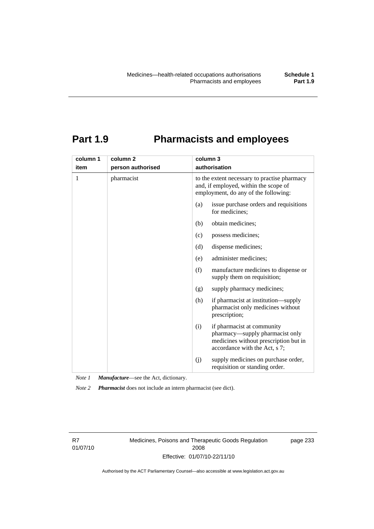## **Part 1.9 Pharmacists and employees**

| column 1 | column <sub>2</sub> | column 3                                                                                                                                       |  |
|----------|---------------------|------------------------------------------------------------------------------------------------------------------------------------------------|--|
| item     | person authorised   | authorisation                                                                                                                                  |  |
| 1        | pharmacist          | to the extent necessary to practise pharmacy<br>and, if employed, within the scope of<br>employment, do any of the following:                  |  |
|          |                     | (a)<br>issue purchase orders and requisitions<br>for medicines;                                                                                |  |
|          |                     | obtain medicines;<br>(b)                                                                                                                       |  |
|          |                     | possess medicines;<br>(c)                                                                                                                      |  |
|          |                     | dispense medicines;<br>(d)                                                                                                                     |  |
|          |                     | administer medicines;<br>(e)                                                                                                                   |  |
|          |                     | (f)<br>manufacture medicines to dispense or<br>supply them on requisition;                                                                     |  |
|          |                     | supply pharmacy medicines;<br>(g)                                                                                                              |  |
|          |                     | (h)<br>if pharmacist at institution—supply<br>pharmacist only medicines without<br>prescription;                                               |  |
|          |                     | if pharmacist at community<br>(i)<br>pharmacy-supply pharmacist only<br>medicines without prescription but in<br>accordance with the Act, s 7; |  |
|          |                     | supply medicines on purchase order,<br>(i)<br>requisition or standing order.                                                                   |  |

*Note 1 Manufacture*—see the Act, dictionary.

*Note 2 Pharmacist* does not include an intern pharmacist (see dict).

R7 01/07/10 Medicines, Poisons and Therapeutic Goods Regulation 2008 Effective: 01/07/10-22/11/10

page 233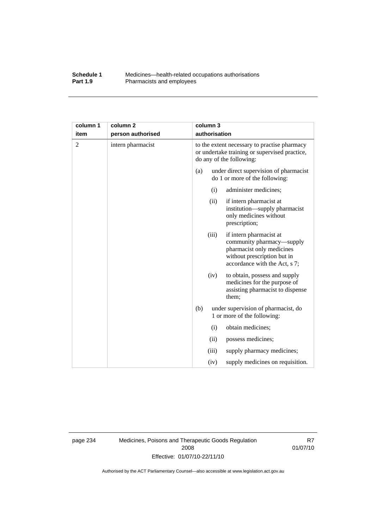### **Schedule 1** Medicines—health-related occupations authorisations<br>**Part 1.9** Pharmacists and employees Pharmacists and employees

| column 1 | column <sub>2</sub> |                                                                                                                           | column 3      |                                                                                                                                                   |
|----------|---------------------|---------------------------------------------------------------------------------------------------------------------------|---------------|---------------------------------------------------------------------------------------------------------------------------------------------------|
| item     | person authorised   |                                                                                                                           | authorisation |                                                                                                                                                   |
| 2        | intern pharmacist   | to the extent necessary to practise pharmacy<br>or undertake training or supervised practice,<br>do any of the following: |               |                                                                                                                                                   |
|          |                     | (a)                                                                                                                       |               | under direct supervision of pharmacist<br>do 1 or more of the following:                                                                          |
|          |                     |                                                                                                                           | (i)           | administer medicines;                                                                                                                             |
|          |                     |                                                                                                                           | (ii)          | if intern pharmacist at<br>institution-supply pharmacist<br>only medicines without<br>prescription;                                               |
|          |                     |                                                                                                                           | (iii)         | if intern pharmacist at<br>community pharmacy—supply<br>pharmacist only medicines<br>without prescription but in<br>accordance with the Act, s 7; |
|          |                     |                                                                                                                           | (iv)          | to obtain, possess and supply<br>medicines for the purpose of<br>assisting pharmacist to dispense<br>them;                                        |
|          |                     | (b)                                                                                                                       |               | under supervision of pharmacist, do<br>1 or more of the following:                                                                                |
|          |                     |                                                                                                                           | (i)           | obtain medicines;                                                                                                                                 |
|          |                     |                                                                                                                           | (ii)          | possess medicines;                                                                                                                                |
|          |                     |                                                                                                                           | (iii)         | supply pharmacy medicines;                                                                                                                        |
|          |                     |                                                                                                                           | (iv)          | supply medicines on requisition.                                                                                                                  |

page 234 Medicines, Poisons and Therapeutic Goods Regulation 2008 Effective: 01/07/10-22/11/10

R7 01/07/10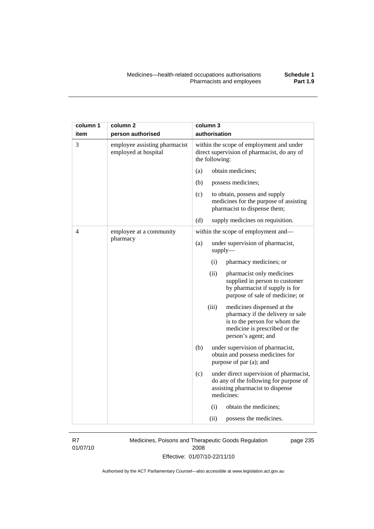| column 1<br>item | column <sub>2</sub><br>person authorised              | column 3<br>authorisation                                                                                                                                        |
|------------------|-------------------------------------------------------|------------------------------------------------------------------------------------------------------------------------------------------------------------------|
| 3                | employee assisting pharmacist<br>employed at hospital | within the scope of employment and under<br>direct supervision of pharmacist, do any of<br>the following:                                                        |
|                  |                                                       | obtain medicines;<br>(a)                                                                                                                                         |
|                  |                                                       | (b)<br>possess medicines;                                                                                                                                        |
|                  |                                                       | (c)<br>to obtain, possess and supply<br>medicines for the purpose of assisting<br>pharmacist to dispense them;                                                   |
|                  |                                                       | (d)<br>supply medicines on requisition.                                                                                                                          |
| 4                | employee at a community                               | within the scope of employment and-                                                                                                                              |
|                  | pharmacy                                              | (a)<br>under supervision of pharmacist,<br>$supply$ —                                                                                                            |
|                  |                                                       | pharmacy medicines; or<br>(i)                                                                                                                                    |
|                  |                                                       | (ii)<br>pharmacist only medicines<br>supplied in person to customer<br>by pharmacist if supply is for<br>purpose of sale of medicine; or                         |
|                  |                                                       | (iii)<br>medicines dispensed at the<br>pharmacy if the delivery or sale<br>is to the person for whom the<br>medicine is prescribed or the<br>person's agent; and |
|                  |                                                       | (b)<br>under supervision of pharmacist,<br>obtain and possess medicines for<br>purpose of par (a); and                                                           |
|                  |                                                       | (c)<br>under direct supervision of pharmacist,<br>do any of the following for purpose of<br>assisting pharmacist to dispense<br>medicines:                       |
|                  |                                                       | obtain the medicines;<br>(i)                                                                                                                                     |
|                  |                                                       | (ii)<br>possess the medicines.                                                                                                                                   |

R7 01/07/10 Medicines, Poisons and Therapeutic Goods Regulation 2008 Effective: 01/07/10-22/11/10

page 235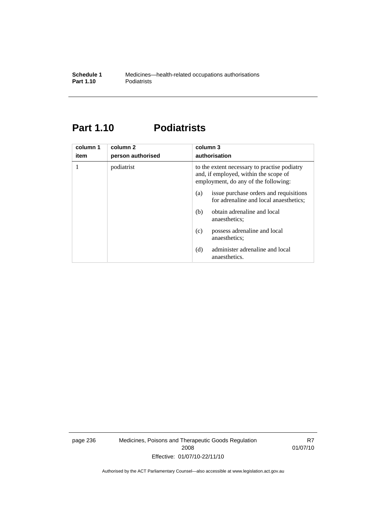# **Part 1.10 Podiatrists**

| column 1<br>item | column 2<br>person authorised | column 3<br>authorisation                                                                                                     |  |
|------------------|-------------------------------|-------------------------------------------------------------------------------------------------------------------------------|--|
| 1                | podiatrist                    | to the extent necessary to practise podiatry<br>and, if employed, within the scope of<br>employment, do any of the following: |  |
|                  |                               | issue purchase orders and requisitions<br>(a)<br>for adrenaline and local anaesthetics;                                       |  |
|                  |                               | obtain adrenaline and local<br>(b)<br>anaesthetics;                                                                           |  |
|                  |                               | possess adrenaline and local<br>(c)<br>anaesthetics;                                                                          |  |
|                  |                               | administer adrenaline and local<br>(d)<br>anaesthetics.                                                                       |  |

page 236 Medicines, Poisons and Therapeutic Goods Regulation 2008 Effective: 01/07/10-22/11/10

R7 01/07/10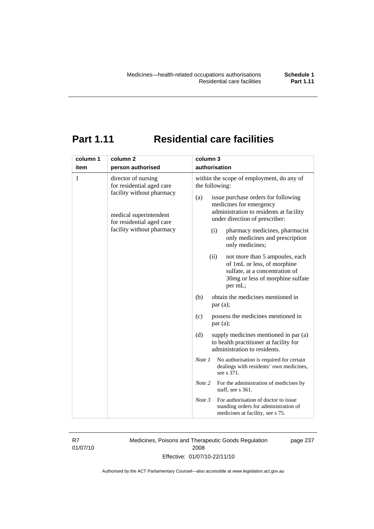# **Part 1.11 Residential care facilities**

| column 1 | column <sub>2</sub>                                                                                                                                               | column 3                                                                                                                                                                                                                                                                                                                                                                                  |  |
|----------|-------------------------------------------------------------------------------------------------------------------------------------------------------------------|-------------------------------------------------------------------------------------------------------------------------------------------------------------------------------------------------------------------------------------------------------------------------------------------------------------------------------------------------------------------------------------------|--|
| item     | person authorised                                                                                                                                                 | authorisation                                                                                                                                                                                                                                                                                                                                                                             |  |
| 1        | director of nursing<br>for residential aged care<br>facility without pharmacy<br>medical superintendent<br>for residential aged care<br>facility without pharmacy | within the scope of employment, do any of<br>the following:<br>(a)<br>issue purchase orders for following<br>medicines for emergency<br>administration to residents at facility<br>under direction of prescriber:<br>pharmacy medicines, pharmacist<br>(i)<br>only medicines and prescription<br>only medicines;<br>(ii)<br>not more than 5 ampoules, each<br>of 1mL or less, of morphine |  |
|          |                                                                                                                                                                   | sulfate, at a concentration of<br>30mg or less of morphine sulfate<br>per mL;<br>obtain the medicines mentioned in<br>(b)                                                                                                                                                                                                                                                                 |  |
|          |                                                                                                                                                                   | par (a);                                                                                                                                                                                                                                                                                                                                                                                  |  |
|          |                                                                                                                                                                   | possess the medicines mentioned in<br>(c)<br>par(a);                                                                                                                                                                                                                                                                                                                                      |  |
|          |                                                                                                                                                                   | supply medicines mentioned in par (a)<br>(d)<br>to health practitioner at facility for<br>administration to residents.                                                                                                                                                                                                                                                                    |  |
|          |                                                                                                                                                                   | Note 1<br>No authorisation is required for certain<br>dealings with residents' own medicines,<br>see s 371.                                                                                                                                                                                                                                                                               |  |
|          |                                                                                                                                                                   | Note 2<br>For the administration of medicines by<br>staff, see s 361.                                                                                                                                                                                                                                                                                                                     |  |
|          |                                                                                                                                                                   | For authorisation of doctor to issue<br>Note 3<br>standing orders for administration of<br>medicines at facility, see s 75.                                                                                                                                                                                                                                                               |  |

R7 01/07/10 Medicines, Poisons and Therapeutic Goods Regulation 2008 Effective: 01/07/10-22/11/10

page 237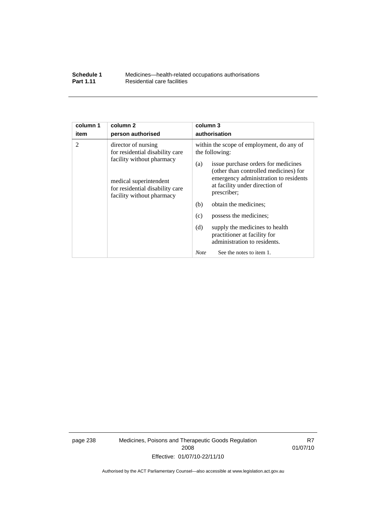| Schedule 1       | Medicines—health-related occupations authorisations |
|------------------|-----------------------------------------------------|
| <b>Part 1.11</b> | Residential care facilities                         |

| column 1 | column <sub>2</sub>                                                                                                                                                           | column 3                                                                                                                                                                                                                                                                                                                                                                                                                                                          |  |
|----------|-------------------------------------------------------------------------------------------------------------------------------------------------------------------------------|-------------------------------------------------------------------------------------------------------------------------------------------------------------------------------------------------------------------------------------------------------------------------------------------------------------------------------------------------------------------------------------------------------------------------------------------------------------------|--|
| item     | person authorised                                                                                                                                                             | authorisation                                                                                                                                                                                                                                                                                                                                                                                                                                                     |  |
| 2        | director of nursing<br>for residential disability care<br>facility without pharmacy<br>medical superintendent<br>for residential disability care<br>facility without pharmacy | within the scope of employment, do any of<br>the following:<br>issue purchase orders for medicines<br>(a)<br>(other than controlled medicines) for<br>emergency administration to residents<br>at facility under direction of<br>prescriber;<br>(b)<br>obtain the medicines;<br>possess the medicines;<br>(c)<br>(d)<br>supply the medicines to health<br>practitioner at facility for<br>administration to residents.<br>See the notes to item 1.<br><b>Note</b> |  |

page 238 Medicines, Poisons and Therapeutic Goods Regulation 2008 Effective: 01/07/10-22/11/10

R7 01/07/10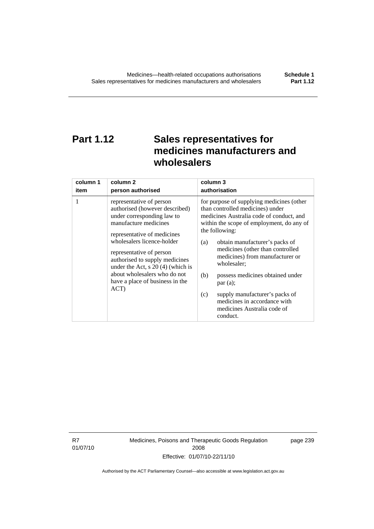# **Part 1.12 Sales representatives for medicines manufacturers and wholesalers**

| column 1 | column 2                                                                                                                                                                                                                                                                                                                                                       | column 3                                                                                                                                                                                                                                                                                                                                                                                                                                                                                          |
|----------|----------------------------------------------------------------------------------------------------------------------------------------------------------------------------------------------------------------------------------------------------------------------------------------------------------------------------------------------------------------|---------------------------------------------------------------------------------------------------------------------------------------------------------------------------------------------------------------------------------------------------------------------------------------------------------------------------------------------------------------------------------------------------------------------------------------------------------------------------------------------------|
| item     | person authorised                                                                                                                                                                                                                                                                                                                                              | authorisation                                                                                                                                                                                                                                                                                                                                                                                                                                                                                     |
| 1        | representative of person<br>authorised (however described)<br>under corresponding law to<br>manufacture medicines<br>representative of medicines<br>wholesalers licence-holder<br>representative of person<br>authorised to supply medicines<br>under the Act, $s$ 20 (4) (which is<br>about wholesalers who do not<br>have a place of business in the<br>ACT) | for purpose of supplying medicines (other<br>than controlled medicines) under<br>medicines Australia code of conduct, and<br>within the scope of employment, do any of<br>the following:<br>obtain manufacturer's packs of<br>(a)<br>medicines (other than controlled<br>medicines) from manufacturer or<br>wholesaler;<br>(b)<br>possess medicines obtained under<br>par(a);<br>supply manufacturer's packs of<br>(c)<br>medicines in accordance with<br>medicines Australia code of<br>conduct. |

R7 01/07/10 Medicines, Poisons and Therapeutic Goods Regulation 2008 Effective: 01/07/10-22/11/10

page 239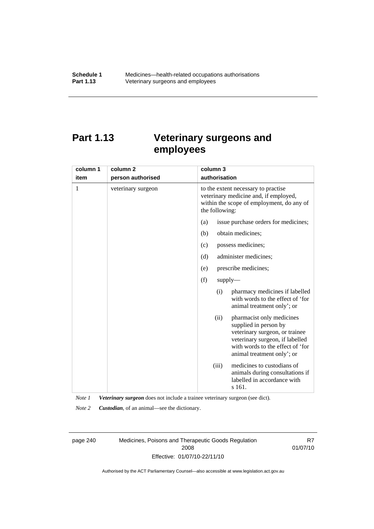# **Part 1.13 Veterinary surgeons and employees**

| column 1 | column <sub>2</sub> | column 3                                                                                                                                                                                          |  |  |
|----------|---------------------|---------------------------------------------------------------------------------------------------------------------------------------------------------------------------------------------------|--|--|
| item     | person authorised   | authorisation                                                                                                                                                                                     |  |  |
| 1        | veterinary surgeon  | to the extent necessary to practise<br>veterinary medicine and, if employed,<br>within the scope of employment, do any of<br>the following:                                                       |  |  |
|          |                     | (a)<br>issue purchase orders for medicines;                                                                                                                                                       |  |  |
|          |                     | obtain medicines;<br>(b)                                                                                                                                                                          |  |  |
|          |                     | possess medicines;<br>(c)                                                                                                                                                                         |  |  |
|          |                     | (d)<br>administer medicines;                                                                                                                                                                      |  |  |
|          |                     | prescribe medicines;<br>(e)                                                                                                                                                                       |  |  |
|          |                     | (f)<br>$supply$ —                                                                                                                                                                                 |  |  |
|          |                     | pharmacy medicines if labelled<br>(i)<br>with words to the effect of 'for<br>animal treatment only'; or                                                                                           |  |  |
|          |                     | pharmacist only medicines<br>(ii)<br>supplied in person by<br>veterinary surgeon, or trainee<br>veterinary surgeon, if labelled<br>with words to the effect of 'for<br>animal treatment only'; or |  |  |
|          |                     | medicines to custodians of<br>(iii)<br>animals during consultations if<br>labelled in accordance with<br>s 161.                                                                                   |  |  |

*Note 1 Veterinary surgeon* does not include a trainee veterinary surgeon (see dict).

*Note 2 Custodian*, of an animal—see the dictionary.

page 240 Medicines, Poisons and Therapeutic Goods Regulation 2008 Effective: 01/07/10-22/11/10

R7 01/07/10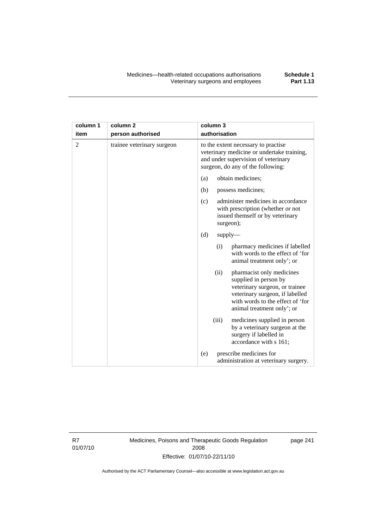| column 1<br>item | column <sub>2</sub><br>person authorised | column 3<br>authorisation                                                                                                                                                                         |  |
|------------------|------------------------------------------|---------------------------------------------------------------------------------------------------------------------------------------------------------------------------------------------------|--|
| $\overline{2}$   | trainee veterinary surgeon               | to the extent necessary to practise<br>veterinary medicine or undertake training,<br>and under supervision of veterinary<br>surgeon, do any of the following:                                     |  |
|                  |                                          | obtain medicines;<br>(a)                                                                                                                                                                          |  |
|                  |                                          | (b)<br>possess medicines;                                                                                                                                                                         |  |
|                  |                                          | administer medicines in accordance<br>(c)<br>with prescription (whether or not<br>issued themself or by veterinary<br>surgeon);                                                                   |  |
|                  |                                          | (d)<br>$supply$ —                                                                                                                                                                                 |  |
|                  |                                          | pharmacy medicines if labelled<br>(i)<br>with words to the effect of 'for<br>animal treatment only'; or                                                                                           |  |
|                  |                                          | (ii)<br>pharmacist only medicines<br>supplied in person by<br>veterinary surgeon, or trainee<br>veterinary surgeon, if labelled<br>with words to the effect of 'for<br>animal treatment only'; or |  |
|                  |                                          | medicines supplied in person<br>(iii)<br>by a veterinary surgeon at the<br>surgery if labelled in<br>accordance with s 161;                                                                       |  |
|                  |                                          | prescribe medicines for<br>(e)<br>administration at veterinary surgery.                                                                                                                           |  |

R7 01/07/10 Medicines, Poisons and Therapeutic Goods Regulation 2008 Effective: 01/07/10-22/11/10

page 241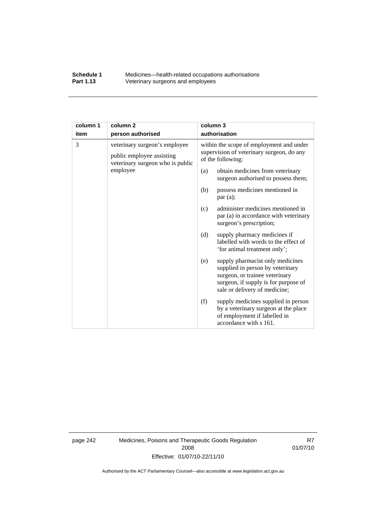#### **Schedule 1** Medicines—health-related occupations authorisations<br>**Part 1.13** Veterinary surgeons and employees Veterinary surgeons and employees

| column 1 | column <sub>2</sub>                                                                            | column 3      |                                                                                                                                                                                 |  |
|----------|------------------------------------------------------------------------------------------------|---------------|---------------------------------------------------------------------------------------------------------------------------------------------------------------------------------|--|
| item     | person authorised                                                                              | authorisation |                                                                                                                                                                                 |  |
| 3        | veterinary surgeon's employee<br>public employee assisting<br>veterinary surgeon who is public |               | within the scope of employment and under<br>supervision of veterinary surgeon, do any<br>of the following:                                                                      |  |
|          | employee                                                                                       | (a)           | obtain medicines from veterinary<br>surgeon authorised to possess them;                                                                                                         |  |
|          |                                                                                                | (b)           | possess medicines mentioned in<br>par(a);                                                                                                                                       |  |
|          |                                                                                                | (c)           | administer medicines mentioned in<br>par (a) in accordance with veterinary<br>surgeon's prescription;                                                                           |  |
|          |                                                                                                | (d)           | supply pharmacy medicines if<br>labelled with words to the effect of<br>'for animal treatment only';                                                                            |  |
|          |                                                                                                | (e)           | supply pharmacist only medicines<br>supplied in person by veterinary<br>surgeon, or trainee veterinary<br>surgeon, if supply is for purpose of<br>sale or delivery of medicine; |  |
|          |                                                                                                | (f)           | supply medicines supplied in person<br>by a veterinary surgeon at the place<br>of employment if labelled in<br>accordance with s 161.                                           |  |

page 242 Medicines, Poisons and Therapeutic Goods Regulation 2008 Effective: 01/07/10-22/11/10

R7 01/07/10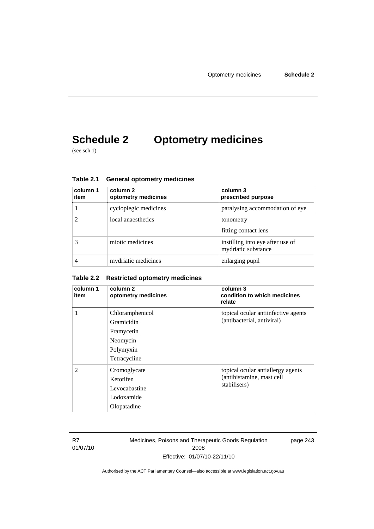# **Schedule 2 Optometry medicines**

(see sch 1)

| column 1<br>item | column 2<br>optometry medicines | column 3<br>prescribed purpose                          |
|------------------|---------------------------------|---------------------------------------------------------|
|                  | cycloplegic medicines           | paralysing accommodation of eye                         |
|                  | local anaesthetics              | tonometry<br>fitting contact lens                       |
|                  | miotic medicines                | instilling into eye after use of<br>mydriatic substance |
|                  | mydriatic medicines             | enlarging pupil                                         |

**Table 2.1 General optometry medicines** 

### **Table 2.2 Restricted optometry medicines**

| column 1<br>item | column 2<br>optometry medicines                                                                                                                           | column 3<br>condition to which medicines<br>relate                             |
|------------------|-----------------------------------------------------------------------------------------------------------------------------------------------------------|--------------------------------------------------------------------------------|
| 1                | Chloramphenicol<br>topical ocular antiinfective agents<br>(antibacterial, antiviral)<br>Gramicidin<br>Framycetin<br>Neomycin<br>Polymyxin<br>Tetracycline |                                                                                |
| $\mathfrak{D}$   | Cromoglycate<br>Ketotifen<br>Levocabastine<br>Lodoxamide<br>Olopatadine                                                                                   | topical ocular antiallergy agents<br>(antihistamine, mast cell<br>stabilisers) |

R7 01/07/10 Medicines, Poisons and Therapeutic Goods Regulation 2008 Effective: 01/07/10-22/11/10

page 243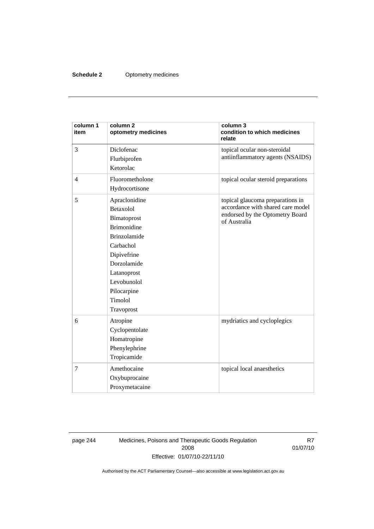### **Schedule 2** Optometry medicines

| column 1<br>item | column <sub>2</sub><br>optometry medicines                                                                                                                                                              | column 3<br>condition to which medicines<br>relate                                                                       |  |
|------------------|---------------------------------------------------------------------------------------------------------------------------------------------------------------------------------------------------------|--------------------------------------------------------------------------------------------------------------------------|--|
| 3                | Diclofenac<br>Flurbiprofen<br>Ketorolac                                                                                                                                                                 | topical ocular non-steroidal<br>antiinflammatory agents (NSAIDS)                                                         |  |
| $\overline{4}$   | Fluorometholone<br>Hydrocortisone                                                                                                                                                                       | topical ocular steroid preparations                                                                                      |  |
| 5                | Apraclonidine<br>Betaxolol<br>Bimatoprost<br><b>Brimonidine</b><br><b>Brinzolamide</b><br>Carbachol<br>Dipivefrine<br>Dorzolamide<br>Latanoprost<br>Levobunolol<br>Pilocarpine<br>Timolol<br>Travoprost | topical glaucoma preparations in<br>accordance with shared care model<br>endorsed by the Optometry Board<br>of Australia |  |
| 6                | Atropine<br>Cyclopentolate<br>Homatropine<br>Phenylephrine<br>Tropicamide                                                                                                                               | mydriatics and cycloplegics                                                                                              |  |
| $\overline{7}$   | Amethocaine<br>Oxybuprocaine<br>Proxymetacaine                                                                                                                                                          | topical local anaesthetics                                                                                               |  |

page 244 Medicines, Poisons and Therapeutic Goods Regulation 2008 Effective: 01/07/10-22/11/10

R7 01/07/10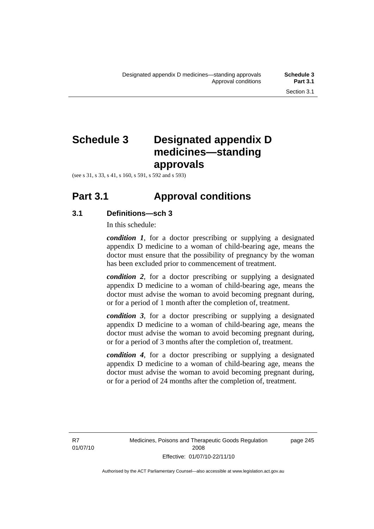## **Schedule 3 Designated appendix D medicines—standing approvals**

(see s 31, s 33, s 41, s 160, s 591, s 592 and s 593)

## **Part 3.1 Approval conditions**

### **3.1 Definitions—sch 3**

In this schedule:

*condition 1*, for a doctor prescribing or supplying a designated appendix D medicine to a woman of child-bearing age, means the doctor must ensure that the possibility of pregnancy by the woman has been excluded prior to commencement of treatment.

*condition 2*, for a doctor prescribing or supplying a designated appendix D medicine to a woman of child-bearing age, means the doctor must advise the woman to avoid becoming pregnant during, or for a period of 1 month after the completion of, treatment.

*condition 3*, for a doctor prescribing or supplying a designated appendix D medicine to a woman of child-bearing age, means the doctor must advise the woman to avoid becoming pregnant during, or for a period of 3 months after the completion of, treatment.

*condition 4*, for a doctor prescribing or supplying a designated appendix D medicine to a woman of child-bearing age, means the doctor must advise the woman to avoid becoming pregnant during, or for a period of 24 months after the completion of, treatment.

R7 01/07/10 page 245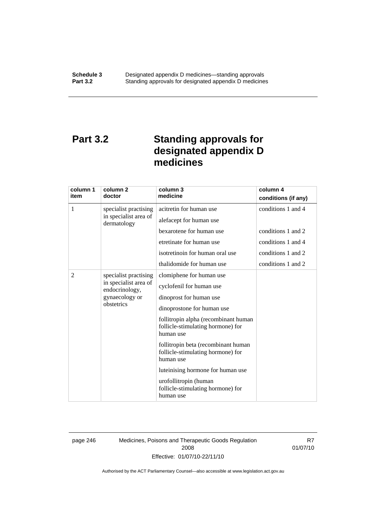# **Part 3.2 Standing approvals for designated appendix D medicines**

| column 1<br>item | column 2<br>doctor                      | column 3<br>medicine                                                                   | column 4<br>conditions (if any) |
|------------------|-----------------------------------------|----------------------------------------------------------------------------------------|---------------------------------|
| 1                | specialist practising                   | acitretin for human use                                                                | conditions 1 and 4              |
|                  | in specialist area of<br>dermatology    | alefacept for human use                                                                |                                 |
|                  |                                         | bexarotene for human use                                                               | conditions 1 and 2              |
|                  |                                         | etretinate for human use                                                               | conditions 1 and 4              |
|                  |                                         | isotretinoin for human oral use                                                        | conditions 1 and 2              |
|                  |                                         | thalidomide for human use                                                              | conditions 1 and 2              |
| $\overline{2}$   | specialist practising                   | clomiphene for human use                                                               |                                 |
|                  | in specialist area of<br>endocrinology, | cyclofenil for human use                                                               |                                 |
|                  | gynaecology or                          | dinoprost for human use                                                                |                                 |
| obstetrics       | dinoprostone for human use              |                                                                                        |                                 |
|                  |                                         | follitropin alpha (recombinant human<br>follicle-stimulating hormone) for<br>human use |                                 |
|                  |                                         | follitropin beta (recombinant human<br>follicle-stimulating hormone) for<br>human use  |                                 |
|                  |                                         | luteinising hormone for human use                                                      |                                 |
|                  |                                         | urofollitropin (human<br>follicle-stimulating hormone) for<br>human use                |                                 |

page 246 Medicines, Poisons and Therapeutic Goods Regulation 2008 Effective: 01/07/10-22/11/10

R7 01/07/10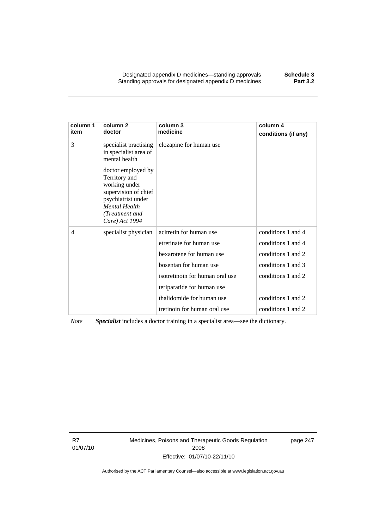Designated appendix D medicines—standing approvals **Schedule 3**  Standing approvals for designated appendix D medicines

| column 1<br>item | column <sub>2</sub><br>doctor                                                                                                                           | column 3<br>medicine            | column 4<br>conditions (if any) |
|------------------|---------------------------------------------------------------------------------------------------------------------------------------------------------|---------------------------------|---------------------------------|
| 3                | specialist practising<br>in specialist area of<br>mental health                                                                                         | clozapine for human use         |                                 |
|                  | doctor employed by<br>Territory and<br>working under<br>supervision of chief<br>psychiatrist under<br>Mental Health<br>(Treatment and<br>Care) Act 1994 |                                 |                                 |
| 4                | specialist physician                                                                                                                                    | acitretin for human use         | conditions 1 and 4              |
|                  |                                                                                                                                                         | etretinate for human use        | conditions 1 and 4              |
|                  |                                                                                                                                                         | bexarotene for human use        | conditions 1 and 2              |
|                  |                                                                                                                                                         | bosentan for human use          | conditions 1 and 3              |
|                  |                                                                                                                                                         | isotretinoin for human oral use | conditions 1 and 2              |
|                  |                                                                                                                                                         | teriparatide for human use      |                                 |
|                  |                                                                                                                                                         | thalidomide for human use       | conditions 1 and 2              |
|                  |                                                                                                                                                         | tretinoin for human oral use    | conditions 1 and 2              |

*Note Specialist* includes a doctor training in a specialist area—see the dictionary.

R7 01/07/10 Medicines, Poisons and Therapeutic Goods Regulation 2008 Effective: 01/07/10-22/11/10

page 247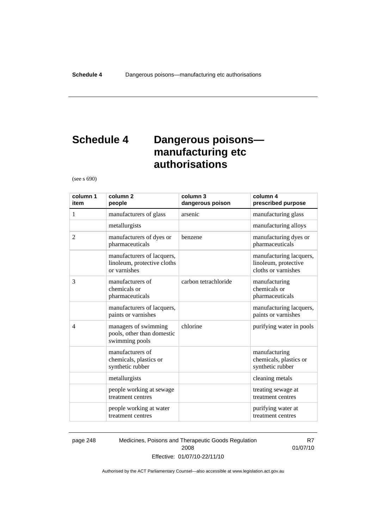# **Schedule 4 Dangerous poisons manufacturing etc authorisations**

(see s 690)

| column 1<br>item | column <sub>2</sub><br>people                                             | column 3<br>dangerous poison | column 4<br>prescribed purpose                                         |
|------------------|---------------------------------------------------------------------------|------------------------------|------------------------------------------------------------------------|
| 1                | manufacturers of glass                                                    | arsenic                      | manufacturing glass                                                    |
|                  | metallurgists                                                             |                              | manufacturing alloys                                                   |
| 2                | manufacturers of dyes or<br>pharmaceuticals                               | benzene                      | manufacturing dyes or<br>pharmaceuticals                               |
|                  | manufacturers of lacquers,<br>linoleum, protective cloths<br>or varnishes |                              | manufacturing lacquers,<br>linoleum, protective<br>cloths or varnishes |
| 3                | manufacturers of<br>chemicals or<br>pharmaceuticals                       | carbon tetrachloride         | manufacturing<br>chemicals or<br>pharmaceuticals                       |
|                  | manufacturers of lacquers,<br>paints or varnishes                         |                              | manufacturing lacquers,<br>paints or varnishes                         |
| $\overline{4}$   | managers of swimming<br>pools, other than domestic<br>swimming pools      | chlorine                     | purifying water in pools                                               |
|                  | manufacturers of<br>chemicals, plastics or<br>synthetic rubber            |                              | manufacturing<br>chemicals, plastics or<br>synthetic rubber            |
|                  | metallurgists                                                             |                              | cleaning metals                                                        |
|                  | people working at sewage<br>treatment centres                             |                              | treating sewage at<br>treatment centres                                |
|                  | people working at water<br>treatment centres                              |                              | purifying water at<br>treatment centres                                |

page 248 Medicines, Poisons and Therapeutic Goods Regulation 2008 Effective: 01/07/10-22/11/10

R7 01/07/10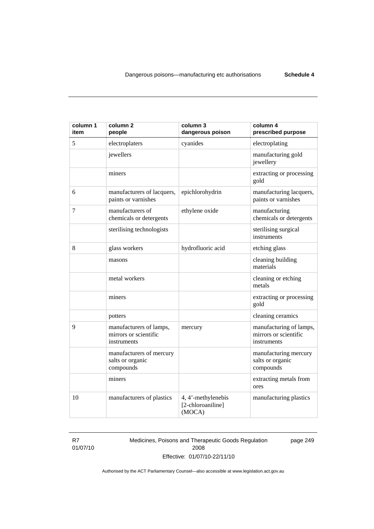| column 1<br>item | column <sub>2</sub><br>people                                   | column 3<br>dangerous poison                      | column 4<br>prescribed purpose                                  |
|------------------|-----------------------------------------------------------------|---------------------------------------------------|-----------------------------------------------------------------|
| 5                | electroplaters                                                  | cyanides                                          | electroplating                                                  |
|                  | jewellers                                                       |                                                   | manufacturing gold<br>jewellery                                 |
|                  | miners                                                          |                                                   | extracting or processing<br>gold                                |
| 6                | manufacturers of lacquers,<br>paints or varnishes               | epichlorohydrin                                   | manufacturing lacquers,<br>paints or varnishes                  |
| 7                | manufacturers of<br>chemicals or detergents                     | ethylene oxide                                    | manufacturing<br>chemicals or detergents                        |
|                  | sterilising technologists                                       |                                                   | sterilising surgical<br>instruments                             |
| 8                | glass workers                                                   | hydrofluoric acid                                 | etching glass                                                   |
|                  | masons                                                          |                                                   | cleaning building<br>materials                                  |
|                  | metal workers                                                   |                                                   | cleaning or etching<br>metals                                   |
|                  | miners                                                          |                                                   | extracting or processing<br>gold                                |
|                  | potters                                                         |                                                   | cleaning ceramics                                               |
| 9                | manufacturers of lamps,<br>mirrors or scientific<br>instruments | mercury                                           | manufacturing of lamps,<br>mirrors or scientific<br>instruments |
|                  | manufacturers of mercury<br>salts or organic<br>compounds       |                                                   | manufacturing mercury<br>salts or organic<br>compounds          |
|                  | miners                                                          |                                                   | extracting metals from<br>ores                                  |
| 10               | manufacturers of plastics                                       | 4, 4'-methylenebis<br>[2-chloroaniline]<br>(MOCA) | manufacturing plastics                                          |

R7 01/07/10 Medicines, Poisons and Therapeutic Goods Regulation 2008 Effective: 01/07/10-22/11/10

page 249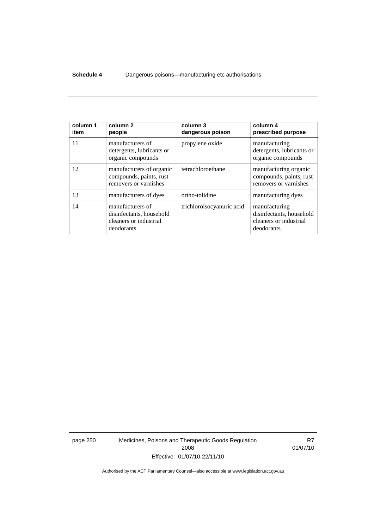#### **Schedule 4** Dangerous poisons—manufacturing etc authorisations

| column 1<br>item | column <sub>2</sub><br>people                                                        | column 3<br>dangerous poison | column 4<br>prescribed purpose                                                    |
|------------------|--------------------------------------------------------------------------------------|------------------------------|-----------------------------------------------------------------------------------|
| 11               | manufacturers of<br>detergents, lubricants or<br>organic compounds                   | propylene oxide              | manufacturing<br>detergents, lubricants or<br>organic compounds                   |
| 12               | manufacturers of organic<br>compounds, paints, rust<br>removers or varnishes         | tetrachloroethane            | manufacturing organic<br>compounds, paints, rust<br>removers or varnishes         |
| 13               | manufacturers of dyes                                                                | ortho-tolidine               | manufacturing dyes                                                                |
| 14               | manufacturers of<br>disinfectants, household<br>cleaners or industrial<br>deodorants | trichloroisocyanuric acid    | manufacturing<br>disinfectants, household<br>cleaners or industrial<br>deodorants |

page 250 Medicines, Poisons and Therapeutic Goods Regulation 2008 Effective: 01/07/10-22/11/10

R7 01/07/10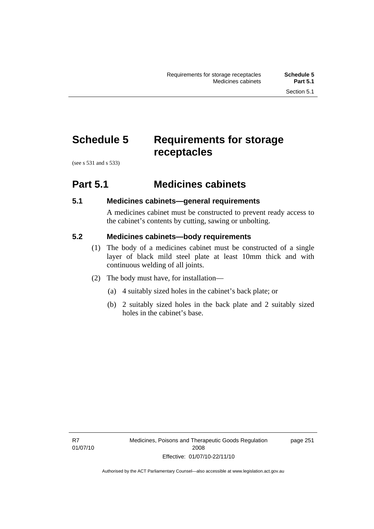# **Schedule 5 Requirements for storage receptacles**

(see s 531 and s 533)

## **Part 5.1 Medicines cabinets**

### **5.1 Medicines cabinets—general requirements**

A medicines cabinet must be constructed to prevent ready access to the cabinet's contents by cutting, sawing or unbolting.

### **5.2 Medicines cabinets—body requirements**

- (1) The body of a medicines cabinet must be constructed of a single layer of black mild steel plate at least 10mm thick and with continuous welding of all joints.
- (2) The body must have, for installation—
	- (a) 4 suitably sized holes in the cabinet's back plate; or
	- (b) 2 suitably sized holes in the back plate and 2 suitably sized holes in the cabinet's base.

page 251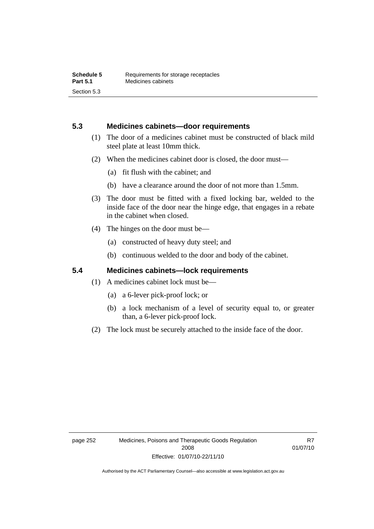### **5.3 Medicines cabinets—door requirements**

- (1) The door of a medicines cabinet must be constructed of black mild steel plate at least 10mm thick.
- (2) When the medicines cabinet door is closed, the door must—
	- (a) fit flush with the cabinet; and
	- (b) have a clearance around the door of not more than 1.5mm.
- (3) The door must be fitted with a fixed locking bar, welded to the inside face of the door near the hinge edge, that engages in a rebate in the cabinet when closed.
- (4) The hinges on the door must be—
	- (a) constructed of heavy duty steel; and
	- (b) continuous welded to the door and body of the cabinet.

### **5.4 Medicines cabinets—lock requirements**

- (1) A medicines cabinet lock must be—
	- (a) a 6-lever pick-proof lock; or
	- (b) a lock mechanism of a level of security equal to, or greater than, a 6-lever pick-proof lock.
- (2) The lock must be securely attached to the inside face of the door.

R7 01/07/10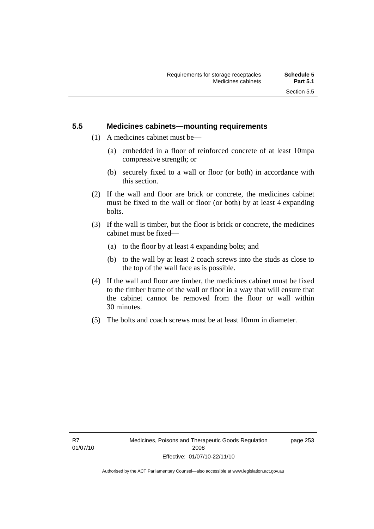### **5.5 Medicines cabinets—mounting requirements**

- (1) A medicines cabinet must be—
	- (a) embedded in a floor of reinforced concrete of at least 10mpa compressive strength; or
	- (b) securely fixed to a wall or floor (or both) in accordance with this section.
- (2) If the wall and floor are brick or concrete, the medicines cabinet must be fixed to the wall or floor (or both) by at least 4 expanding bolts.
- (3) If the wall is timber, but the floor is brick or concrete, the medicines cabinet must be fixed—
	- (a) to the floor by at least 4 expanding bolts; and
	- (b) to the wall by at least 2 coach screws into the studs as close to the top of the wall face as is possible.
- (4) If the wall and floor are timber, the medicines cabinet must be fixed to the timber frame of the wall or floor in a way that will ensure that the cabinet cannot be removed from the floor or wall within 30 minutes.
- (5) The bolts and coach screws must be at least 10mm in diameter.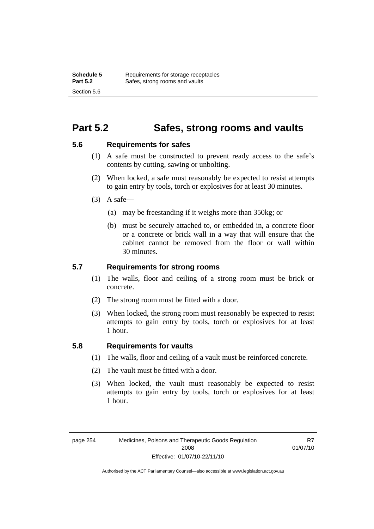## **Part 5.2 Safes, strong rooms and vaults**

### **5.6 Requirements for safes**

- (1) A safe must be constructed to prevent ready access to the safe's contents by cutting, sawing or unbolting.
- (2) When locked, a safe must reasonably be expected to resist attempts to gain entry by tools, torch or explosives for at least 30 minutes.
- $(3)$  A safe-
	- (a) may be freestanding if it weighs more than 350kg; or
	- (b) must be securely attached to, or embedded in, a concrete floor or a concrete or brick wall in a way that will ensure that the cabinet cannot be removed from the floor or wall within 30 minutes.

### **5.7 Requirements for strong rooms**

- (1) The walls, floor and ceiling of a strong room must be brick or concrete.
- (2) The strong room must be fitted with a door.
- (3) When locked, the strong room must reasonably be expected to resist attempts to gain entry by tools, torch or explosives for at least 1 hour.

### **5.8 Requirements for vaults**

- (1) The walls, floor and ceiling of a vault must be reinforced concrete.
- (2) The vault must be fitted with a door.
- (3) When locked, the vault must reasonably be expected to resist attempts to gain entry by tools, torch or explosives for at least 1 hour.

R7 01/07/10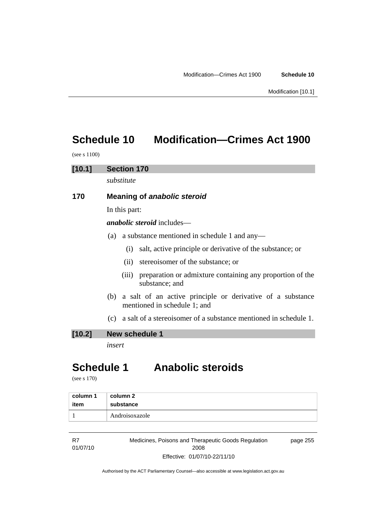# **Schedule 10 Modification—Crimes Act 1900**

(see s 1100)

# **[10.1] Section 170**  *substitute*  **170 Meaning of** *anabolic steroid* In this part: *anabolic steroid* includes— (a) a substance mentioned in schedule 1 and any— (i) salt, active principle or derivative of the substance; or

- (ii) stereoisomer of the substance; or
- (iii) preparation or admixture containing any proportion of the substance; and
- (b) a salt of an active principle or derivative of a substance mentioned in schedule 1; and
- (c) a salt of a stereoisomer of a substance mentioned in schedule 1.

### **[10.2] New schedule 1**

*insert* 

# **Schedule 1 Anabolic steroids**

(see s 170)

| column 1 | column 2       |
|----------|----------------|
| item     | substance      |
|          | Androisoxazole |

| R7       | Medicines, Poisons and Therapeutic Goods Regulation | page 255 |
|----------|-----------------------------------------------------|----------|
| 01/07/10 | 2008                                                |          |
|          | Effective: 01/07/10-22/11/10                        |          |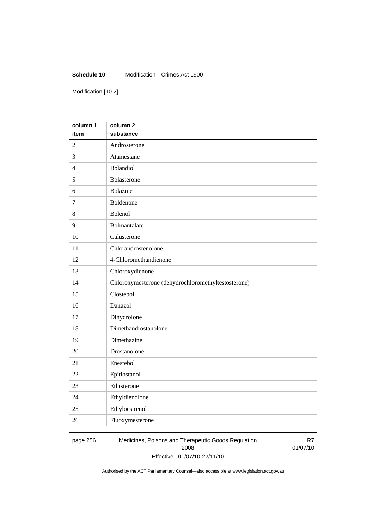#### **Schedule 10** Modification—Crimes Act 1900

Modification [10.2]

| column 1       | column <sub>2</sub>                                 |
|----------------|-----------------------------------------------------|
| item           | substance                                           |
| $\overline{2}$ | Androsterone                                        |
| 3              | Atamestane                                          |
| $\overline{4}$ | Bolandiol                                           |
| 5              | Bolasterone                                         |
| 6              | <b>Bolazine</b>                                     |
| $\tau$         | Boldenone                                           |
| 8              | Bolenol                                             |
| 9              | Bolmantalate                                        |
| 10             | Calusterone                                         |
| 11             | Chlorandrostenolone                                 |
| 12             | 4-Chloromethandienone                               |
| 13             | Chloroxydienone                                     |
| 14             | Chloroxymesterone (dehydrochloromethyltestosterone) |
| 15             | Clostebol                                           |
| 16             | Danazol                                             |
| 17             | Dihydrolone                                         |
| 18             | Dimethandrostanolone                                |
| 19             | Dimethazine                                         |
| 20             | Drostanolone                                        |
| 21             | Enestebol                                           |
| 22             | Epitiostanol                                        |
| 23             | Ethisterone                                         |
| 24             | Ethyldienolone                                      |
| 25             | Ethyloestrenol                                      |
| 26             | Fluoxymesterone                                     |

page 256 Medicines, Poisons and Therapeutic Goods Regulation 2008 Effective: 01/07/10-22/11/10

R7 01/07/10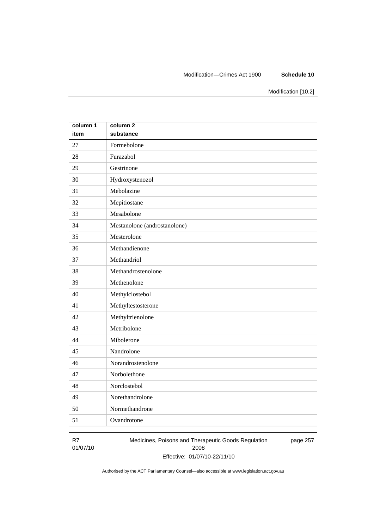#### Modification—Crimes Act 1900 **Schedule 10**

Modification [10.2]

| column 1 | column <sub>2</sub>          |
|----------|------------------------------|
| item     | substance                    |
| 27       | Formebolone                  |
| 28       | Furazabol                    |
| 29       | Gestrinone                   |
| 30       | Hydroxystenozol              |
| 31       | Mebolazine                   |
| 32       | Mepitiostane                 |
| 33       | Mesabolone                   |
| 34       | Mestanolone (androstanolone) |
| 35       | Mesterolone                  |
| 36       | Methandienone                |
| 37       | Methandriol                  |
| 38       | Methandrostenolone           |
| 39       | Methenolone                  |
| 40       | Methylclostebol              |
| 41       | Methyltestosterone           |
| 42       | Methyltrienolone             |
| 43       | Metribolone                  |
| 44       | Mibolerone                   |
| 45       | Nandrolone                   |
| 46       | Norandrostenolone            |
| 47       | Norbolethone                 |
| 48       | Norclostebol                 |
| 49       | Norethandrolone              |
| 50       | Normethandrone               |
| 51       | Ovandrotone                  |

R7 01/07/10 Medicines, Poisons and Therapeutic Goods Regulation 2008 Effective: 01/07/10-22/11/10 page 257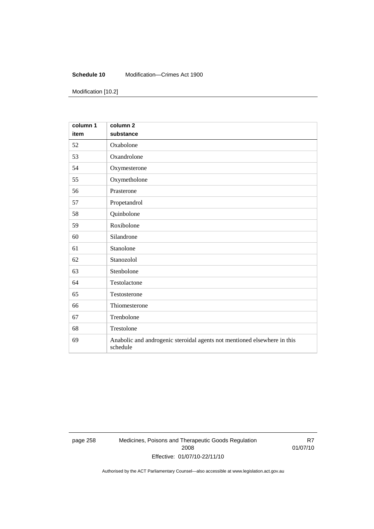#### **Schedule 10** Modification—Crimes Act 1900

Modification [10.2]

| column 1<br>item | column <sub>2</sub><br>substance                                                     |
|------------------|--------------------------------------------------------------------------------------|
| 52               | Oxabolone                                                                            |
| 53               | Oxandrolone                                                                          |
| 54               | Oxymesterone                                                                         |
| 55               | Oxymetholone                                                                         |
| 56               | Prasterone                                                                           |
| 57               | Propetandrol                                                                         |
| 58               | Quinbolone                                                                           |
| 59               | Roxibolone                                                                           |
| 60               | Silandrone                                                                           |
| 61               | Stanolone                                                                            |
| 62               | Stanozolol                                                                           |
| 63               | Stenbolone                                                                           |
| 64               | Testolactone                                                                         |
| 65               | Testosterone                                                                         |
| 66               | Thiomesterone                                                                        |
| 67               | Trenbolone                                                                           |
| 68               | Trestolone                                                                           |
| 69               | Anabolic and androgenic steroidal agents not mentioned elsewhere in this<br>schedule |

page 258 Medicines, Poisons and Therapeutic Goods Regulation 2008 Effective: 01/07/10-22/11/10

R7 01/07/10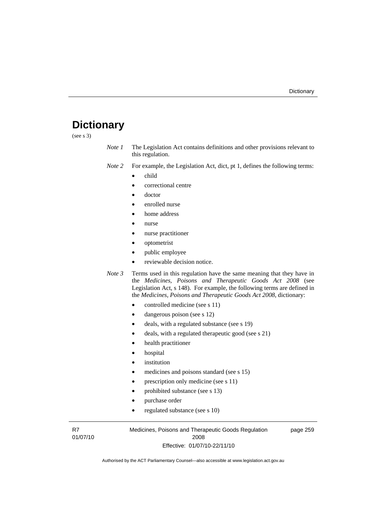# **Dictionary**

(see s 3)

- *Note 1* The Legislation Act contains definitions and other provisions relevant to this regulation.
- *Note 2* For example, the Legislation Act, dict, pt 1, defines the following terms:
	- child
		- correctional centre
		- doctor
		- enrolled nurse
		- home address
		- nurse
		- nurse practitioner
		- optometrist
		- public employee
		- reviewable decision notice.

*Note 3* Terms used in this regulation have the same meaning that they have in the *Medicines, Poisons and Therapeutic Goods Act 2008* (see Legislation Act, s 148). For example, the following terms are defined in the *Medicines, Poisons and Therapeutic Goods Act 2008*, dictionary:

- controlled medicine (see s 11)
- dangerous poison (see s 12)
- deals, with a regulated substance (see s 19)
- deals, with a regulated therapeutic good (see s 21)
- health practitioner
- hospital
- *institution*
- medicines and poisons standard (see s 15)
- prescription only medicine (see s 11)
- prohibited substance (see s 13)
- purchase order
- regulated substance (see s 10)

R7 01/07/10 Medicines, Poisons and Therapeutic Goods Regulation 2008 Effective: 01/07/10-22/11/10

page 259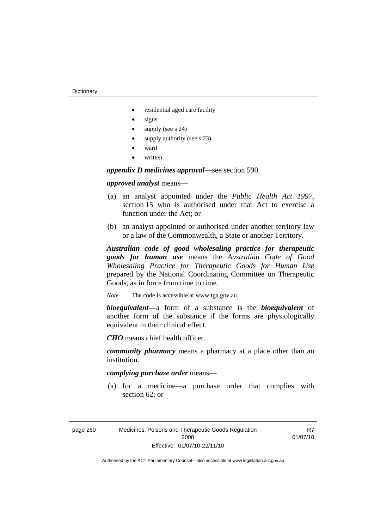- residential aged care facility
- signs
- supply (see s 24)
- supply authority (see s 23)
- ward
- written.

*appendix D medicines approval*—see section 590.

### *approved analyst* means—

- (a) an analyst appointed under the *Public Health Act 1997*, section 15 who is authorised under that Act to exercise a function under the Act; or
- (b) an analyst appointed or authorised under another territory law or a law of the Commonwealth, a State or another Territory.

*Australian code of good wholesaling practice for therapeutic goods for human use* means the *Australian Code of Good Wholesaling Practice for Therapeutic Goods for Human Use*  prepared by the National Coordinating Committee on Therapeutic Goods, as in force from time to time.

*Note* The code is accessible at www.tga.gov.au.

*bioequivalent*—a form of a substance is the *bioequivalent* of another form of the substance if the forms are physiologically equivalent in their clinical effect.

*CHO* means chief health officer.

*community pharmacy* means a pharmacy at a place other than an institution.

### *complying purchase order* means—

 (a) for a medicine—a purchase order that complies with section 62; or

| page 260 | Medicines, Poisons and Therapeutic Goods Regulation |
|----------|-----------------------------------------------------|
|          | 2008                                                |
|          | Effective: 01/07/10-22/11/10                        |

R<sub>7</sub> 01/07/10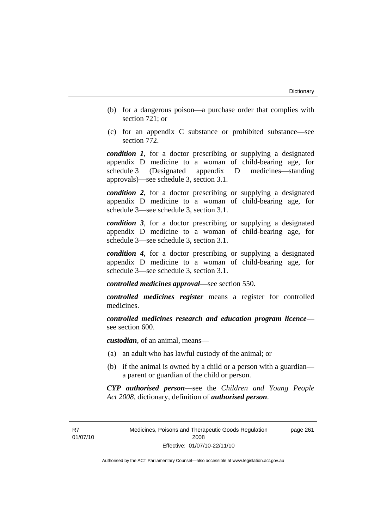- (b) for a dangerous poison—a purchase order that complies with section 721; or
- (c) for an appendix C substance or prohibited substance—see section 772.

*condition 1*, for a doctor prescribing or supplying a designated appendix D medicine to a woman of child-bearing age, for schedule 3 (Designated appendix D medicines—standing approvals)—see schedule 3, section 3.1.

*condition 2*, for a doctor prescribing or supplying a designated appendix D medicine to a woman of child-bearing age, for schedule 3—see schedule 3, section 3.1.

*condition 3*, for a doctor prescribing or supplying a designated appendix D medicine to a woman of child-bearing age, for schedule 3—see schedule 3, section 3.1.

*condition 4*, for a doctor prescribing or supplying a designated appendix D medicine to a woman of child-bearing age, for schedule 3—see schedule 3, section 3.1.

*controlled medicines approval*—see section 550.

*controlled medicines register* means a register for controlled medicines.

*controlled medicines research and education program licence* see section 600.

*custodian*, of an animal, means—

- (a) an adult who has lawful custody of the animal; or
- (b) if the animal is owned by a child or a person with a guardian a parent or guardian of the child or person.

*CYP authorised person*—see the *Children and Young People Act 2008*, dictionary, definition of *authorised person*.

R<sub>7</sub> 01/07/10 Medicines, Poisons and Therapeutic Goods Regulation 2008 Effective: 01/07/10-22/11/10

page 261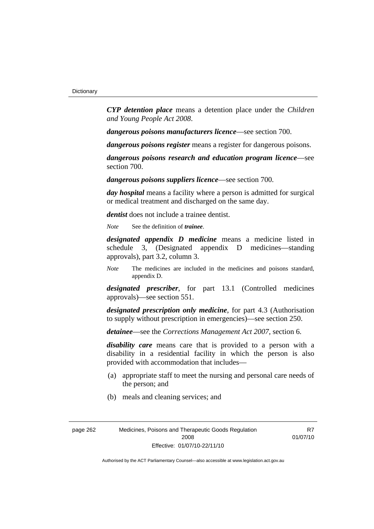*CYP detention place* means a detention place under the *Children and Young People Act 2008*.

*dangerous poisons manufacturers licence*—see section 700.

*dangerous poisons register* means a register for dangerous poisons.

*dangerous poisons research and education program licence*—see section 700.

*dangerous poisons suppliers licence*—see section 700.

*day hospital* means a facility where a person is admitted for surgical or medical treatment and discharged on the same day.

*dentist* does not include a trainee dentist.

*Note* See the definition of *trainee*.

*designated appendix D medicine* means a medicine listed in schedule 3, (Designated appendix D medicines—standing approvals), part 3.2, column 3.

*Note* The medicines are included in the medicines and poisons standard, appendix D.

*designated prescriber*, for part 13.1 (Controlled medicines approvals)—see section 551.

*designated prescription only medicine*, for part 4.3 (Authorisation to supply without prescription in emergencies)—see section 250.

*detainee*—see the *Corrections Management Act 2007*, section 6.

*disability care* means care that is provided to a person with a disability in a residential facility in which the person is also provided with accommodation that includes—

- (a) appropriate staff to meet the nursing and personal care needs of the person; and
- (b) meals and cleaning services; and

R<sub>7</sub> 01/07/10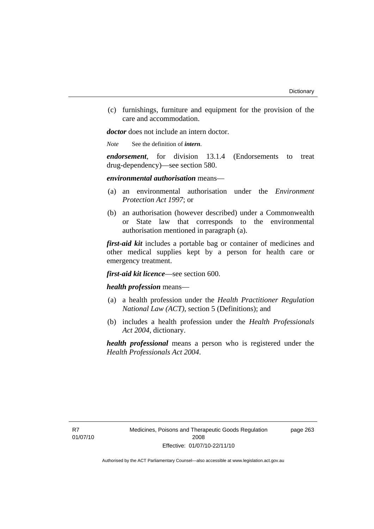(c) furnishings, furniture and equipment for the provision of the care and accommodation.

*doctor* does not include an intern doctor.

*Note* See the definition of *intern*.

*endorsement*, for division 13.1.4 (Endorsements to treat drug-dependency)—see section 580.

#### *environmental authorisation* means—

- (a) an environmental authorisation under the *Environment Protection Act 1997*; or
- (b) an authorisation (however described) under a Commonwealth or State law that corresponds to the environmental authorisation mentioned in paragraph (a).

*first-aid kit* includes a portable bag or container of medicines and other medical supplies kept by a person for health care or emergency treatment.

*first-aid kit licence*—see section 600.

### *health profession* means—

- (a) a health profession under the *Health Practitioner Regulation National Law (ACT)*, section 5 (Definitions); and
- (b) includes a health profession under the *Health Professionals Act 2004*, dictionary.

*health professional* means a person who is registered under the *Health Professionals Act 2004*.

page 263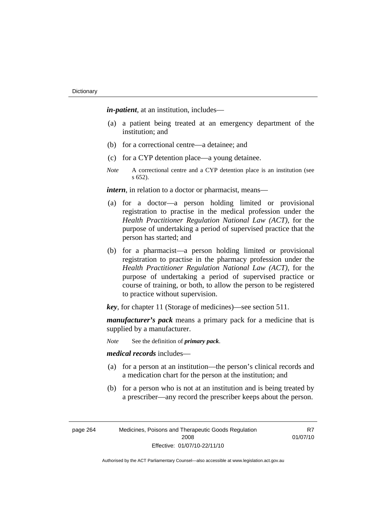*in-patient*, at an institution, includes—

- (a) a patient being treated at an emergency department of the institution; and
- (b) for a correctional centre—a detainee; and
- (c) for a CYP detention place—a young detainee.
- *Note* A correctional centre and a CYP detention place is an institution (see s 652).

*intern*, in relation to a doctor or pharmacist, means—

- (a) for a doctor—a person holding limited or provisional registration to practise in the medical profession under the *Health Practitioner Regulation National Law (ACT)*, for the purpose of undertaking a period of supervised practice that the person has started; and
- (b) for a pharmacist—a person holding limited or provisional registration to practise in the pharmacy profession under the *Health Practitioner Regulation National Law (ACT)*, for the purpose of undertaking a period of supervised practice or course of training, or both, to allow the person to be registered to practice without supervision.

*key*, for chapter 11 (Storage of medicines)—see section 511.

*manufacturer's pack* means a primary pack for a medicine that is supplied by a manufacturer.

*Note* See the definition of *primary pack*.

*medical records* includes—

- (a) for a person at an institution—the person's clinical records and a medication chart for the person at the institution; and
- (b) for a person who is not at an institution and is being treated by a prescriber—any record the prescriber keeps about the person.

| page 264 | Medicines, Poisons and Therapeutic Goods Regulation |
|----------|-----------------------------------------------------|
|          | 2008                                                |
|          | Effective: 01/07/10-22/11/10                        |

R<sub>7</sub> 01/07/10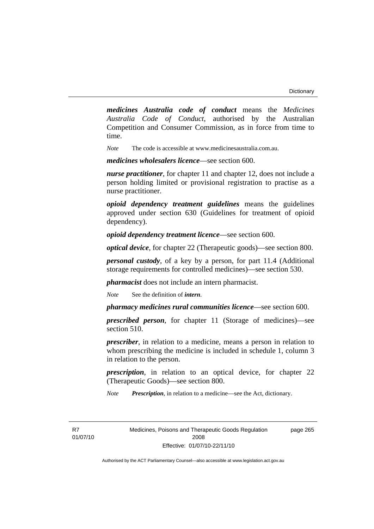*medicines Australia code of conduct* means the *Medicines Australia Code of Conduct*, authorised by the Australian Competition and Consumer Commission, as in force from time to time.

*Note* The code is accessible at www.medicinesaustralia.com.au.

*medicines wholesalers licence*—see section 600.

*nurse practitioner*, for chapter 11 and chapter 12, does not include a person holding limited or provisional registration to practise as a nurse practitioner.

*opioid dependency treatment guidelines* means the guidelines approved under section 630 (Guidelines for treatment of opioid dependency).

*opioid dependency treatment licence*—see section 600.

*optical device*, for chapter 22 (Therapeutic goods)—see section 800.

*personal custody*, of a key by a person, for part 11.4 (Additional storage requirements for controlled medicines)—see section 530.

*pharmacist* does not include an intern pharmacist.

*Note* See the definition of *intern*.

*pharmacy medicines rural communities licence*—see section 600.

*prescribed person*, for chapter 11 (Storage of medicines)—see section 510.

*prescriber*, in relation to a medicine, means a person in relation to whom prescribing the medicine is included in schedule 1, column 3 in relation to the person.

*prescription*, in relation to an optical device, for chapter 22 (Therapeutic Goods)—see section 800.

*Note Prescription*, in relation to a medicine—see the Act, dictionary.

R<sub>7</sub> 01/07/10 Medicines, Poisons and Therapeutic Goods Regulation 2008 Effective: 01/07/10-22/11/10

page 265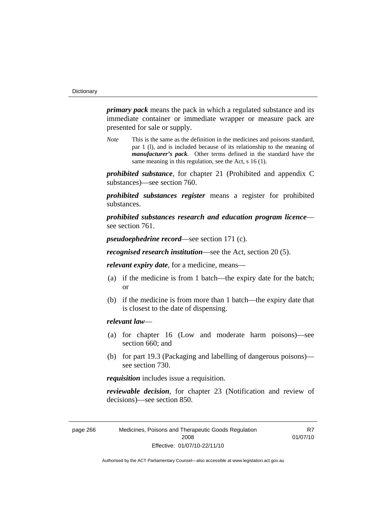*primary pack* means the pack in which a regulated substance and its immediate container or immediate wrapper or measure pack are presented for sale or supply.

*Note* This is the same as the definition in the medicines and poisons standard, par 1 (l), and is included because of its relationship to the meaning of *manufacturer's pack*. Other terms defined in the standard have the same meaning in this regulation, see the Act, s 16 (1).

*prohibited substance*, for chapter 21 (Prohibited and appendix C substances)—see section 760.

*prohibited substances register* means a register for prohibited substances.

*prohibited substances research and education program licence* see section 761.

*pseudoephedrine record*—see section 171 (c).

*recognised research institution*—see the Act, section 20 (5).

*relevant expiry date*, for a medicine, means—

- (a) if the medicine is from 1 batch—the expiry date for the batch; or
- (b) if the medicine is from more than 1 batch—the expiry date that is closest to the date of dispensing.

## *relevant law*—

- (a) for chapter 16 (Low and moderate harm poisons)—see section 660; and
- (b) for part 19.3 (Packaging and labelling of dangerous poisons) see section 730.

*requisition* includes issue a requisition.

*reviewable decision*, for chapter 23 (Notification and review of decisions)—see section 850.

R<sub>7</sub> 01/07/10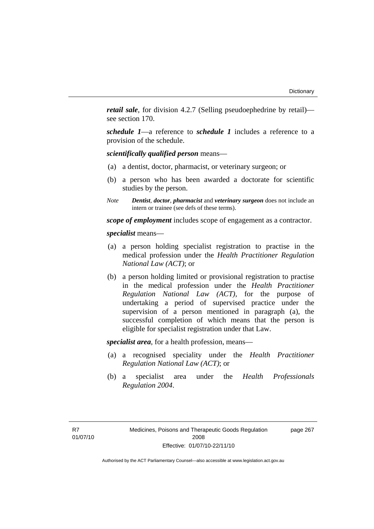*retail sale*, for division 4.2.7 (Selling pseudoephedrine by retail) see section 170.

*schedule 1*—a reference to *schedule 1* includes a reference to a provision of the schedule.

*scientifically qualified person* means—

- (a) a dentist, doctor, pharmacist, or veterinary surgeon; or
- (b) a person who has been awarded a doctorate for scientific studies by the person.
- *Note Dentist*, *doctor*, *pharmacist* and *veterinary surgeon* does not include an intern or trainee (see defs of these terms).

*scope of employment* includes scope of engagement as a contractor.

*specialist* means—

- (a) a person holding specialist registration to practise in the medical profession under the *Health Practitioner Regulation National Law (ACT)*; or
- (b) a person holding limited or provisional registration to practise in the medical profession under the *Health Practitioner Regulation National Law (ACT)*, for the purpose of undertaking a period of supervised practice under the supervision of a person mentioned in paragraph (a), the successful completion of which means that the person is eligible for specialist registration under that Law.

*specialist area*, for a health profession, means—

- (a) a recognised speciality under the *Health Practitioner Regulation National Law (ACT)*; or
- (b) a specialist area under the *Health Professionals Regulation 2004*.

page 267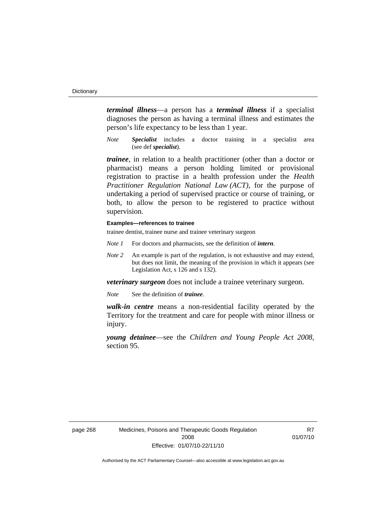*terminal illness*—a person has a *terminal illness* if a specialist diagnoses the person as having a terminal illness and estimates the person's life expectancy to be less than 1 year.

*Note Specialist* includes a doctor training in a specialist area (see def *specialist*).

*trainee*, in relation to a health practitioner (other than a doctor or pharmacist) means a person holding limited or provisional registration to practise in a health profession under the *Health Practitioner Regulation National Law (ACT)*, for the purpose of undertaking a period of supervised practice or course of training, or both, to allow the person to be registered to practice without supervision.

#### **Examples—references to trainee**

trainee dentist, trainee nurse and trainee veterinary surgeon

- *Note 1* For doctors and pharmacists, see the definition of *intern*.
- *Note 2* An example is part of the regulation, is not exhaustive and may extend, but does not limit, the meaning of the provision in which it appears (see Legislation Act, s 126 and s 132).

*veterinary surgeon* does not include a trainee veterinary surgeon.

*Note* See the definition of *trainee*.

*walk-in centre* means a non-residential facility operated by the Territory for the treatment and care for people with minor illness or injury.

*young detainee*—see the *Children and Young People Act 2008*, section 95.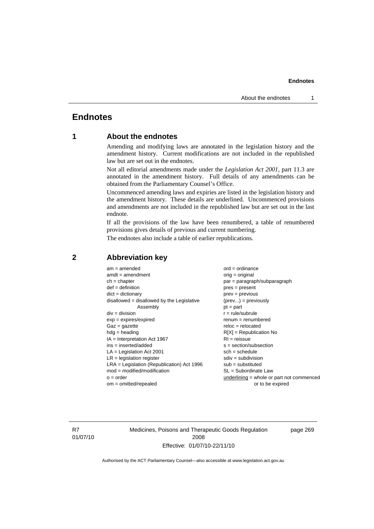# **Endnotes**

# **1 About the endnotes**

Amending and modifying laws are annotated in the legislation history and the amendment history. Current modifications are not included in the republished law but are set out in the endnotes.

Not all editorial amendments made under the *Legislation Act 2001*, part 11.3 are annotated in the amendment history. Full details of any amendments can be obtained from the Parliamentary Counsel's Office.

Uncommenced amending laws and expiries are listed in the legislation history and the amendment history. These details are underlined. Uncommenced provisions and amendments are not included in the republished law but are set out in the last endnote.

If all the provisions of the law have been renumbered, a table of renumbered provisions gives details of previous and current numbering.

The endnotes also include a table of earlier republications.

| $am = amended$                               | $ord = ordinance$                         |  |  |
|----------------------------------------------|-------------------------------------------|--|--|
| $amdt = amendment$                           | $orig = original$                         |  |  |
| $ch = chapter$                               | par = paragraph/subparagraph              |  |  |
| $def = definition$                           | $pres = present$                          |  |  |
| $dict = dictionary$                          | $prev = previous$                         |  |  |
| $disallowed = disallowed by the Legislative$ | $(\text{prev}) = \text{previously}$       |  |  |
| Assembly                                     | $pt = part$                               |  |  |
| $div = division$                             | $r = rule/subrule$                        |  |  |
| $exp = expires/expired$                      | $renum = renumbered$                      |  |  |
| $Gaz = gazette$                              | $reloc = relocated$                       |  |  |
| $hdg =$ heading                              | $R[X]$ = Republication No                 |  |  |
| $IA = Interpretation Act 1967$               | $RI = reissue$                            |  |  |
| $ins = inserted/added$                       | $s = section/subsection$                  |  |  |
| $LA =$ Legislation Act 2001                  | $sch = schedule$                          |  |  |
| $LR =$ legislation register                  | $sdiv = subdivision$                      |  |  |
| $LRA =$ Legislation (Republication) Act 1996 | $sub = substituted$                       |  |  |
| $mod = modified/modification$                | $SL = Subordinate$ Law                    |  |  |
| $o = order$                                  | underlining = whole or part not commenced |  |  |
| $om = omitted/repealed$                      | or to be expired                          |  |  |
|                                              |                                           |  |  |

# **2 Abbreviation key**

R7 01/07/10 Medicines, Poisons and Therapeutic Goods Regulation 2008 Effective: 01/07/10-22/11/10

page 269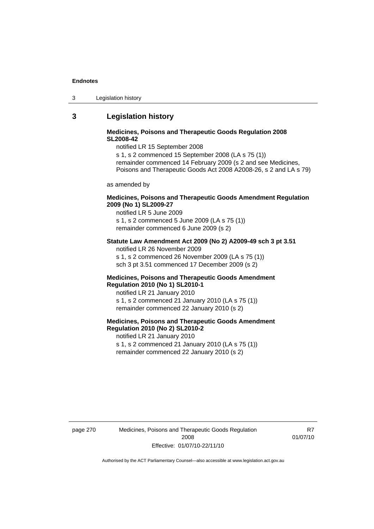| Legislation history<br>-3 |  |
|---------------------------|--|
|---------------------------|--|

# **3 Legislation history**

## **Medicines, Poisons and Therapeutic Goods Regulation 2008 SL2008-42**

notified LR 15 September 2008

s 1, s 2 commenced 15 September 2008 (LA s 75 (1)) remainder commenced 14 February 2009 (s 2 and see Medicines, Poisons and Therapeutic Goods Act 2008 A2008-26, s 2 and LA s 79)

as amended by

### **Medicines, Poisons and Therapeutic Goods Amendment Regulation 2009 (No 1) SL2009-27**

notified LR 5 June 2009 s 1, s 2 commenced 5 June 2009 (LA s 75 (1)) remainder commenced 6 June 2009 (s 2)

#### **Statute Law Amendment Act 2009 (No 2) A2009-49 sch 3 pt 3.51**  notified LR 26 November 2009

s 1, s 2 commenced 26 November 2009 (LA s 75 (1)) sch 3 pt 3.51 commenced 17 December 2009 (s 2)

#### **Medicines, Poisons and Therapeutic Goods Amendment Regulation 2010 (No 1) SL2010-1**

notified LR 21 January 2010 s 1, s 2 commenced 21 January 2010 (LA s 75 (1)) remainder commenced 22 January 2010 (s 2)

# **Medicines, Poisons and Therapeutic Goods Amendment Regulation 2010 (No 2) SL2010-2**

notified LR 21 January 2010 s 1, s 2 commenced 21 January 2010 (LA s 75 (1)) remainder commenced 22 January 2010 (s 2)

page 270 Medicines, Poisons and Therapeutic Goods Regulation 2008 Effective: 01/07/10-22/11/10

R<sub>7</sub> 01/07/10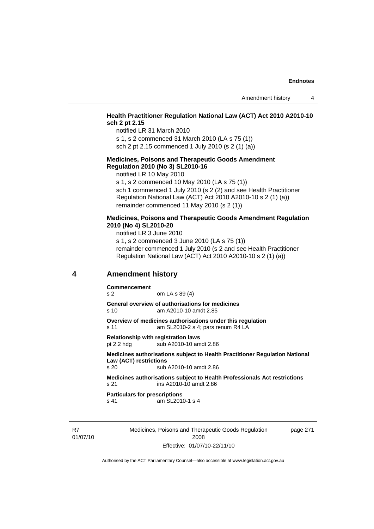## **Health Practitioner Regulation National Law (ACT) Act 2010 A2010-10 sch 2 pt 2.15**

notified LR 31 March 2010

s 1, s 2 commenced 31 March 2010 (LA s 75 (1)) sch 2 pt 2.15 commenced 1 July 2010 (s 2 (1) (a))

#### **Medicines, Poisons and Therapeutic Goods Amendment Regulation 2010 (No 3) SL2010-16**

notified LR 10 May 2010

s 1, s 2 commenced 10 May 2010 (LA s 75 (1)) sch 1 commenced 1 July 2010 (s 2 (2) and see Health Practitioner Regulation National Law (ACT) Act 2010 A2010-10 s 2 (1) (a)) remainder commenced 11 May 2010 (s 2 (1))

#### **Medicines, Poisons and Therapeutic Goods Amendment Regulation 2010 (No 4) SL2010-20**

notified LR 3 June 2010 s 1, s 2 commenced 3 June 2010 (LA s 75 (1)) remainder commenced 1 July 2010 (s 2 and see Health Practitioner Regulation National Law (ACT) Act 2010 A2010-10 s 2 (1) (a))

# **4 Amendment history**

**Commencement** 

s 2 om LA s 89 (4)

**General overview of authorisations for medicines**  s 10 am A2010-10 amdt 2.85

**Overview of medicines authorisations under this regulation**  s 11 am SL2010-2 s 4; pars renum R4 LA

**Relationship with registration laws**  pt 2.2 hdg sub A2010-10 amdt 2.86

#### **Medicines authorisations subject to Health Practitioner Regulation National Law (ACT) restrictions**

s 20 sub A2010-10 amdt 2.86

**Medicines authorisations subject to Health Professionals Act restrictions**  s 21 ins A2010-10 amdt 2.86

**Particulars for prescriptions**  s 41 am SL2010-1 s 4

R7 01/07/10 Medicines, Poisons and Therapeutic Goods Regulation 2008 Effective: 01/07/10-22/11/10

page 271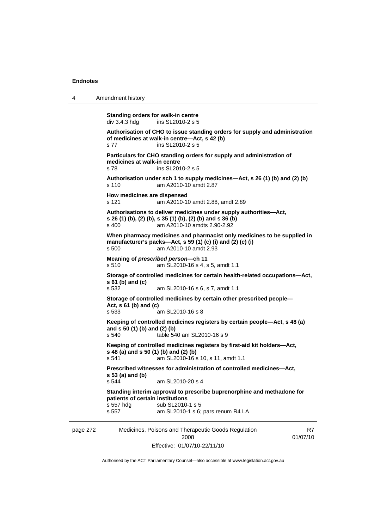4 Amendment history

```
page 272 Medicines, Poisons and Therapeutic Goods Regulation 
                                      2008 
                                                                                  R7
                                                                             01/07/10 
            Standing orders for walk-in centre 
           div 3.4.3 hdg ins SL2010-2 s 5
            Authorisation of CHO to issue standing orders for supply and administration 
           of medicines at walk-in centre—Act, s 42 (b) 
           s 77 ins SL2010-2 s 5 
           Particulars for CHO standing orders for supply and administration of 
           medicines at walk-in centre 
           s 78 ins SL2010-2 s 5 
           Authorisation under sch 1 to supply medicines—Act, s 26 (1) (b) and (2) (b) 
           s 110 am A2010-10 amdt 2.87 
           How medicines are dispensed 
           s 121 am A2010-10 amdt 2.88, amdt 2.89 
           Authorisations to deliver medicines under supply authorities—Act, 
           s 26 (1) (b), (2) (b), s 35 (1) (b), (2) (b) and s 36 (b) 
           s 400 am A2010-10 amdts 2.90-2.92 
           When pharmacy medicines and pharmacist only medicines to be supplied in 
           manufacturer's packs—Act, s 59 (1) (c) (i) and (2) (c) (i) 
           s 500 am A2010-10 amdt 2.93 
           Meaning of prescribed person—ch 11 
           s 510 am SL2010-16 s 4, s 5, amdt 1.1 
            Storage of controlled medicines for certain health-related occupations—Act, 
            s 61 (b) and (c) 
           s 532 am SL2010-16 s 6, s 7, amdt 1.1 
           Storage of controlled medicines by certain other prescribed people—
           Act, s 61 (b) and (c) 
           s 533 am SL2010-16 s 8 
           Keeping of controlled medicines registers by certain people—Act, s 48 (a) 
            and s 50 (1) (b) and (2) (b) 
           s 540 table 540 am SL2010-16 s 9 
            Keeping of controlled medicines registers by first-aid kit holders—Act, 
           s 48 (a) and s 50 (1) (b) and (2) (b) 
           s 541 am SL2010-16 s 10, s 11, amdt 1.1 
           Prescribed witnesses for administration of controlled medicines—Act, 
           s 53 (a) and (b) 
                             am SL2010-20 s 4
            Standing interim approval to prescribe buprenorphine and methadone for 
           patients of certain institutions 
           s 557 hdg sub SL2010-1 s 5<br>s 557 s 357 s 36:
                             am SL2010-1 s 6; pars renum R4 LA
```
Authorised by the ACT Parliamentary Counsel—also accessible at www.legislation.act.gov.au

Effective: 01/07/10-22/11/10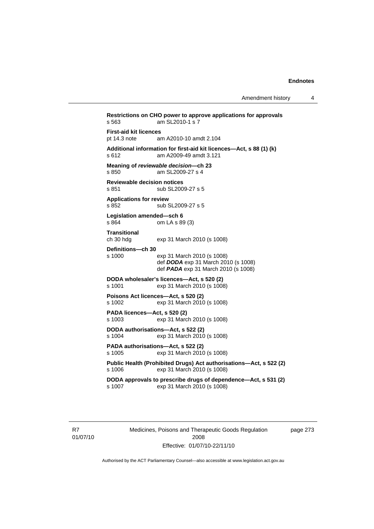**Restrictions on CHO power to approve applications for approvals**  s 563 am SL2010-1 s 7 **First-aid kit licences**  am A2010-10 amdt 2.104 **Additional information for first-aid kit licences—Act, s 88 (1) (k)**  s 612 am A2009-49 amdt 3.121 **Meaning of** *reviewable decision—***ch 23**  s 850 am SL2009-27 s 4 **Reviewable decision notices**  s 851 sub SL2009-27 s 5 **Applications for review**  s 852 sub SL2009-27 s 5 **Legislation amended—sch 6**  s 864 om LA s 89 (3) **Transitional**  ch 30 hdg exp 31 March 2010 (s 1008) **Definitions—ch 30**  s 1000 exp 31 March 2010 (s 1008) def *DODA* exp 31 March 2010 (s 1008) def *PADA* exp 31 March 2010 (s 1008) **DODA wholesaler's licences—Act, s 520 (2)** s 1001 exp 31 March 2010 (s 1008) **Poisons Act licences—Act, s 520 (2)**  s 1002 exp 31 March 2010 (s 1008) **PADA licences—Act, s 520 (2)**  exp 31 March 2010 (s 1008) **DODA authorisations—Act, s 522 (2)**  s 1004 exp 31 March 2010 (s 1008) **PADA authorisations—Act, s 522 (2)**  s 1005 exp 31 March 2010 (s 1008) **Public Health (Prohibited Drugs) Act authorisations—Act, s 522 (2)**  s 1006 exp 31 March 2010 (s 1008) **DODA approvals to prescribe drugs of dependence—Act, s 531 (2)**  s 1007 exp 31 March 2010 (s 1008)

R7 01/07/10 Medicines, Poisons and Therapeutic Goods Regulation 2008 Effective: 01/07/10-22/11/10

page 273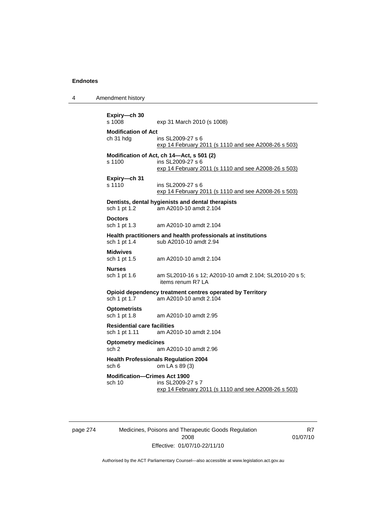4 Amendment history

```
Expiry—ch 30 
                  exp 31 March 2010 (s 1008)
Modification of Act 
ch 31 hdg ins SL2009-27 s 6 
                   exp 14 February 2011 (s 1110 and see A2008-26 s 503)
Modification of Act, ch 14—Act, s 501 (2) 
s 1100 ins SL2009-27 s 6 
                   exp 14 February 2011 (s 1110 and see A2008-26 s 503)
Expiry—ch 31 
s 1110 ins SL2009-27 s 6 
                   exp 14 February 2011 (s 1110 and see A2008-26 s 503)
Dentists, dental hygienists and dental therapists 
sch 1 pt 1.2 am A2010-10 amdt 2.104 
Doctors 
sch 1 pt 1.3 am A2010-10 amdt 2.104 
Health practitioners and health professionals at institutions 
sch 1 pt 1.4 sub A2010-10 amdt 2.94 
Midwives 
sch 1 pt 1.5 am A2010-10 amdt 2.104 
Nurses<br>sch 1 pt 1.6
                  am SL2010-16 s 12; A2010-10 amdt 2.104; SL2010-20 s 5;
                   items renum R7 LA 
Opioid dependency treatment centres operated by Territory sch 1 pt 1.7 am A2010-10 amdt 2.104
                 am A2010-10 amdt 2.104
Optometrists 
sch 1 pt 1.8 am A2010-10 amdt 2.95 
Residential care facilities 
sch 1 pt 1.11 am A2010-10 amdt 2.104 
Optometry medicines 
sch 2 am A2010-10 amdt 2.96 
Health Professionals Regulation 2004 
sch 6 om LA s 89 (3) 
Modification—Crimes Act 1900 
sch 10 ins SL2009-27 s 7
                   exp 14 February 2011 (s 1110 and see A2008-26 s 503)
```
page 274 Medicines, Poisons and Therapeutic Goods Regulation 2008 Effective: 01/07/10-22/11/10

R7 01/07/10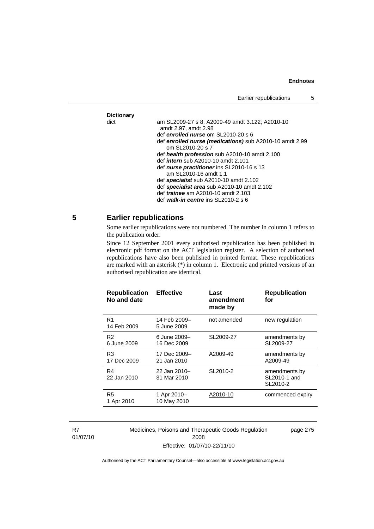# **Dictionary**

| Dictionary |                                                         |
|------------|---------------------------------------------------------|
| dict       | am SL2009-27 s 8; A2009-49 amdt 3.122; A2010-10         |
|            | amdt 2.97, amdt 2.98                                    |
|            | def enrolled nurse om SL2010-20 s 6                     |
|            | def enrolled nurse (medications) sub A2010-10 amdt 2.99 |
|            | om SL2010-20 s 7                                        |
|            | def health profession sub A2010-10 amdt 2.100           |
|            | def <i>intern</i> sub A2010-10 amdt 2.101               |
|            | def nurse practitioner ins SL2010-16 s 13               |
|            | am SL2010-16 amdt 1.1                                   |
|            | def specialist sub A2010-10 amdt 2.102                  |
|            | def specialist area sub A2010-10 amdt 2.102             |
|            | def <i>trainee</i> am A2010-10 amdt 2.103               |
|            | def walk-in centre ins SL2010-2 s 6                     |
|            |                                                         |

# **5 Earlier republications**

Some earlier republications were not numbered. The number in column 1 refers to the publication order.

Since 12 September 2001 every authorised republication has been published in electronic pdf format on the ACT legislation register. A selection of authorised republications have also been published in printed format. These republications are marked with an asterisk (\*) in column 1. Electronic and printed versions of an authorised republication are identical.

| <b>Republication</b><br>No and date | <b>Effective</b>            | Last<br>amendment<br>made by | <b>Republication</b><br>for               |
|-------------------------------------|-----------------------------|------------------------------|-------------------------------------------|
| R1<br>14 Feb 2009                   | 14 Feb 2009–<br>5 June 2009 | not amended                  | new regulation                            |
| R <sub>2</sub><br>6 June 2009       | 6 June 2009-<br>16 Dec 2009 | SL2009-27                    | amendments by<br>SL2009-27                |
| R <sub>3</sub><br>17 Dec 2009       | 17 Dec 2009-<br>21 Jan 2010 | A2009-49                     | amendments by<br>A2009-49                 |
| R4<br>22 Jan 2010                   | 22 Jan 2010-<br>31 Mar 2010 | SL2010-2                     | amendments by<br>SL2010-1 and<br>SL2010-2 |
| R <sub>5</sub><br>1 Apr 2010        | 1 Apr 2010-<br>10 May 2010  | A2010-10                     | commenced expiry                          |

R7 01/07/10 Medicines, Poisons and Therapeutic Goods Regulation 2008 Effective: 01/07/10-22/11/10

page 275